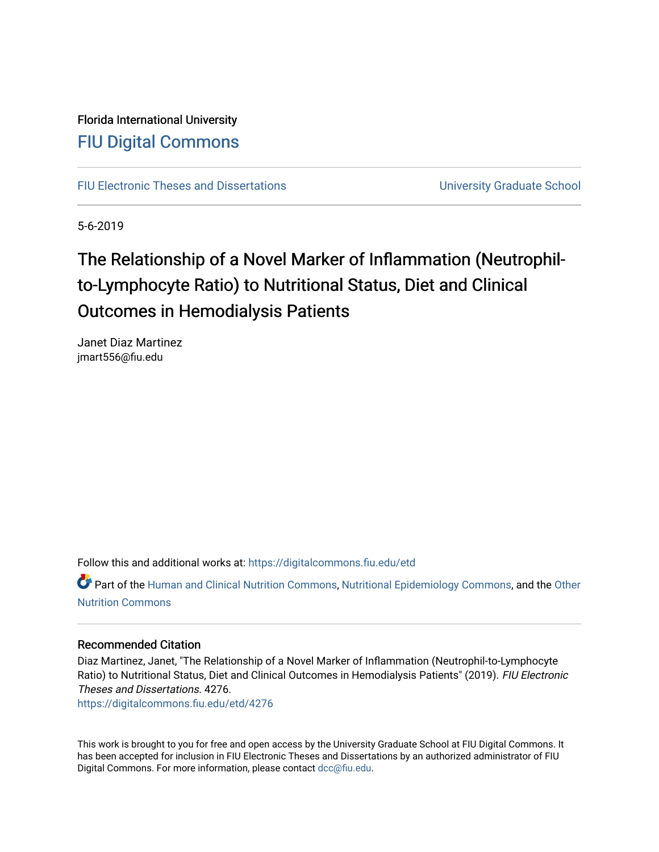### Florida International University [FIU Digital Commons](https://digitalcommons.fiu.edu/)

[FIU Electronic Theses and Dissertations](https://digitalcommons.fiu.edu/etd) **Electronic Theses and Dissertations Electronic School** 

5-6-2019

## The Relationship of a Novel Marker of Inflammation (Neutrophilto-Lymphocyte Ratio) to Nutritional Status, Diet and Clinical Outcomes in Hemodialysis Patients

Janet Diaz Martinez jmart556@fiu.edu

Follow this and additional works at: [https://digitalcommons.fiu.edu/etd](https://digitalcommons.fiu.edu/etd?utm_source=digitalcommons.fiu.edu%2Fetd%2F4276&utm_medium=PDF&utm_campaign=PDFCoverPages)

Part of the [Human and Clinical Nutrition Commons](http://network.bepress.com/hgg/discipline/97?utm_source=digitalcommons.fiu.edu%2Fetd%2F4276&utm_medium=PDF&utm_campaign=PDFCoverPages), [Nutritional Epidemiology Commons](http://network.bepress.com/hgg/discipline/100?utm_source=digitalcommons.fiu.edu%2Fetd%2F4276&utm_medium=PDF&utm_campaign=PDFCoverPages), and the [Other](http://network.bepress.com/hgg/discipline/101?utm_source=digitalcommons.fiu.edu%2Fetd%2F4276&utm_medium=PDF&utm_campaign=PDFCoverPages)  [Nutrition Commons](http://network.bepress.com/hgg/discipline/101?utm_source=digitalcommons.fiu.edu%2Fetd%2F4276&utm_medium=PDF&utm_campaign=PDFCoverPages)

#### Recommended Citation

Diaz Martinez, Janet, "The Relationship of a Novel Marker of Inflammation (Neutrophil-to-Lymphocyte Ratio) to Nutritional Status, Diet and Clinical Outcomes in Hemodialysis Patients" (2019). FIU Electronic Theses and Dissertations. 4276.

[https://digitalcommons.fiu.edu/etd/4276](https://digitalcommons.fiu.edu/etd/4276?utm_source=digitalcommons.fiu.edu%2Fetd%2F4276&utm_medium=PDF&utm_campaign=PDFCoverPages) 

This work is brought to you for free and open access by the University Graduate School at FIU Digital Commons. It has been accepted for inclusion in FIU Electronic Theses and Dissertations by an authorized administrator of FIU Digital Commons. For more information, please contact [dcc@fiu.edu](mailto:dcc@fiu.edu).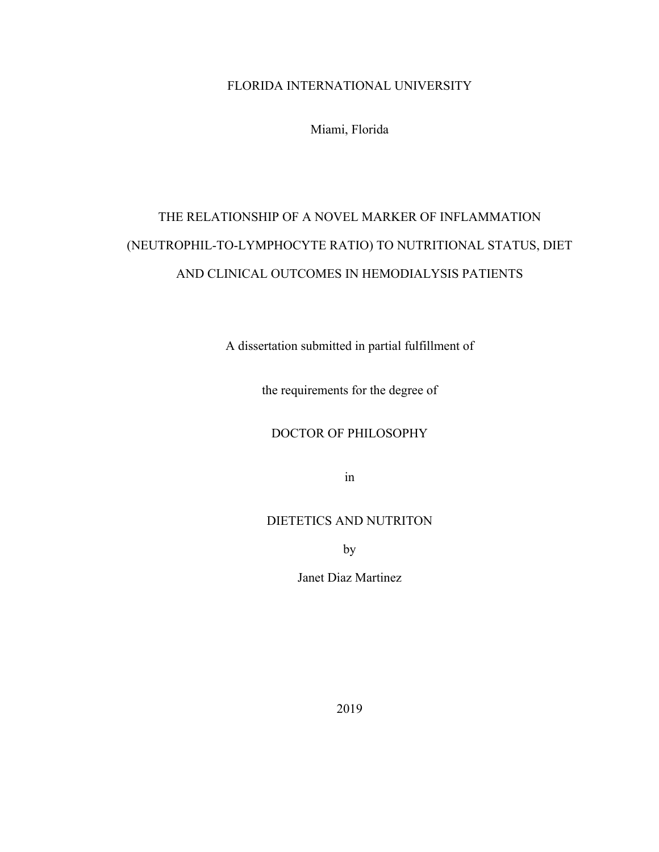#### FLORIDA INTERNATIONAL UNIVERSITY

Miami, Florida

## THE RELATIONSHIP OF A NOVEL MARKER OF INFLAMMATION (NEUTROPHIL-TO-LYMPHOCYTE RATIO) TO NUTRITIONAL STATUS, DIET AND CLINICAL OUTCOMES IN HEMODIALYSIS PATIENTS

A dissertation submitted in partial fulfillment of

the requirements for the degree of

#### DOCTOR OF PHILOSOPHY

in

#### DIETETICS AND NUTRITON

by

Janet Diaz Martinez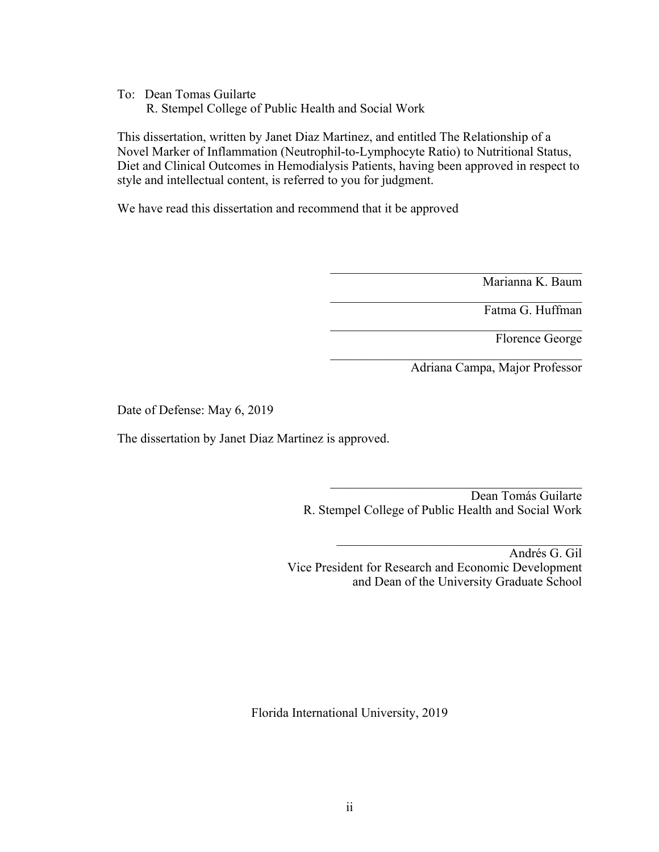To: Dean Tomas Guilarte R. Stempel College of Public Health and Social Work

This dissertation, written by Janet Diaz Martinez, and entitled The Relationship of a Novel Marker of Inflammation (Neutrophil-to-Lymphocyte Ratio) to Nutritional Status, Diet and Clinical Outcomes in Hemodialysis Patients, having been approved in respect to style and intellectual content, is referred to you for judgment.

We have read this dissertation and recommend that it be approved

Marianna K. Baum

Fatma G. Huffman

Florence George

Adriana Campa, Major Professor

Date of Defense: May 6, 2019

The dissertation by Janet Diaz Martinez is approved.

Dean Tomás Guilarte R. Stempel College of Public Health and Social Work

Andrés G. Gil Vice President for Research and Economic Development and Dean of the University Graduate School

Florida International University, 2019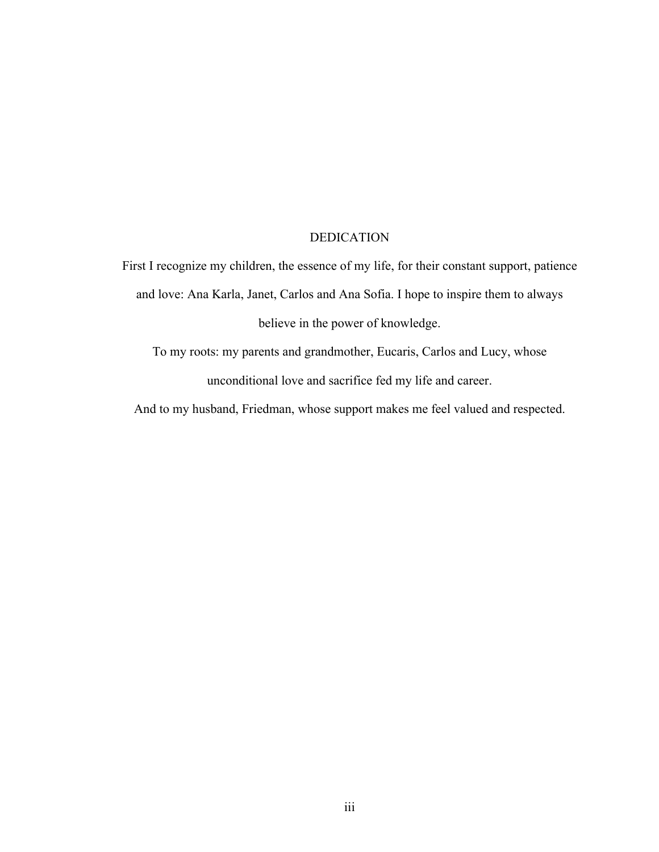#### DEDICATION

First I recognize my children, the essence of my life, for their constant support, patience and love: Ana Karla, Janet, Carlos and Ana Sofia. I hope to inspire them to always believe in the power of knowledge.

To my roots: my parents and grandmother, Eucaris, Carlos and Lucy, whose unconditional love and sacrifice fed my life and career.

And to my husband, Friedman, whose support makes me feel valued and respected.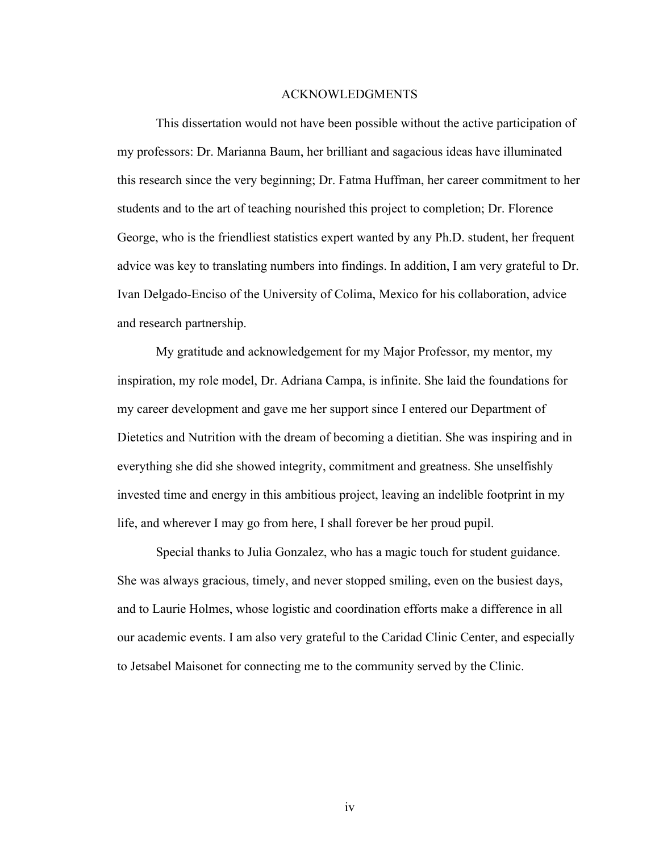#### ACKNOWLEDGMENTS

This dissertation would not have been possible without the active participation of my professors: Dr. Marianna Baum, her brilliant and sagacious ideas have illuminated this research since the very beginning; Dr. Fatma Huffman, her career commitment to her students and to the art of teaching nourished this project to completion; Dr. Florence George, who is the friendliest statistics expert wanted by any Ph.D. student, her frequent advice was key to translating numbers into findings. In addition, I am very grateful to Dr. Ivan Delgado-Enciso of the University of Colima, Mexico for his collaboration, advice and research partnership.

My gratitude and acknowledgement for my Major Professor, my mentor, my inspiration, my role model, Dr. Adriana Campa, is infinite. She laid the foundations for my career development and gave me her support since I entered our Department of Dietetics and Nutrition with the dream of becoming a dietitian. She was inspiring and in everything she did she showed integrity, commitment and greatness. She unselfishly invested time and energy in this ambitious project, leaving an indelible footprint in my life, and wherever I may go from here, I shall forever be her proud pupil.

Special thanks to Julia Gonzalez, who has a magic touch for student guidance. She was always gracious, timely, and never stopped smiling, even on the busiest days, and to Laurie Holmes, whose logistic and coordination efforts make a difference in all our academic events. I am also very grateful to the Caridad Clinic Center, and especially to Jetsabel Maisonet for connecting me to the community served by the Clinic.

iv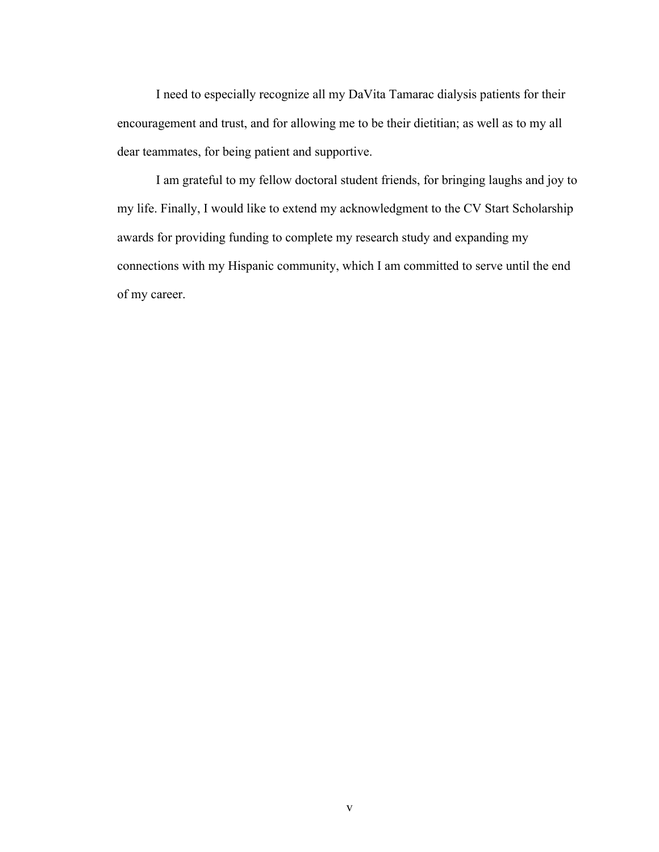I need to especially recognize all my DaVita Tamarac dialysis patients for their encouragement and trust, and for allowing me to be their dietitian; as well as to my all dear teammates, for being patient and supportive.

I am grateful to my fellow doctoral student friends, for bringing laughs and joy to my life. Finally, I would like to extend my acknowledgment to the CV Start Scholarship awards for providing funding to complete my research study and expanding my connections with my Hispanic community, which I am committed to serve until the end of my career.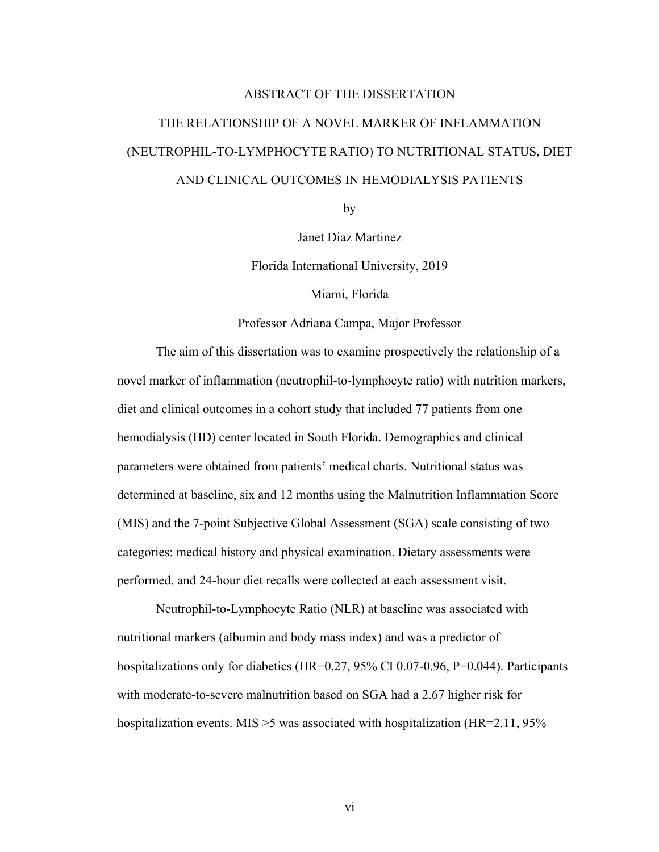# ABSTRACT OF THE DISSERTATION THE RELATIONSHIP OF A NOVEL MARKER OF INFLAMMATION (NEUTROPHIL-TO-LYMPHOCYTE RATIO) TO NUTRITIONAL STATUS, DIET AND CLINICAL OUTCOMES IN HEMODIALYSIS PATIENTS

by

Janet Diaz Martinez

Florida International University, 2019

Miami, Florida

Professor Adriana Campa, Major Professor

The aim of this dissertation was to examine prospectively the relationship of a novel marker of inflammation (neutrophil-to-lymphocyte ratio) with nutrition markers, diet and clinical outcomes in a cohort study that included 77 patients from one hemodialysis (HD) center located in South Florida. Demographics and clinical parameters were obtained from patients' medical charts. Nutritional status was determined at baseline, six and 12 months using the Malnutrition Inflammation Score (MIS) and the 7-point Subjective Global Assessment (SGA) scale consisting of two categories: medical history and physical examination. Dietary assessments were performed, and 24-hour diet recalls were collected at each assessment visit.

Neutrophil-to-Lymphocyte Ratio (NLR) at baseline was associated with nutritional markers (albumin and body mass index) and was a predictor of hospitalizations only for diabetics (HR=0.27, 95% CI 0.07-0.96, P=0.044). Participants with moderate-to-severe malnutrition based on SGA had a 2.67 higher risk for hospitalization events. MIS > 5 was associated with hospitalization (HR=2.11, 95%

vi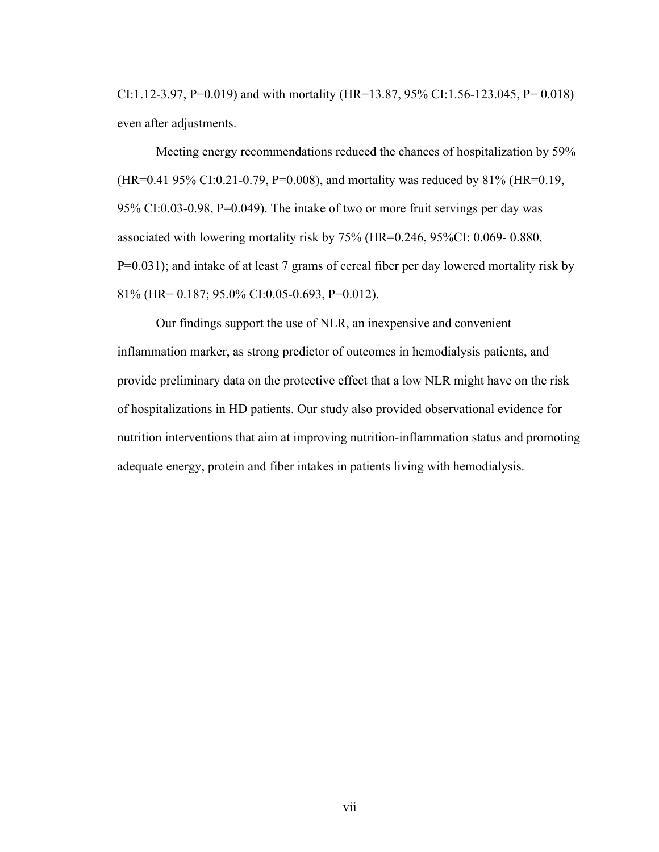CI:1.12-3.97, P=0.019) and with mortality (HR=13.87, 95% CI:1.56-123.045, P= 0.018) even after adjustments.

Meeting energy recommendations reduced the chances of hospitalization by 59% (HR=0.41 95% CI:0.21-0.79, P=0.008), and mortality was reduced by 81% (HR=0.19, 95% CI:0.03-0.98, P=0.049). The intake of two or more fruit servings per day was associated with lowering mortality risk by 75% (HR=0.246, 95%CI: 0.069- 0.880, P=0.031); and intake of at least 7 grams of cereal fiber per day lowered mortality risk by 81% (HR= 0.187; 95.0% CI:0.05-0.693, P=0.012).

Our findings support the use of NLR, an inexpensive and convenient inflammation marker, as strong predictor of outcomes in hemodialysis patients, and provide preliminary data on the protective effect that a low NLR might have on the risk of hospitalizations in HD patients. Our study also provided observational evidence for nutrition interventions that aim at improving nutrition-inflammation status and promoting adequate energy, protein and fiber intakes in patients living with hemodialysis.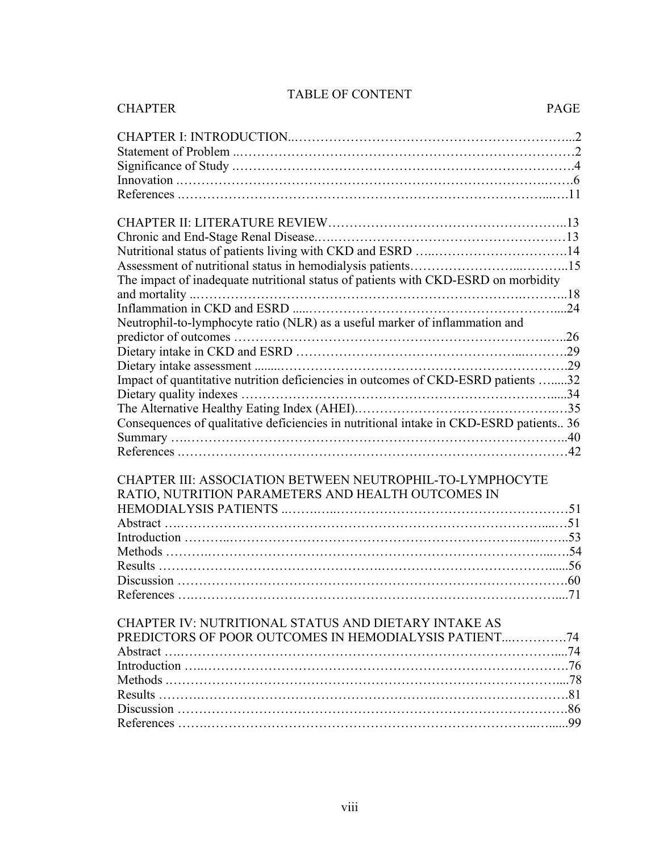| <b>CHAPTER</b><br><b>PAGE</b>                                                          |  |
|----------------------------------------------------------------------------------------|--|
|                                                                                        |  |
|                                                                                        |  |
|                                                                                        |  |
|                                                                                        |  |
|                                                                                        |  |
|                                                                                        |  |
|                                                                                        |  |
| Nutritional status of patients living with CKD and ESRD 14                             |  |
|                                                                                        |  |
| The impact of inadequate nutritional status of patients with CKD-ESRD on morbidity     |  |
|                                                                                        |  |
|                                                                                        |  |
| Neutrophil-to-lymphocyte ratio (NLR) as a useful marker of inflammation and            |  |
|                                                                                        |  |
|                                                                                        |  |
|                                                                                        |  |
| Impact of quantitative nutrition deficiencies in outcomes of CKD-ESRD patients 32      |  |
|                                                                                        |  |
|                                                                                        |  |
| Consequences of qualitative deficiencies in nutritional intake in CKD-ESRD patients 36 |  |
|                                                                                        |  |
|                                                                                        |  |
| CHAPTER III: ASSOCIATION BETWEEN NEUTROPHIL-TO-LYMPHOCYTE                              |  |
| RATIO, NUTRITION PARAMETERS AND HEALTH OUTCOMES IN                                     |  |
|                                                                                        |  |
|                                                                                        |  |
|                                                                                        |  |
|                                                                                        |  |
|                                                                                        |  |
|                                                                                        |  |
|                                                                                        |  |
| CHAPTER IV: NUTRITIONAL STATUS AND DIETARY INTAKE AS                                   |  |
| PREDICTORS OF POOR OUTCOMES IN HEMODIALYSIS PATIENT74                                  |  |
|                                                                                        |  |
|                                                                                        |  |
|                                                                                        |  |
|                                                                                        |  |
|                                                                                        |  |
|                                                                                        |  |

### TABLE OF CONTENT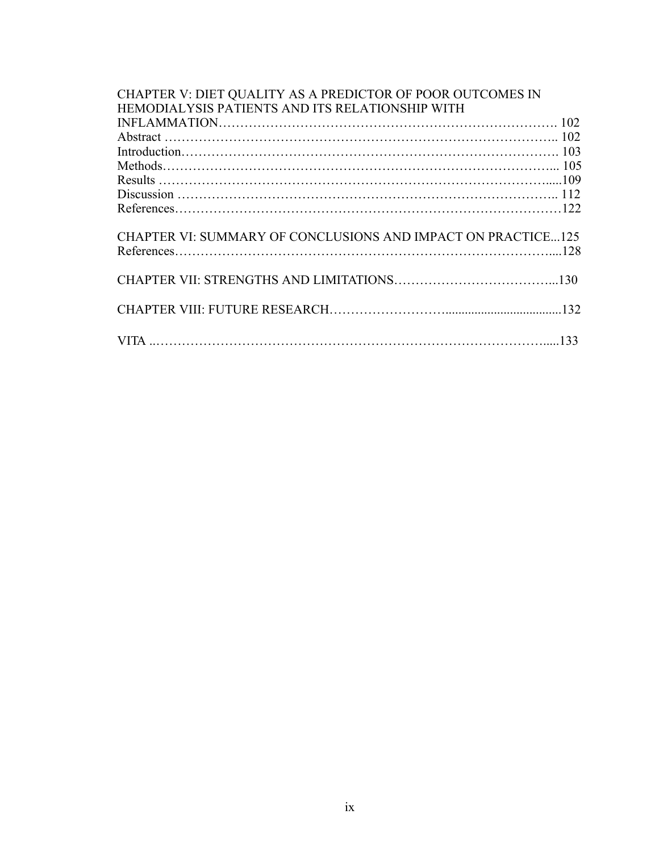| CHAPTER V: DIET QUALITY AS A PREDICTOR OF POOR OUTCOMES IN<br>HEMODIALYSIS PATIENTS AND ITS RELATIONSHIP WITH |  |
|---------------------------------------------------------------------------------------------------------------|--|
|                                                                                                               |  |
|                                                                                                               |  |
|                                                                                                               |  |
|                                                                                                               |  |
|                                                                                                               |  |
|                                                                                                               |  |
|                                                                                                               |  |
| CHAPTER VI: SUMMARY OF CONCLUSIONS AND IMPACT ON PRACTICE125                                                  |  |
|                                                                                                               |  |
|                                                                                                               |  |
|                                                                                                               |  |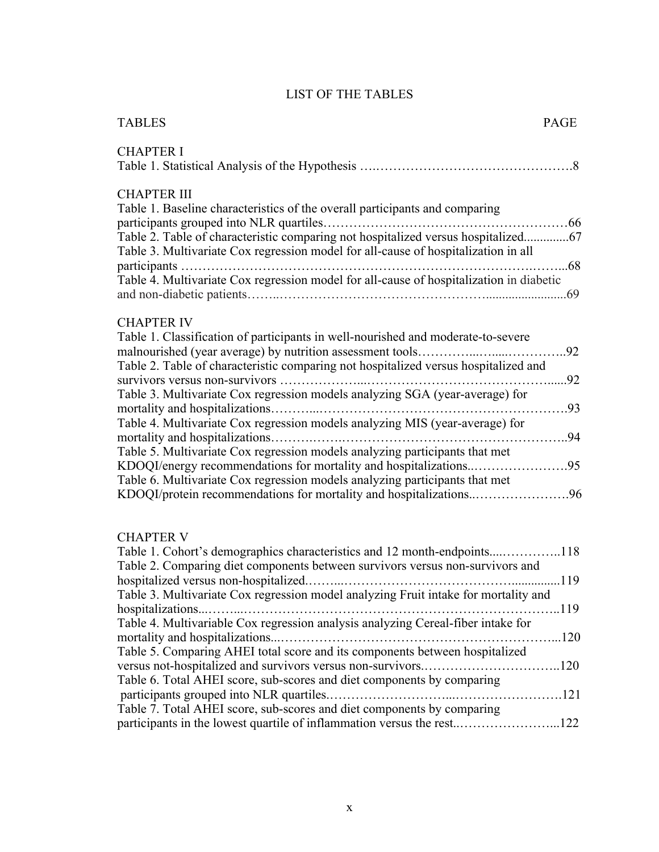### LIST OF THE TABLES

| <b>TABLES</b>                                                                                                                                                                                                                                                                                                                                                           | PAGE   |
|-------------------------------------------------------------------------------------------------------------------------------------------------------------------------------------------------------------------------------------------------------------------------------------------------------------------------------------------------------------------------|--------|
| <b>CHAPTER I</b>                                                                                                                                                                                                                                                                                                                                                        |        |
| <b>CHAPTER III</b><br>Table 1. Baseline characteristics of the overall participants and comparing<br>Table 2. Table of characteristic comparing not hospitalized versus hospitalized67<br>Table 3. Multivariate Cox regression model for all-cause of hospitalization in all<br>Table 4. Multivariate Cox regression model for all-cause of hospitalization in diabetic |        |
| <b>CHAPTER IV</b><br>Table 1. Classification of participants in well-nourished and moderate-to-severe<br>Table 2. Table of characteristic comparing not hospitalized versus hospitalized and<br>Table 3. Multivariate Cox regression models analyzing SGA (year-average) for<br>Table 4. Multivariate Cox regression models analyzing MIS (year-average) for            |        |
| Table 5. Multivariate Cox regression models analyzing participants that met<br>KDOQI/energy recommendations for mortality and hospitalizations95<br>Table 6. Multivariate Cox regression models analyzing participants that met<br>KDOQI/protein recommendations for mortality and hospitalizations96                                                                   |        |
| <b>CHAPTER V</b><br>Table 1. Cohort's demographics characteristics and 12 month-endpoints118<br>Table 2. Comparing diet components between survivors versus non-survivors and<br>Table 3. Multivariate Cox regression model analyzing Fruit intake for mortality and                                                                                                    | . 1 19 |
| Table 4. Multivariable Cox regression analysis analyzing Cereal-fiber intake for<br>Table 5. Comparing AHEI total score and its components between hospitalized<br>versus not-hospitalized and survivors versus non-survivors120<br>Table 6. Total AHEI score, sub-scores and diet components by comparing                                                              |        |
| Table 7. Total AHEI score, sub-scores and diet components by comparing<br>participants in the lowest quartile of inflammation versus the rest122                                                                                                                                                                                                                        |        |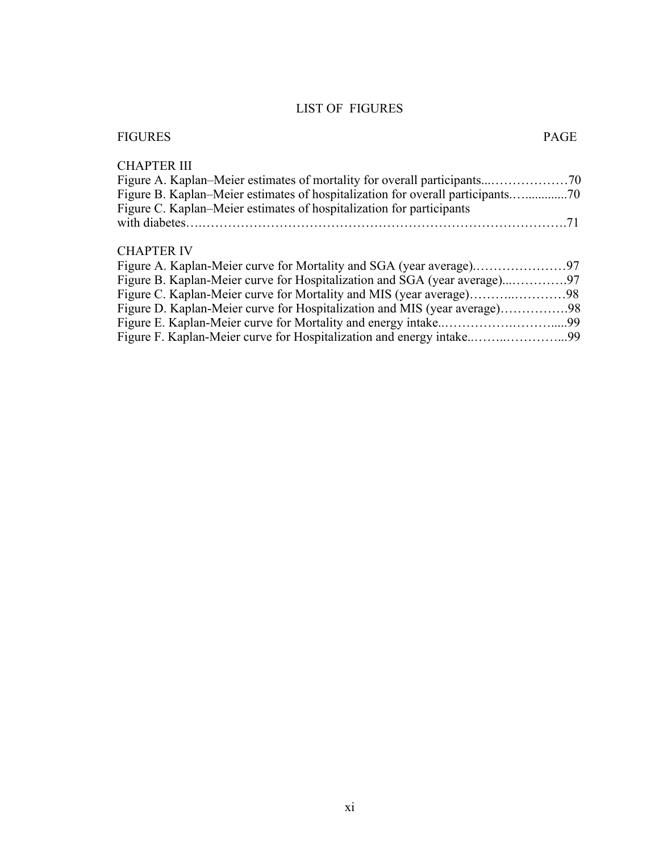### LIST OF FIGURES

| <b>FIGURES</b>                                                               | PAGE |
|------------------------------------------------------------------------------|------|
| <b>CHAPTER III</b>                                                           |      |
|                                                                              |      |
| Figure B. Kaplan–Meier estimates of hospitalization for overall participants |      |
| Figure C. Kaplan–Meier estimates of hospitalization for participants         |      |
|                                                                              |      |
|                                                                              |      |
| <b>CHAPTER IV</b>                                                            |      |
|                                                                              |      |
|                                                                              |      |
|                                                                              |      |
| Figure D. Kaplan-Meier curve for Hospitalization and MIS (year average)98    |      |
|                                                                              |      |
| Figure F. Kaplan-Meier curve for Hospitalization and energy intake99         |      |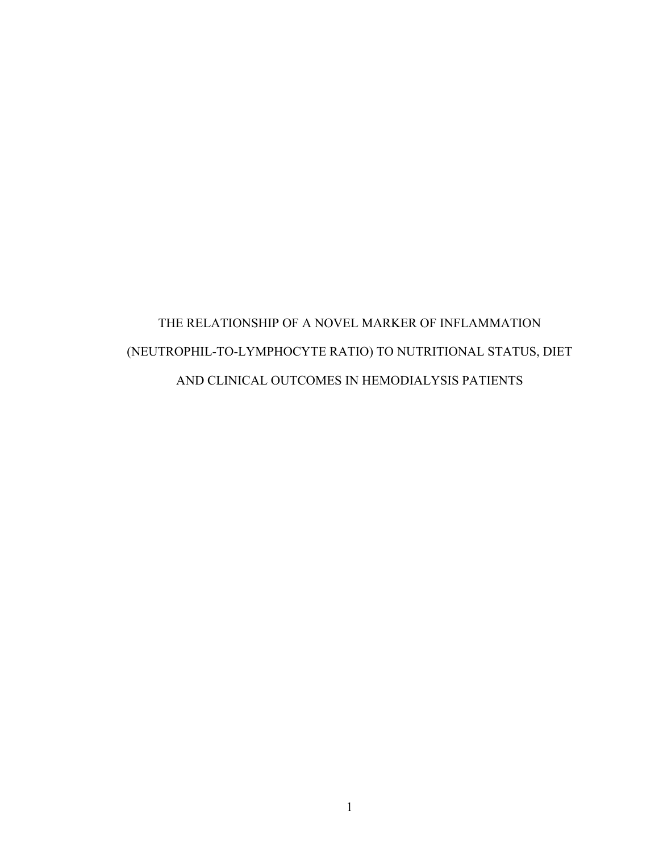## THE RELATIONSHIP OF A NOVEL MARKER OF INFLAMMATION (NEUTROPHIL-TO-LYMPHOCYTE RATIO) TO NUTRITIONAL STATUS, DIET AND CLINICAL OUTCOMES IN HEMODIALYSIS PATIENTS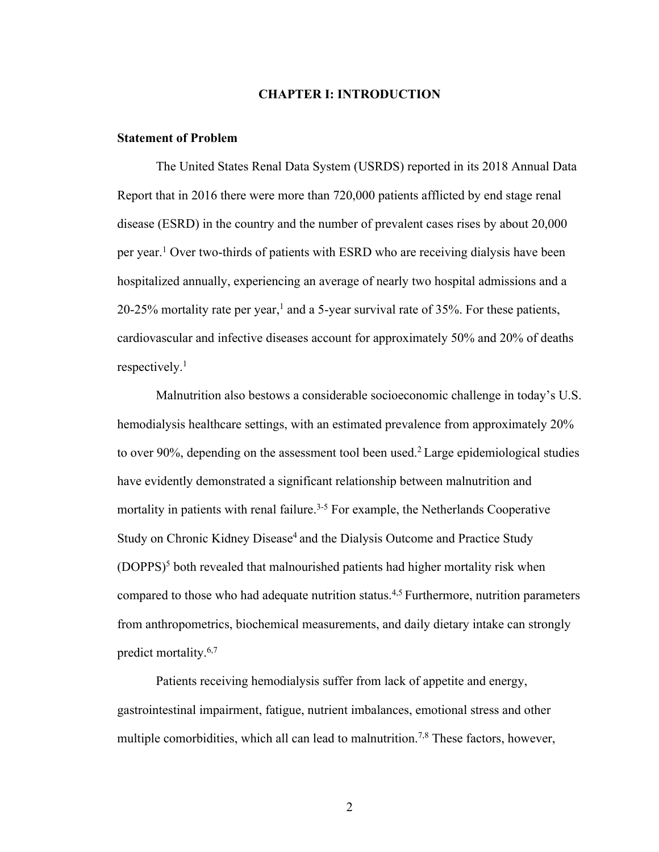#### **CHAPTER I: INTRODUCTION**

#### **Statement of Problem**

The United States Renal Data System (USRDS) reported in its 2018 Annual Data Report that in 2016 there were more than 720,000 patients afflicted by end stage renal disease (ESRD) in the country and the number of prevalent cases rises by about 20,000 per year. <sup>1</sup> Over two-thirds of patients with ESRD who are receiving dialysis have been hospitalized annually, experiencing an average of nearly two hospital admissions and a  $20-25%$  mortality rate per year,<sup>1</sup> and a 5-year survival rate of 35%. For these patients, cardiovascular and infective diseases account for approximately 50% and 20% of deaths respectively. 1

Malnutrition also bestows a considerable socioeconomic challenge in today's U.S. hemodialysis healthcare settings, with an estimated prevalence from approximately 20% to over 90%, depending on the assessment tool been used.<sup>2</sup> Large epidemiological studies have evidently demonstrated a significant relationship between malnutrition and mortality in patients with renal failure.<sup> $3-5$ </sup> For example, the Netherlands Cooperative Study on Chronic Kidney Disease<sup>4</sup> and the Dialysis Outcome and Practice Study  $(DOPPS)^5$  both revealed that malnourished patients had higher mortality risk when compared to those who had adequate nutrition status.4,5 Furthermore, nutrition parameters from anthropometrics, biochemical measurements, and daily dietary intake can strongly predict mortality.6,7

Patients receiving hemodialysis suffer from lack of appetite and energy, gastrointestinal impairment, fatigue, nutrient imbalances, emotional stress and other multiple comorbidities, which all can lead to malnutrition.<sup>7,8</sup> These factors, however,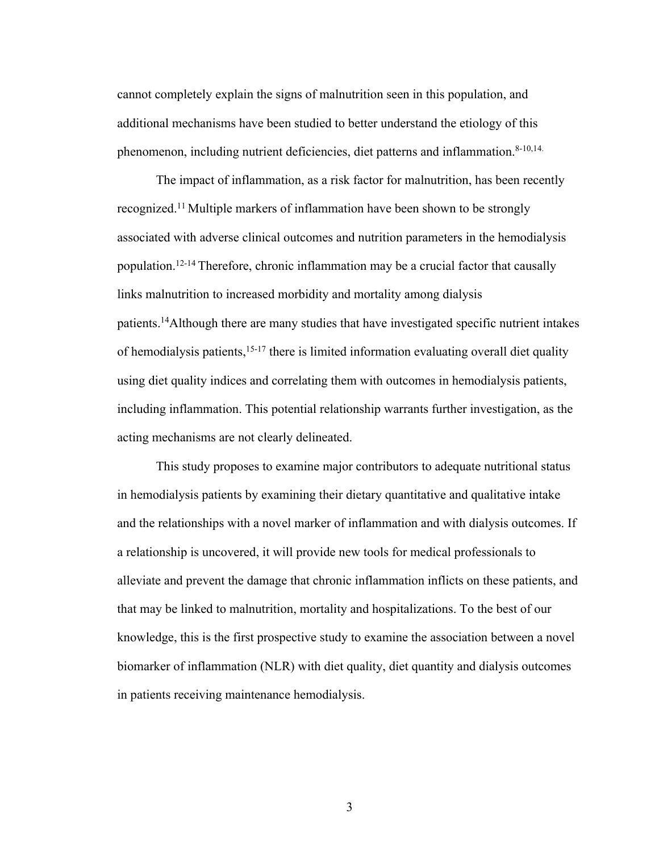cannot completely explain the signs of malnutrition seen in this population, and additional mechanisms have been studied to better understand the etiology of this phenomenon, including nutrient deficiencies, diet patterns and inflammation.<sup>8-10,14.</sup>

The impact of inflammation, as a risk factor for malnutrition, has been recently recognized.11 Multiple markers of inflammation have been shown to be strongly associated with adverse clinical outcomes and nutrition parameters in the hemodialysis population. 12-14 Therefore, chronic inflammation may be a crucial factor that causally links malnutrition to increased morbidity and mortality among dialysis patients.14 Although there are many studies that have investigated specific nutrient intakes of hemodialysis patients, <sup>15-17</sup> there is limited information evaluating overall diet quality using diet quality indices and correlating them with outcomes in hemodialysis patients, including inflammation. This potential relationship warrants further investigation, as the acting mechanisms are not clearly delineated.

This study proposes to examine major contributors to adequate nutritional status in hemodialysis patients by examining their dietary quantitative and qualitative intake and the relationships with a novel marker of inflammation and with dialysis outcomes. If a relationship is uncovered, it will provide new tools for medical professionals to alleviate and prevent the damage that chronic inflammation inflicts on these patients, and that may be linked to malnutrition, mortality and hospitalizations. To the best of our knowledge, this is the first prospective study to examine the association between a novel biomarker of inflammation (NLR) with diet quality, diet quantity and dialysis outcomes in patients receiving maintenance hemodialysis.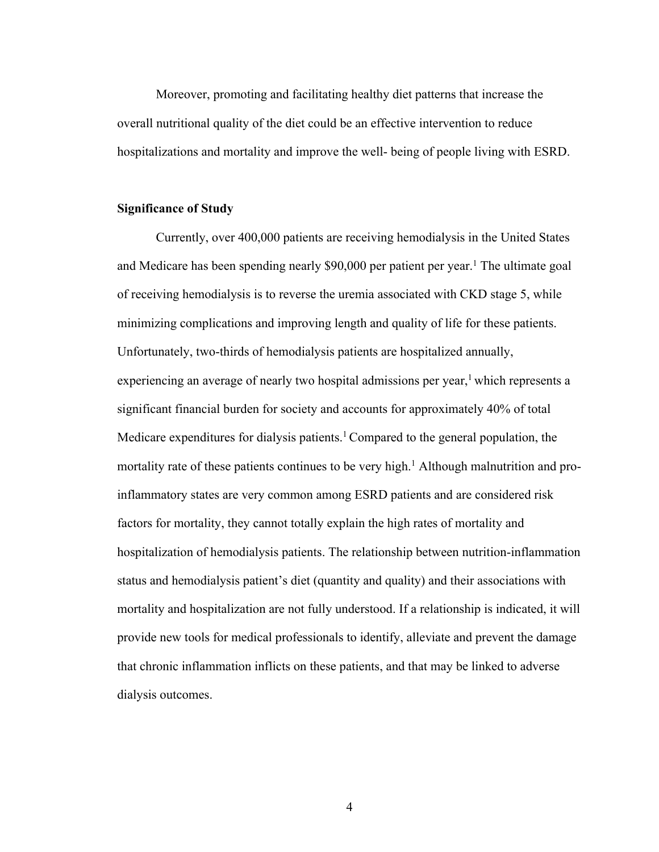Moreover, promoting and facilitating healthy diet patterns that increase the overall nutritional quality of the diet could be an effective intervention to reduce hospitalizations and mortality and improve the well- being of people living with ESRD.

#### **Significance of Study**

Currently, over 400,000 patients are receiving hemodialysis in the United States and Medicare has been spending nearly \$90,000 per patient per year.<sup>1</sup> The ultimate goal of receiving hemodialysis is to reverse the uremia associated with CKD stage 5, while minimizing complications and improving length and quality of life for these patients. Unfortunately, two-thirds of hemodialysis patients are hospitalized annually, experiencing an average of nearly two hospital admissions per year, $\frac{1}{2}$  which represents a significant financial burden for society and accounts for approximately 40% of total Medicare expenditures for dialysis patients.<sup>1</sup> Compared to the general population, the mortality rate of these patients continues to be very high.<sup>1</sup> Although malnutrition and proinflammatory states are very common among ESRD patients and are considered risk factors for mortality, they cannot totally explain the high rates of mortality and hospitalization of hemodialysis patients. The relationship between nutrition-inflammation status and hemodialysis patient's diet (quantity and quality) and their associations with mortality and hospitalization are not fully understood. If a relationship is indicated, it will provide new tools for medical professionals to identify, alleviate and prevent the damage that chronic inflammation inflicts on these patients, and that may be linked to adverse dialysis outcomes.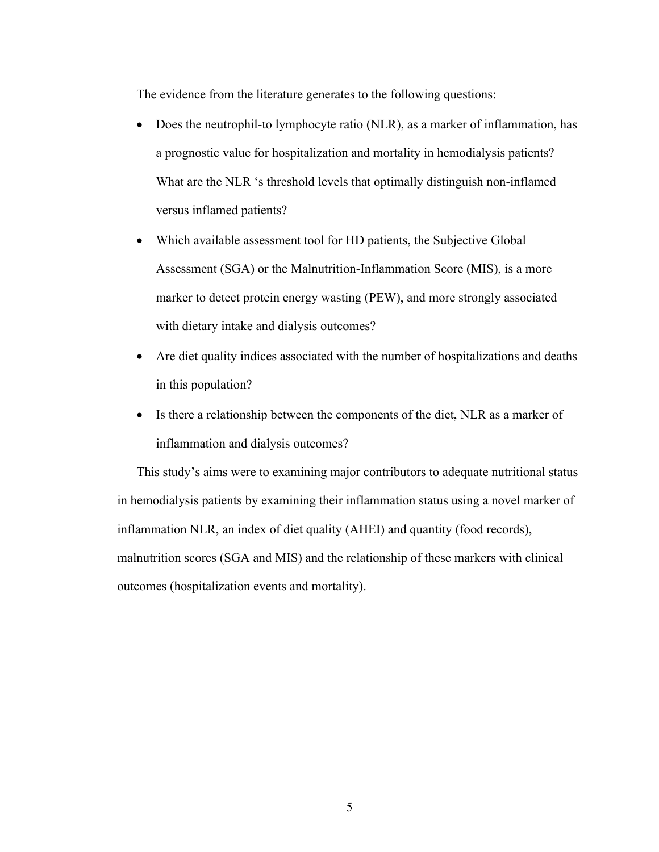The evidence from the literature generates to the following questions:

- Does the neutrophil-to lymphocyte ratio (NLR), as a marker of inflammation, has a prognostic value for hospitalization and mortality in hemodialysis patients? What are the NLR 's threshold levels that optimally distinguish non-inflamed versus inflamed patients?
- Which available assessment tool for HD patients, the Subjective Global Assessment (SGA) or the Malnutrition-Inflammation Score (MIS), is a more marker to detect protein energy wasting (PEW), and more strongly associated with dietary intake and dialysis outcomes?
- Are diet quality indices associated with the number of hospitalizations and deaths in this population?
- Is there a relationship between the components of the diet, NLR as a marker of inflammation and dialysis outcomes?

This study's aims were to examining major contributors to adequate nutritional status in hemodialysis patients by examining their inflammation status using a novel marker of inflammation NLR, an index of diet quality (AHEI) and quantity (food records), malnutrition scores (SGA and MIS) and the relationship of these markers with clinical outcomes (hospitalization events and mortality).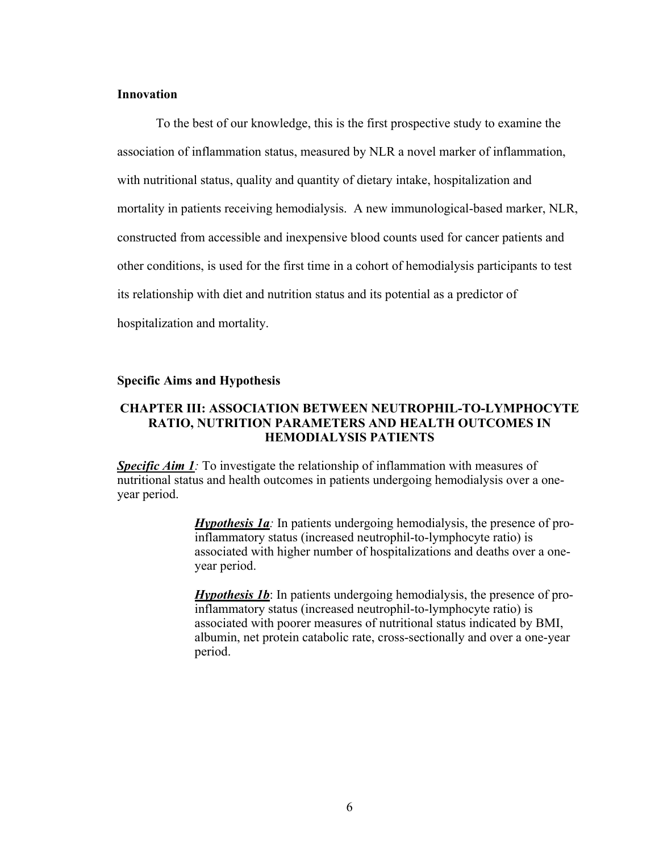#### **Innovation**

To the best of our knowledge, this is the first prospective study to examine the association of inflammation status, measured by NLR a novel marker of inflammation, with nutritional status, quality and quantity of dietary intake, hospitalization and mortality in patients receiving hemodialysis. A new immunological-based marker, NLR, constructed from accessible and inexpensive blood counts used for cancer patients and other conditions, is used for the first time in a cohort of hemodialysis participants to test its relationship with diet and nutrition status and its potential as a predictor of hospitalization and mortality.

#### **Specific Aims and Hypothesis**

#### **CHAPTER III: ASSOCIATION BETWEEN NEUTROPHIL-TO-LYMPHOCYTE RATIO, NUTRITION PARAMETERS AND HEALTH OUTCOMES IN HEMODIALYSIS PATIENTS**

**Specific Aim 1**: To investigate the relationship of inflammation with measures of nutritional status and health outcomes in patients undergoing hemodialysis over a oneyear period.

> *Hypothesis 1a:* In patients undergoing hemodialysis, the presence of proinflammatory status (increased neutrophil-to-lymphocyte ratio) is associated with higher number of hospitalizations and deaths over a oneyear period.

> *Hypothesis 1b*: In patients undergoing hemodialysis, the presence of proinflammatory status (increased neutrophil-to-lymphocyte ratio) is associated with poorer measures of nutritional status indicated by BMI, albumin, net protein catabolic rate, cross-sectionally and over a one-year period.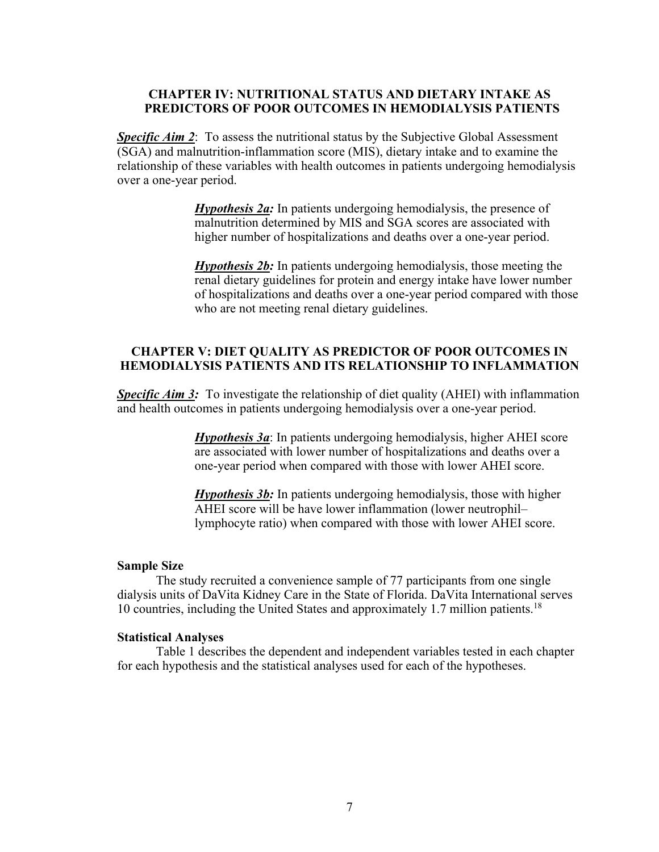#### **CHAPTER IV: NUTRITIONAL STATUS AND DIETARY INTAKE AS PREDICTORS OF POOR OUTCOMES IN HEMODIALYSIS PATIENTS**

**Specific Aim 2:** To assess the nutritional status by the Subjective Global Assessment (SGA) and malnutrition-inflammation score (MIS), dietary intake and to examine the relationship of these variables with health outcomes in patients undergoing hemodialysis over a one-year period.

> *Hypothesis 2a:* In patients undergoing hemodialysis, the presence of malnutrition determined by MIS and SGA scores are associated with higher number of hospitalizations and deaths over a one-year period.

*Hypothesis 2b:* In patients undergoing hemodialysis, those meeting the renal dietary guidelines for protein and energy intake have lower number of hospitalizations and deaths over a one-year period compared with those who are not meeting renal dietary guidelines.

#### **CHAPTER V: DIET QUALITY AS PREDICTOR OF POOR OUTCOMES IN HEMODIALYSIS PATIENTS AND ITS RELATIONSHIP TO INFLAMMATION**

**Specific Aim 3:** To investigate the relationship of diet quality (AHEI) with inflammation and health outcomes in patients undergoing hemodialysis over a one-year period.

> *Hypothesis 3a*: In patients undergoing hemodialysis, higher AHEI score are associated with lower number of hospitalizations and deaths over a one-year period when compared with those with lower AHEI score.

*Hypothesis 3b:* In patients undergoing hemodialysis, those with higher AHEI score will be have lower inflammation (lower neutrophil– lymphocyte ratio) when compared with those with lower AHEI score.

#### **Sample Size**

The study recruited a convenience sample of 77 participants from one single dialysis units of DaVita Kidney Care in the State of Florida. DaVita International serves 10 countries, including the United States and approximately 1.7 million patients.<sup>18</sup>

#### **Statistical Analyses**

Table 1 describes the dependent and independent variables tested in each chapter for each hypothesis and the statistical analyses used for each of the hypotheses.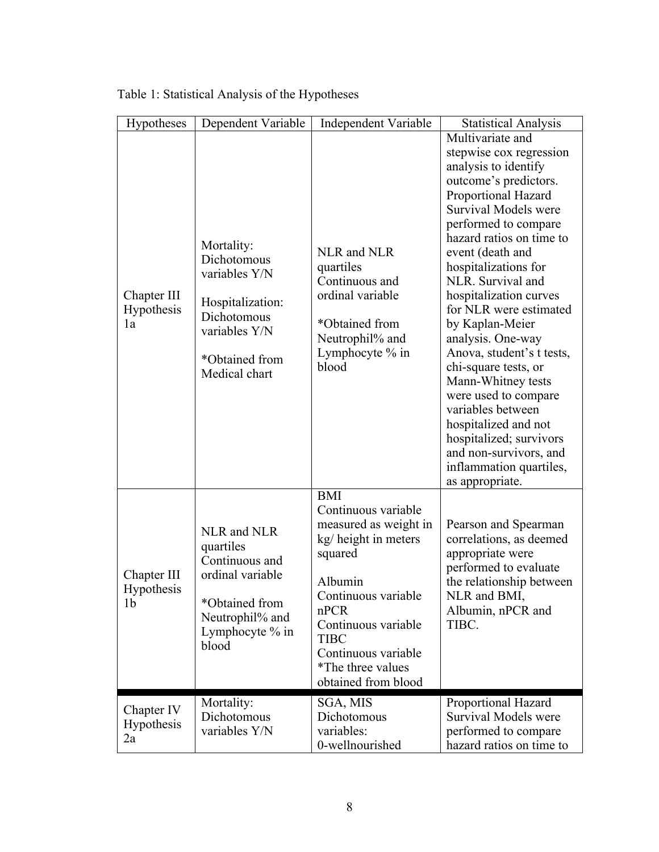| Hypotheses                                  | Dependent Variable                                                                                                                | Independent Variable                                                                                                                                                                                                                             | <b>Statistical Analysis</b>                                                                                                                                                                                                                                                                                                                                                                                                                                                                                                                                                                                            |
|---------------------------------------------|-----------------------------------------------------------------------------------------------------------------------------------|--------------------------------------------------------------------------------------------------------------------------------------------------------------------------------------------------------------------------------------------------|------------------------------------------------------------------------------------------------------------------------------------------------------------------------------------------------------------------------------------------------------------------------------------------------------------------------------------------------------------------------------------------------------------------------------------------------------------------------------------------------------------------------------------------------------------------------------------------------------------------------|
| Chapter III<br>Hypothesis<br>1a             | Mortality:<br>Dichotomous<br>variables Y/N<br>Hospitalization:<br>Dichotomous<br>variables Y/N<br>*Obtained from<br>Medical chart | NLR and NLR<br>quartiles<br>Continuous and<br>ordinal variable<br>*Obtained from<br>Neutrophil% and<br>Lymphocyte % in<br>blood                                                                                                                  | Multivariate and<br>stepwise cox regression<br>analysis to identify<br>outcome's predictors.<br>Proportional Hazard<br><b>Survival Models were</b><br>performed to compare<br>hazard ratios on time to<br>event (death and<br>hospitalizations for<br>NLR. Survival and<br>hospitalization curves<br>for NLR were estimated<br>by Kaplan-Meier<br>analysis. One-way<br>Anova, student's t tests,<br>chi-square tests, or<br>Mann-Whitney tests<br>were used to compare<br>variables between<br>hospitalized and not<br>hospitalized; survivors<br>and non-survivors, and<br>inflammation quartiles,<br>as appropriate. |
| Chapter III<br>Hypothesis<br>1 <sub>b</sub> | NLR and NLR<br>quartiles<br>Continuous and<br>ordinal variable<br>*Obtained from<br>Neutrophil% and<br>Lymphocyte % in<br>blood   | <b>BMI</b><br>Continuous variable<br>measured as weight in<br>kg/ height in meters<br>squared<br>Albumin<br>Continuous variable<br>nPCR<br>Continuous variable<br><b>TIBC</b><br>Continuous variable<br>*The three values<br>obtained from blood | Pearson and Spearman<br>correlations, as deemed<br>appropriate were<br>performed to evaluate<br>the relationship between<br>NLR and BMI,<br>Albumin, nPCR and<br>TIBC.                                                                                                                                                                                                                                                                                                                                                                                                                                                 |
| Chapter IV<br><b>Hypothesis</b><br>2a       | Mortality:<br>Dichotomous<br>variables Y/N                                                                                        | SGA, MIS<br>Dichotomous<br>variables:<br>0-wellnourished                                                                                                                                                                                         | Proportional Hazard<br><b>Survival Models were</b><br>performed to compare<br>hazard ratios on time to                                                                                                                                                                                                                                                                                                                                                                                                                                                                                                                 |

Table 1: Statistical Analysis of the Hypotheses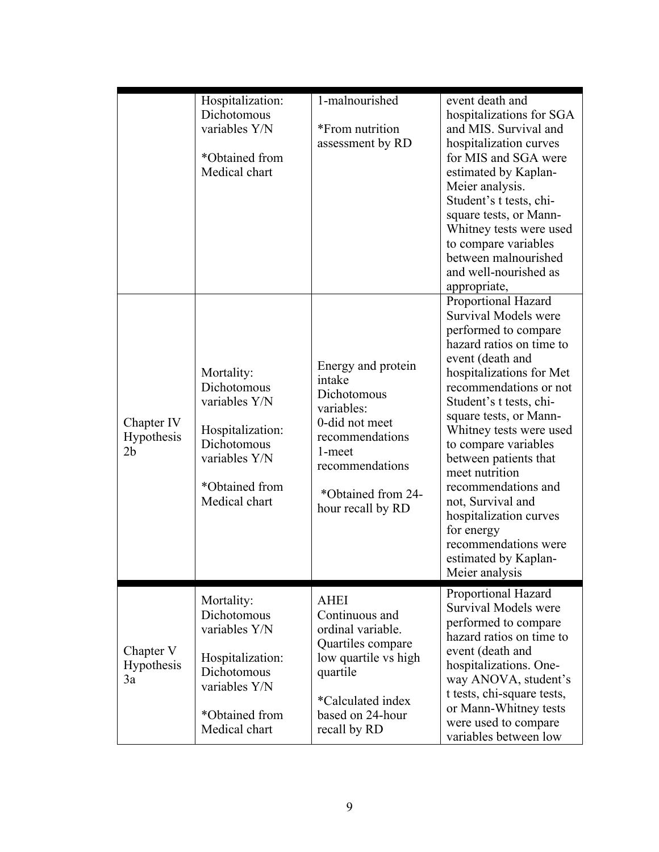|                                       | Hospitalization:<br>Dichotomous<br>variables Y/N<br>*Obtained from<br>Medical chart                                               | 1-malnourished<br>*From nutrition<br>assessment by RD                                                                                                                  | event death and<br>hospitalizations for SGA<br>and MIS. Survival and<br>hospitalization curves<br>for MIS and SGA were<br>estimated by Kaplan-<br>Meier analysis.<br>Student's t tests, chi-<br>square tests, or Mann-<br>Whitney tests were used<br>to compare variables<br>between malnourished<br>and well-nourished as<br>appropriate,                                                                                                                                         |
|---------------------------------------|-----------------------------------------------------------------------------------------------------------------------------------|------------------------------------------------------------------------------------------------------------------------------------------------------------------------|------------------------------------------------------------------------------------------------------------------------------------------------------------------------------------------------------------------------------------------------------------------------------------------------------------------------------------------------------------------------------------------------------------------------------------------------------------------------------------|
| Chapter IV<br><b>Hypothesis</b><br>2b | Mortality:<br>Dichotomous<br>variables Y/N<br>Hospitalization:<br>Dichotomous<br>variables Y/N<br>*Obtained from<br>Medical chart | Energy and protein<br>intake<br>Dichotomous<br>variables:<br>0-did not meet<br>recommendations<br>1-meet<br>recommendations<br>*Obtained from 24-<br>hour recall by RD | Proportional Hazard<br>Survival Models were<br>performed to compare<br>hazard ratios on time to<br>event (death and<br>hospitalizations for Met<br>recommendations or not<br>Student's t tests, chi-<br>square tests, or Mann-<br>Whitney tests were used<br>to compare variables<br>between patients that<br>meet nutrition<br>recommendations and<br>not, Survival and<br>hospitalization curves<br>for energy<br>recommendations were<br>estimated by Kaplan-<br>Meier analysis |
| Chapter V<br><b>Hypothesis</b><br>3a  | Mortality:<br>Dichotomous<br>variables Y/N<br>Hospitalization:<br>Dichotomous<br>variables Y/N<br>*Obtained from<br>Medical chart | <b>AHEI</b><br>Continuous and<br>ordinal variable.<br>Quartiles compare<br>low quartile vs high<br>quartile<br>*Calculated index<br>based on 24-hour<br>recall by RD   | Proportional Hazard<br>Survival Models were<br>performed to compare<br>hazard ratios on time to<br>event (death and<br>hospitalizations. One-<br>way ANOVA, student's<br>t tests, chi-square tests,<br>or Mann-Whitney tests<br>were used to compare<br>variables between low                                                                                                                                                                                                      |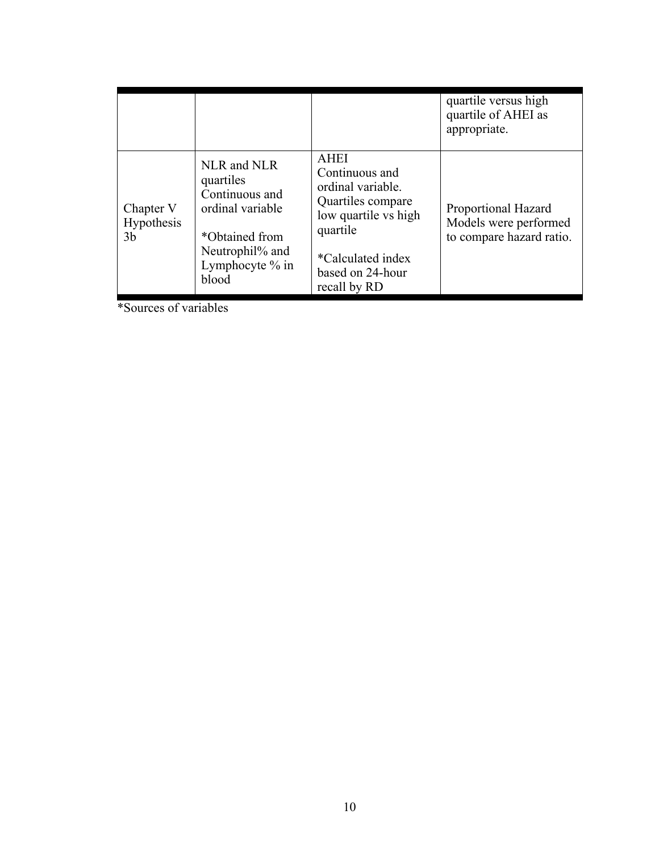|                                      |                                                                                                                                   |                                                                                                                                                                      | quartile versus high<br>quartile of AHEI as<br>appropriate.              |
|--------------------------------------|-----------------------------------------------------------------------------------------------------------------------------------|----------------------------------------------------------------------------------------------------------------------------------------------------------------------|--------------------------------------------------------------------------|
| Chapter V<br><b>Hypothesis</b><br>3b | NLR and NLR<br>quartiles<br>Continuous and<br>ordinal variable<br>*Obtained from<br>Neutrophil% and<br>Lymphocyte $%$ in<br>blood | <b>AHEI</b><br>Continuous and<br>ordinal variable.<br>Quartiles compare<br>low quartile vs high<br>quartile<br>*Calculated index<br>based on 24-hour<br>recall by RD | Proportional Hazard<br>Models were performed<br>to compare hazard ratio. |

\*Sources of variables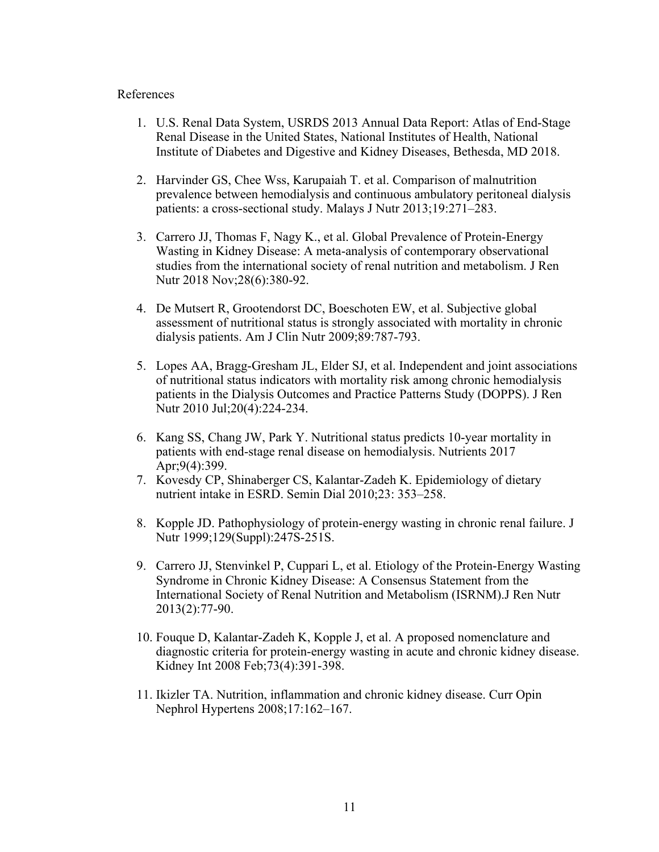#### References

- 1. U.S. Renal Data System, USRDS 2013 Annual Data Report: Atlas of End-Stage Renal Disease in the United States, National Institutes of Health, National Institute of Diabetes and Digestive and Kidney Diseases, Bethesda, MD 2018.
- 2. Harvinder GS, Chee Wss, Karupaiah T. et al. Comparison of malnutrition prevalence between hemodialysis and continuous ambulatory peritoneal dialysis patients: a cross-sectional study. Malays J Nutr 2013;19:271–283.
- 3. Carrero JJ, Thomas F, Nagy K., et al. Global Prevalence of Protein-Energy Wasting in Kidney Disease: A meta-analysis of contemporary observational studies from the international society of renal nutrition and metabolism. J Ren Nutr 2018 Nov;28(6):380-92.
- 4. De Mutsert R, Grootendorst DC, Boeschoten EW, et al. Subjective global assessment of nutritional status is strongly associated with mortality in chronic dialysis patients. Am J Clin Nutr 2009;89:787-793.
- 5. Lopes AA, Bragg-Gresham JL, Elder SJ, et al. Independent and joint associations of nutritional status indicators with mortality risk among chronic hemodialysis patients in the Dialysis Outcomes and Practice Patterns Study (DOPPS). J Ren Nutr 2010 Jul;20(4):224-234.
- 6. Kang SS, Chang JW, Park Y. Nutritional status predicts 10-year mortality in patients with end-stage renal disease on hemodialysis. Nutrients 2017 Apr;9(4):399.
- 7. Kovesdy CP, Shinaberger CS, Kalantar-Zadeh K. Epidemiology of dietary nutrient intake in ESRD. Semin Dial 2010;23: 353–258.
- 8. Kopple JD. Pathophysiology of protein-energy wasting in chronic renal failure. J Nutr 1999;129(Suppl):247S-251S.
- 9. Carrero JJ, Stenvinkel P, Cuppari L, et al. Etiology of the Protein-Energy Wasting Syndrome in Chronic Kidney Disease: A Consensus Statement from the International Society of Renal Nutrition and Metabolism (ISRNM).J Ren Nutr 2013(2):77-90.
- 10. Fouque D, Kalantar-Zadeh K, Kopple J, et al. A proposed nomenclature and diagnostic criteria for protein-energy wasting in acute and chronic kidney disease. Kidney Int 2008 Feb;73(4):391-398.
- 11. Ikizler TA. Nutrition, inflammation and chronic kidney disease. Curr Opin Nephrol Hypertens 2008;17:162–167.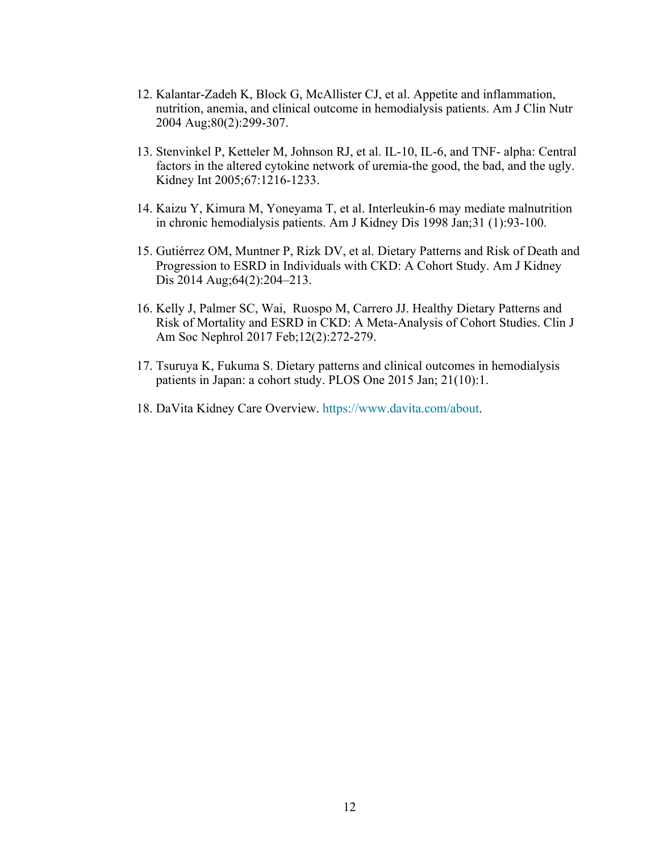- 12. Kalantar-Zadeh K, Block G, McAllister CJ, et al. Appetite and inflammation, nutrition, anemia, and clinical outcome in hemodialysis patients. Am J Clin Nutr 2004 Aug;80(2):299-307.
- 13. Stenvinkel P, Ketteler M, Johnson RJ, et al. IL-10, IL-6, and TNF- alpha: Central factors in the altered cytokine network of uremia-the good, the bad, and the ugly. Kidney Int 2005;67:1216-1233.
- 14. Kaizu Y, Kimura M, Yoneyama T, et al. Interleukin-6 may mediate malnutrition in chronic hemodialysis patients. Am J Kidney Dis 1998 Jan;31 (1):93-100.
- 15. Gutiérrez OM, Muntner P, Rizk DV, et al. Dietary Patterns and Risk of Death and Progression to ESRD in Individuals with CKD: A Cohort Study. Am J Kidney Dis 2014 Aug;64(2):204–213.
- 16. Kelly J, Palmer SC, Wai, Ruospo M, Carrero JJ. Healthy Dietary Patterns and Risk of Mortality and ESRD in CKD: A Meta-Analysis of Cohort Studies. Clin J Am Soc Nephrol 2017 Feb;12(2):272-279.
- 17. Tsuruya K, Fukuma S. Dietary patterns and clinical outcomes in hemodialysis patients in Japan: a cohort study. PLOS One 2015 Jan; 21(10):1.
- 18. DaVita Kidney Care Overview. https://www.davita.com/about.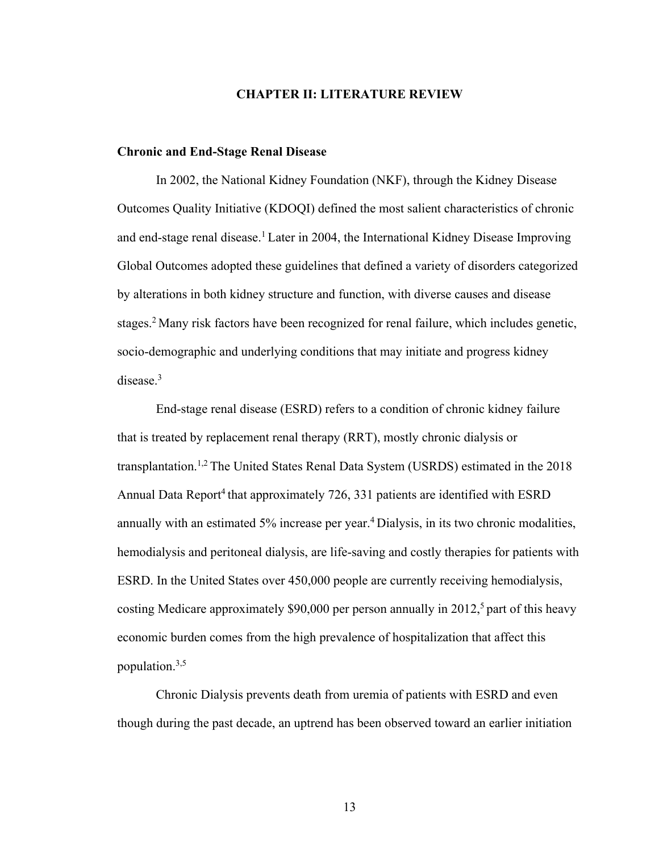#### **CHAPTER II: LITERATURE REVIEW**

#### **Chronic and End-Stage Renal Disease**

In 2002, the National Kidney Foundation (NKF), through the Kidney Disease Outcomes Quality Initiative (KDOQI) defined the most salient characteristics of chronic and end-stage renal disease.<sup>1</sup> Later in 2004, the International Kidney Disease Improving Global Outcomes adopted these guidelines that defined a variety of disorders categorized by alterations in both kidney structure and function, with diverse causes and disease stages.2 Many risk factors have been recognized for renal failure, which includes genetic, socio-demographic and underlying conditions that may initiate and progress kidney disease.3

End-stage renal disease (ESRD) refers to a condition of chronic kidney failure that is treated by replacement renal therapy (RRT), mostly chronic dialysis or transplantation.1,2 The United States Renal Data System (USRDS) estimated in the 2018 Annual Data Report<sup>4</sup> that approximately 726, 331 patients are identified with ESRD annually with an estimated 5% increase per year.<sup>4</sup> Dialysis, in its two chronic modalities, hemodialysis and peritoneal dialysis, are life-saving and costly therapies for patients with ESRD. In the United States over 450,000 people are currently receiving hemodialysis, costing Medicare approximately \$90,000 per person annually in 2012,<sup>5</sup> part of this heavy economic burden comes from the high prevalence of hospitalization that affect this population.3,5

Chronic Dialysis prevents death from uremia of patients with ESRD and even though during the past decade, an uptrend has been observed toward an earlier initiation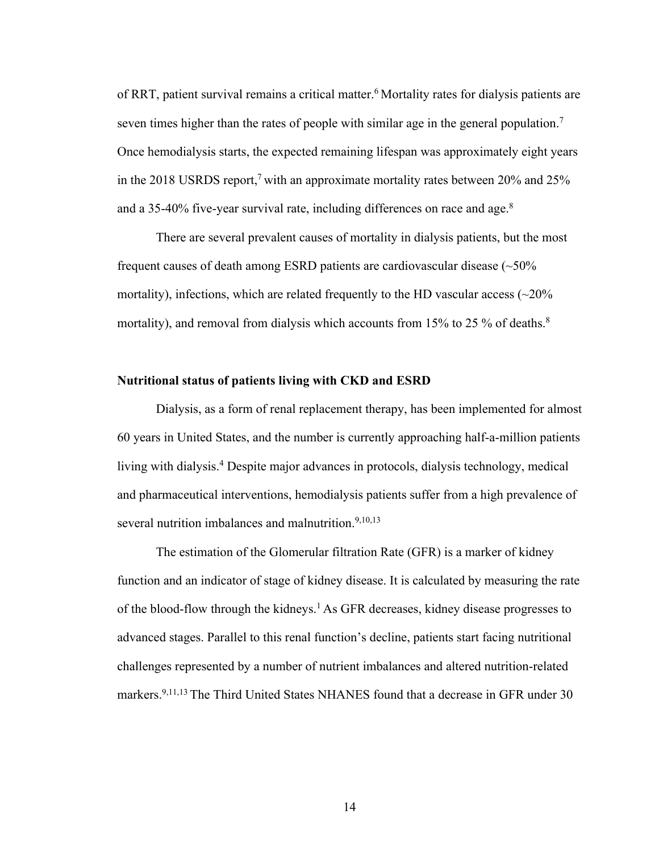of RRT, patient survival remains a critical matter.6 Mortality rates for dialysis patients are seven times higher than the rates of people with similar age in the general population.<sup>7</sup> Once hemodialysis starts, the expected remaining lifespan was approximately eight years in the 2018 USRDS report, 7 with an approximate mortality rates between 20% and 25% and a 35-40% five-year survival rate, including differences on race and age.<sup>8</sup>

There are several prevalent causes of mortality in dialysis patients, but the most frequent causes of death among ESRD patients are cardiovascular disease (~50% mortality), infections, which are related frequently to the HD vascular access  $\langle \sim 20\%$ mortality), and removal from dialysis which accounts from  $15\%$  to 25 % of deaths.<sup>8</sup>

#### **Nutritional status of patients living with CKD and ESRD**

Dialysis, as a form of renal replacement therapy, has been implemented for almost 60 years in United States, and the number is currently approaching half-a-million patients living with dialysis.<sup>4</sup> Despite major advances in protocols, dialysis technology, medical and pharmaceutical interventions, hemodialysis patients suffer from a high prevalence of several nutrition imbalances and malnutrition.<sup>9,10,13</sup>

The estimation of the Glomerular filtration Rate (GFR) is a marker of kidney function and an indicator of stage of kidney disease. It is calculated by measuring the rate of the blood-flow through the kidneys.1 As GFR decreases, kidney disease progresses to advanced stages. Parallel to this renal function's decline, patients start facing nutritional challenges represented by a number of nutrient imbalances and altered nutrition-related markers.<sup>9,11,13</sup> The Third United States NHANES found that a decrease in GFR under 30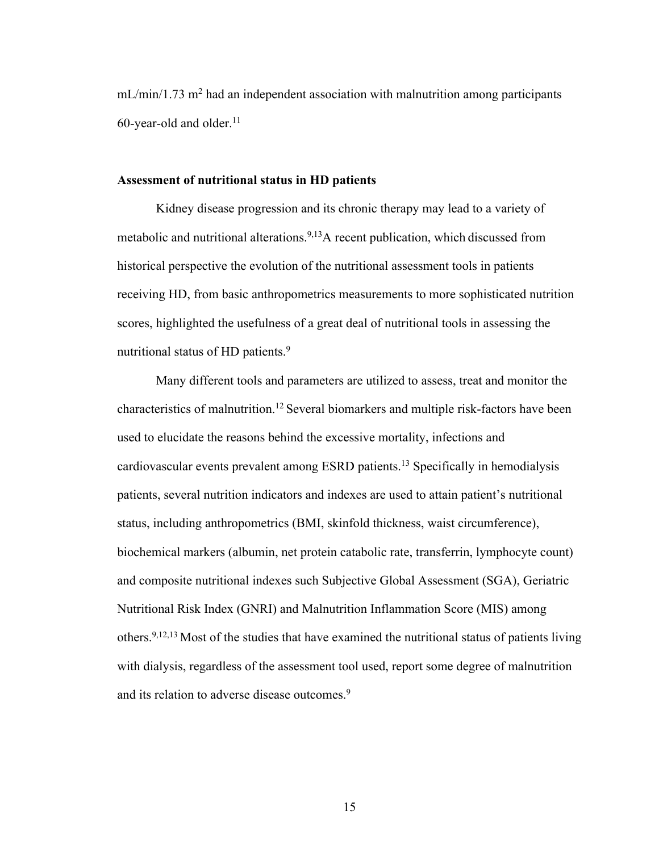$mL/min/1.73$  m<sup>2</sup> had an independent association with malnutrition among participants 60-year-old and older. $11$ 

#### **Assessment of nutritional status in HD patients**

Kidney disease progression and its chronic therapy may lead to a variety of metabolic and nutritional alterations.9,13A recent publication, which discussed from historical perspective the evolution of the nutritional assessment tools in patients receiving HD, from basic anthropometrics measurements to more sophisticated nutrition scores, highlighted the usefulness of a great deal of nutritional tools in assessing the nutritional status of HD patients.<sup>9</sup>

Many different tools and parameters are utilized to assess, treat and monitor the characteristics of malnutrition.12 Several biomarkers and multiple risk-factors have been used to elucidate the reasons behind the excessive mortality, infections and cardiovascular events prevalent among ESRD patients.13 Specifically in hemodialysis patients, several nutrition indicators and indexes are used to attain patient's nutritional status, including anthropometrics (BMI, skinfold thickness, waist circumference), biochemical markers (albumin, net protein catabolic rate, transferrin, lymphocyte count) and composite nutritional indexes such Subjective Global Assessment (SGA), Geriatric Nutritional Risk Index (GNRI) and Malnutrition Inflammation Score (MIS) among others.9,12,13 Most of the studies that have examined the nutritional status of patients living with dialysis, regardless of the assessment tool used, report some degree of malnutrition and its relation to adverse disease outcomes.<sup>9</sup>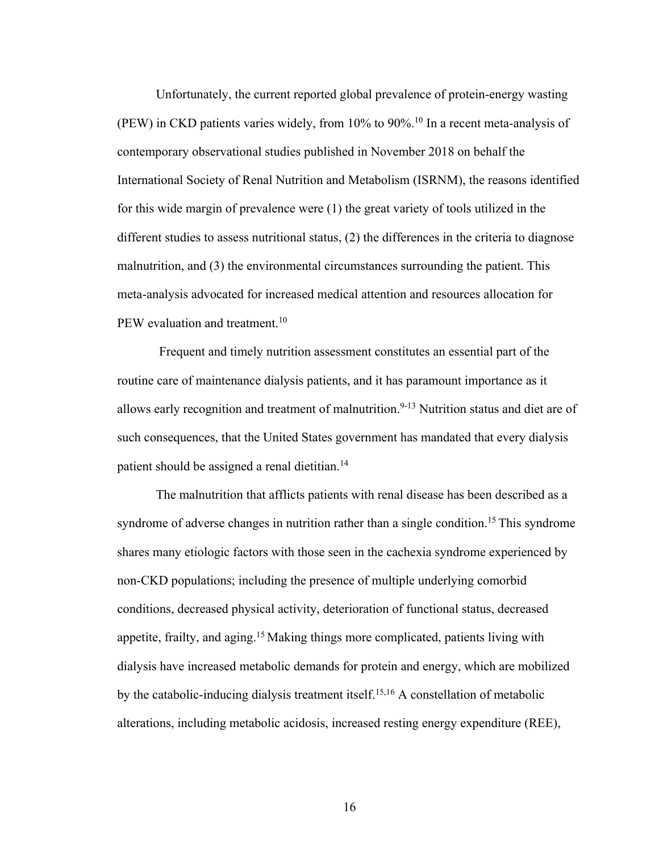Unfortunately, the current reported global prevalence of protein-energy wasting (PEW) in CKD patients varies widely, from 10% to 90%.10 In a recent meta-analysis of contemporary observational studies published in November 2018 on behalf the International Society of Renal Nutrition and Metabolism (ISRNM), the reasons identified for this wide margin of prevalence were (1) the great variety of tools utilized in the different studies to assess nutritional status, (2) the differences in the criteria to diagnose malnutrition, and (3) the environmental circumstances surrounding the patient. This meta-analysis advocated for increased medical attention and resources allocation for PEW evaluation and treatment.<sup>10</sup>

Frequent and timely nutrition assessment constitutes an essential part of the routine care of maintenance dialysis patients, and it has paramount importance as it allows early recognition and treatment of malnutrition.<sup>9-13</sup> Nutrition status and diet are of such consequences, that the United States government has mandated that every dialysis patient should be assigned a renal dietitian.<sup>14</sup>

The malnutrition that afflicts patients with renal disease has been described as a syndrome of adverse changes in nutrition rather than a single condition.<sup>15</sup> This syndrome shares many etiologic factors with those seen in the cachexia syndrome experienced by non-CKD populations; including the presence of multiple underlying comorbid conditions, decreased physical activity, deterioration of functional status, decreased appetite, frailty, and aging.<sup>15</sup> Making things more complicated, patients living with dialysis have increased metabolic demands for protein and energy, which are mobilized by the catabolic-inducing dialysis treatment itself.15,16 A constellation of metabolic alterations, including metabolic acidosis, increased resting energy expenditure (REE),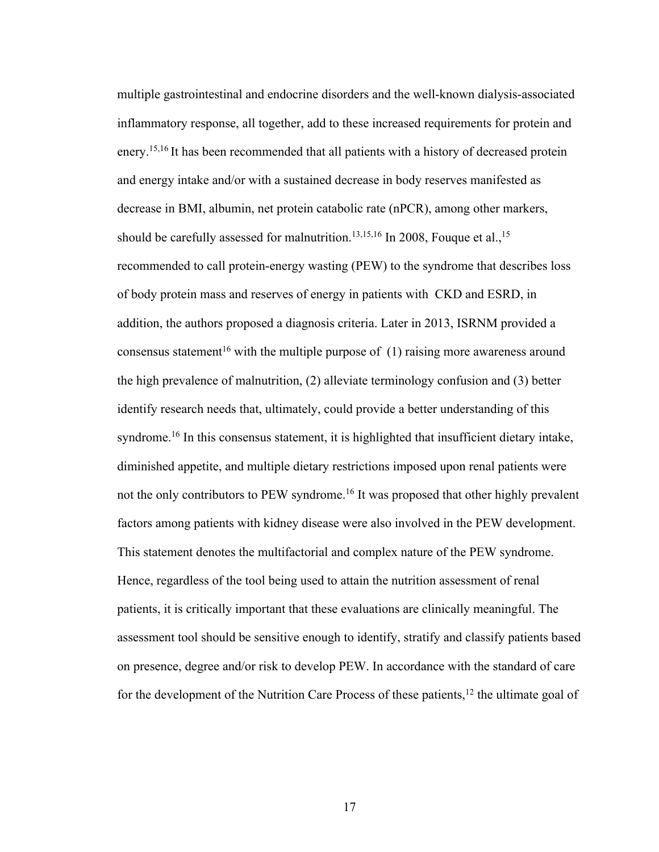multiple gastrointestinal and endocrine disorders and the well-known dialysis-associated inflammatory response, all together, add to these increased requirements for protein and enery.<sup>15,16</sup> It has been recommended that all patients with a history of decreased protein and energy intake and/or with a sustained decrease in body reserves manifested as decrease in BMI, albumin, net protein catabolic rate (nPCR), among other markers, should be carefully assessed for malnutrition.<sup>13,15,16</sup> In 2008, Fouque et al.,<sup>15</sup> recommended to call protein-energy wasting (PEW) to the syndrome that describes loss of body protein mass and reserves of energy in patients with CKD and ESRD, in addition, the authors proposed a diagnosis criteria. Later in 2013, ISRNM provided a consensus statement<sup>16</sup> with the multiple purpose of  $(1)$  raising more awareness around the high prevalence of malnutrition, (2) alleviate terminology confusion and (3) better identify research needs that, ultimately, could provide a better understanding of this syndrome.<sup>16</sup> In this consensus statement, it is highlighted that insufficient dietary intake, diminished appetite, and multiple dietary restrictions imposed upon renal patients were not the only contributors to PEW syndrome.16 It was proposed that other highly prevalent factors among patients with kidney disease were also involved in the PEW development. This statement denotes the multifactorial and complex nature of the PEW syndrome. Hence, regardless of the tool being used to attain the nutrition assessment of renal patients, it is critically important that these evaluations are clinically meaningful. The assessment tool should be sensitive enough to identify, stratify and classify patients based on presence, degree and/or risk to develop PEW. In accordance with the standard of care for the development of the Nutrition Care Process of these patients, $12$  the ultimate goal of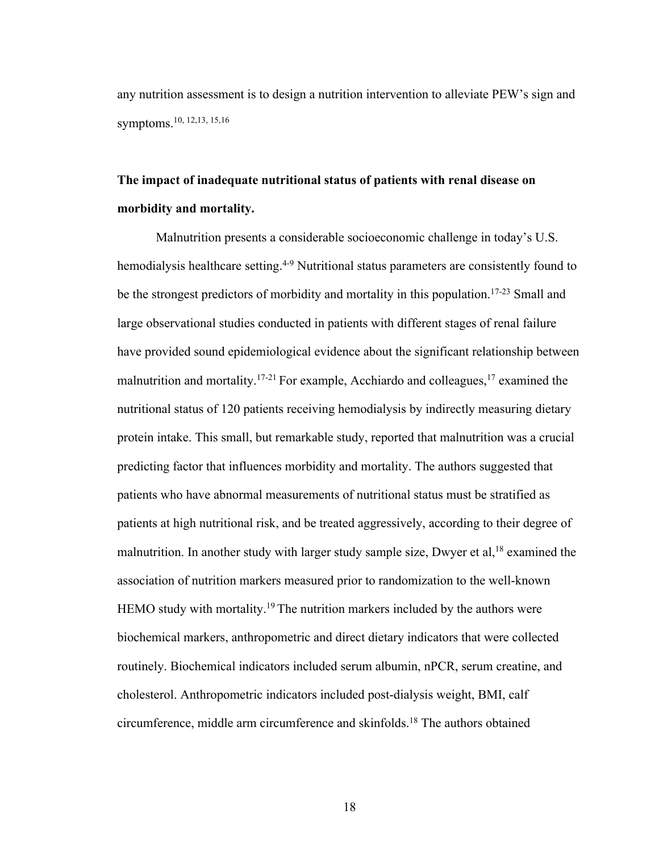any nutrition assessment is to design a nutrition intervention to alleviate PEW's sign and symptoms.10, 12,13, 15,16

## **The impact of inadequate nutritional status of patients with renal disease on morbidity and mortality.**

Malnutrition presents a considerable socioeconomic challenge in today's U.S. hemodialysis healthcare setting.<sup>4-9</sup> Nutritional status parameters are consistently found to be the strongest predictors of morbidity and mortality in this population.<sup>17-23</sup> Small and large observational studies conducted in patients with different stages of renal failure have provided sound epidemiological evidence about the significant relationship between malnutrition and mortality.<sup>17-21</sup> For example, Acchiardo and colleagues,<sup>17</sup> examined the nutritional status of 120 patients receiving hemodialysis by indirectly measuring dietary protein intake. This small, but remarkable study, reported that malnutrition was a crucial predicting factor that influences morbidity and mortality. The authors suggested that patients who have abnormal measurements of nutritional status must be stratified as patients at high nutritional risk, and be treated aggressively, according to their degree of malnutrition. In another study with larger study sample size, Dwyer et al,  $18$  examined the association of nutrition markers measured prior to randomization to the well-known HEMO study with mortality.<sup>19</sup> The nutrition markers included by the authors were biochemical markers, anthropometric and direct dietary indicators that were collected routinely. Biochemical indicators included serum albumin, nPCR, serum creatine, and cholesterol. Anthropometric indicators included post-dialysis weight, BMI, calf circumference, middle arm circumference and skinfolds.18 The authors obtained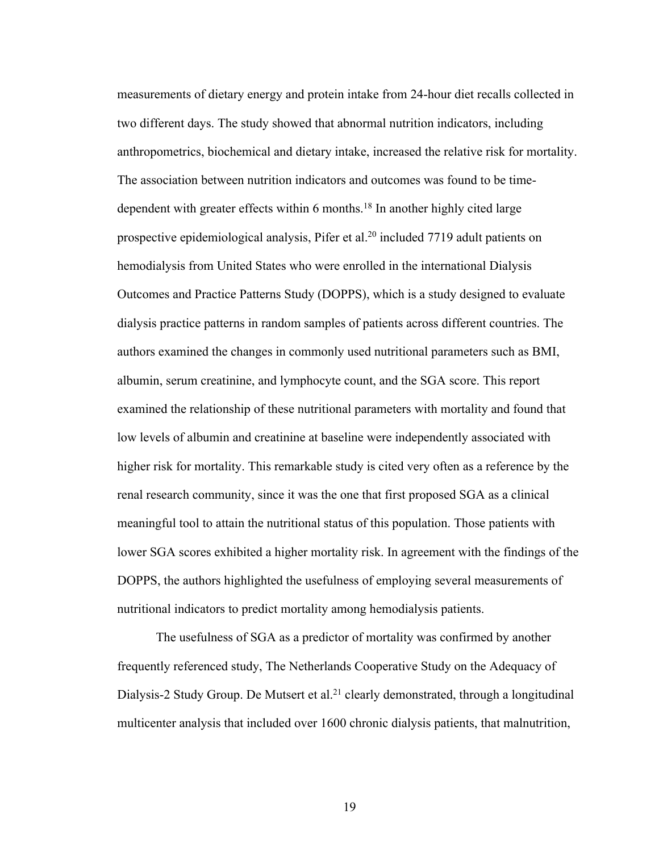measurements of dietary energy and protein intake from 24-hour diet recalls collected in two different days. The study showed that abnormal nutrition indicators, including anthropometrics, biochemical and dietary intake, increased the relative risk for mortality. The association between nutrition indicators and outcomes was found to be timedependent with greater effects within 6 months.18 In another highly cited large prospective epidemiological analysis, Pifer et al.20 included 7719 adult patients on hemodialysis from United States who were enrolled in the international Dialysis Outcomes and Practice Patterns Study (DOPPS), which is a study designed to evaluate dialysis practice patterns in random samples of patients across different countries. The authors examined the changes in commonly used nutritional parameters such as BMI, albumin, serum creatinine, and lymphocyte count, and the SGA score. This report examined the relationship of these nutritional parameters with mortality and found that low levels of albumin and creatinine at baseline were independently associated with higher risk for mortality. This remarkable study is cited very often as a reference by the renal research community, since it was the one that first proposed SGA as a clinical meaningful tool to attain the nutritional status of this population. Those patients with lower SGA scores exhibited a higher mortality risk. In agreement with the findings of the DOPPS, the authors highlighted the usefulness of employing several measurements of nutritional indicators to predict mortality among hemodialysis patients.

The usefulness of SGA as a predictor of mortality was confirmed by another frequently referenced study, The Netherlands Cooperative Study on the Adequacy of Dialysis-2 Study Group. De Mutsert et al.<sup>21</sup> clearly demonstrated, through a longitudinal multicenter analysis that included over 1600 chronic dialysis patients, that malnutrition,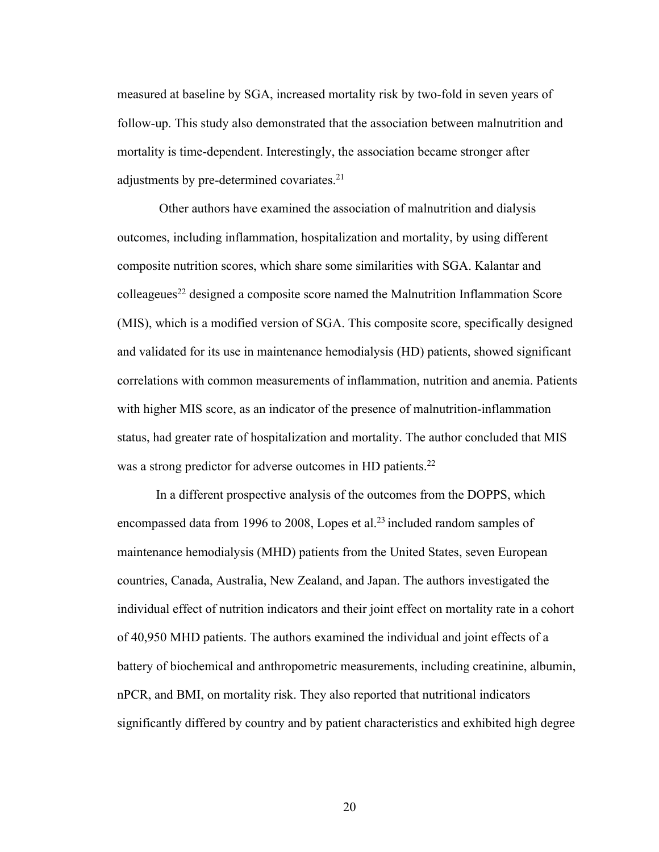measured at baseline by SGA, increased mortality risk by two-fold in seven years of follow-up. This study also demonstrated that the association between malnutrition and mortality is time-dependent. Interestingly, the association became stronger after adjustments by pre-determined covariates.<sup>21</sup>

Other authors have examined the association of malnutrition and dialysis outcomes, including inflammation, hospitalization and mortality, by using different composite nutrition scores, which share some similarities with SGA. Kalantar and colleageues22 designed a composite score named the Malnutrition Inflammation Score (MIS), which is a modified version of SGA. This composite score, specifically designed and validated for its use in maintenance hemodialysis (HD) patients, showed significant correlations with common measurements of inflammation, nutrition and anemia. Patients with higher MIS score, as an indicator of the presence of malnutrition-inflammation status, had greater rate of hospitalization and mortality. The author concluded that MIS was a strong predictor for adverse outcomes in HD patients.<sup>22</sup>

In a different prospective analysis of the outcomes from the DOPPS, which encompassed data from 1996 to 2008, Lopes et al.<sup>23</sup> included random samples of maintenance hemodialysis (MHD) patients from the United States, seven European countries, Canada, Australia, New Zealand, and Japan. The authors investigated the individual effect of nutrition indicators and their joint effect on mortality rate in a cohort of 40,950 MHD patients. The authors examined the individual and joint effects of a battery of biochemical and anthropometric measurements, including creatinine, albumin, nPCR, and BMI, on mortality risk. They also reported that nutritional indicators significantly differed by country and by patient characteristics and exhibited high degree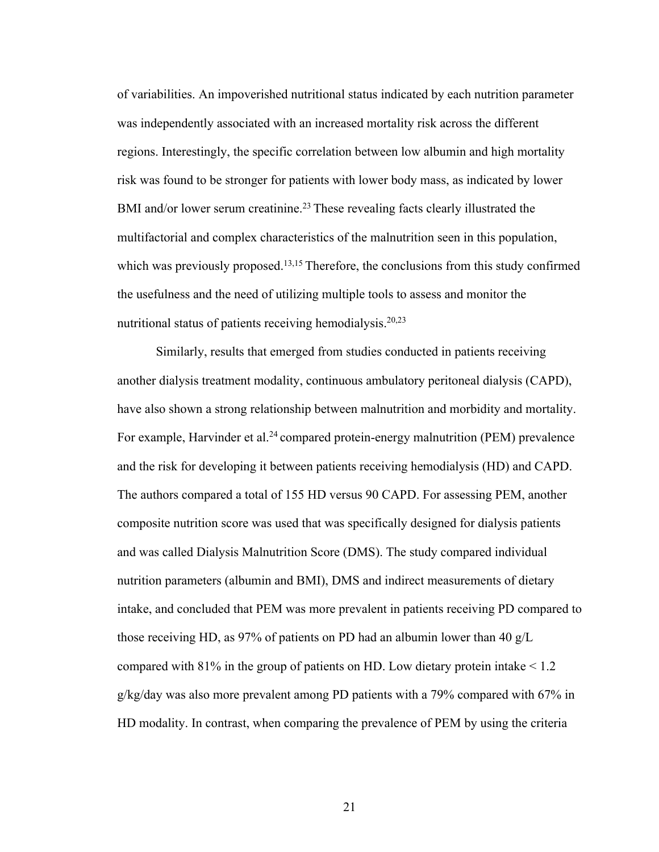of variabilities. An impoverished nutritional status indicated by each nutrition parameter was independently associated with an increased mortality risk across the different regions. Interestingly, the specific correlation between low albumin and high mortality risk was found to be stronger for patients with lower body mass, as indicated by lower BMI and/or lower serum creatinine.<sup>23</sup> These revealing facts clearly illustrated the multifactorial and complex characteristics of the malnutrition seen in this population, which was previously proposed.<sup>13,15</sup> Therefore, the conclusions from this study confirmed the usefulness and the need of utilizing multiple tools to assess and monitor the nutritional status of patients receiving hemodialysis.20,23

Similarly, results that emerged from studies conducted in patients receiving another dialysis treatment modality, continuous ambulatory peritoneal dialysis (CAPD), have also shown a strong relationship between malnutrition and morbidity and mortality. For example, Harvinder et al.<sup>24</sup> compared protein-energy malnutrition (PEM) prevalence and the risk for developing it between patients receiving hemodialysis (HD) and CAPD. The authors compared a total of 155 HD versus 90 CAPD. For assessing PEM, another composite nutrition score was used that was specifically designed for dialysis patients and was called Dialysis Malnutrition Score (DMS). The study compared individual nutrition parameters (albumin and BMI), DMS and indirect measurements of dietary intake, and concluded that PEM was more prevalent in patients receiving PD compared to those receiving HD, as 97% of patients on PD had an albumin lower than 40 g/L compared with 81% in the group of patients on HD. Low dietary protein intake < 1.2 g/kg/day was also more prevalent among PD patients with a 79% compared with 67% in HD modality. In contrast, when comparing the prevalence of PEM by using the criteria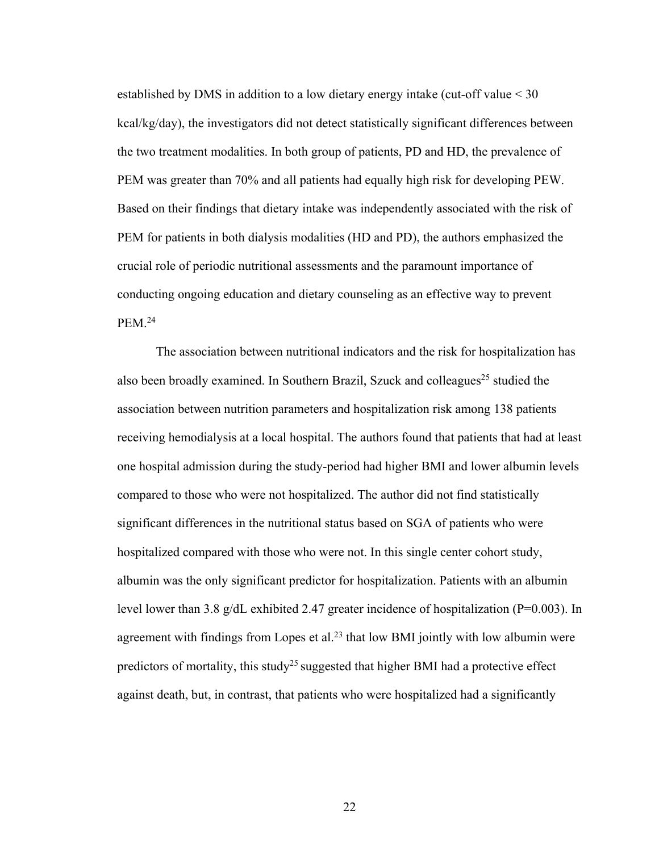established by DMS in addition to a low dietary energy intake (cut-off value < 30 kcal/kg/day), the investigators did not detect statistically significant differences between the two treatment modalities. In both group of patients, PD and HD, the prevalence of PEM was greater than 70% and all patients had equally high risk for developing PEW. Based on their findings that dietary intake was independently associated with the risk of PEM for patients in both dialysis modalities (HD and PD), the authors emphasized the crucial role of periodic nutritional assessments and the paramount importance of conducting ongoing education and dietary counseling as an effective way to prevent PEM.24

The association between nutritional indicators and the risk for hospitalization has also been broadly examined. In Southern Brazil, Szuck and colleagues<sup>25</sup> studied the association between nutrition parameters and hospitalization risk among 138 patients receiving hemodialysis at a local hospital. The authors found that patients that had at least one hospital admission during the study-period had higher BMI and lower albumin levels compared to those who were not hospitalized. The author did not find statistically significant differences in the nutritional status based on SGA of patients who were hospitalized compared with those who were not. In this single center cohort study, albumin was the only significant predictor for hospitalization. Patients with an albumin level lower than 3.8 g/dL exhibited 2.47 greater incidence of hospitalization (P=0.003). In agreement with findings from Lopes et al.<sup>23</sup> that low BMI jointly with low albumin were predictors of mortality, this study<sup>25</sup> suggested that higher BMI had a protective effect against death, but, in contrast, that patients who were hospitalized had a significantly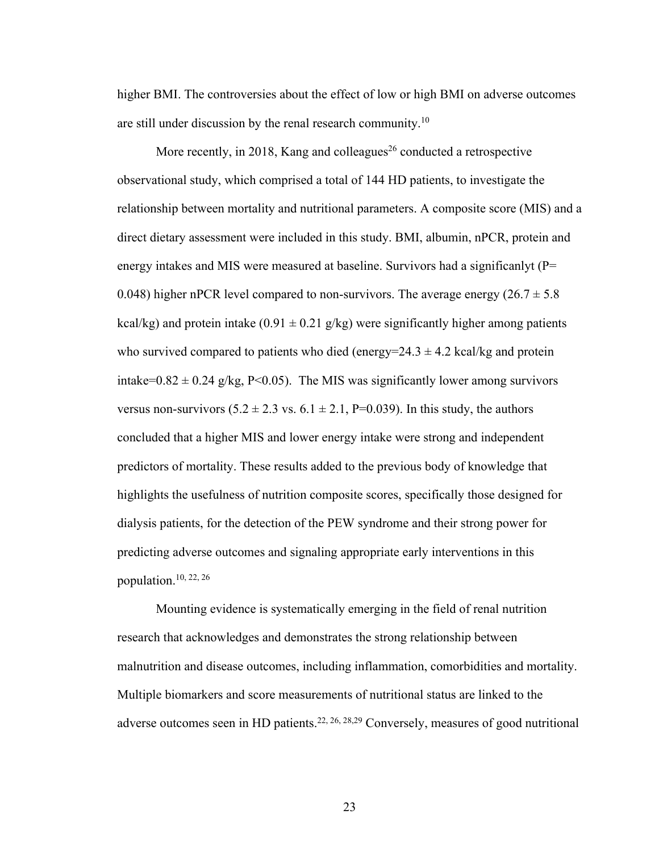higher BMI. The controversies about the effect of low or high BMI on adverse outcomes are still under discussion by the renal research community.10

More recently, in 2018, Kang and colleagues<sup>26</sup> conducted a retrospective observational study, which comprised a total of 144 HD patients, to investigate the relationship between mortality and nutritional parameters. A composite score (MIS) and a direct dietary assessment were included in this study. BMI, albumin, nPCR, protein and energy intakes and MIS were measured at baseline. Survivors had a significanlyt (P= 0.048) higher nPCR level compared to non-survivors. The average energy  $(26.7 \pm 5.8$ kcal/kg) and protein intake (0.91  $\pm$  0.21 g/kg) were significantly higher among patients who survived compared to patients who died (energy= $24.3 \pm 4.2$  kcal/kg and protein intake=0.82  $\pm$  0.24 g/kg, P<0.05). The MIS was significantly lower among survivors versus non-survivors  $(5.2 \pm 2.3 \text{ vs. } 6.1 \pm 2.1, P=0.039)$ . In this study, the authors concluded that a higher MIS and lower energy intake were strong and independent predictors of mortality. These results added to the previous body of knowledge that highlights the usefulness of nutrition composite scores, specifically those designed for dialysis patients, for the detection of the PEW syndrome and their strong power for predicting adverse outcomes and signaling appropriate early interventions in this population.10, 22, 26

Mounting evidence is systematically emerging in the field of renal nutrition research that acknowledges and demonstrates the strong relationship between malnutrition and disease outcomes, including inflammation, comorbidities and mortality. Multiple biomarkers and score measurements of nutritional status are linked to the adverse outcomes seen in HD patients.22, 26, 28,29 Conversely, measures of good nutritional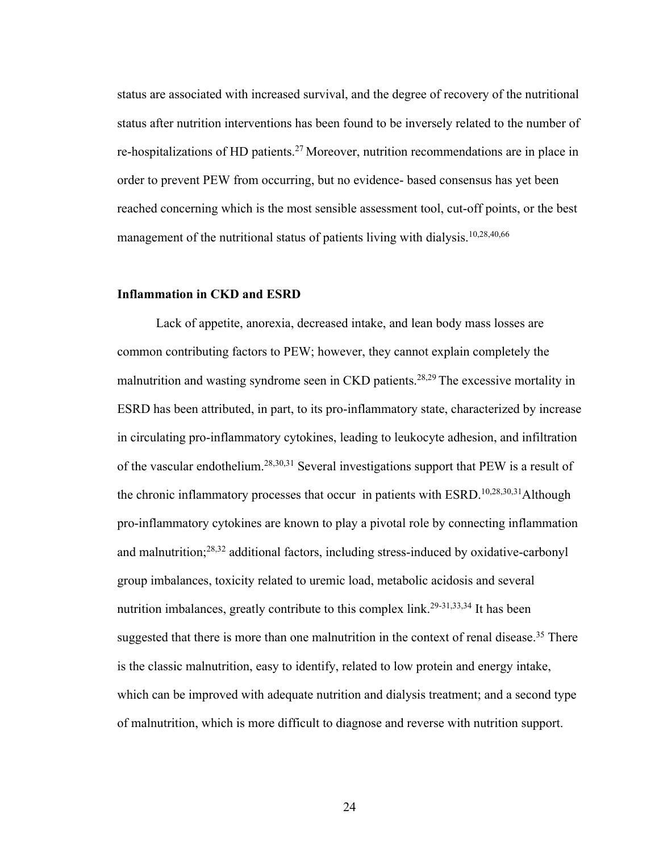status are associated with increased survival, and the degree of recovery of the nutritional status after nutrition interventions has been found to be inversely related to the number of re-hospitalizations of HD patients.<sup>27</sup> Moreover, nutrition recommendations are in place in order to prevent PEW from occurring, but no evidence- based consensus has yet been reached concerning which is the most sensible assessment tool, cut-off points, or the best management of the nutritional status of patients living with dialysis.<sup>10,28,40,66</sup>

#### **Inflammation in CKD and ESRD**

Lack of appetite, anorexia, decreased intake, and lean body mass losses are common contributing factors to PEW; however, they cannot explain completely the malnutrition and wasting syndrome seen in CKD patients.28,29 The excessive mortality in ESRD has been attributed, in part, to its pro-inflammatory state, characterized by increase in circulating pro-inflammatory cytokines, leading to leukocyte adhesion, and infiltration of the vascular endothelium.28,30,31 Several investigations support that PEW is a result of the chronic inflammatory processes that occur in patients with ESRD.10,28,30,31Although pro-inflammatory cytokines are known to play a pivotal role by connecting inflammation and malnutrition;28,32 additional factors, including stress-induced by oxidative-carbonyl group imbalances, toxicity related to uremic load, metabolic acidosis and several nutrition imbalances, greatly contribute to this complex link.<sup>29-31,33,34</sup> It has been suggested that there is more than one malnutrition in the context of renal disease.<sup>35</sup> There is the classic malnutrition, easy to identify, related to low protein and energy intake, which can be improved with adequate nutrition and dialysis treatment; and a second type of malnutrition, which is more difficult to diagnose and reverse with nutrition support.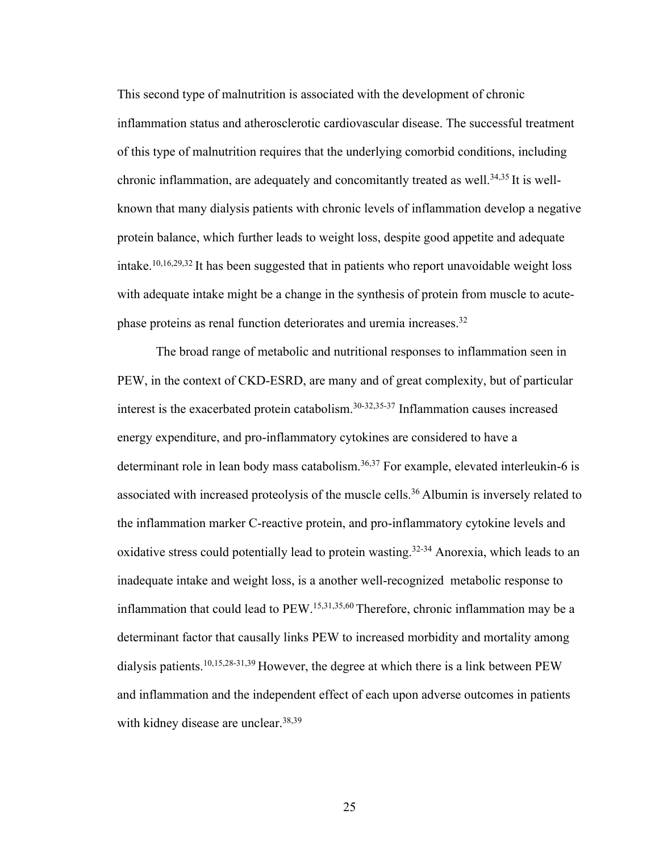This second type of malnutrition is associated with the development of chronic inflammation status and atherosclerotic cardiovascular disease. The successful treatment of this type of malnutrition requires that the underlying comorbid conditions, including chronic inflammation, are adequately and concomitantly treated as well.<sup>34,35</sup> It is wellknown that many dialysis patients with chronic levels of inflammation develop a negative protein balance, which further leads to weight loss, despite good appetite and adequate intake.<sup>10,16,29,32</sup> It has been suggested that in patients who report unavoidable weight loss with adequate intake might be a change in the synthesis of protein from muscle to acutephase proteins as renal function deteriorates and uremia increases.32

The broad range of metabolic and nutritional responses to inflammation seen in PEW, in the context of CKD-ESRD, are many and of great complexity, but of particular interest is the exacerbated protein catabolism.30-32,35-37 Inflammation causes increased energy expenditure, and pro-inflammatory cytokines are considered to have a determinant role in lean body mass catabolism.<sup>36,37</sup> For example, elevated interleukin-6 is associated with increased proteolysis of the muscle cells.36 Albumin is inversely related to the inflammation marker C-reactive protein, and pro-inflammatory cytokine levels and oxidative stress could potentially lead to protein wasting.<sup>32-34</sup> Anorexia, which leads to an inadequate intake and weight loss, is a another well-recognized metabolic response to inflammation that could lead to PEW.15,31,35,60 Therefore, chronic inflammation may be a determinant factor that causally links PEW to increased morbidity and mortality among dialysis patients.10,15,28-31,39 However, the degree at which there is a link between PEW and inflammation and the independent effect of each upon adverse outcomes in patients with kidney disease are unclear.<sup>38,39</sup>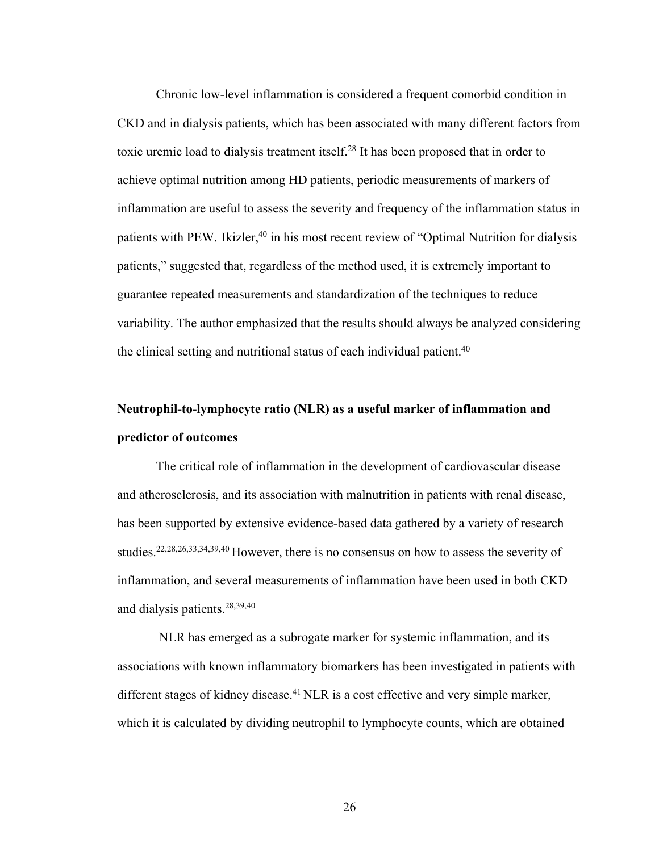Chronic low-level inflammation is considered a frequent comorbid condition in CKD and in dialysis patients, which has been associated with many different factors from toxic uremic load to dialysis treatment itself.28 It has been proposed that in order to achieve optimal nutrition among HD patients, periodic measurements of markers of inflammation are useful to assess the severity and frequency of the inflammation status in patients with PEW. Ikizler,<sup>40</sup> in his most recent review of "Optimal Nutrition for dialysis patients," suggested that, regardless of the method used, it is extremely important to guarantee repeated measurements and standardization of the techniques to reduce variability. The author emphasized that the results should always be analyzed considering the clinical setting and nutritional status of each individual patient.<sup>40</sup>

# **Neutrophil-to-lymphocyte ratio (NLR) as a useful marker of inflammation and predictor of outcomes**

The critical role of inflammation in the development of cardiovascular disease and atherosclerosis, and its association with malnutrition in patients with renal disease, has been supported by extensive evidence-based data gathered by a variety of research studies.22,28,26,33,34,39,40 However, there is no consensus on how to assess the severity of inflammation, and several measurements of inflammation have been used in both CKD and dialysis patients.28,39,40

NLR has emerged as a subrogate marker for systemic inflammation, and its associations with known inflammatory biomarkers has been investigated in patients with different stages of kidney disease.<sup>41</sup> NLR is a cost effective and very simple marker, which it is calculated by dividing neutrophil to lymphocyte counts, which are obtained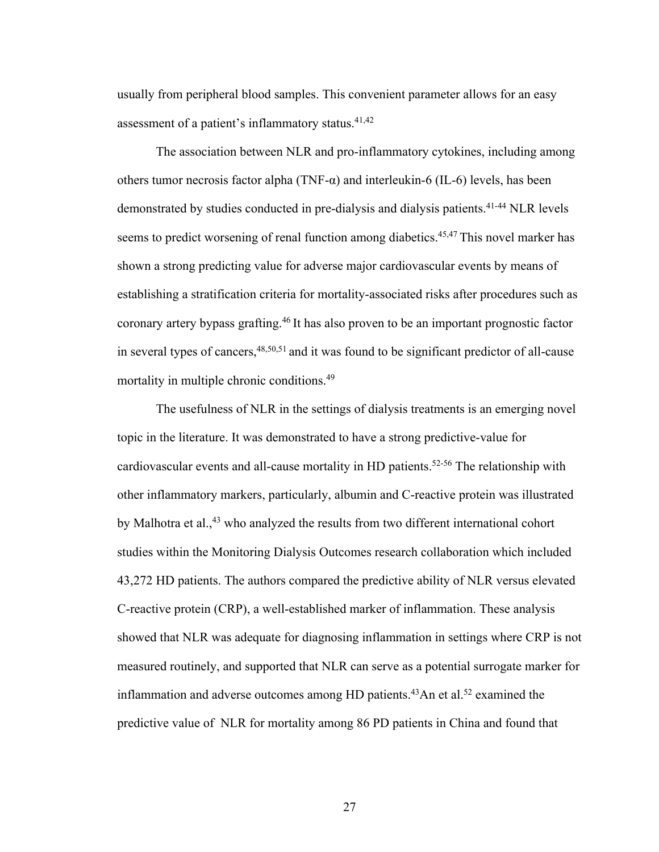usually from peripheral blood samples. This convenient parameter allows for an easy assessment of a patient's inflammatory status.41,42

The association between NLR and pro-inflammatory cytokines, including among others tumor necrosis factor alpha (TNF-α) and interleukin-6 (IL-6) levels, has been demonstrated by studies conducted in pre-dialysis and dialysis patients.<sup>41-44</sup> NLR levels seems to predict worsening of renal function among diabetics.<sup>45,47</sup> This novel marker has shown a strong predicting value for adverse major cardiovascular events by means of establishing a stratification criteria for mortality-associated risks after procedures such as coronary artery bypass grafting.46 It has also proven to be an important prognostic factor in several types of cancers,48,50,51 and it was found to be significant predictor of all-cause mortality in multiple chronic conditions.<sup>49</sup>

The usefulness of NLR in the settings of dialysis treatments is an emerging novel topic in the literature. It was demonstrated to have a strong predictive-value for cardiovascular events and all-cause mortality in HD patients.<sup>52-56</sup> The relationship with other inflammatory markers, particularly, albumin and C-reactive protein was illustrated by Malhotra et al.,<sup>43</sup> who analyzed the results from two different international cohort studies within the Monitoring Dialysis Outcomes research collaboration which included 43,272 HD patients. The authors compared the predictive ability of NLR versus elevated C-reactive protein (CRP), a well-established marker of inflammation. These analysis showed that NLR was adequate for diagnosing inflammation in settings where CRP is not measured routinely, and supported that NLR can serve as a potential surrogate marker for inflammation and adverse outcomes among HD patients.<sup>43</sup>An et al.<sup>52</sup> examined the predictive value of NLR for mortality among 86 PD patients in China and found that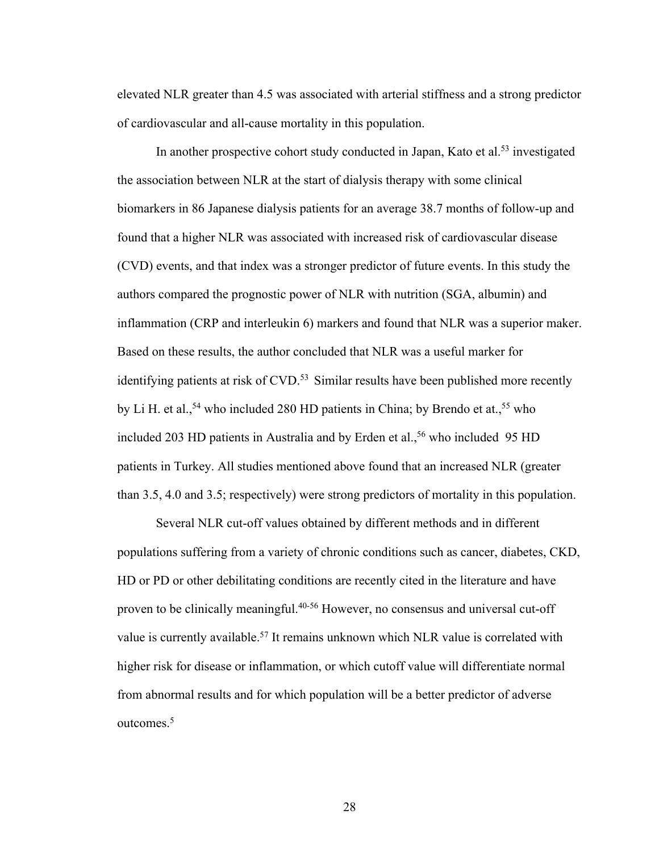elevated NLR greater than 4.5 was associated with arterial stiffness and a strong predictor of cardiovascular and all-cause mortality in this population.

In another prospective cohort study conducted in Japan, Kato et al.<sup>53</sup> investigated the association between NLR at the start of dialysis therapy with some clinical biomarkers in 86 Japanese dialysis patients for an average 38.7 months of follow-up and found that a higher NLR was associated with increased risk of cardiovascular disease (CVD) events, and that index was a stronger predictor of future events. In this study the authors compared the prognostic power of NLR with nutrition (SGA, albumin) and inflammation (CRP and interleukin 6) markers and found that NLR was a superior maker. Based on these results, the author concluded that NLR was a useful marker for identifying patients at risk of  $CVD$ .<sup>53</sup> Similar results have been published more recently by Li H. et al.,  $54$  who included 280 HD patients in China; by Brendo et at.,  $55$  who included 203 HD patients in Australia and by Erden et al.,<sup>56</sup> who included 95 HD patients in Turkey. All studies mentioned above found that an increased NLR (greater than 3.5, 4.0 and 3.5; respectively) were strong predictors of mortality in this population.

Several NLR cut-off values obtained by different methods and in different populations suffering from a variety of chronic conditions such as cancer, diabetes, CKD, HD or PD or other debilitating conditions are recently cited in the literature and have proven to be clinically meaningful.40-56 However, no consensus and universal cut-off value is currently available.<sup>57</sup> It remains unknown which NLR value is correlated with higher risk for disease or inflammation, or which cutoff value will differentiate normal from abnormal results and for which population will be a better predictor of adverse outcomes.5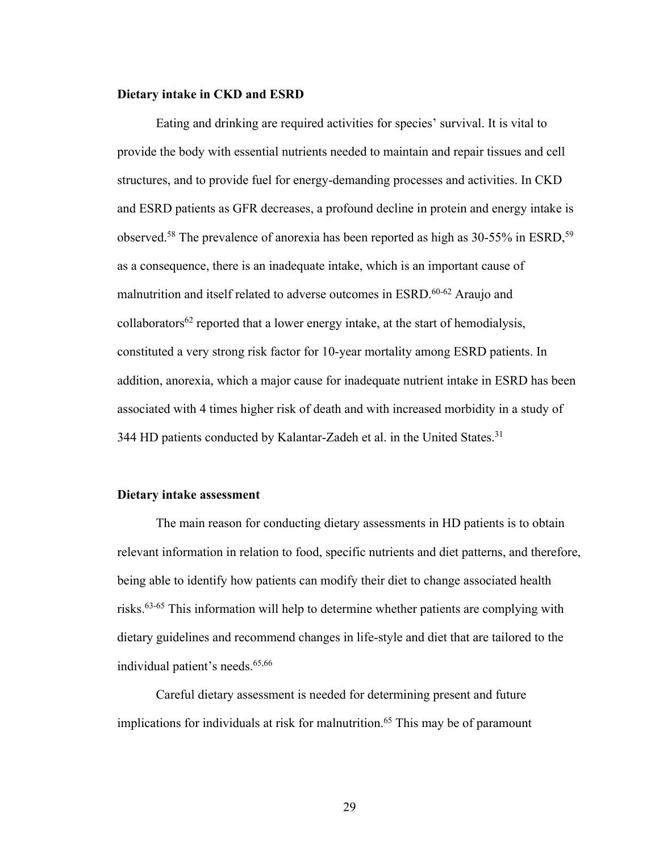#### **Dietary intake in CKD and ESRD**

Eating and drinking are required activities for species' survival. It is vital to provide the body with essential nutrients needed to maintain and repair tissues and cell structures, and to provide fuel for energy-demanding processes and activities. In CKD and ESRD patients as GFR decreases, a profound decline in protein and energy intake is observed.<sup>58</sup> The prevalence of anorexia has been reported as high as 30-55% in ESRD,<sup>59</sup> as a consequence, there is an inadequate intake, which is an important cause of malnutrition and itself related to adverse outcomes in ESRD.<sup>60-62</sup> Araujo and collaborators<sup>62</sup> reported that a lower energy intake, at the start of hemodialysis, constituted a very strong risk factor for 10-year mortality among ESRD patients. In addition, anorexia, which a major cause for inadequate nutrient intake in ESRD has been associated with 4 times higher risk of death and with increased morbidity in a study of 344 HD patients conducted by Kalantar-Zadeh et al. in the United States.<sup>31</sup>

#### **Dietary intake assessment**

The main reason for conducting dietary assessments in HD patients is to obtain relevant information in relation to food, specific nutrients and diet patterns, and therefore, being able to identify how patients can modify their diet to change associated health risks.63-65 This information will help to determine whether patients are complying with dietary guidelines and recommend changes in life-style and diet that are tailored to the individual patient's needs.<sup>65,66</sup>

Careful dietary assessment is needed for determining present and future implications for individuals at risk for malnutrition.<sup>65</sup> This may be of paramount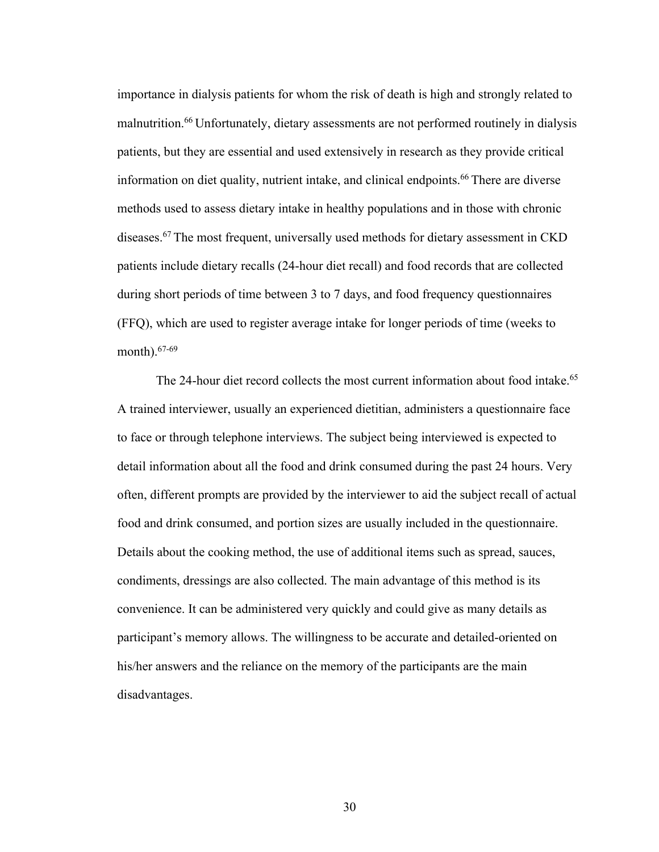importance in dialysis patients for whom the risk of death is high and strongly related to malnutrition.66 Unfortunately, dietary assessments are not performed routinely in dialysis patients, but they are essential and used extensively in research as they provide critical information on diet quality, nutrient intake, and clinical endpoints.<sup>66</sup> There are diverse methods used to assess dietary intake in healthy populations and in those with chronic diseases.67 The most frequent, universally used methods for dietary assessment in CKD patients include dietary recalls (24-hour diet recall) and food records that are collected during short periods of time between 3 to 7 days, and food frequency questionnaires (FFQ), which are used to register average intake for longer periods of time (weeks to month).67-69

The 24-hour diet record collects the most current information about food intake.<sup>65</sup> A trained interviewer, usually an experienced dietitian, administers a questionnaire face to face or through telephone interviews. The subject being interviewed is expected to detail information about all the food and drink consumed during the past 24 hours. Very often, different prompts are provided by the interviewer to aid the subject recall of actual food and drink consumed, and portion sizes are usually included in the questionnaire. Details about the cooking method, the use of additional items such as spread, sauces, condiments, dressings are also collected. The main advantage of this method is its convenience. It can be administered very quickly and could give as many details as participant's memory allows. The willingness to be accurate and detailed-oriented on his/her answers and the reliance on the memory of the participants are the main disadvantages.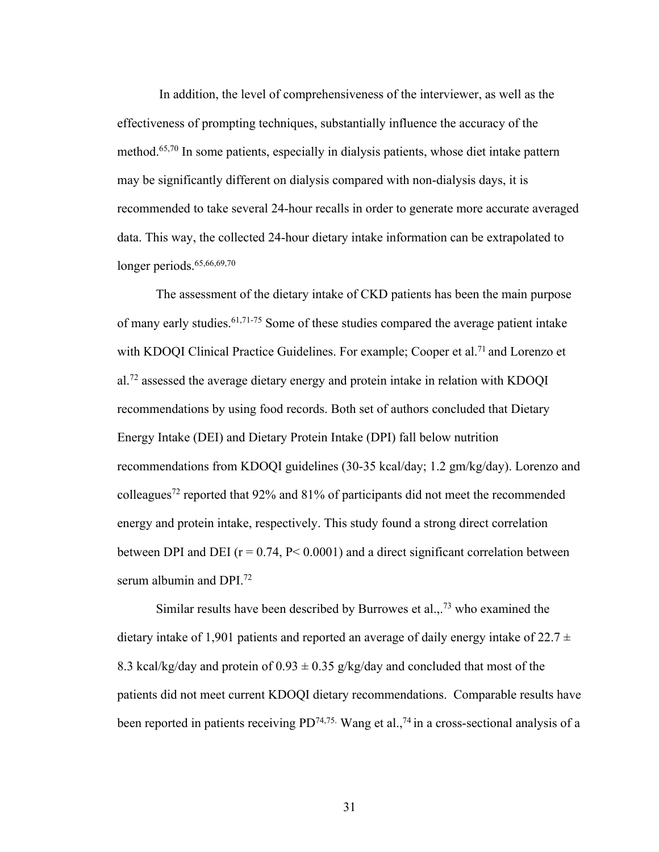In addition, the level of comprehensiveness of the interviewer, as well as the effectiveness of prompting techniques, substantially influence the accuracy of the method.65,70 In some patients, especially in dialysis patients, whose diet intake pattern may be significantly different on dialysis compared with non-dialysis days, it is recommended to take several 24-hour recalls in order to generate more accurate averaged data. This way, the collected 24-hour dietary intake information can be extrapolated to longer periods. $65,66,69,70$ 

The assessment of the dietary intake of CKD patients has been the main purpose of many early studies.61,71-75 Some of these studies compared the average patient intake with KDOOI Clinical Practice Guidelines. For example; Cooper et al.<sup>71</sup> and Lorenzo et al.72 assessed the average dietary energy and protein intake in relation with KDOQI recommendations by using food records. Both set of authors concluded that Dietary Energy Intake (DEI) and Dietary Protein Intake (DPI) fall below nutrition recommendations from KDOQI guidelines (30-35 kcal/day; 1.2 gm/kg/day). Lorenzo and colleagues72 reported that 92% and 81% of participants did not meet the recommended energy and protein intake, respectively. This study found a strong direct correlation between DPI and DEI ( $r = 0.74$ ,  $P < 0.0001$ ) and a direct significant correlation between serum albumin and DPI.72

Similar results have been described by Burrowes et al.,  $^{73}$  who examined the dietary intake of 1,901 patients and reported an average of daily energy intake of 22.7  $\pm$ 8.3 kcal/kg/day and protein of  $0.93 \pm 0.35$  g/kg/day and concluded that most of the patients did not meet current KDOQI dietary recommendations. Comparable results have been reported in patients receiving  $PD^{74,75}$ . Wang et al.,<sup>74</sup> in a cross-sectional analysis of a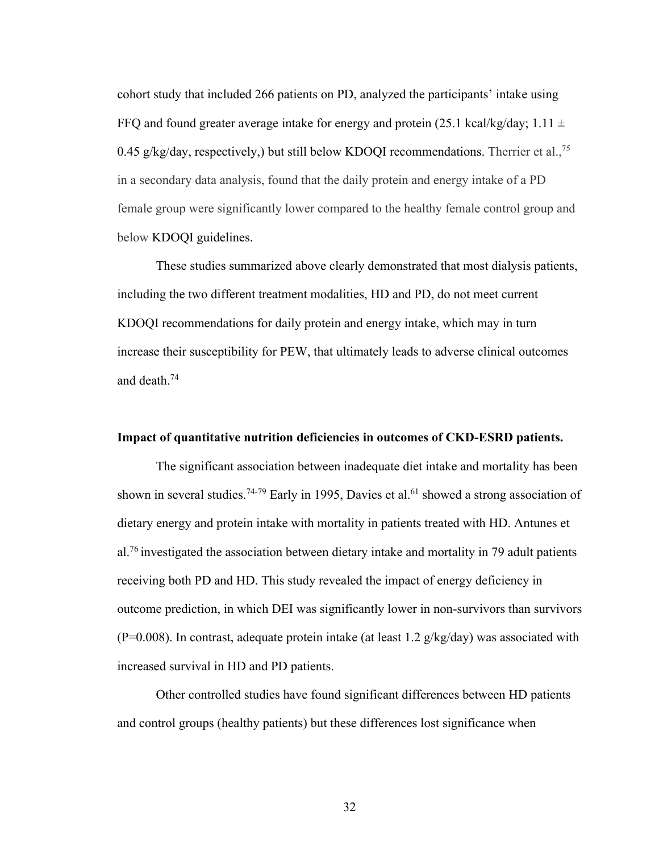cohort study that included 266 patients on PD, analyzed the participants' intake using FFQ and found greater average intake for energy and protein (25.1 kcal/kg/day;  $1.11 \pm$ 0.45 g/kg/day, respectively,) but still below KDOQI recommendations. Therrier et al.,<sup>75</sup> in a secondary data analysis, found that the daily protein and energy intake of a PD female group were significantly lower compared to the healthy female control group and below KDOQI guidelines.

These studies summarized above clearly demonstrated that most dialysis patients, including the two different treatment modalities, HD and PD, do not meet current KDOQI recommendations for daily protein and energy intake, which may in turn increase their susceptibility for PEW, that ultimately leads to adverse clinical outcomes and death.74

# **Impact of quantitative nutrition deficiencies in outcomes of CKD-ESRD patients.**

The significant association between inadequate diet intake and mortality has been shown in several studies.<sup>74-79</sup> Early in 1995, Davies et al.<sup>61</sup> showed a strong association of dietary energy and protein intake with mortality in patients treated with HD. Antunes et al.<sup>76</sup> investigated the association between dietary intake and mortality in 79 adult patients receiving both PD and HD. This study revealed the impact of energy deficiency in outcome prediction, in which DEI was significantly lower in non-survivors than survivors (P=0.008). In contrast, adequate protein intake (at least 1.2  $g/kg/day$ ) was associated with increased survival in HD and PD patients.

Other controlled studies have found significant differences between HD patients and control groups (healthy patients) but these differences lost significance when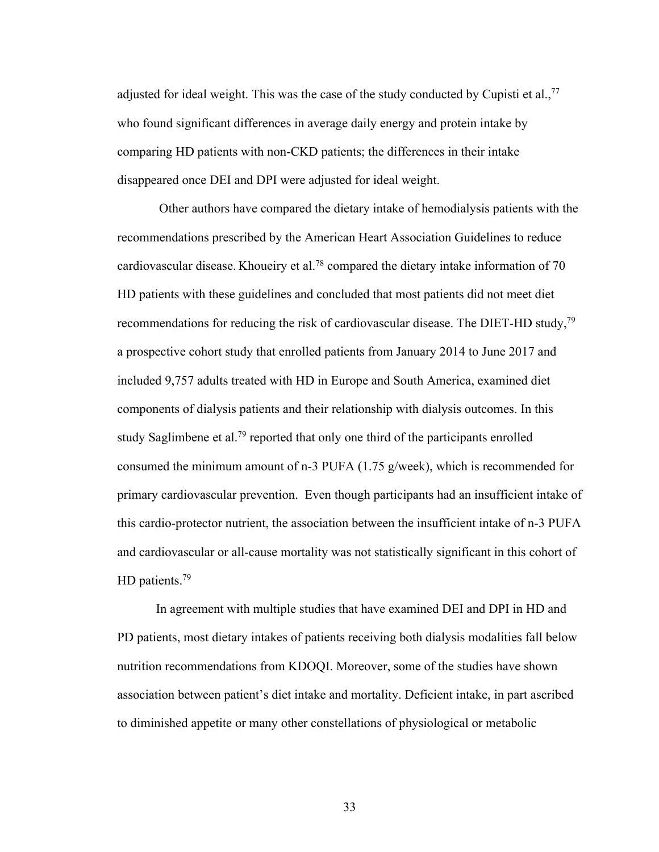adjusted for ideal weight. This was the case of the study conducted by Cupisti et al.,  $77$ who found significant differences in average daily energy and protein intake by comparing HD patients with non-CKD patients; the differences in their intake disappeared once DEI and DPI were adjusted for ideal weight.

Other authors have compared the dietary intake of hemodialysis patients with the recommendations prescribed by the American Heart Association Guidelines to reduce cardiovascular disease. Khoueiry et al.78 compared the dietary intake information of 70 HD patients with these guidelines and concluded that most patients did not meet diet recommendations for reducing the risk of cardiovascular disease. The DIET-HD study,79 a prospective cohort study that enrolled patients from January 2014 to June 2017 and included 9,757 adults treated with HD in Europe and South America, examined diet components of dialysis patients and their relationship with dialysis outcomes. In this study Saglimbene et al.<sup>79</sup> reported that only one third of the participants enrolled consumed the minimum amount of n-3 PUFA (1.75 g/week), which is recommended for primary cardiovascular prevention. Even though participants had an insufficient intake of this cardio-protector nutrient, the association between the insufficient intake of n-3 PUFA and cardiovascular or all-cause mortality was not statistically significant in this cohort of HD patients.<sup>79</sup>

In agreement with multiple studies that have examined DEI and DPI in HD and PD patients, most dietary intakes of patients receiving both dialysis modalities fall below nutrition recommendations from KDOQI. Moreover, some of the studies have shown association between patient's diet intake and mortality. Deficient intake, in part ascribed to diminished appetite or many other constellations of physiological or metabolic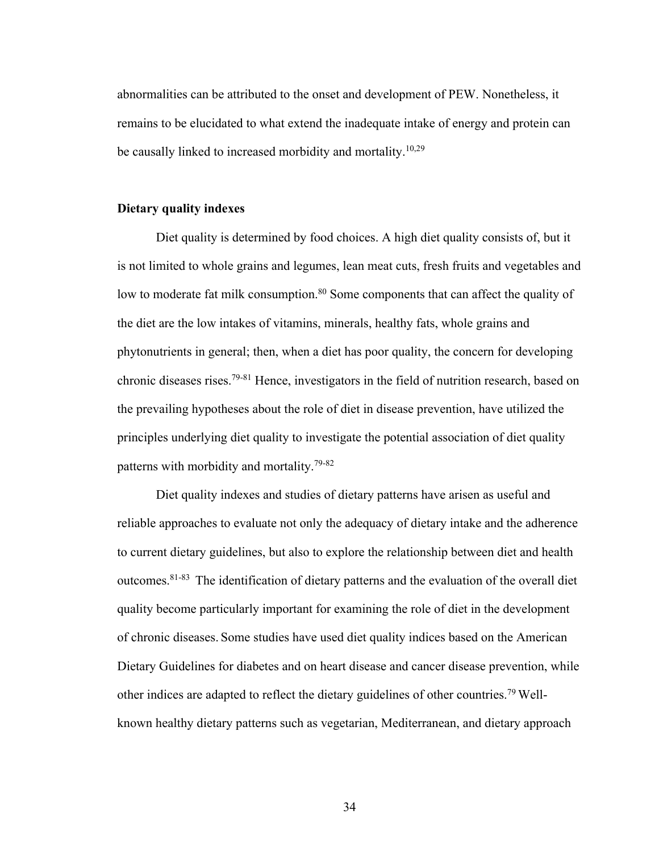abnormalities can be attributed to the onset and development of PEW. Nonetheless, it remains to be elucidated to what extend the inadequate intake of energy and protein can be causally linked to increased morbidity and mortality.<sup>10,29</sup>

# **Dietary quality indexes**

Diet quality is determined by food choices. A high diet quality consists of, but it is not limited to whole grains and legumes, lean meat cuts, fresh fruits and vegetables and low to moderate fat milk consumption.<sup>80</sup> Some components that can affect the quality of the diet are the low intakes of vitamins, minerals, healthy fats, whole grains and phytonutrients in general; then, when a diet has poor quality, the concern for developing chronic diseases rises.79-81 Hence, investigators in the field of nutrition research, based on the prevailing hypotheses about the role of diet in disease prevention, have utilized the principles underlying diet quality to investigate the potential association of diet quality patterns with morbidity and mortality.79-82

Diet quality indexes and studies of dietary patterns have arisen as useful and reliable approaches to evaluate not only the adequacy of dietary intake and the adherence to current dietary guidelines, but also to explore the relationship between diet and health outcomes.81-83 The identification of dietary patterns and the evaluation of the overall diet quality become particularly important for examining the role of diet in the development of chronic diseases. Some studies have used diet quality indices based on the American Dietary Guidelines for diabetes and on heart disease and cancer disease prevention, while other indices are adapted to reflect the dietary guidelines of other countries.79 Wellknown healthy dietary patterns such as vegetarian, Mediterranean, and dietary approach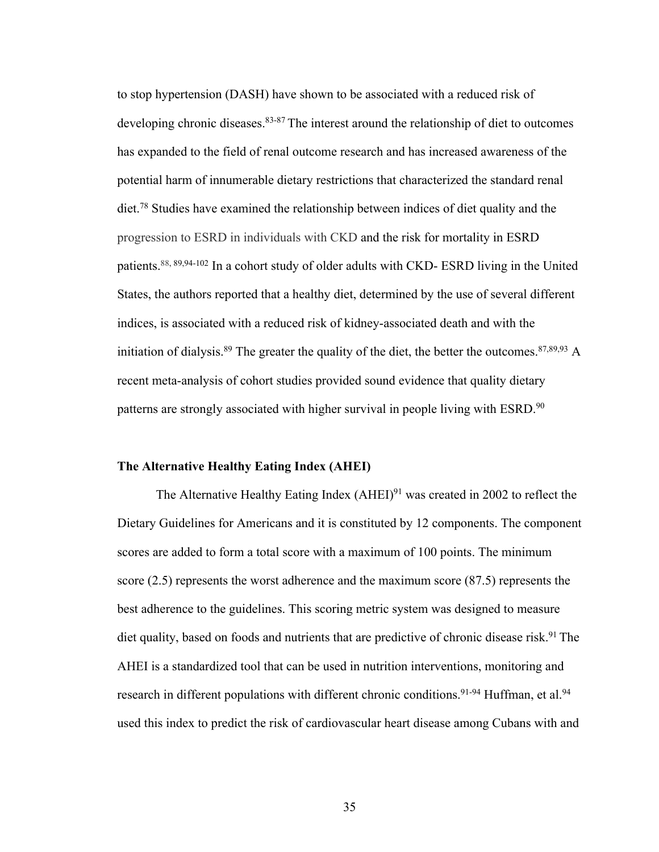to stop hypertension (DASH) have shown to be associated with a reduced risk of developing chronic diseases. <sup>83-87</sup> The interest around the relationship of diet to outcomes has expanded to the field of renal outcome research and has increased awareness of the potential harm of innumerable dietary restrictions that characterized the standard renal diet.78 Studies have examined the relationship between indices of diet quality and the progression to ESRD in individuals with CKD and the risk for mortality in ESRD patients.<sup>88, 89,94-102</sup> In a cohort study of older adults with CKD- ESRD living in the United States, the authors reported that a healthy diet, determined by the use of several different indices, is associated with a reduced risk of kidney-associated death and with the initiation of dialysis.<sup>89</sup> The greater the quality of the diet, the better the outcomes.<sup>87,89,93</sup> A recent meta-analysis of cohort studies provided sound evidence that quality dietary patterns are strongly associated with higher survival in people living with ESRD.<sup>90</sup>

#### **The Alternative Healthy Eating Index (AHEI)**

The Alternative Healthy Eating Index  $(AHEI)^{91}$  was created in 2002 to reflect the Dietary Guidelines for Americans and it is constituted by 12 components. The component scores are added to form a total score with a maximum of 100 points. The minimum score (2.5) represents the worst adherence and the maximum score (87.5) represents the best adherence to the guidelines. This scoring metric system was designed to measure diet quality, based on foods and nutrients that are predictive of chronic disease risk.<sup>91</sup> The AHEI is a standardized tool that can be used in nutrition interventions, monitoring and research in different populations with different chronic conditions.<sup>91-94</sup> Huffman, et al.<sup>94</sup> used this index to predict the risk of cardiovascular heart disease among Cubans with and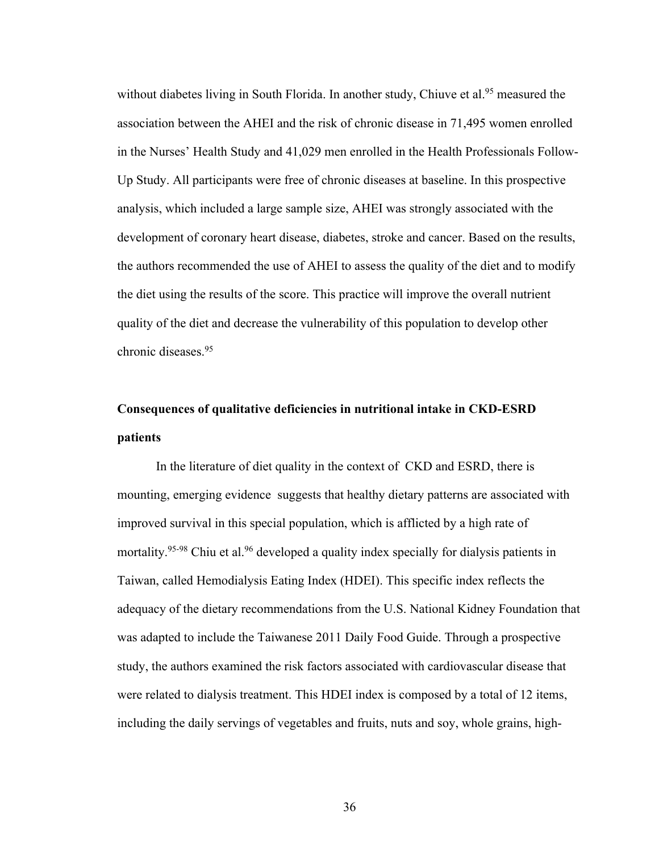without diabetes living in South Florida. In another study, Chiuve et al.<sup>95</sup> measured the association between the AHEI and the risk of chronic disease in 71,495 women enrolled in the Nurses' Health Study and 41,029 men enrolled in the Health Professionals Follow-Up Study. All participants were free of chronic diseases at baseline. In this prospective analysis, which included a large sample size, AHEI was strongly associated with the development of coronary heart disease, diabetes, stroke and cancer. Based on the results, the authors recommended the use of AHEI to assess the quality of the diet and to modify the diet using the results of the score. This practice will improve the overall nutrient quality of the diet and decrease the vulnerability of this population to develop other chronic diseases.95

# **Consequences of qualitative deficiencies in nutritional intake in CKD-ESRD patients**

In the literature of diet quality in the context of CKD and ESRD, there is mounting, emerging evidence suggests that healthy dietary patterns are associated with improved survival in this special population, which is afflicted by a high rate of mortality.<sup>95-98</sup> Chiu et al.<sup>96</sup> developed a quality index specially for dialysis patients in Taiwan, called Hemodialysis Eating Index (HDEI). This specific index reflects the adequacy of the dietary recommendations from the U.S. National Kidney Foundation that was adapted to include the Taiwanese 2011 Daily Food Guide. Through a prospective study, the authors examined the risk factors associated with cardiovascular disease that were related to dialysis treatment. This HDEI index is composed by a total of 12 items, including the daily servings of vegetables and fruits, nuts and soy, whole grains, high-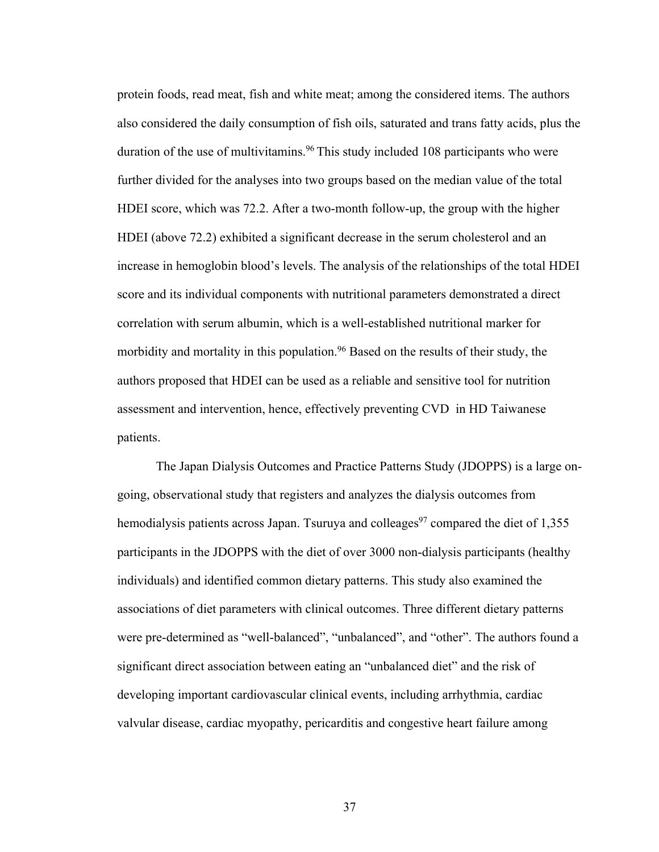protein foods, read meat, fish and white meat; among the considered items. The authors also considered the daily consumption of fish oils, saturated and trans fatty acids, plus the duration of the use of multivitamins.<sup>96</sup> This study included 108 participants who were further divided for the analyses into two groups based on the median value of the total HDEI score, which was 72.2. After a two-month follow-up, the group with the higher HDEI (above 72.2) exhibited a significant decrease in the serum cholesterol and an increase in hemoglobin blood's levels. The analysis of the relationships of the total HDEI score and its individual components with nutritional parameters demonstrated a direct correlation with serum albumin, which is a well-established nutritional marker for morbidity and mortality in this population.<sup>96</sup> Based on the results of their study, the authors proposed that HDEI can be used as a reliable and sensitive tool for nutrition assessment and intervention, hence, effectively preventing CVD in HD Taiwanese patients.

The Japan Dialysis Outcomes and Practice Patterns Study (JDOPPS) is a large ongoing, observational study that registers and analyzes the dialysis outcomes from hemodialysis patients across Japan. Tsuruya and colleages<sup>97</sup> compared the diet of  $1,355$ participants in the JDOPPS with the diet of over 3000 non-dialysis participants (healthy individuals) and identified common dietary patterns. This study also examined the associations of diet parameters with clinical outcomes. Three different dietary patterns were pre-determined as "well-balanced", "unbalanced", and "other". The authors found a significant direct association between eating an "unbalanced diet" and the risk of developing important cardiovascular clinical events, including arrhythmia, cardiac valvular disease, cardiac myopathy, pericarditis and congestive heart failure among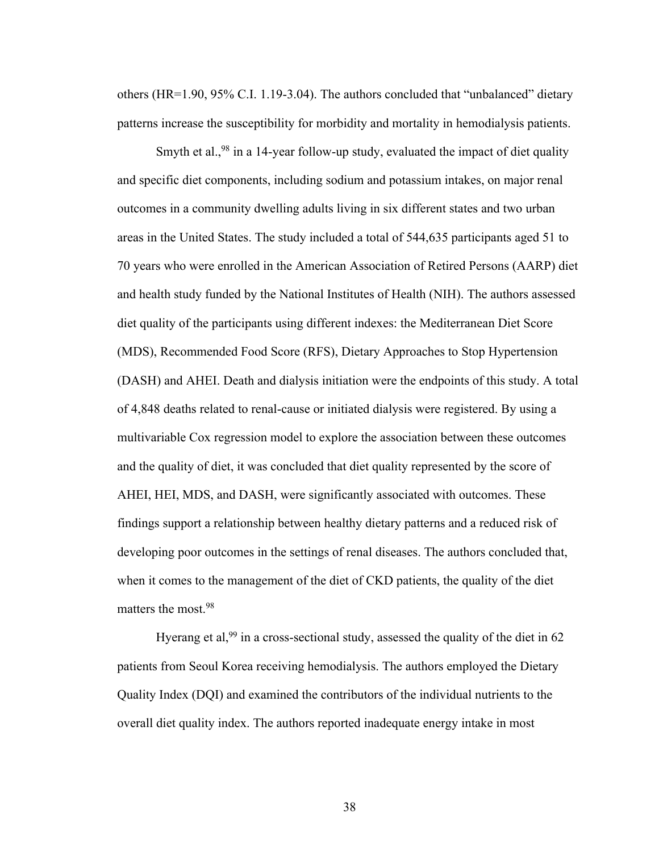others (HR=1.90, 95% C.I. 1.19-3.04). The authors concluded that "unbalanced" dietary patterns increase the susceptibility for morbidity and mortality in hemodialysis patients.

Smyth et al.,  $98$  in a 14-year follow-up study, evaluated the impact of diet quality and specific diet components, including sodium and potassium intakes, on major renal outcomes in a community dwelling adults living in six different states and two urban areas in the United States. The study included a total of 544,635 participants aged 51 to 70 years who were enrolled in the American Association of Retired Persons (AARP) diet and health study funded by the National Institutes of Health (NIH). The authors assessed diet quality of the participants using different indexes: the Mediterranean Diet Score (MDS), Recommended Food Score (RFS), Dietary Approaches to Stop Hypertension (DASH) and AHEI. Death and dialysis initiation were the endpoints of this study. A total of 4,848 deaths related to renal-cause or initiated dialysis were registered. By using a multivariable Cox regression model to explore the association between these outcomes and the quality of diet, it was concluded that diet quality represented by the score of AHEI, HEI, MDS, and DASH, were significantly associated with outcomes. These findings support a relationship between healthy dietary patterns and a reduced risk of developing poor outcomes in the settings of renal diseases. The authors concluded that, when it comes to the management of the diet of CKD patients, the quality of the diet matters the most.98

Hyerang et al,<sup>99</sup> in a cross-sectional study, assessed the quality of the diet in 62 patients from Seoul Korea receiving hemodialysis. The authors employed the Dietary Quality Index (DQI) and examined the contributors of the individual nutrients to the overall diet quality index. The authors reported inadequate energy intake in most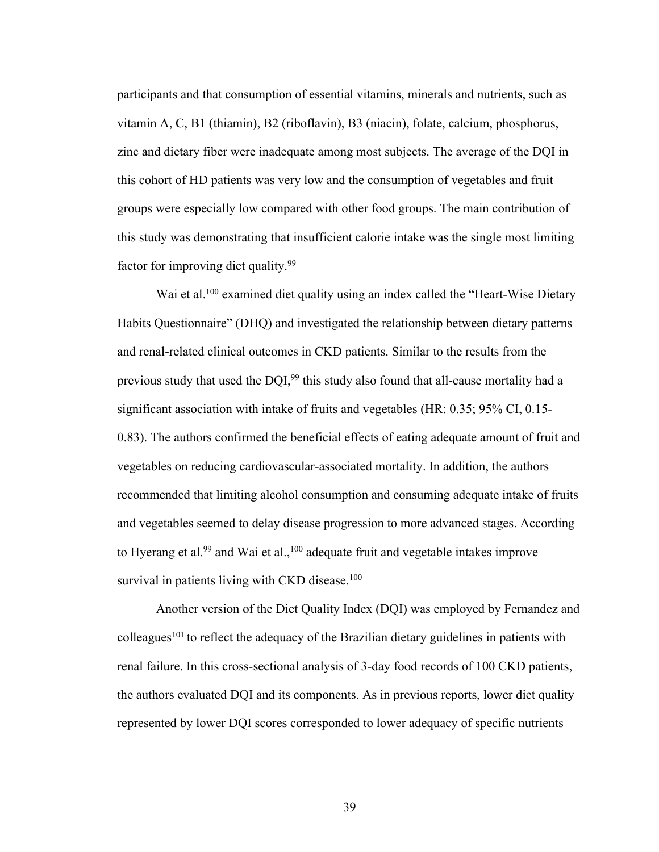participants and that consumption of essential vitamins, minerals and nutrients, such as vitamin A, C, B1 (thiamin), B2 (riboflavin), B3 (niacin), folate, calcium, phosphorus, zinc and dietary fiber were inadequate among most subjects. The average of the DQI in this cohort of HD patients was very low and the consumption of vegetables and fruit groups were especially low compared with other food groups. The main contribution of this study was demonstrating that insufficient calorie intake was the single most limiting factor for improving diet quality.<sup>99</sup>

Wai et al.<sup>100</sup> examined diet quality using an index called the "Heart-Wise Dietary Habits Questionnaire" (DHQ) and investigated the relationship between dietary patterns and renal-related clinical outcomes in CKD patients. Similar to the results from the previous study that used the DQI,<sup>99</sup> this study also found that all-cause mortality had a significant association with intake of fruits and vegetables (HR: 0.35; 95% CI, 0.15- 0.83). The authors confirmed the beneficial effects of eating adequate amount of fruit and vegetables on reducing cardiovascular-associated mortality. In addition, the authors recommended that limiting alcohol consumption and consuming adequate intake of fruits and vegetables seemed to delay disease progression to more advanced stages. According to Hyerang et al.<sup>99</sup> and Wai et al.,<sup>100</sup> adequate fruit and vegetable intakes improve survival in patients living with CKD disease. $100$ 

Another version of the Diet Quality Index (DQI) was employed by Fernandez and colleagues<sup>101</sup> to reflect the adequacy of the Brazilian dietary guidelines in patients with renal failure. In this cross-sectional analysis of 3-day food records of 100 CKD patients, the authors evaluated DQI and its components. As in previous reports, lower diet quality represented by lower DQI scores corresponded to lower adequacy of specific nutrients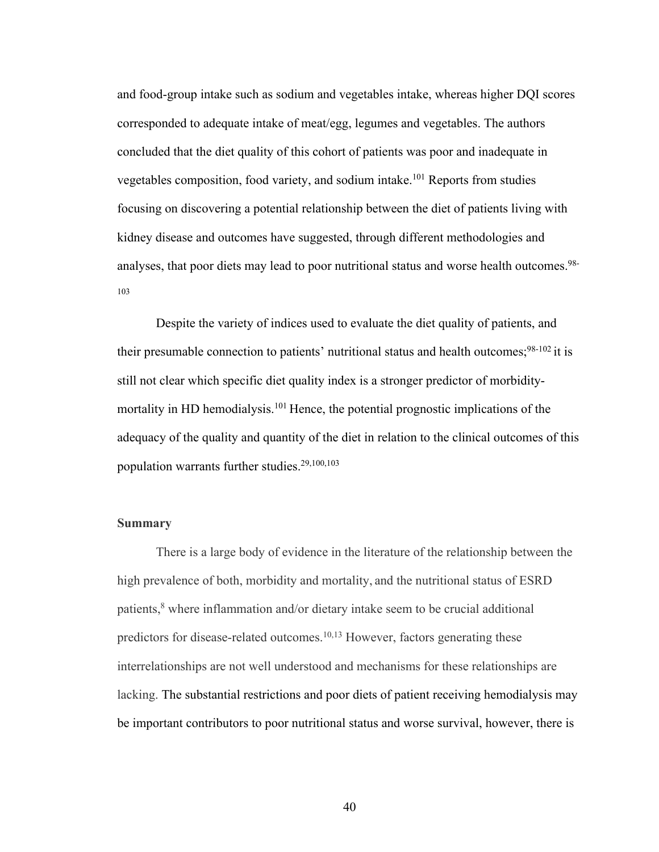and food-group intake such as sodium and vegetables intake, whereas higher DQI scores corresponded to adequate intake of meat/egg, legumes and vegetables. The authors concluded that the diet quality of this cohort of patients was poor and inadequate in vegetables composition, food variety, and sodium intake.101 Reports from studies focusing on discovering a potential relationship between the diet of patients living with kidney disease and outcomes have suggested, through different methodologies and analyses, that poor diets may lead to poor nutritional status and worse health outcomes.<sup>98-</sup> 103

Despite the variety of indices used to evaluate the diet quality of patients, and their presumable connection to patients' nutritional status and health outcomes;  $98-102$  it is still not clear which specific diet quality index is a stronger predictor of morbiditymortality in HD hemodialysis.<sup>101</sup> Hence, the potential prognostic implications of the adequacy of the quality and quantity of the diet in relation to the clinical outcomes of this population warrants further studies.29,100,103

# **Summary**

There is a large body of evidence in the literature of the relationship between the high prevalence of both, morbidity and mortality, and the nutritional status of ESRD patients, $8$  where inflammation and/or dietary intake seem to be crucial additional predictors for disease-related outcomes.<sup>10,13</sup> However, factors generating these interrelationships are not well understood and mechanisms for these relationships are lacking. The substantial restrictions and poor diets of patient receiving hemodialysis may be important contributors to poor nutritional status and worse survival, however, there is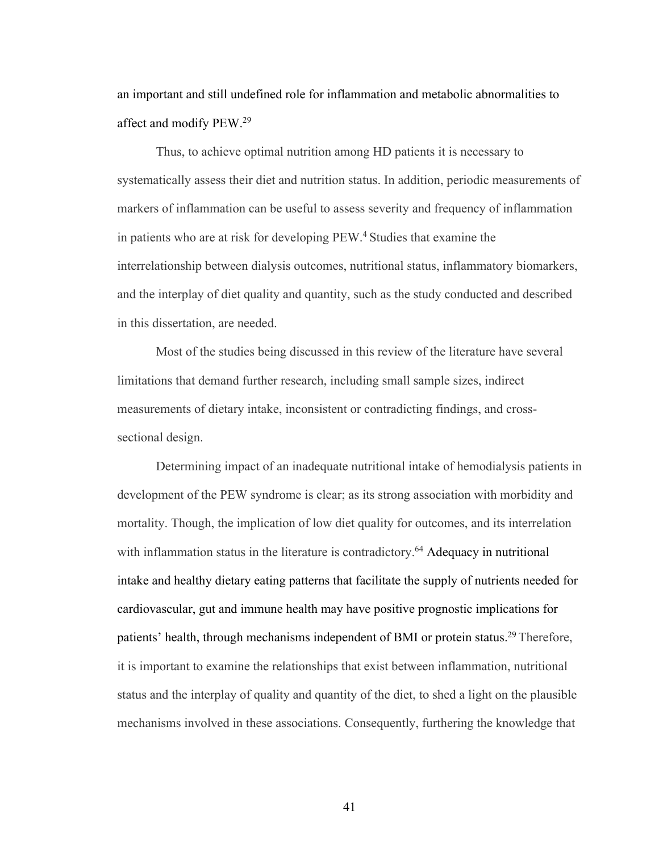an important and still undefined role for inflammation and metabolic abnormalities to affect and modify PEW.29

Thus, to achieve optimal nutrition among HD patients it is necessary to systematically assess their diet and nutrition status. In addition, periodic measurements of markers of inflammation can be useful to assess severity and frequency of inflammation in patients who are at risk for developing PEW.4 Studies that examine the interrelationship between dialysis outcomes, nutritional status, inflammatory biomarkers, and the interplay of diet quality and quantity, such as the study conducted and described in this dissertation, are needed.

Most of the studies being discussed in this review of the literature have several limitations that demand further research, including small sample sizes, indirect measurements of dietary intake, inconsistent or contradicting findings, and crosssectional design.

Determining impact of an inadequate nutritional intake of hemodialysis patients in development of the PEW syndrome is clear; as its strong association with morbidity and mortality. Though, the implication of low diet quality for outcomes, and its interrelation with inflammation status in the literature is contradictory.<sup>64</sup> Adequacy in nutritional intake and healthy dietary eating patterns that facilitate the supply of nutrients needed for cardiovascular, gut and immune health may have positive prognostic implications for patients' health, through mechanisms independent of BMI or protein status.<sup>29</sup> Therefore, it is important to examine the relationships that exist between inflammation, nutritional status and the interplay of quality and quantity of the diet, to shed a light on the plausible mechanisms involved in these associations. Consequently, furthering the knowledge that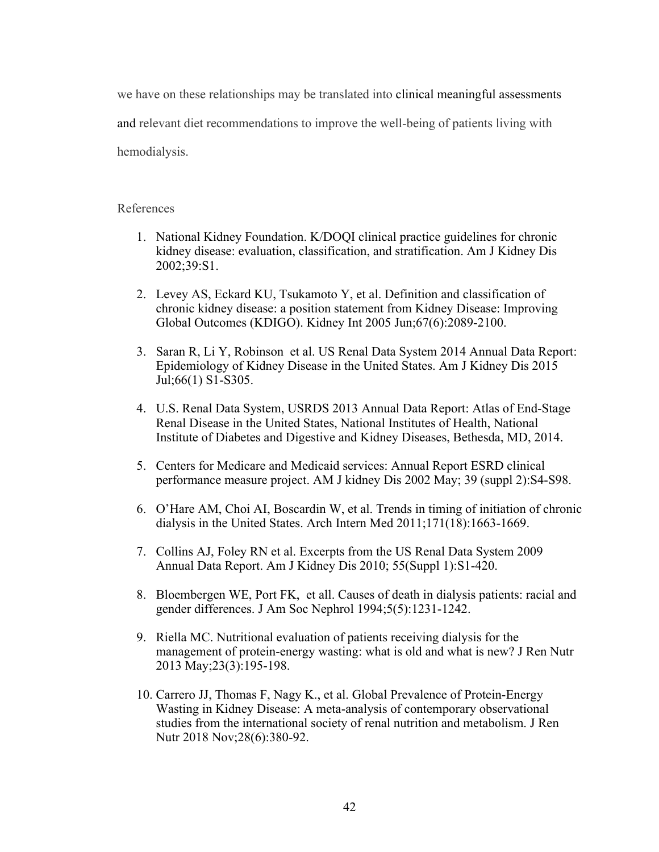we have on these relationships may be translated into clinical meaningful assessments and relevant diet recommendations to improve the well-being of patients living with hemodialysis.

# References

- 1. National Kidney Foundation. K/DOQI clinical practice guidelines for chronic kidney disease: evaluation, classification, and stratification. Am J Kidney Dis 2002;39:S1.
- 2. Levey AS, Eckard KU, Tsukamoto Y, et al. Definition and classification of chronic kidney disease: a position statement from Kidney Disease: Improving Global Outcomes (KDIGO). Kidney Int 2005 Jun;67(6):2089-2100.
- 3. Saran R, Li Y, Robinson et al. US Renal Data System 2014 Annual Data Report: Epidemiology of Kidney Disease in the United States. Am J Kidney Dis 2015 Jul;66(1) S1-S305.
- 4. U.S. Renal Data System, USRDS 2013 Annual Data Report: Atlas of End-Stage Renal Disease in the United States, National Institutes of Health, National Institute of Diabetes and Digestive and Kidney Diseases, Bethesda, MD, 2014.
- 5. Centers for Medicare and Medicaid services: Annual Report ESRD clinical performance measure project. AM J kidney Dis 2002 May; 39 (suppl 2):S4-S98.
- 6. O'Hare AM, Choi AI, Boscardin W, et al. Trends in timing of initiation of chronic dialysis in the United States. Arch Intern Med 2011;171(18):1663-1669.
- 7. Collins AJ, Foley RN et al. Excerpts from the US Renal Data System 2009 Annual Data Report. Am J Kidney Dis 2010; 55(Suppl 1):S1-420.
- 8. Bloembergen WE, Port FK, et all. Causes of death in dialysis patients: racial and gender differences. J Am Soc Nephrol 1994;5(5):1231-1242.
- 9. Riella MC. Nutritional evaluation of patients receiving dialysis for the management of protein-energy wasting: what is old and what is new? J Ren Nutr 2013 May;23(3):195-198.
- 10. Carrero JJ, Thomas F, Nagy K., et al. Global Prevalence of Protein-Energy Wasting in Kidney Disease: A meta-analysis of contemporary observational studies from the international society of renal nutrition and metabolism. J Ren Nutr 2018 Nov;28(6):380-92.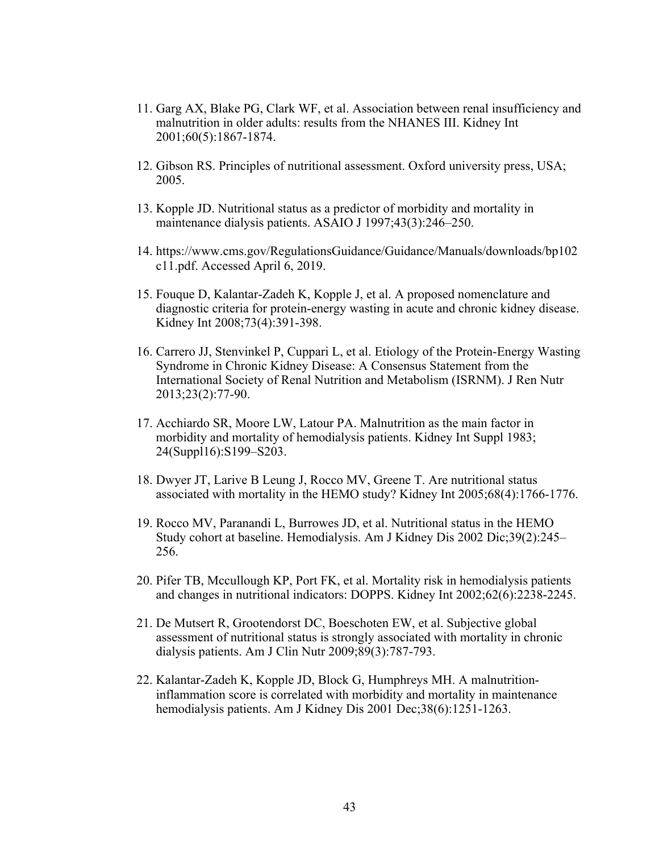- 11. Garg AX, Blake PG, Clark WF, et al. Association between renal insufficiency and malnutrition in older adults: results from the NHANES III. Kidney Int 2001;60(5):1867-1874.
- 12. Gibson RS. Principles of nutritional assessment. Oxford university press, USA; 2005.
- 13. Kopple JD. Nutritional status as a predictor of morbidity and mortality in maintenance dialysis patients. ASAIO J 1997;43(3):246–250.
- 14. https://www.cms.gov/RegulationsGuidance/Guidance/Manuals/downloads/bp102 c11.pdf. Accessed April 6, 2019.
- 15. Fouque D, Kalantar-Zadeh K, Kopple J, et al. A proposed nomenclature and diagnostic criteria for protein-energy wasting in acute and chronic kidney disease. Kidney Int 2008;73(4):391-398.
- 16. Carrero JJ, Stenvinkel P, Cuppari L, et al. Etiology of the Protein-Energy Wasting Syndrome in Chronic Kidney Disease: A Consensus Statement from the International Society of Renal Nutrition and Metabolism (ISRNM). J Ren Nutr 2013;23(2):77-90.
- 17. Acchiardo SR, Moore LW, Latour PA. Malnutrition as the main factor in morbidity and mortality of hemodialysis patients. Kidney Int Suppl 1983; 24(Suppl16):S199–S203.
- 18. Dwyer JT, Larive B Leung J, Rocco MV, Greene T. Are nutritional status associated with mortality in the HEMO study? Kidney Int 2005;68(4):1766-1776.
- 19. Rocco MV, Paranandi L, Burrowes JD, et al. Nutritional status in the HEMO Study cohort at baseline. Hemodialysis. Am J Kidney Dis 2002 Dic;39(2):245– 256.
- 20. Pifer TB, Mccullough KP, Port FK, et al. Mortality risk in hemodialysis patients and changes in nutritional indicators: DOPPS. Kidney Int 2002;62(6):2238-2245.
- 21. De Mutsert R, Grootendorst DC, Boeschoten EW, et al. Subjective global assessment of nutritional status is strongly associated with mortality in chronic dialysis patients. Am J Clin Nutr 2009;89(3):787-793.
- 22. Kalantar-Zadeh K, Kopple JD, Block G, Humphreys MH. A malnutritioninflammation score is correlated with morbidity and mortality in maintenance hemodialysis patients. Am J Kidney Dis 2001 Dec; 38(6): 1251-1263.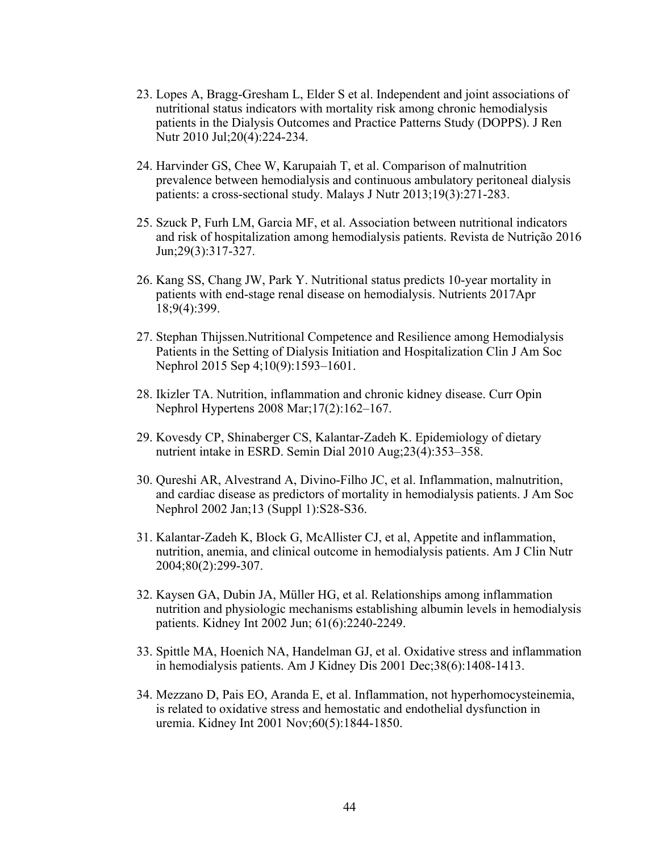- 23. Lopes A, Bragg-Gresham L, Elder S et al. Independent and joint associations of nutritional status indicators with mortality risk among chronic hemodialysis patients in the Dialysis Outcomes and Practice Patterns Study (DOPPS). J Ren Nutr 2010 Jul;20(4):224-234.
- 24. Harvinder GS, Chee W, Karupaiah T, et al. Comparison of malnutrition prevalence between hemodialysis and continuous ambulatory peritoneal dialysis patients: a cross-sectional study. Malays J Nutr 2013;19(3):271-283.
- 25. Szuck P, Furh LM, Garcia MF, et al. Association between nutritional indicators and risk of hospitalization among hemodialysis patients. Revista de Nutrição 2016 Jun;29(3):317-327.
- 26. Kang SS, Chang JW, Park Y. Nutritional status predicts 10-year mortality in patients with end-stage renal disease on hemodialysis. Nutrients 2017Apr 18;9(4):399.
- 27. Stephan Thijssen.Nutritional Competence and Resilience among Hemodialysis Patients in the Setting of Dialysis Initiation and Hospitalization Clin J Am Soc Nephrol 2015 Sep 4;10(9):1593–1601.
- 28. Ikizler TA. Nutrition, inflammation and chronic kidney disease. Curr Opin Nephrol Hypertens 2008 Mar;17(2):162–167.
- 29. Kovesdy CP, Shinaberger CS, Kalantar-Zadeh K. Epidemiology of dietary nutrient intake in ESRD. Semin Dial 2010 Aug;23(4):353–358.
- 30. Qureshi AR, Alvestrand A, Divino-Filho JC, et al. Inflammation, malnutrition, and cardiac disease as predictors of mortality in hemodialysis patients. J Am Soc Nephrol 2002 Jan;13 (Suppl 1):S28-S36.
- 31. Kalantar-Zadeh K, Block G, McAllister CJ, et al, Appetite and inflammation, nutrition, anemia, and clinical outcome in hemodialysis patients. Am J Clin Nutr 2004;80(2):299-307.
- 32. Kaysen GA, Dubin JA, Müller HG, et al. Relationships among inflammation nutrition and physiologic mechanisms establishing albumin levels in hemodialysis patients. Kidney Int 2002 Jun; 61(6):2240-2249.
- 33. Spittle MA, Hoenich NA, Handelman GJ, et al. Oxidative stress and inflammation in hemodialysis patients. Am J Kidney Dis 2001 Dec;38(6):1408-1413.
- 34. Mezzano D, Pais EO, Aranda E, et al. Inflammation, not hyperhomocysteinemia, is related to oxidative stress and hemostatic and endothelial dysfunction in uremia. Kidney Int 2001 Nov;60(5):1844-1850.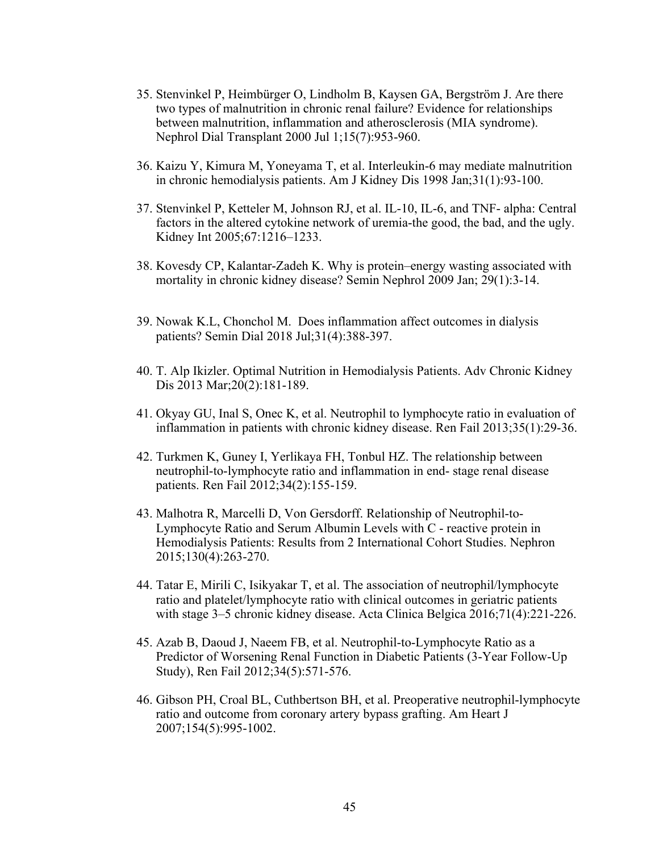- 35. Stenvinkel P, Heimbürger O, Lindholm B, Kaysen GA, Bergström J. Are there two types of malnutrition in chronic renal failure? Evidence for relationships between malnutrition, inflammation and atherosclerosis (MIA syndrome). Nephrol Dial Transplant 2000 Jul 1;15(7):953-960.
- 36. Kaizu Y, Kimura M, Yoneyama T, et al. Interleukin-6 may mediate malnutrition in chronic hemodialysis patients. Am J Kidney Dis 1998 Jan;31(1):93-100.
- 37. Stenvinkel P, Ketteler M, Johnson RJ, et al. IL-10, IL-6, and TNF- alpha: Central factors in the altered cytokine network of uremia-the good, the bad, and the ugly. Kidney Int 2005;67:1216–1233.
- 38. Kovesdy CP, Kalantar-Zadeh K. Why is protein–energy wasting associated with mortality in chronic kidney disease? Semin Nephrol 2009 Jan; 29(1):3-14.
- 39. Nowak K.L, Chonchol M. Does inflammation affect outcomes in dialysis patients? Semin Dial 2018 Jul;31(4):388-397.
- 40. T. Alp Ikizler. Optimal Nutrition in Hemodialysis Patients. Adv Chronic Kidney Dis 2013 Mar;20(2):181-189.
- 41. Okyay GU, Inal S, Onec K, et al. Neutrophil to lymphocyte ratio in evaluation of inflammation in patients with chronic kidney disease. Ren Fail 2013;35(1):29-36.
- 42. Turkmen K, Guney I, Yerlikaya FH, Tonbul HZ. The relationship between neutrophil-to-lymphocyte ratio and inflammation in end- stage renal disease patients. Ren Fail 2012;34(2):155-159.
- 43. Malhotra R, Marcelli D, Von Gersdorff. Relationship of Neutrophil-to-Lymphocyte Ratio and Serum Albumin Levels with C - reactive protein in Hemodialysis Patients: Results from 2 International Cohort Studies. Nephron 2015;130(4):263-270.
- 44. Tatar E, Mirili C, Isikyakar T, et al. The association of neutrophil/lymphocyte ratio and platelet/lymphocyte ratio with clinical outcomes in geriatric patients with stage 3–5 chronic kidney disease. Acta Clinica Belgica 2016;71(4):221-226.
- 45. Azab B, Daoud J, Naeem FB, et al. Neutrophil-to-Lymphocyte Ratio as a Predictor of Worsening Renal Function in Diabetic Patients (3-Year Follow-Up Study), Ren Fail 2012;34(5):571-576.
- 46. Gibson PH, Croal BL, Cuthbertson BH, et al. Preoperative neutrophil-lymphocyte ratio and outcome from coronary artery bypass grafting. Am Heart J 2007;154(5):995-1002.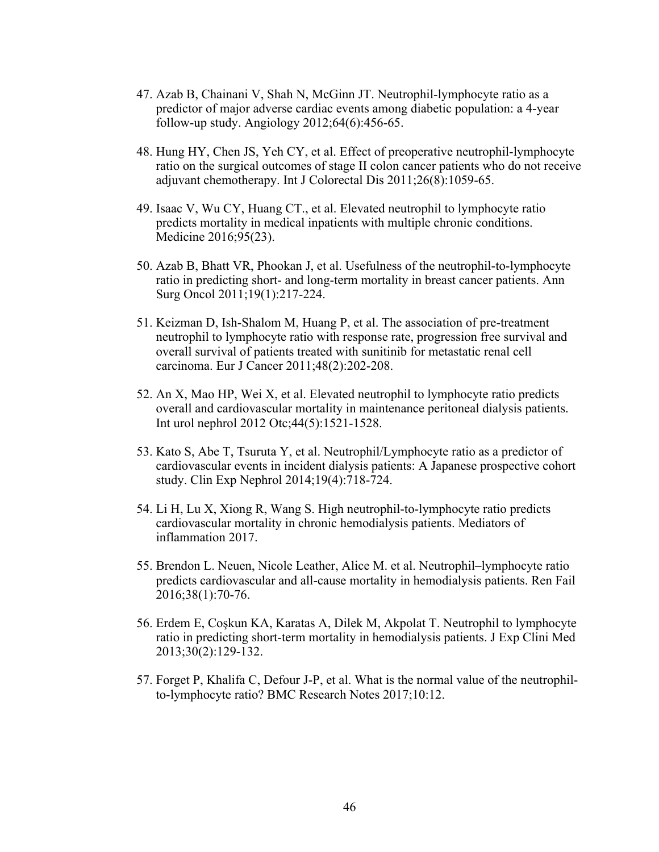- 47. Azab B, Chainani V, Shah N, McGinn JT. Neutrophil-lymphocyte ratio as a predictor of major adverse cardiac events among diabetic population: a 4-year follow-up study. Angiology 2012;64(6):456-65.
- 48. Hung HY, Chen JS, Yeh CY, et al. Effect of preoperative neutrophil-lymphocyte ratio on the surgical outcomes of stage II colon cancer patients who do not receive adjuvant chemotherapy. Int J Colorectal Dis 2011;26(8):1059-65.
- 49. Isaac V, Wu CY, Huang CT., et al. Elevated neutrophil to lymphocyte ratio predicts mortality in medical inpatients with multiple chronic conditions. Medicine 2016;95(23).
- 50. Azab B, Bhatt VR, Phookan J, et al. Usefulness of the neutrophil-to-lymphocyte ratio in predicting short- and long-term mortality in breast cancer patients. Ann Surg Oncol 2011;19(1):217-224.
- 51. Keizman D, Ish-Shalom M, Huang P, et al. The association of pre-treatment neutrophil to lymphocyte ratio with response rate, progression free survival and overall survival of patients treated with sunitinib for metastatic renal cell carcinoma. Eur J Cancer 2011;48(2):202-208.
- 52. An X, Mao HP, Wei X, et al. Elevated neutrophil to lymphocyte ratio predicts overall and cardiovascular mortality in maintenance peritoneal dialysis patients. Int urol nephrol 2012 Otc;44(5):1521-1528.
- 53. Kato S, Abe T, Tsuruta Y, et al. Neutrophil/Lymphocyte ratio as a predictor of cardiovascular events in incident dialysis patients: A Japanese prospective cohort study. Clin Exp Nephrol 2014;19(4):718-724.
- 54. Li H, Lu X, Xiong R, Wang S. High neutrophil-to-lymphocyte ratio predicts cardiovascular mortality in chronic hemodialysis patients. Mediators of inflammation 2017.
- 55. Brendon L. Neuen, Nicole Leather, Alice M. et al. Neutrophil–lymphocyte ratio predicts cardiovascular and all-cause mortality in hemodialysis patients. Ren Fail 2016;38(1):70-76.
- 56. Erdem E, Coşkun KA, Karatas A, Dilek M, Akpolat T. Neutrophil to lymphocyte ratio in predicting short-term mortality in hemodialysis patients. J Exp Clini Med 2013;30(2):129-132.
- 57. Forget P, Khalifa C, Defour J-P, et al. What is the normal value of the neutrophilto-lymphocyte ratio? BMC Research Notes 2017;10:12.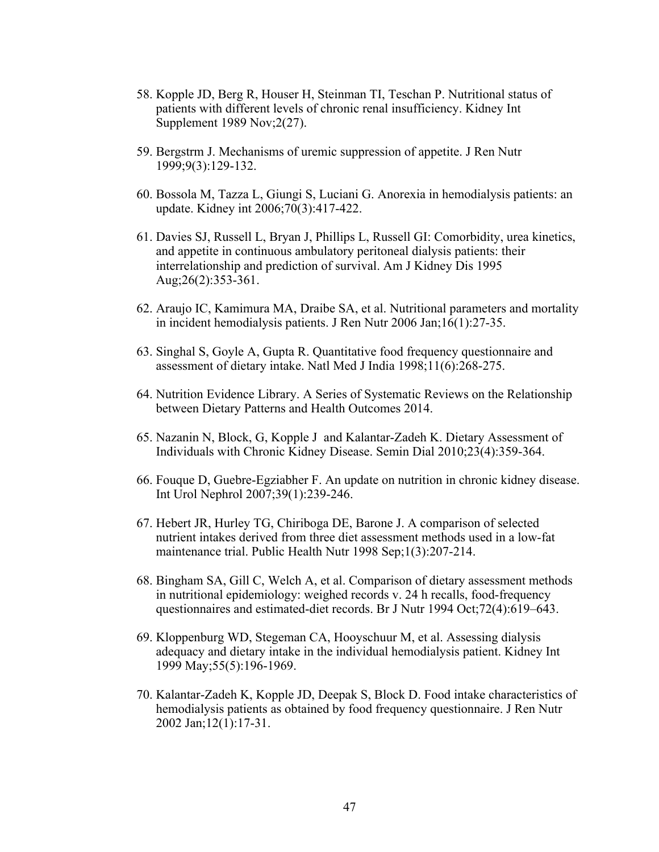- 58. Kopple JD, Berg R, Houser H, Steinman TI, Teschan P. Nutritional status of patients with different levels of chronic renal insufficiency. Kidney Int Supplement 1989 Nov;2(27).
- 59. Bergstrm J. Mechanisms of uremic suppression of appetite. J Ren Nutr 1999;9(3):129-132.
- 60. Bossola M, Tazza L, Giungi S, Luciani G. Anorexia in hemodialysis patients: an update. Kidney int 2006;70(3):417-422.
- 61. Davies SJ, Russell L, Bryan J, Phillips L, Russell GI: Comorbidity, urea kinetics, and appetite in continuous ambulatory peritoneal dialysis patients: their interrelationship and prediction of survival. Am J Kidney Dis 1995 Aug;26(2):353-361.
- 62. Araujo IC, Kamimura MA, Draibe SA, et al. Nutritional parameters and mortality in incident hemodialysis patients. J Ren Nutr 2006 Jan;16(1):27-35.
- 63. Singhal S, Goyle A, Gupta R. Quantitative food frequency questionnaire and assessment of dietary intake. Natl Med J India 1998;11(6):268-275.
- 64. Nutrition Evidence Library. A Series of Systematic Reviews on the Relationship between Dietary Patterns and Health Outcomes 2014.
- 65. Nazanin N, Block, G, Kopple J and Kalantar-Zadeh K. Dietary Assessment of Individuals with Chronic Kidney Disease. Semin Dial 2010;23(4):359-364.
- 66. Fouque D, Guebre-Egziabher F. An update on nutrition in chronic kidney disease. Int Urol Nephrol 2007;39(1):239-246.
- 67. Hebert JR, Hurley TG, Chiriboga DE, Barone J. A comparison of selected nutrient intakes derived from three diet assessment methods used in a low-fat maintenance trial. Public Health Nutr 1998 Sep;1(3):207-214.
- 68. Bingham SA, Gill C, Welch A, et al. Comparison of dietary assessment methods in nutritional epidemiology: weighed records v. 24 h recalls, food-frequency questionnaires and estimated-diet records. Br J Nutr 1994 Oct;72(4):619–643.
- 69. Kloppenburg WD, Stegeman CA, Hooyschuur M, et al. Assessing dialysis adequacy and dietary intake in the individual hemodialysis patient. Kidney Int 1999 May;55(5):196-1969.
- 70. Kalantar-Zadeh K, Kopple JD, Deepak S, Block D. Food intake characteristics of hemodialysis patients as obtained by food frequency questionnaire. J Ren Nutr 2002 Jan;12(1):17-31.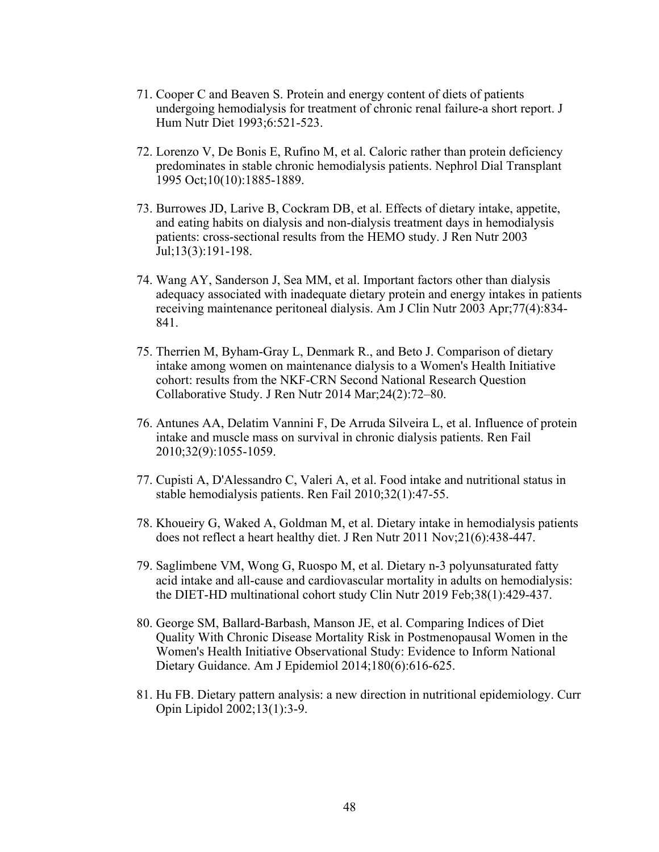- 71. Cooper C and Beaven S. Protein and energy content of diets of patients undergoing hemodialysis for treatment of chronic renal failure-a short report. J Hum Nutr Diet 1993;6:521-523.
- 72. Lorenzo V, De Bonis E, Rufino M, et al. Caloric rather than protein deficiency predominates in stable chronic hemodialysis patients. Nephrol Dial Transplant 1995 Oct;10(10):1885-1889.
- 73. Burrowes JD, Larive B, Cockram DB, et al. Effects of dietary intake, appetite, and eating habits on dialysis and non-dialysis treatment days in hemodialysis patients: cross-sectional results from the HEMO study. J Ren Nutr 2003 Jul;13(3):191-198.
- 74. Wang AY, Sanderson J, Sea MM, et al. Important factors other than dialysis adequacy associated with inadequate dietary protein and energy intakes in patients receiving maintenance peritoneal dialysis. Am J Clin Nutr 2003 Apr;77(4):834- 841.
- 75. Therrien M, Byham-Gray L, Denmark R., and Beto J. Comparison of dietary intake among women on maintenance dialysis to a Women's Health Initiative cohort: results from the NKF-CRN Second National Research Question Collaborative Study. J Ren Nutr 2014 Mar;24(2):72–80.
- 76. Antunes AA, Delatim Vannini F, De Arruda Silveira L, et al. Influence of protein intake and muscle mass on survival in chronic dialysis patients. Ren Fail 2010;32(9):1055-1059.
- 77. Cupisti A, D'Alessandro C, Valeri A, et al. Food intake and nutritional status in stable hemodialysis patients. Ren Fail 2010;32(1):47-55.
- 78. Khoueiry G, Waked A, Goldman M, et al. Dietary intake in hemodialysis patients does not reflect a heart healthy diet. J Ren Nutr 2011 Nov;21(6):438-447.
- 79. Saglimbene VM, Wong G, Ruospo M, et al. Dietary n-3 polyunsaturated fatty acid intake and all-cause and cardiovascular mortality in adults on hemodialysis: the DIET-HD multinational cohort study Clin Nutr 2019 Feb;38(1):429-437.
- 80. George SM, Ballard-Barbash, Manson JE, et al. Comparing Indices of Diet Quality With Chronic Disease Mortality Risk in Postmenopausal Women in the Women's Health Initiative Observational Study: Evidence to Inform National Dietary Guidance. Am J Epidemiol 2014;180(6):616-625.
- 81. Hu FB. Dietary pattern analysis: a new direction in nutritional epidemiology. Curr Opin Lipidol 2002;13(1):3-9.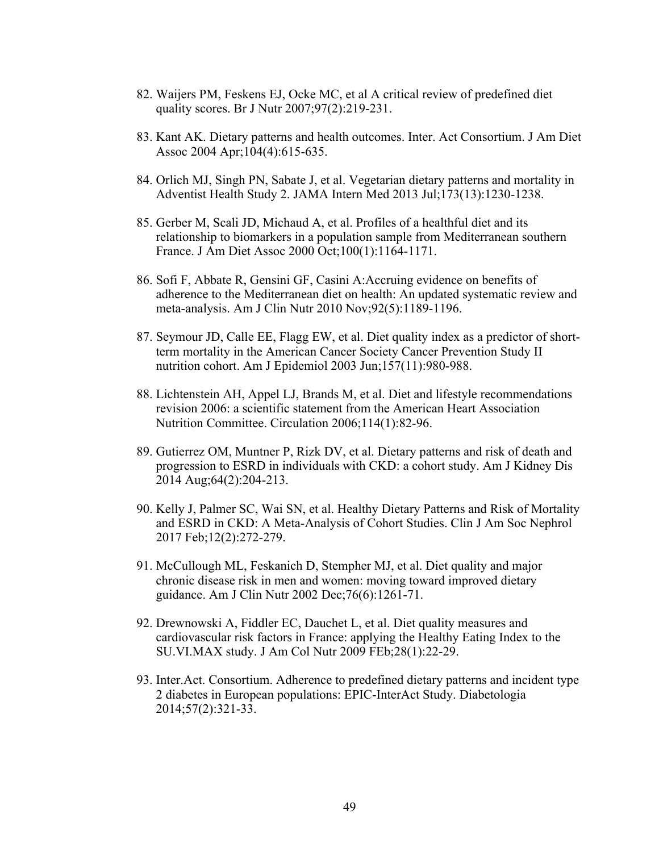- 82. Waijers PM, Feskens EJ, Ocke MC, et al A critical review of predefined diet quality scores. Br J Nutr 2007;97(2):219-231.
- 83. Kant AK. Dietary patterns and health outcomes. Inter. Act Consortium. J Am Diet Assoc 2004 Apr;104(4):615-635.
- 84. Orlich MJ, Singh PN, Sabate J, et al. Vegetarian dietary patterns and mortality in Adventist Health Study 2. JAMA Intern Med 2013 Jul;173(13):1230-1238.
- 85. Gerber M, Scali JD, Michaud A, et al. Profiles of a healthful diet and its relationship to biomarkers in a population sample from Mediterranean southern France. J Am Diet Assoc 2000 Oct;100(1):1164-1171.
- 86. Sofi F, Abbate R, Gensini GF, Casini A:Accruing evidence on benefits of adherence to the Mediterranean diet on health: An updated systematic review and meta-analysis. Am J Clin Nutr 2010 Nov;92(5):1189-1196.
- 87. Seymour JD, Calle EE, Flagg EW, et al. Diet quality index as a predictor of shortterm mortality in the American Cancer Society Cancer Prevention Study II nutrition cohort. Am J Epidemiol 2003 Jun;157(11):980-988.
- 88. Lichtenstein AH, Appel LJ, Brands M, et al. Diet and lifestyle recommendations revision 2006: a scientific statement from the American Heart Association Nutrition Committee. Circulation 2006;114(1):82-96.
- 89. Gutierrez OM, Muntner P, Rizk DV, et al. Dietary patterns and risk of death and progression to ESRD in individuals with CKD: a cohort study. Am J Kidney Dis 2014 Aug;64(2):204-213.
- 90. Kelly J, Palmer SC, Wai SN, et al. Healthy Dietary Patterns and Risk of Mortality and ESRD in CKD: A Meta-Analysis of Cohort Studies. Clin J Am Soc Nephrol 2017 Feb;12(2):272-279.
- 91. McCullough ML, Feskanich D, Stempher MJ, et al. Diet quality and major chronic disease risk in men and women: moving toward improved dietary guidance. Am J Clin Nutr 2002 Dec;76(6):1261-71.
- 92. Drewnowski A, Fiddler EC, Dauchet L, et al. Diet quality measures and cardiovascular risk factors in France: applying the Healthy Eating Index to the SU.VI.MAX study. J Am Col Nutr 2009 FEb;28(1):22-29.
- 93. Inter.Act. Consortium. Adherence to predefined dietary patterns and incident type 2 diabetes in European populations: EPIC-InterAct Study. Diabetologia 2014;57(2):321-33.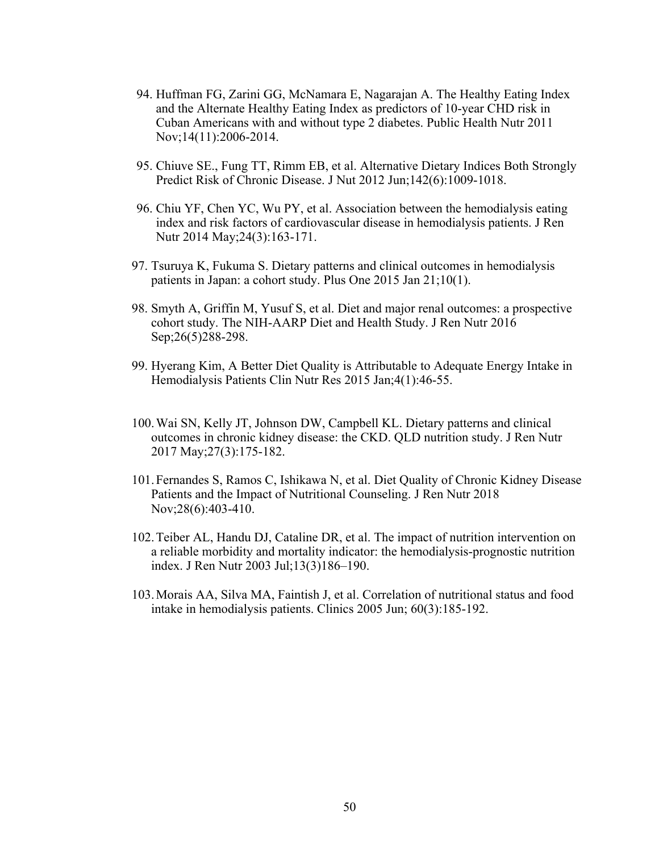- 94. Huffman FG, Zarini GG, McNamara E, Nagarajan A. The Healthy Eating Index and the Alternate Healthy Eating Index as predictors of 10-year CHD risk in Cuban Americans with and without type 2 diabetes. Public Health Nutr 2011 Nov;14(11):2006-2014.
- 95. Chiuve SE., Fung TT, Rimm EB, et al. Alternative Dietary Indices Both Strongly Predict Risk of Chronic Disease. J Nut 2012 Jun;142(6):1009-1018.
- 96. Chiu YF, Chen YC, Wu PY, et al. Association between the hemodialysis eating index and risk factors of cardiovascular disease in hemodialysis patients. J Ren Nutr 2014 May;24(3):163-171.
- 97. Tsuruya K, Fukuma S. Dietary patterns and clinical outcomes in hemodialysis patients in Japan: a cohort study. Plus One 2015 Jan 21;10(1).
- 98. Smyth A, Griffin M, Yusuf S, et al. Diet and major renal outcomes: a prospective cohort study. The NIH-AARP Diet and Health Study. J Ren Nutr 2016 Sep; 26(5) 288-298.
- 99. Hyerang Kim, A Better Diet Quality is Attributable to Adequate Energy Intake in Hemodialysis Patients Clin Nutr Res 2015 Jan;4(1):46-55.
- 100.Wai SN, Kelly JT, Johnson DW, Campbell KL. Dietary patterns and clinical outcomes in chronic kidney disease: the CKD. QLD nutrition study. J Ren Nutr 2017 May;27(3):175-182.
- 101.Fernandes S, Ramos C, Ishikawa N, et al. Diet Quality of Chronic Kidney Disease Patients and the Impact of Nutritional Counseling. J Ren Nutr 2018 Nov;28(6):403-410.
- 102.Teiber AL, Handu DJ, Cataline DR, et al. The impact of nutrition intervention on a reliable morbidity and mortality indicator: the hemodialysis-prognostic nutrition index. J Ren Nutr 2003 Jul;13(3)186–190.
- 103.Morais AA, Silva MA, Faintish J, et al. Correlation of nutritional status and food intake in hemodialysis patients. Clinics 2005 Jun; 60(3):185-192.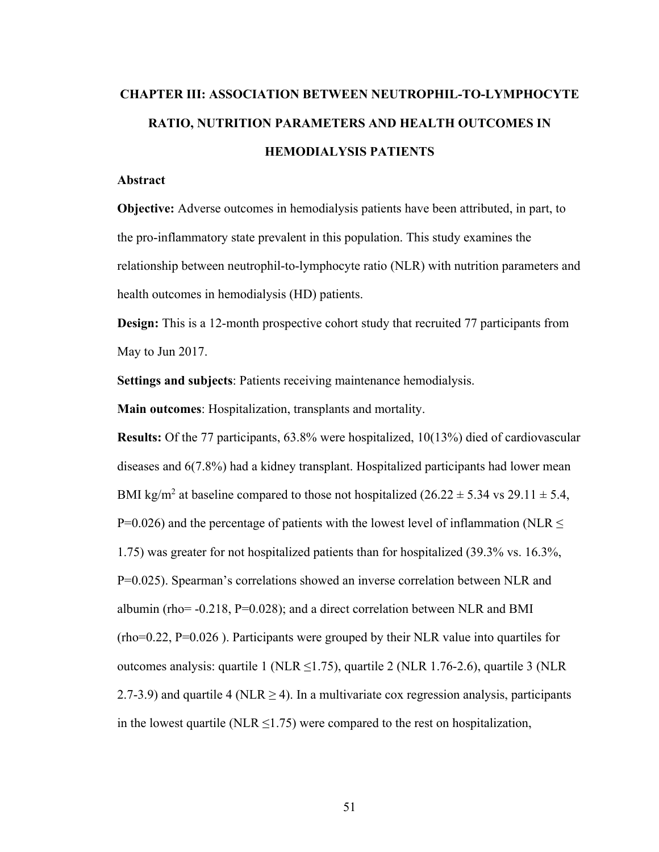# **CHAPTER III: ASSOCIATION BETWEEN NEUTROPHIL-TO-LYMPHOCYTE RATIO, NUTRITION PARAMETERS AND HEALTH OUTCOMES IN HEMODIALYSIS PATIENTS**

# **Abstract**

**Objective:** Adverse outcomes in hemodialysis patients have been attributed, in part, to the pro-inflammatory state prevalent in this population. This study examines the relationship between neutrophil-to-lymphocyte ratio (NLR) with nutrition parameters and health outcomes in hemodialysis (HD) patients.

**Design:** This is a 12-month prospective cohort study that recruited 77 participants from May to Jun 2017.

**Settings and subjects**: Patients receiving maintenance hemodialysis.

**Main outcomes**: Hospitalization, transplants and mortality.

**Results:** Of the 77 participants, 63.8% were hospitalized, 10(13%) died of cardiovascular diseases and 6(7.8%) had a kidney transplant. Hospitalized participants had lower mean BMI kg/m<sup>2</sup> at baseline compared to those not hospitalized (26.22  $\pm$  5.34 vs 29.11  $\pm$  5.4, P=0.026) and the percentage of patients with the lowest level of inflammation (NLR  $\leq$ 1.75) was greater for not hospitalized patients than for hospitalized (39.3% vs. 16.3%, P=0.025). Spearman's correlations showed an inverse correlation between NLR and albumin (rho= -0.218, P=0.028); and a direct correlation between NLR and BMI (rho=0.22, P=0.026 ). Participants were grouped by their NLR value into quartiles for outcomes analysis: quartile 1 (NLR  $\leq$ 1.75), quartile 2 (NLR 1.76-2.6), quartile 3 (NLR 2.7-3.9) and quartile 4 (NLR  $\geq$  4). In a multivariate cox regression analysis, participants in the lowest quartile (NLR  $\leq$ 1.75) were compared to the rest on hospitalization,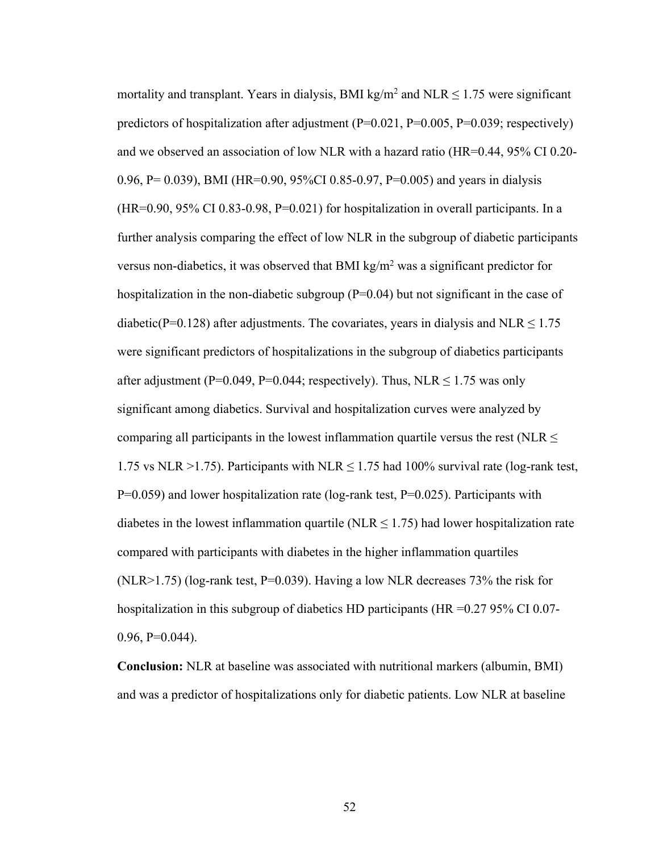mortality and transplant. Years in dialysis, BMI kg/m<sup>2</sup> and NLR  $\leq$  1.75 were significant predictors of hospitalization after adjustment  $(P=0.021, P=0.005, P=0.039;$  respectively) and we observed an association of low NLR with a hazard ratio (HR=0.44, 95% CI 0.20- 0.96, P= 0.039), BMI (HR=0.90, 95%CI 0.85-0.97, P=0.005) and years in dialysis  $(HR=0.90, 95\% \text{ CI } 0.83-0.98, P=0.021)$  for hospitalization in overall participants. In a further analysis comparing the effect of low NLR in the subgroup of diabetic participants versus non-diabetics, it was observed that BMI kg/ $m<sup>2</sup>$  was a significant predictor for hospitalization in the non-diabetic subgroup  $(P=0.04)$  but not significant in the case of diabetic(P=0.128) after adjustments. The covariates, years in dialysis and NLR  $\leq$  1.75 were significant predictors of hospitalizations in the subgroup of diabetics participants after adjustment (P=0.049, P=0.044; respectively). Thus, NLR  $\leq$  1.75 was only significant among diabetics. Survival and hospitalization curves were analyzed by comparing all participants in the lowest inflammation quartile versus the rest (NLR  $\leq$ 1.75 vs NLR >1.75). Participants with NLR  $\leq$  1.75 had 100% survival rate (log-rank test,  $P=0.059$ ) and lower hospitalization rate (log-rank test,  $P=0.025$ ). Participants with diabetes in the lowest inflammation quartile (NLR  $\leq$  1.75) had lower hospitalization rate compared with participants with diabetes in the higher inflammation quartiles (NLR>1.75) (log-rank test, P=0.039). Having a low NLR decreases 73% the risk for hospitalization in this subgroup of diabetics HD participants (HR =0.27 95% CI 0.07- $0.96, P=0.044$ ).

**Conclusion:** NLR at baseline was associated with nutritional markers (albumin, BMI) and was a predictor of hospitalizations only for diabetic patients. Low NLR at baseline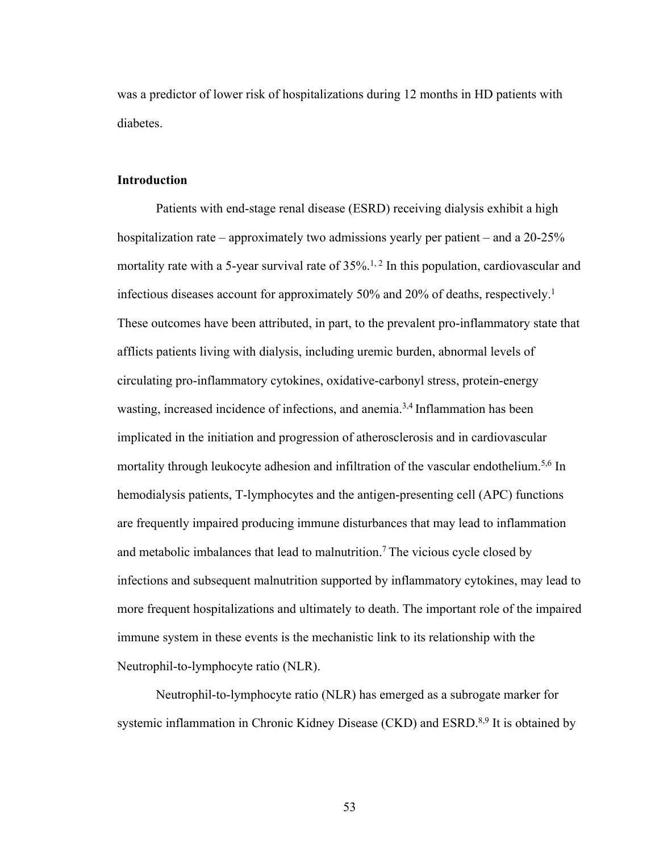was a predictor of lower risk of hospitalizations during 12 months in HD patients with diabetes.

# **Introduction**

Patients with end-stage renal disease (ESRD) receiving dialysis exhibit a high hospitalization rate – approximately two admissions yearly per patient – and a 20-25% mortality rate with a 5-year survival rate of  $35\%$ .<sup>1, 2</sup> In this population, cardiovascular and infectious diseases account for approximately 50% and 20% of deaths, respectively.1 These outcomes have been attributed, in part, to the prevalent pro-inflammatory state that afflicts patients living with dialysis, including uremic burden, abnormal levels of circulating pro-inflammatory cytokines, oxidative-carbonyl stress, protein-energy wasting, increased incidence of infections, and anemia.<sup>3,4</sup> Inflammation has been implicated in the initiation and progression of atherosclerosis and in cardiovascular mortality through leukocyte adhesion and infiltration of the vascular endothelium.<sup>5,6</sup> In hemodialysis patients, T-lymphocytes and the antigen-presenting cell (APC) functions are frequently impaired producing immune disturbances that may lead to inflammation and metabolic imbalances that lead to malnutrition.<sup>7</sup> The vicious cycle closed by infections and subsequent malnutrition supported by inflammatory cytokines, may lead to more frequent hospitalizations and ultimately to death. The important role of the impaired immune system in these events is the mechanistic link to its relationship with the Neutrophil-to-lymphocyte ratio (NLR).

Neutrophil-to-lymphocyte ratio (NLR) has emerged as a subrogate marker for systemic inflammation in Chronic Kidney Disease (CKD) and ESRD.<sup>8,9</sup> It is obtained by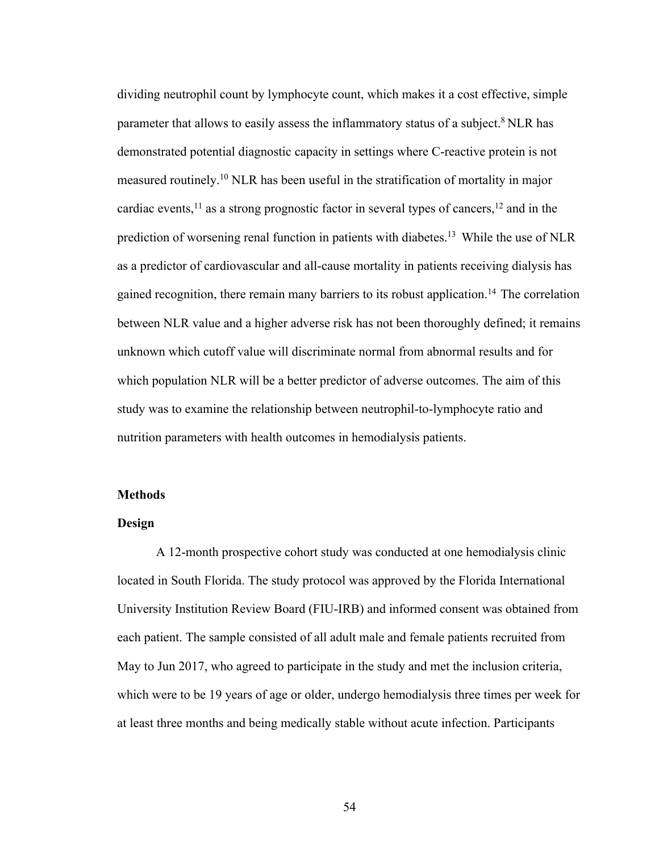dividing neutrophil count by lymphocyte count, which makes it a cost effective, simple parameter that allows to easily assess the inflammatory status of a subject.<sup>8</sup> NLR has demonstrated potential diagnostic capacity in settings where C-reactive protein is not measured routinely.10 NLR has been useful in the stratification of mortality in major cardiac events,  $^{11}$  as a strong prognostic factor in several types of cancers,  $^{12}$  and in the prediction of worsening renal function in patients with diabetes.13 While the use of NLR as a predictor of cardiovascular and all-cause mortality in patients receiving dialysis has gained recognition, there remain many barriers to its robust application.14 The correlation between NLR value and a higher adverse risk has not been thoroughly defined; it remains unknown which cutoff value will discriminate normal from abnormal results and for which population NLR will be a better predictor of adverse outcomes. The aim of this study was to examine the relationship between neutrophil-to-lymphocyte ratio and nutrition parameters with health outcomes in hemodialysis patients.

#### **Methods**

#### **Design**

A 12-month prospective cohort study was conducted at one hemodialysis clinic located in South Florida. The study protocol was approved by the Florida International University Institution Review Board (FIU-IRB) and informed consent was obtained from each patient. The sample consisted of all adult male and female patients recruited from May to Jun 2017, who agreed to participate in the study and met the inclusion criteria, which were to be 19 years of age or older, undergo hemodialysis three times per week for at least three months and being medically stable without acute infection. Participants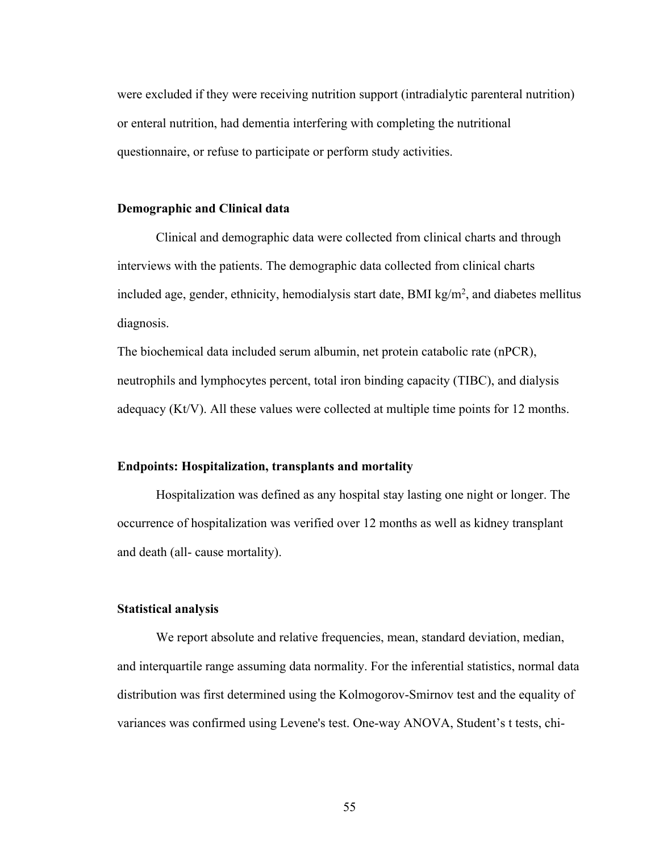were excluded if they were receiving nutrition support (intradialytic parenteral nutrition) or enteral nutrition, had dementia interfering with completing the nutritional questionnaire, or refuse to participate or perform study activities.

## **Demographic and Clinical data**

Clinical and demographic data were collected from clinical charts and through interviews with the patients. The demographic data collected from clinical charts included age, gender, ethnicity, hemodialysis start date, BMI  $kg/m<sup>2</sup>$ , and diabetes mellitus diagnosis.

The biochemical data included serum albumin, net protein catabolic rate (nPCR), neutrophils and lymphocytes percent, total iron binding capacity (TIBC), and dialysis adequacy (Kt/V). All these values were collected at multiple time points for 12 months.

#### **Endpoints: Hospitalization, transplants and mortality**

Hospitalization was defined as any hospital stay lasting one night or longer. The occurrence of hospitalization was verified over 12 months as well as kidney transplant and death (all- cause mortality).

# **Statistical analysis**

We report absolute and relative frequencies, mean, standard deviation, median, and interquartile range assuming data normality. For the inferential statistics, normal data distribution was first determined using the Kolmogorov-Smirnov test and the equality of variances was confirmed using Levene's test. One-way ANOVA, Student's t tests, chi-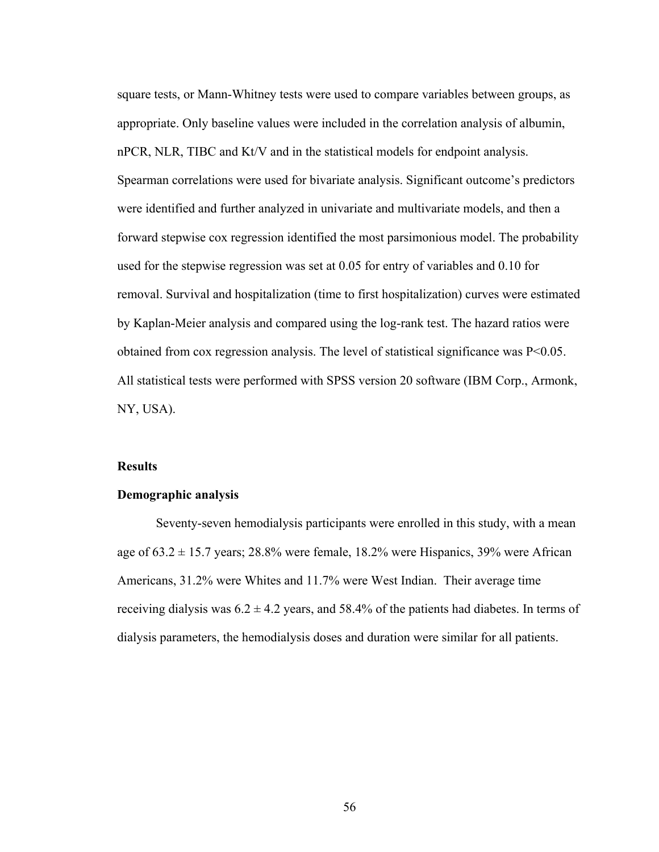square tests, or Mann-Whitney tests were used to compare variables between groups, as appropriate. Only baseline values were included in the correlation analysis of albumin, nPCR, NLR, TIBC and Kt/V and in the statistical models for endpoint analysis. Spearman correlations were used for bivariate analysis. Significant outcome's predictors were identified and further analyzed in univariate and multivariate models, and then a forward stepwise cox regression identified the most parsimonious model. The probability used for the stepwise regression was set at 0.05 for entry of variables and 0.10 for removal. Survival and hospitalization (time to first hospitalization) curves were estimated by Kaplan-Meier analysis and compared using the log-rank test. The hazard ratios were obtained from cox regression analysis. The level of statistical significance was  $P<0.05$ . All statistical tests were performed with SPSS version 20 software (IBM Corp., Armonk, NY, USA).

# **Results**

#### **Demographic analysis**

Seventy-seven hemodialysis participants were enrolled in this study, with a mean age of  $63.2 \pm 15.7$  years; 28.8% were female, 18.2% were Hispanics, 39% were African Americans, 31.2% were Whites and 11.7% were West Indian. Their average time receiving dialysis was  $6.2 \pm 4.2$  years, and 58.4% of the patients had diabetes. In terms of dialysis parameters, the hemodialysis doses and duration were similar for all patients.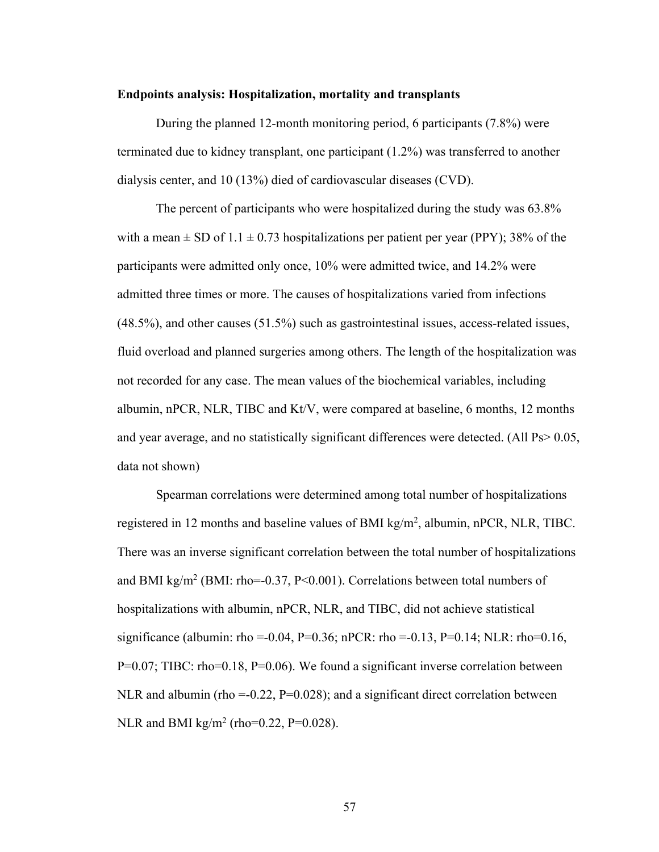#### **Endpoints analysis: Hospitalization, mortality and transplants**

During the planned 12-month monitoring period, 6 participants (7.8%) were terminated due to kidney transplant, one participant (1.2%) was transferred to another dialysis center, and 10 (13%) died of cardiovascular diseases (CVD).

The percent of participants who were hospitalized during the study was 63.8% with a mean  $\pm$  SD of 1.1  $\pm$  0.73 hospitalizations per patient per year (PPY); 38% of the participants were admitted only once, 10% were admitted twice, and 14.2% were admitted three times or more. The causes of hospitalizations varied from infections (48.5%), and other causes (51.5%) such as gastrointestinal issues, access-related issues, fluid overload and planned surgeries among others. The length of the hospitalization was not recorded for any case. The mean values of the biochemical variables, including albumin, nPCR, NLR, TIBC and Kt/V, were compared at baseline, 6 months, 12 months and year average, and no statistically significant differences were detected. (All Ps> 0.05, data not shown)

Spearman correlations were determined among total number of hospitalizations registered in 12 months and baseline values of BMI kg/m<sup>2</sup>, albumin, nPCR, NLR, TIBC. There was an inverse significant correlation between the total number of hospitalizations and BMI kg/m<sup>2</sup> (BMI: rho=-0.37, P<0.001). Correlations between total numbers of hospitalizations with albumin, nPCR, NLR, and TIBC, did not achieve statistical significance (albumin: rho =-0.04, P=0.36; nPCR: rho =-0.13, P=0.14; NLR: rho=0.16, P=0.07; TIBC: rho=0.18, P=0.06). We found a significant inverse correlation between NLR and albumin (rho =-0.22,  $P=0.028$ ); and a significant direct correlation between NLR and BMI kg/m<sup>2</sup> (rho=0.22, P=0.028).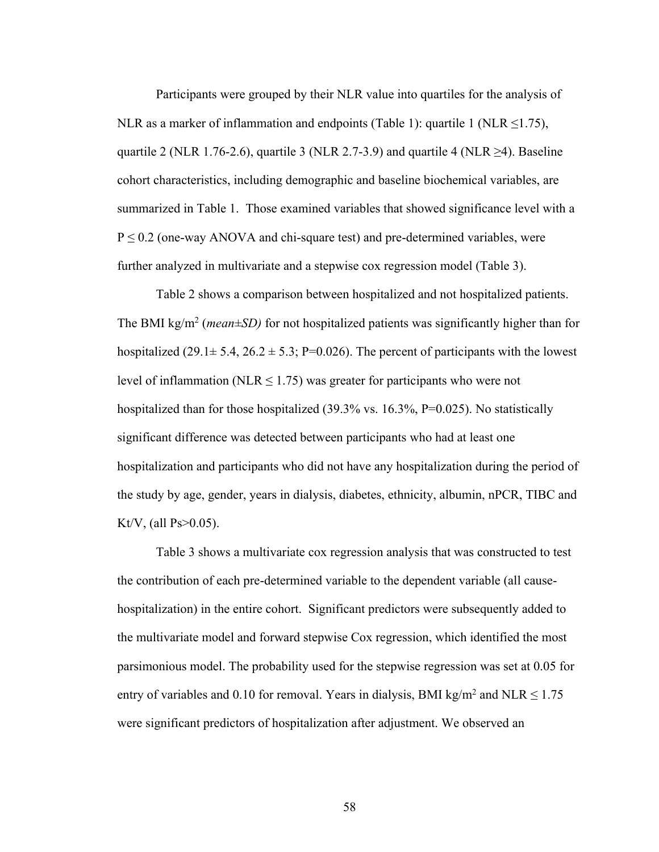Participants were grouped by their NLR value into quartiles for the analysis of NLR as a marker of inflammation and endpoints (Table 1): quartile 1 (NLR  $\leq$ 1.75), quartile 2 (NLR 1.76-2.6), quartile 3 (NLR 2.7-3.9) and quartile 4 (NLR  $\geq$ 4). Baseline cohort characteristics, including demographic and baseline biochemical variables, are summarized in Table 1. Those examined variables that showed significance level with a  $P \le 0.2$  (one-way ANOVA and chi-square test) and pre-determined variables, were further analyzed in multivariate and a stepwise cox regression model (Table 3).

Table 2 shows a comparison between hospitalized and not hospitalized patients. The BMI kg/m<sup>2</sup> (*mean* $\pm$ SD) for not hospitalized patients was significantly higher than for hospitalized (29.1 $\pm$  5.4, 26.2 $\pm$  5.3; P=0.026). The percent of participants with the lowest level of inflammation (NLR  $\leq$  1.75) was greater for participants who were not hospitalized than for those hospitalized (39.3% vs. 16.3%, P=0.025). No statistically significant difference was detected between participants who had at least one hospitalization and participants who did not have any hospitalization during the period of the study by age, gender, years in dialysis, diabetes, ethnicity, albumin, nPCR, TIBC and Kt/V, (all Ps $>0.05$ ).

Table 3 shows a multivariate cox regression analysis that was constructed to test the contribution of each pre-determined variable to the dependent variable (all causehospitalization) in the entire cohort. Significant predictors were subsequently added to the multivariate model and forward stepwise Cox regression, which identified the most parsimonious model. The probability used for the stepwise regression was set at 0.05 for entry of variables and 0.10 for removal. Years in dialysis, BMI kg/m<sup>2</sup> and NLR  $\leq 1.75$ were significant predictors of hospitalization after adjustment. We observed an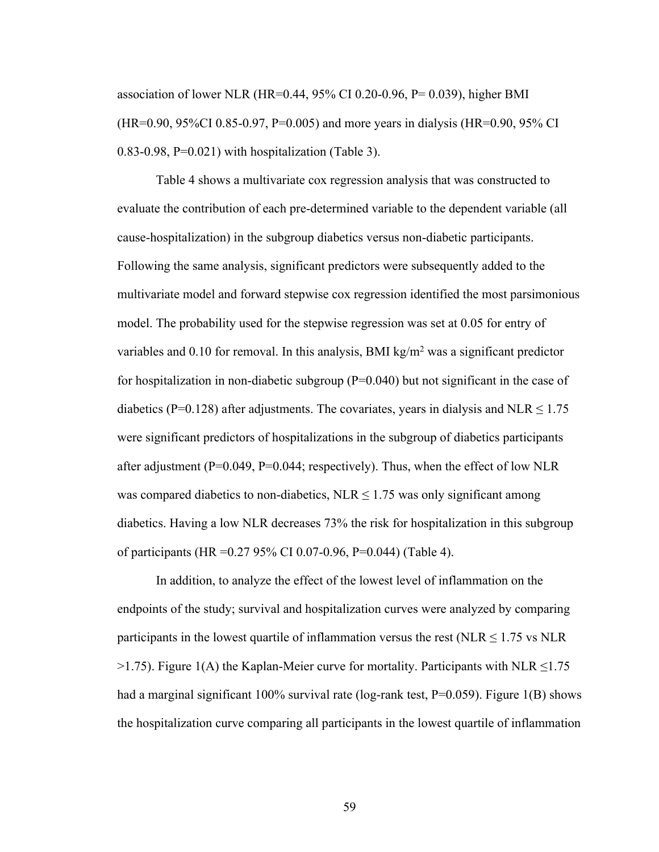association of lower NLR (HR=0.44, 95% CI 0.20-0.96, P= 0.039), higher BMI (HR=0.90, 95%CI 0.85-0.97, P=0.005) and more years in dialysis (HR=0.90, 95% CI  $0.83-0.98$ , P= $0.021$ ) with hospitalization (Table 3).

Table 4 shows a multivariate cox regression analysis that was constructed to evaluate the contribution of each pre-determined variable to the dependent variable (all cause-hospitalization) in the subgroup diabetics versus non-diabetic participants. Following the same analysis, significant predictors were subsequently added to the multivariate model and forward stepwise cox regression identified the most parsimonious model. The probability used for the stepwise regression was set at 0.05 for entry of variables and 0.10 for removal. In this analysis, BMI kg/m<sup>2</sup> was a significant predictor for hospitalization in non-diabetic subgroup  $(P=0.040)$  but not significant in the case of diabetics (P=0.128) after adjustments. The covariates, years in dialysis and NLR  $\leq$  1.75 were significant predictors of hospitalizations in the subgroup of diabetics participants after adjustment (P=0.049, P=0.044; respectively). Thus, when the effect of low NLR was compared diabetics to non-diabetics,  $NLR \leq 1.75$  was only significant among diabetics. Having a low NLR decreases 73% the risk for hospitalization in this subgroup of participants (HR =0.27 95% CI 0.07-0.96, P=0.044) (Table 4).

In addition, to analyze the effect of the lowest level of inflammation on the endpoints of the study; survival and hospitalization curves were analyzed by comparing participants in the lowest quartile of inflammation versus the rest (NLR  $\leq$  1.75 vs NLR  $>1.75$ ). Figure 1(A) the Kaplan-Meier curve for mortality. Participants with NLR  $\leq 1.75$ had a marginal significant 100% survival rate (log-rank test,  $P=0.059$ ). Figure 1(B) shows the hospitalization curve comparing all participants in the lowest quartile of inflammation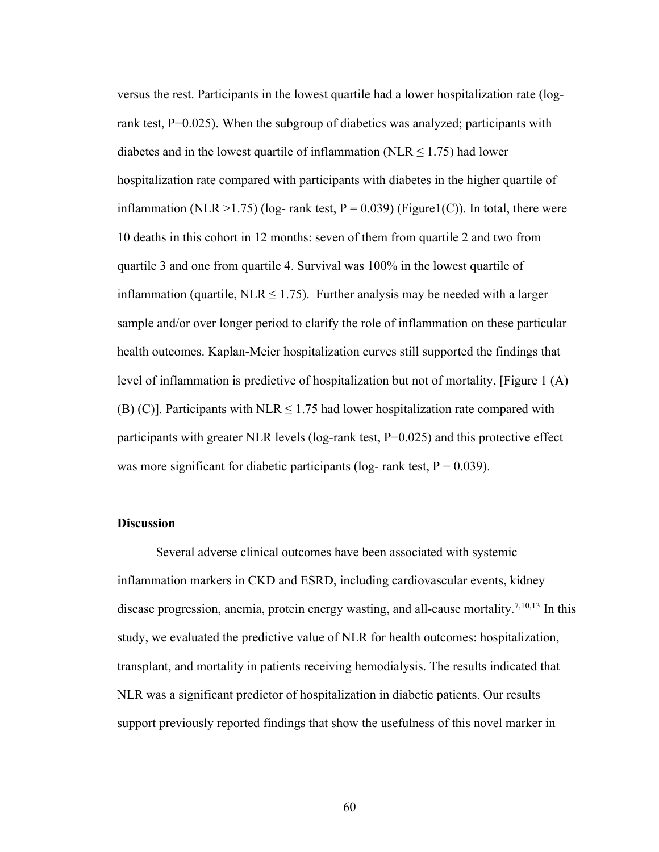versus the rest. Participants in the lowest quartile had a lower hospitalization rate (logrank test, P=0.025). When the subgroup of diabetics was analyzed; participants with diabetes and in the lowest quartile of inflammation (NLR  $\leq$  1.75) had lower hospitalization rate compared with participants with diabetes in the higher quartile of inflammation (NLR >1.75) (log- rank test,  $P = 0.039$ ) (Figure1(C)). In total, there were 10 deaths in this cohort in 12 months: seven of them from quartile 2 and two from quartile 3 and one from quartile 4. Survival was 100% in the lowest quartile of inflammation (quartile, NLR  $\leq$  1.75). Further analysis may be needed with a larger sample and/or over longer period to clarify the role of inflammation on these particular health outcomes. Kaplan-Meier hospitalization curves still supported the findings that level of inflammation is predictive of hospitalization but not of mortality, [Figure 1 (A) (B) (C)]. Participants with NLR  $\leq$  1.75 had lower hospitalization rate compared with participants with greater NLR levels (log-rank test,  $P=0.025$ ) and this protective effect was more significant for diabetic participants (log- rank test,  $P = 0.039$ ).

#### **Discussion**

Several adverse clinical outcomes have been associated with systemic inflammation markers in CKD and ESRD, including cardiovascular events, kidney disease progression, anemia, protein energy wasting, and all-cause mortality.<sup>7,10,13</sup> In this study, we evaluated the predictive value of NLR for health outcomes: hospitalization, transplant, and mortality in patients receiving hemodialysis. The results indicated that NLR was a significant predictor of hospitalization in diabetic patients. Our results support previously reported findings that show the usefulness of this novel marker in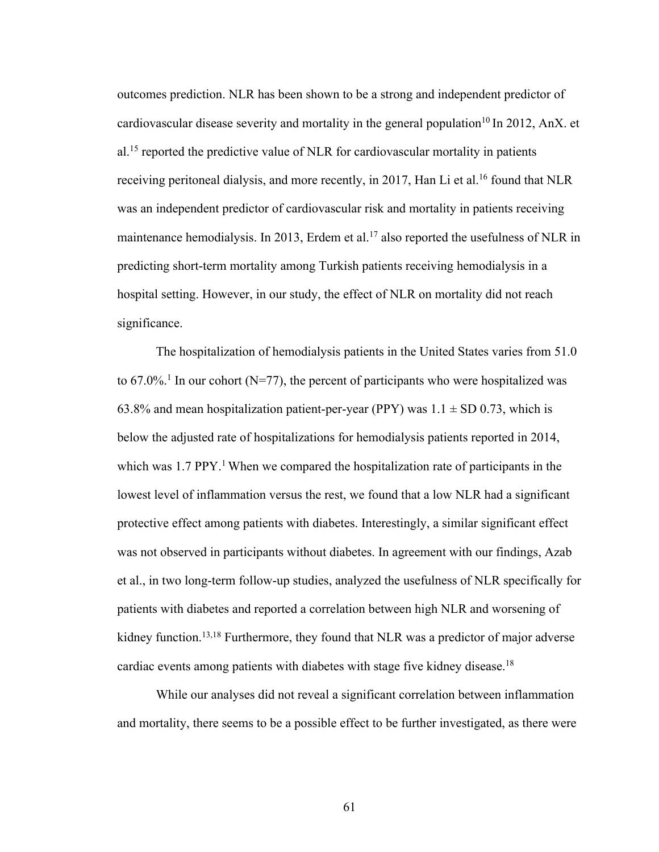outcomes prediction. NLR has been shown to be a strong and independent predictor of cardiovascular disease severity and mortality in the general population<sup>10</sup> In 2012, AnX. et al.15 reported the predictive value of NLR for cardiovascular mortality in patients receiving peritoneal dialysis, and more recently, in 2017, Han Li et al.<sup>16</sup> found that NLR was an independent predictor of cardiovascular risk and mortality in patients receiving maintenance hemodialysis. In 2013, Erdem et al.<sup>17</sup> also reported the usefulness of NLR in predicting short-term mortality among Turkish patients receiving hemodialysis in a hospital setting. However, in our study, the effect of NLR on mortality did not reach significance.

The hospitalization of hemodialysis patients in the United States varies from 51.0 to  $67.0\%$ <sup>1</sup>. In our cohort (N=77), the percent of participants who were hospitalized was 63.8% and mean hospitalization patient-per-year (PPY) was  $1.1 \pm SD$  0.73, which is below the adjusted rate of hospitalizations for hemodialysis patients reported in 2014, which was  $1.7$  PPY.<sup>1</sup> When we compared the hospitalization rate of participants in the lowest level of inflammation versus the rest, we found that a low NLR had a significant protective effect among patients with diabetes. Interestingly, a similar significant effect was not observed in participants without diabetes. In agreement with our findings, Azab et al., in two long-term follow-up studies, analyzed the usefulness of NLR specifically for patients with diabetes and reported a correlation between high NLR and worsening of kidney function.<sup>13,18</sup> Furthermore, they found that NLR was a predictor of major adverse cardiac events among patients with diabetes with stage five kidney disease.<sup>18</sup>

While our analyses did not reveal a significant correlation between inflammation and mortality, there seems to be a possible effect to be further investigated, as there were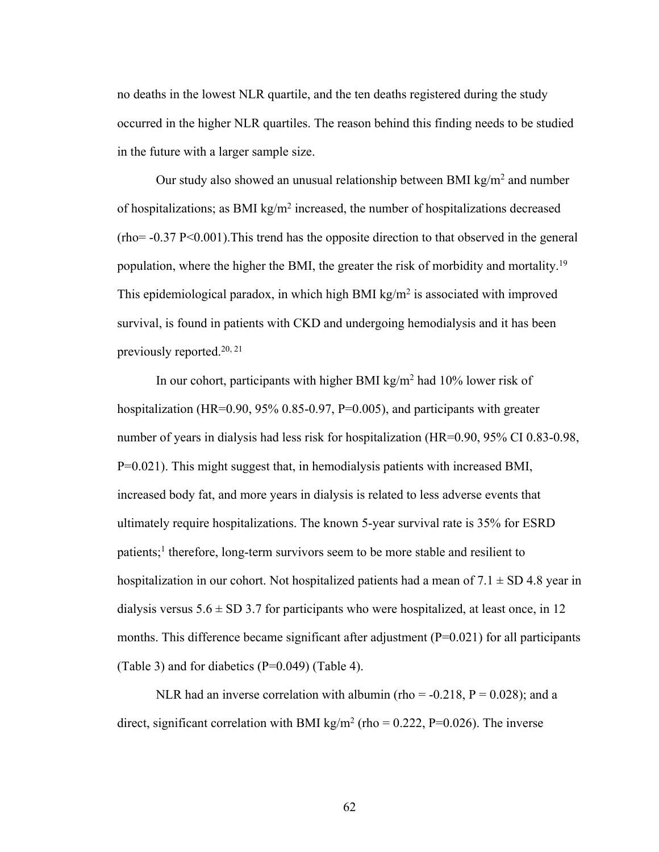no deaths in the lowest NLR quartile, and the ten deaths registered during the study occurred in the higher NLR quartiles. The reason behind this finding needs to be studied in the future with a larger sample size.

Our study also showed an unusual relationship between BMI  $\text{kg/m}^2$  and number of hospitalizations; as BMI kg/m<sup>2</sup> increased, the number of hospitalizations decreased  $(rho=-0.37 \text{ P}<0.001)$ . This trend has the opposite direction to that observed in the general population, where the higher the BMI, the greater the risk of morbidity and mortality.19 This epidemiological paradox, in which high BMI  $kg/m<sup>2</sup>$  is associated with improved survival, is found in patients with CKD and undergoing hemodialysis and it has been previously reported.20, 21

In our cohort, participants with higher BMI kg/m<sup>2</sup> had  $10\%$  lower risk of hospitalization (HR=0.90, 95% 0.85-0.97, P=0.005), and participants with greater number of years in dialysis had less risk for hospitalization (HR=0.90, 95% CI 0.83-0.98, P=0.021). This might suggest that, in hemodialysis patients with increased BMI, increased body fat, and more years in dialysis is related to less adverse events that ultimately require hospitalizations. The known 5-year survival rate is 35% for ESRD patients;<sup>1</sup> therefore, long-term survivors seem to be more stable and resilient to hospitalization in our cohort. Not hospitalized patients had a mean of  $7.1 \pm SD 4.8$  year in dialysis versus  $5.6 \pm SD$  3.7 for participants who were hospitalized, at least once, in 12 months. This difference became significant after adjustment  $(P=0.021)$  for all participants (Table 3) and for diabetics  $(P=0.049)$  (Table 4).

NLR had an inverse correlation with albumin (rho =  $-0.218$ , P = 0.028); and a direct, significant correlation with BMI kg/m<sup>2</sup> (rho = 0.222, P=0.026). The inverse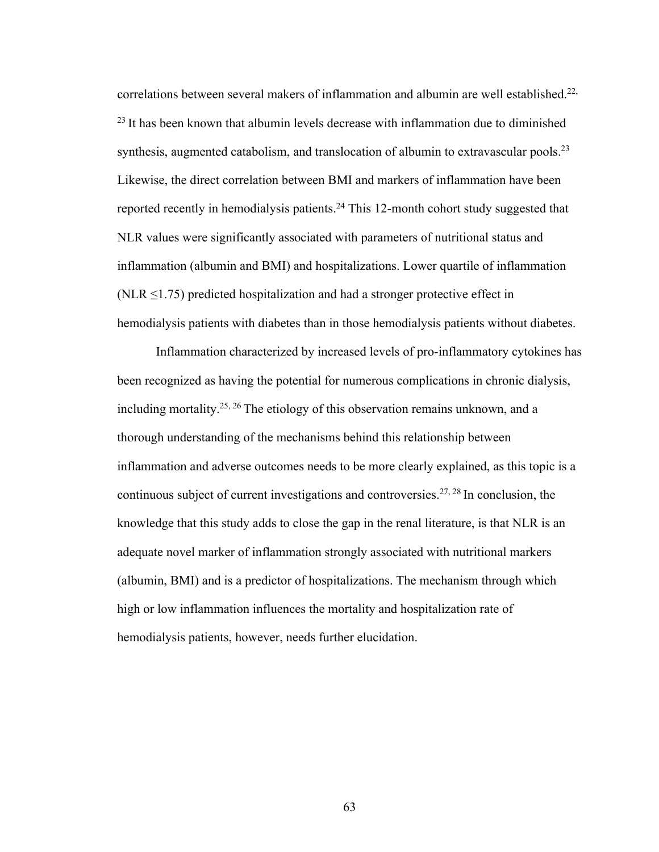correlations between several makers of inflammation and albumin are well established.<sup>22,</sup> <sup>23</sup> It has been known that albumin levels decrease with inflammation due to diminished synthesis, augmented catabolism, and translocation of albumin to extravascular pools.<sup>23</sup> Likewise, the direct correlation between BMI and markers of inflammation have been reported recently in hemodialysis patients.<sup>24</sup> This 12-month cohort study suggested that NLR values were significantly associated with parameters of nutritional status and inflammation (albumin and BMI) and hospitalizations. Lower quartile of inflammation (NLR  $\leq$ 1.75) predicted hospitalization and had a stronger protective effect in hemodialysis patients with diabetes than in those hemodialysis patients without diabetes.

Inflammation characterized by increased levels of pro-inflammatory cytokines has been recognized as having the potential for numerous complications in chronic dialysis, including mortality.<sup>25, 26</sup> The etiology of this observation remains unknown, and a thorough understanding of the mechanisms behind this relationship between inflammation and adverse outcomes needs to be more clearly explained, as this topic is a continuous subject of current investigations and controversies.<sup>27, 28</sup> In conclusion, the knowledge that this study adds to close the gap in the renal literature, is that NLR is an adequate novel marker of inflammation strongly associated with nutritional markers (albumin, BMI) and is a predictor of hospitalizations. The mechanism through which high or low inflammation influences the mortality and hospitalization rate of hemodialysis patients, however, needs further elucidation.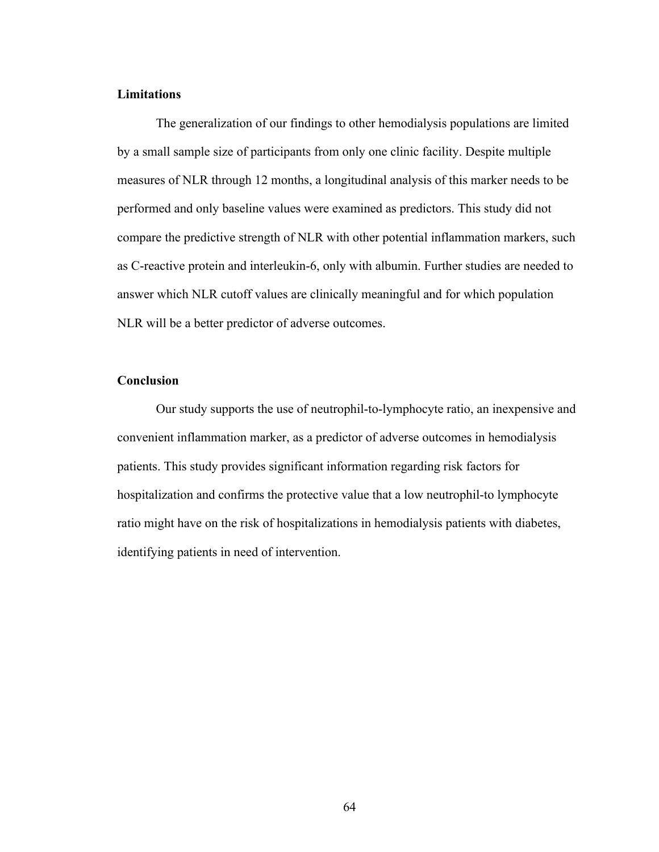## **Limitations**

The generalization of our findings to other hemodialysis populations are limited by a small sample size of participants from only one clinic facility. Despite multiple measures of NLR through 12 months, a longitudinal analysis of this marker needs to be performed and only baseline values were examined as predictors. This study did not compare the predictive strength of NLR with other potential inflammation markers, such as C-reactive protein and interleukin-6, only with albumin. Further studies are needed to answer which NLR cutoff values are clinically meaningful and for which population NLR will be a better predictor of adverse outcomes.

#### **Conclusion**

Our study supports the use of neutrophil-to-lymphocyte ratio, an inexpensive and convenient inflammation marker, as a predictor of adverse outcomes in hemodialysis patients. This study provides significant information regarding risk factors for hospitalization and confirms the protective value that a low neutrophil-to lymphocyte ratio might have on the risk of hospitalizations in hemodialysis patients with diabetes, identifying patients in need of intervention.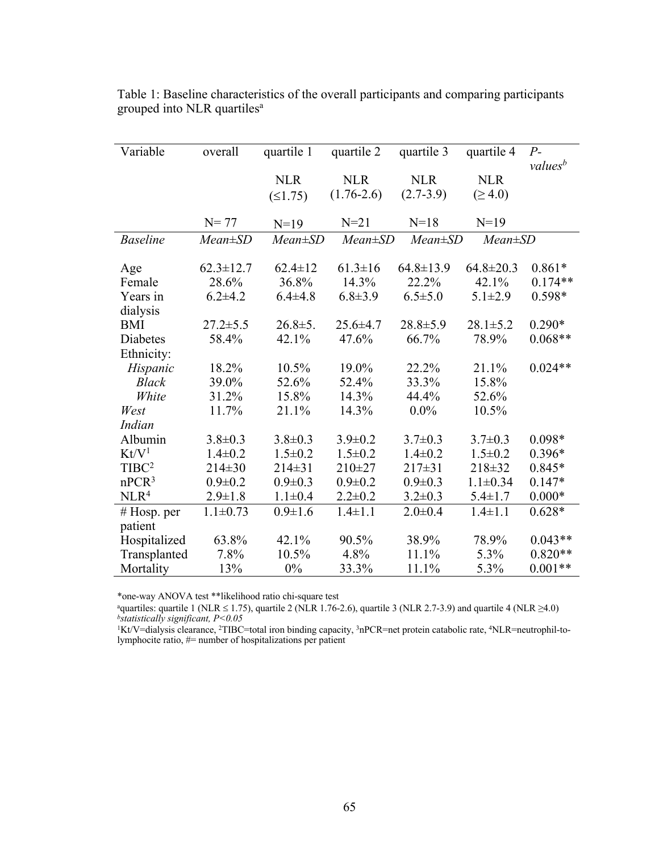| Variable          | overall         | quartile 1    | quartile 2     | quartile 3      | quartile 4      | $P-$                |
|-------------------|-----------------|---------------|----------------|-----------------|-----------------|---------------------|
|                   |                 |               |                |                 |                 | values <sup>b</sup> |
|                   |                 | <b>NLR</b>    | <b>NLR</b>     | <b>NLR</b>      | <b>NLR</b>      |                     |
|                   |                 | (≤1.75)       | $(1.76-2.6)$   | $(2.7-3.9)$     | $( \geq 4.0)$   |                     |
|                   |                 |               |                |                 |                 |                     |
|                   | $N = 77$        | $N=19$        | $N=21$         | $N=18$          | $N=19$          |                     |
| <b>Baseline</b>   | $Mean \pm SD$   | $Mean \pm SD$ | $Mean \pm SD$  | $Mean \pm SD$   | $Mean \pm SD$   |                     |
|                   |                 |               |                |                 |                 |                     |
| Age               | $62.3 \pm 12.7$ | $62.4 \pm 12$ | $61.3 \pm 16$  | $64.8 \pm 13.9$ | $64.8 \pm 20.3$ | $0.861*$            |
| Female            | 28.6%           | 36.8%         | 14.3%          | 22.2%           | 42.1%           | $0.174**$           |
| Years in          | $6.2 + 4.2$     | $6.4 \pm 4.8$ | $6.8 \pm 3.9$  | $6.5 \pm 5.0$   | $5.1 \pm 2.9$   | $0.598*$            |
| dialysis          |                 |               |                |                 |                 |                     |
| <b>BMI</b>        | $27.2 \pm 5.5$  | $26.8 \pm 5.$ | $25.6 \pm 4.7$ | $28.8 \pm 5.9$  | $28.1 \pm 5.2$  | $0.290*$            |
| Diabetes          | 58.4%           | 42.1%         | 47.6%          | 66.7%           | 78.9%           | $0.068**$           |
| Ethnicity:        |                 |               |                |                 |                 |                     |
| Hispanic          | 18.2%           | 10.5%         | 19.0%          | 22.2%           | 21.1%           | $0.024**$           |
| <b>Black</b>      | 39.0%           | 52.6%         | 52.4%          | 33.3%           | 15.8%           |                     |
| White             | 31.2%           | 15.8%         | 14.3%          | 44.4%           | 52.6%           |                     |
| West              | 11.7%           | 21.1%         | 14.3%          | $0.0\%$         | 10.5%           |                     |
| Indian            |                 |               |                |                 |                 |                     |
| Albumin           | $3.8 \pm 0.3$   | $3.8 \pm 0.3$ | $3.9 \pm 0.2$  | $3.7 \pm 0.3$   | $3.7 \pm 0.3$   | $0.098*$            |
| Kt/V <sup>1</sup> | $1.4 \pm 0.2$   | $1.5 \pm 0.2$ | $1.5 \pm 0.2$  | $1.4 \pm 0.2$   | $1.5 \pm 0.2$   | $0.396*$            |
| $T\text{IBC}^2$   | $214 \pm 30$    | $214 \pm 31$  | $210 + 27$     | $217 \pm 31$    | 218±32          | $0.845*$            |
| nPCR <sup>3</sup> | $0.9 \pm 0.2$   | $0.9 \pm 0.3$ | $0.9 \pm 0.2$  | $0.9 \pm 0.3$   | $1.1 \pm 0.34$  | $0.147*$            |
| NLR <sup>4</sup>  | $2.9 \pm 1.8$   | $1.1 \pm 0.4$ | $2.2 \pm 0.2$  | $3.2 \pm 0.3$   | $5.4 \pm 1.7$   | $0.000*$            |
| $#$ Hosp. per     | $1.1 \pm 0.73$  | $0.9 \pm 1.6$ | $1.4 \pm 1.1$  | $2.0 \pm 0.4$   | $1.4 \pm 1.1$   | $0.628*$            |
| patient           |                 |               |                |                 |                 |                     |
| Hospitalized      | 63.8%           | 42.1%         | 90.5%          | 38.9%           | 78.9%           | $0.043**$           |
| Transplanted      | 7.8%            | 10.5%         | 4.8%           | 11.1%           | 5.3%            | $0.820**$           |
| Mortality         | 13%             | $0\%$         | 33.3%          | 11.1%           | 5.3%            | $0.001**$           |

Table 1: Baseline characteristics of the overall participants and comparing participants grouped into NLR quartiles<sup>a</sup>

\*one-way ANOVA test \*\*likelihood ratio chi-square test

aquartiles: quartile 1 (NLR ≤ 1.75), quartile 2 (NLR 1.76-2.6), quartile 3 (NLR 2.7-3.9) and quartile 4 (NLR ≥4.0) *bstatistically significant, P<0.05*

1Kt/V=dialysis clearance, 2TIBC=total iron binding capacity, 3nPCR=net protein catabolic rate, 4NLR=neutrophil-tolymphocite ratio, #= number of hospitalizations per patient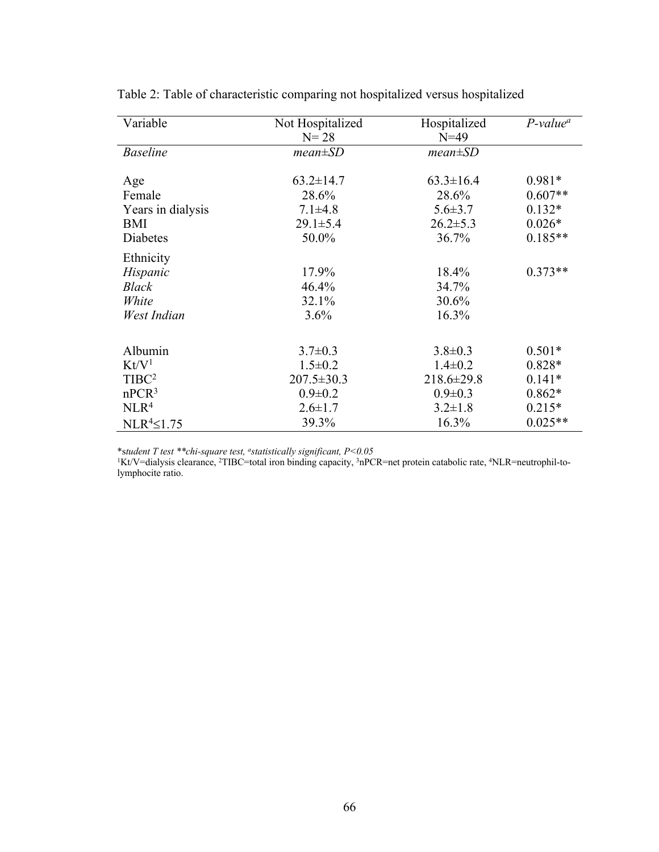| Variable          | Not Hospitalized<br>$N = 28$ | Hospitalized<br>$N=49$ | $P$ -value <sup>a</sup> |
|-------------------|------------------------------|------------------------|-------------------------|
| <b>Baseline</b>   | $mean \pm SD$                | $mean \pm SD$          |                         |
|                   |                              |                        |                         |
| Age               | $63.2 \pm 14.7$              | $63.3 \pm 16.4$        | $0.981*$                |
| Female            | 28.6%                        | 28.6%                  | $0.607**$               |
| Years in dialysis | $7.1 \pm 4.8$                | $5.6 \pm 3.7$          | $0.132*$                |
| BMI               | $29.1 \pm 5.4$               | $26.2 \pm 5.3$         | $0.026*$                |
| Diabetes          | 50.0%                        | 36.7%                  | $0.185**$               |
| Ethnicity         |                              |                        |                         |
| Hispanic          | 17.9%                        | 18.4%                  | $0.373**$               |
| <b>Black</b>      | 46.4%                        | 34.7%                  |                         |
| White             | 32.1%                        | 30.6%                  |                         |
| West Indian       | 3.6%                         | 16.3%                  |                         |
|                   |                              |                        |                         |
| Albumin           | $3.7 \pm 0.3$                | $3.8 \pm 0.3$          | $0.501*$                |
| Kt/V <sup>1</sup> | $1.5 \pm 0.2$                | $1.4 \pm 0.2$          | $0.828*$                |
| $T\text{IBC}^2$   | $207.5 \pm 30.3$             | $218.6 \pm 29.8$       | $0.141*$                |
| nPCR <sup>3</sup> | $0.9 \pm 0.2$                | $0.9 \pm 0.3$          | $0.862*$                |
| NLR <sup>4</sup>  | $2.6 \pm 1.7$                | $3.2 \pm 1.8$          | $0.215*$                |
| $NLR4 \le 1.75$   | 39.3%                        | 16.3%                  | $0.025**$               |

Table 2: Table of characteristic comparing not hospitalized versus hospitalized

\*s*tudent T test \*\*chi-square test, astatistically significant, P<0.05*

1Kt/V=dialysis clearance, 2TIBC=total iron binding capacity, 3nPCR=net protein catabolic rate, 4NLR=neutrophil-tolymphocite ratio.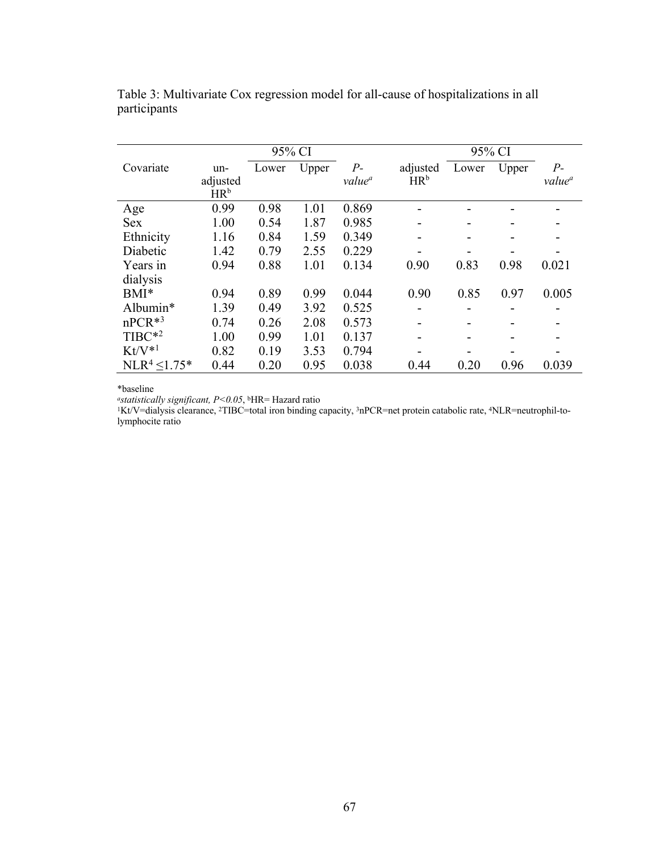|                      |                                    | 95% CI |       |                            |                             | 95% CI |       |                            |
|----------------------|------------------------------------|--------|-------|----------------------------|-----------------------------|--------|-------|----------------------------|
| Covariate            | un-<br>adjusted<br>HR <sup>b</sup> | Lower  | Upper | $P-$<br>value <sup>a</sup> | adjusted<br>HR <sup>b</sup> | Lower  | Upper | $P-$<br>value <sup>a</sup> |
| Age                  | 0.99                               | 0.98   | 1.01  | 0.869                      |                             |        |       |                            |
| <b>Sex</b>           | 1.00                               | 0.54   | 1.87  | 0.985                      | ۰                           | -      |       | -                          |
| Ethnicity            | 1.16                               | 0.84   | 1.59  | 0.349                      |                             |        |       |                            |
| Diabetic             | 1.42                               | 0.79   | 2.55  | 0.229                      |                             |        |       |                            |
| Years in<br>dialysis | 0.94                               | 0.88   | 1.01  | 0.134                      | 0.90                        | 0.83   | 0.98  | 0.021                      |
| $BMI^*$              | 0.94                               | 0.89   | 0.99  | 0.044                      | 0.90                        | 0.85   | 0.97  | 0.005                      |
| Albumin*             | 1.39                               | 0.49   | 3.92  | 0.525                      |                             |        |       |                            |
| $nPCR*3$             | 0.74                               | 0.26   | 2.08  | 0.573                      |                             |        |       |                            |
| $T\text{IBC}^{*2}$   | 1.00                               | 0.99   | 1.01  | 0.137                      | -                           |        |       |                            |
| $Kt/V*1$             | 0.82                               | 0.19   | 3.53  | 0.794                      |                             |        |       |                            |
| $NLR4 \le 1.75*$     | 0.44                               | 0.20   | 0.95  | 0.038                      | 0.44                        | 0.20   | 0.96  | 0.039                      |

Table 3: Multivariate Cox regression model for all-cause of hospitalizations in all participants

\*baseline

*astatistically significant, P<0.05*, bHR= Hazard ratio

1Kt/V=dialysis clearance, 2TIBC=total iron binding capacity, 3nPCR=net protein catabolic rate, 4NLR=neutrophil-tolymphocite ratio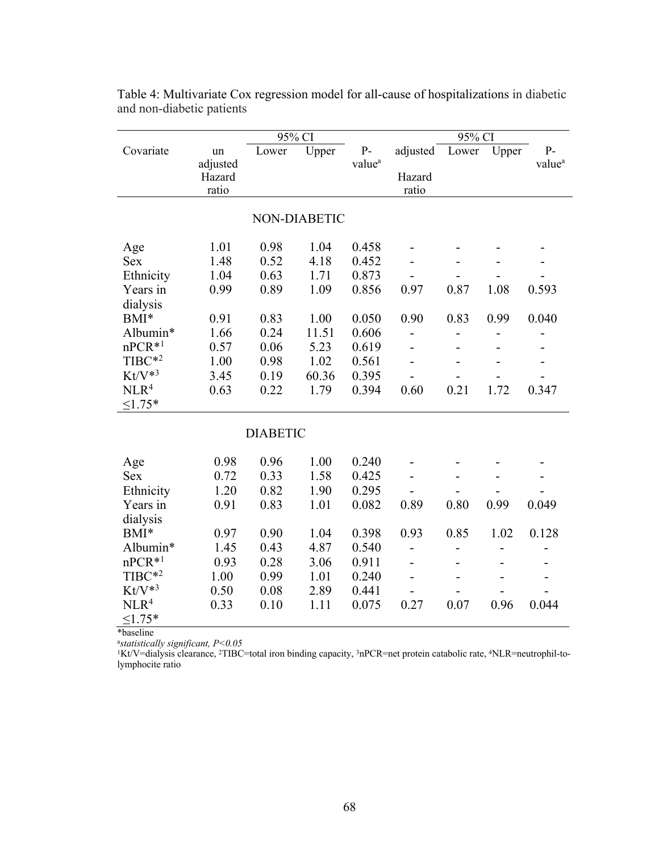|                                                                                                           |                                              | 95% CI                                       |                                              |                                                    |                                | 95% CI       |              |                    |
|-----------------------------------------------------------------------------------------------------------|----------------------------------------------|----------------------------------------------|----------------------------------------------|----------------------------------------------------|--------------------------------|--------------|--------------|--------------------|
| Covariate                                                                                                 | un                                           | Lower                                        | Upper                                        | $P-$                                               | adjusted                       | Lower        | Upper        | $P-$               |
|                                                                                                           | adjusted                                     |                                              |                                              | value <sup>a</sup>                                 |                                |              |              | value <sup>a</sup> |
|                                                                                                           | Hazard                                       |                                              |                                              |                                                    | Hazard                         |              |              |                    |
|                                                                                                           | ratio                                        |                                              |                                              |                                                    | ratio                          |              |              |                    |
|                                                                                                           |                                              |                                              | NON-DIABETIC                                 |                                                    |                                |              |              |                    |
| Age                                                                                                       | 1.01                                         | 0.98                                         | 1.04                                         | 0.458                                              |                                |              |              |                    |
| <b>Sex</b>                                                                                                | 1.48                                         | 0.52                                         | 4.18                                         | 0.452                                              |                                |              |              |                    |
| Ethnicity                                                                                                 | 1.04                                         | 0.63                                         | 1.71                                         | 0.873                                              |                                |              |              |                    |
| Years in                                                                                                  | 0.99                                         | 0.89                                         | 1.09                                         | 0.856                                              | 0.97                           | 0.87         | 1.08         | 0.593              |
| dialysis                                                                                                  |                                              |                                              |                                              |                                                    |                                |              |              |                    |
| BMI*                                                                                                      | 0.91                                         | 0.83                                         | 1.00                                         | 0.050                                              | 0.90                           | 0.83         | 0.99         | 0.040              |
| Albumin*                                                                                                  | 1.66                                         | 0.24                                         | 11.51                                        | 0.606                                              |                                |              |              |                    |
| $nPCR*1$                                                                                                  | 0.57                                         | 0.06                                         | 5.23                                         | 0.619                                              | $\overline{\phantom{0}}$       |              | -            |                    |
| $T\text{IBC}^{*2}$                                                                                        | 1.00                                         | 0.98                                         | 1.02                                         | 0.561                                              |                                |              |              |                    |
| $Kt/V*3$                                                                                                  | 3.45                                         | 0.19                                         | 60.36                                        | 0.395                                              |                                |              |              |                    |
| NLR <sup>4</sup>                                                                                          | 0.63                                         | 0.22                                         | 1.79                                         | 0.394                                              | 0.60                           | 0.21         | 1.72         | 0.347              |
| $\leq 1.75*$                                                                                              |                                              |                                              |                                              |                                                    |                                |              |              |                    |
|                                                                                                           |                                              | <b>DIABETIC</b>                              |                                              |                                                    |                                |              |              |                    |
|                                                                                                           | 0.98                                         | 0.96                                         | 1.00                                         | 0.240                                              |                                |              |              |                    |
| Age<br><b>Sex</b>                                                                                         | 0.72                                         | 0.33                                         | 1.58                                         | 0.425                                              |                                |              |              |                    |
| Ethnicity                                                                                                 | 1.20                                         | 0.82                                         | 1.90                                         | 0.295                                              |                                |              |              |                    |
| Years in                                                                                                  | 0.91                                         | 0.83                                         | 1.01                                         | 0.082                                              | 0.89                           | 0.80         | 0.99         | 0.049              |
|                                                                                                           |                                              |                                              |                                              |                                                    |                                |              |              |                    |
|                                                                                                           |                                              |                                              |                                              |                                                    |                                |              |              |                    |
|                                                                                                           |                                              |                                              |                                              |                                                    |                                |              |              |                    |
|                                                                                                           |                                              |                                              |                                              |                                                    |                                |              |              |                    |
|                                                                                                           |                                              |                                              |                                              |                                                    |                                |              |              |                    |
|                                                                                                           |                                              |                                              |                                              |                                                    |                                |              |              |                    |
|                                                                                                           |                                              |                                              |                                              |                                                    |                                |              |              |                    |
|                                                                                                           |                                              |                                              |                                              |                                                    |                                |              |              |                    |
| dialysis<br>BMI*<br>Albumin*<br>$nPCR*1$<br>$T\text{IBC}^{*2}$<br>$Kt/V*3$<br>NLR <sup>4</sup><br>$1.75*$ | 0.97<br>1.45<br>0.93<br>1.00<br>0.50<br>0.33 | 0.90<br>0.43<br>0.28<br>0.99<br>0.08<br>0.10 | 1.04<br>4.87<br>3.06<br>1.01<br>2.89<br>1.11 | 0.398<br>0.540<br>0.911<br>0.240<br>0.441<br>0.075 | 0.93<br>$\overline{a}$<br>0.27 | 0.85<br>0.07 | 1.02<br>0.96 | 0.128<br>0.044     |

Table 4: Multivariate Cox regression model for all-cause of hospitalizations in diabetic and non-diabetic patients

\*baseline

<sup>a</sup>*statistically significant, P<0.05*

1Kt/V=dialysis clearance, 2TIBC=total iron binding capacity, 3nPCR=net protein catabolic rate, 4NLR=neutrophil-tolymphocite ratio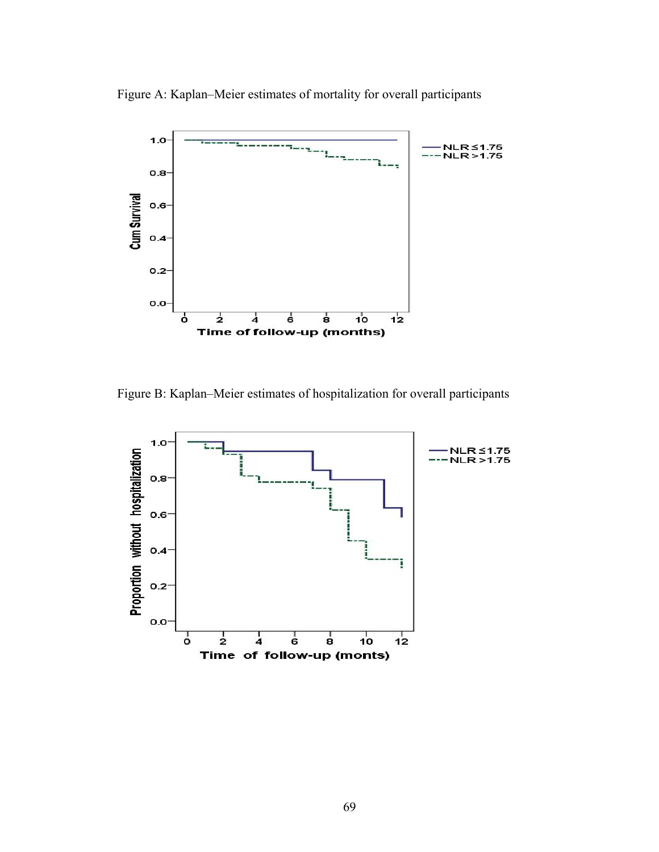Figure A: Kaplan–Meier estimates of mortality for overall participants



Figure B: Kaplan–Meier estimates of hospitalization for overall participants

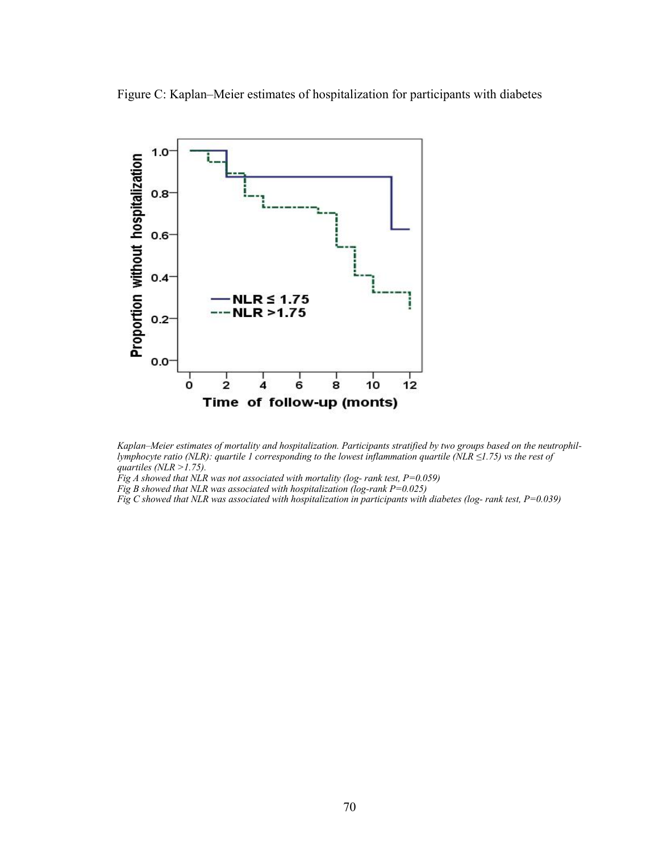Figure C: Kaplan–Meier estimates of hospitalization for participants with diabetes





*Fig A showed that NLR was not associated with mortality (log- rank test, P=0.059)*

*Fig B showed that NLR was associated with hospitalization (log-rank P=0.025)*

*Fig C showed that NLR was associated with hospitalization in participants with diabetes (log- rank test, P=0.039)*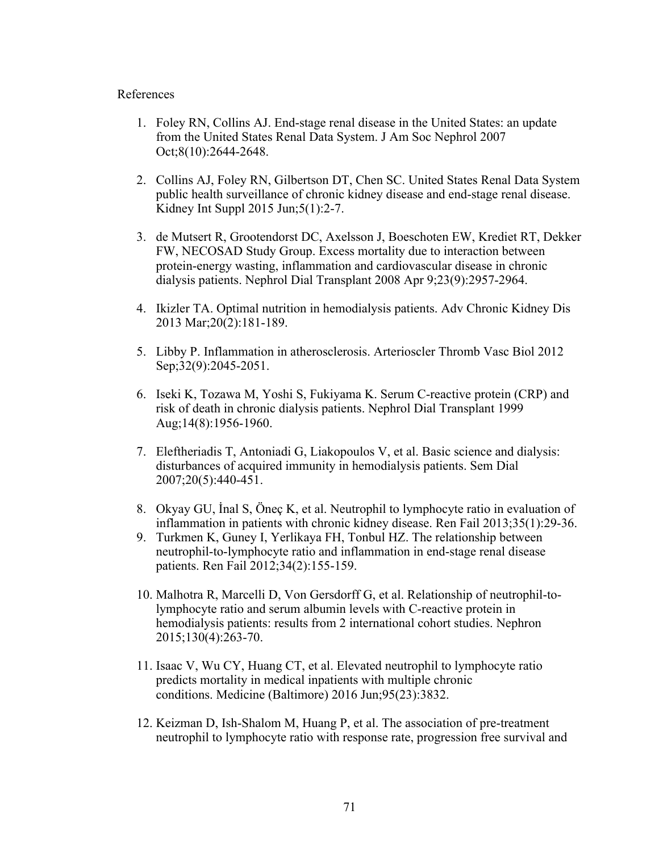#### References

- 1. Foley RN, Collins AJ. End-stage renal disease in the United States: an update from the United States Renal Data System. J Am Soc Nephrol 2007 Oct;8(10):2644-2648.
- 2. Collins AJ, Foley RN, Gilbertson DT, Chen SC. United States Renal Data System public health surveillance of chronic kidney disease and end-stage renal disease. Kidney Int Suppl 2015 Jun;5(1):2-7.
- 3. de Mutsert R, Grootendorst DC, Axelsson J, Boeschoten EW, Krediet RT, Dekker FW, NECOSAD Study Group. Excess mortality due to interaction between protein-energy wasting, inflammation and cardiovascular disease in chronic dialysis patients. Nephrol Dial Transplant 2008 Apr 9;23(9):2957-2964.
- 4. Ikizler TA. Optimal nutrition in hemodialysis patients. Adv Chronic Kidney Dis 2013 Mar;20(2):181-189.
- 5. Libby P. Inflammation in atherosclerosis. Arterioscler Thromb Vasc Biol 2012 Sep;32(9):2045-2051.
- 6. Iseki K, Tozawa M, Yoshi S, Fukiyama K. Serum C-reactive protein (CRP) and risk of death in chronic dialysis patients. Nephrol Dial Transplant 1999 Aug;14(8):1956-1960.
- 7. Eleftheriadis T, Antoniadi G, Liakopoulos V, et al. Basic science and dialysis: disturbances of acquired immunity in hemodialysis patients. Sem Dial 2007;20(5):440-451.
- 8. Okyay GU, İnal S, Öneç K, et al. Neutrophil to lymphocyte ratio in evaluation of inflammation in patients with chronic kidney disease. Ren Fail 2013;35(1):29-36.
- 9. Turkmen K, Guney I, Yerlikaya FH, Tonbul HZ. The relationship between neutrophil-to-lymphocyte ratio and inflammation in end-stage renal disease patients. Ren Fail 2012;34(2):155-159.
- 10. Malhotra R, Marcelli D, Von Gersdorff G, et al. Relationship of neutrophil-tolymphocyte ratio and serum albumin levels with C-reactive protein in hemodialysis patients: results from 2 international cohort studies. Nephron 2015;130(4):263-70.
- 11. Isaac V, Wu CY, Huang CT, et al. Elevated neutrophil to lymphocyte ratio predicts mortality in medical inpatients with multiple chronic conditions. Medicine (Baltimore) 2016 Jun;95(23):3832.
- 12. Keizman D, Ish-Shalom M, Huang P, et al. The association of pre-treatment neutrophil to lymphocyte ratio with response rate, progression free survival and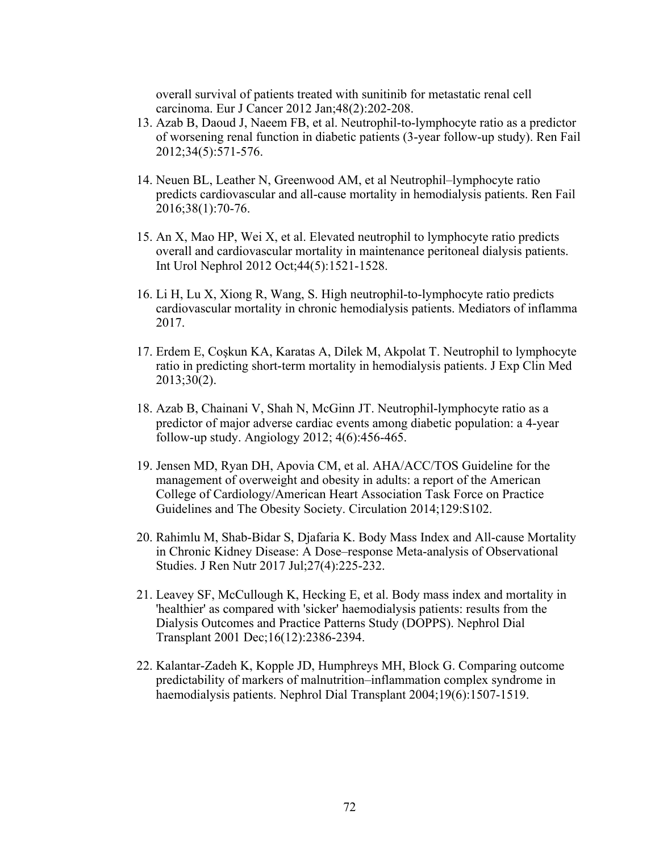overall survival of patients treated with sunitinib for metastatic renal cell carcinoma. Eur J Cancer 2012 Jan;48(2):202-208.

- 13. Azab B, Daoud J, Naeem FB, et al. Neutrophil-to-lymphocyte ratio as a predictor of worsening renal function in diabetic patients (3-year follow-up study). Ren Fail 2012;34(5):571-576.
- 14. Neuen BL, Leather N, Greenwood AM, et al Neutrophil–lymphocyte ratio predicts cardiovascular and all-cause mortality in hemodialysis patients. Ren Fail 2016;38(1):70-76.
- 15. An X, Mao HP, Wei X, et al. Elevated neutrophil to lymphocyte ratio predicts overall and cardiovascular mortality in maintenance peritoneal dialysis patients. Int Urol Nephrol 2012 Oct;44(5):1521-1528.
- 16. Li H, Lu X, Xiong R, Wang, S. High neutrophil-to-lymphocyte ratio predicts cardiovascular mortality in chronic hemodialysis patients. Mediators of inflamma 2017.
- 17. Erdem E, Coşkun KA, Karatas A, Dilek M, Akpolat T. Neutrophil to lymphocyte ratio in predicting short-term mortality in hemodialysis patients. J Exp Clin Med 2013;30(2).
- 18. Azab B, Chainani V, Shah N, McGinn JT. Neutrophil-lymphocyte ratio as a predictor of major adverse cardiac events among diabetic population: a 4-year follow-up study. Angiology 2012; 4(6):456-465.
- 19. Jensen MD, Ryan DH, Apovia CM, et al. AHA/ACC/TOS Guideline for the management of overweight and obesity in adults: a report of the American College of Cardiology/American Heart Association Task Force on Practice Guidelines and The Obesity Society. Circulation 2014;129:S102.
- 20. Rahimlu M, Shab-Bidar S, Djafaria K. Body Mass Index and All-cause Mortality in Chronic Kidney Disease: A Dose–response Meta-analysis of Observational Studies. J Ren Nutr 2017 Jul;27(4):225-232.
- 21. Leavey SF, McCullough K, Hecking E, et al. Body mass index and mortality in 'healthier' as compared with 'sicker' haemodialysis patients: results from the Dialysis Outcomes and Practice Patterns Study (DOPPS). Nephrol Dial Transplant 2001 Dec;16(12):2386-2394.
- 22. Kalantar-Zadeh K, Kopple JD, Humphreys MH, Block G. Comparing outcome predictability of markers of malnutrition–inflammation complex syndrome in haemodialysis patients. Nephrol Dial Transplant 2004;19(6):1507-1519.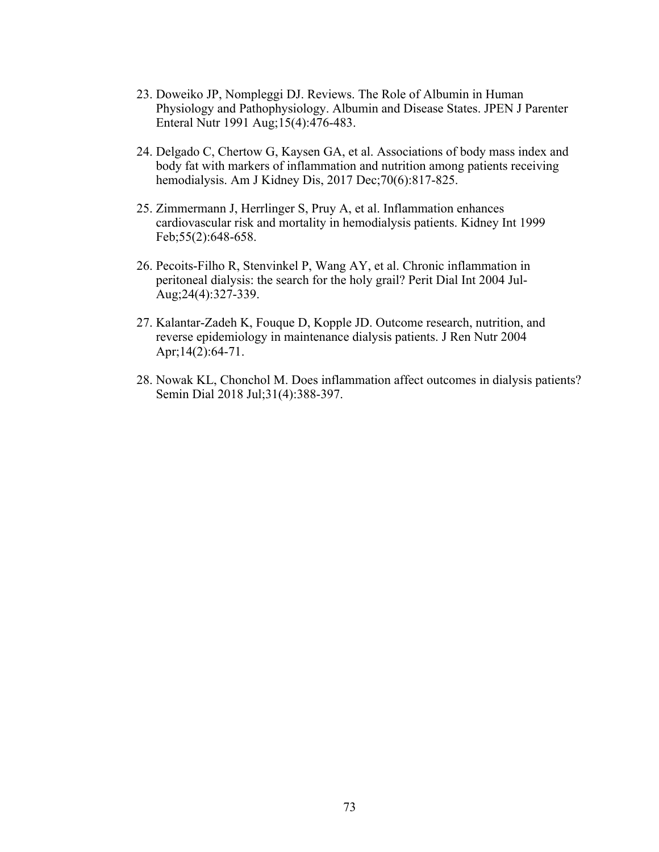- 23. Doweiko JP, Nompleggi DJ. Reviews. The Role of Albumin in Human Physiology and Pathophysiology. Albumin and Disease States. JPEN J Parenter Enteral Nutr 1991 Aug;15(4):476-483.
- 24. Delgado C, Chertow G, Kaysen GA, et al. Associations of body mass index and body fat with markers of inflammation and nutrition among patients receiving hemodialysis. Am J Kidney Dis, 2017 Dec;70(6):817-825.
- 25. Zimmermann J, Herrlinger S, Pruy A, et al. Inflammation enhances cardiovascular risk and mortality in hemodialysis patients. Kidney Int 1999 Feb;55(2):648-658.
- 26. Pecoits-Filho R, Stenvinkel P, Wang AY, et al. Chronic inflammation in peritoneal dialysis: the search for the holy grail? Perit Dial Int 2004 Jul-Aug;24(4):327-339.
- 27. Kalantar-Zadeh K, Fouque D, Kopple JD. Outcome research, nutrition, and reverse epidemiology in maintenance dialysis patients. J Ren Nutr 2004 Apr;14(2):64-71.
- 28. Nowak KL, Chonchol M. Does inflammation affect outcomes in dialysis patients? Semin Dial 2018 Jul;31(4):388-397.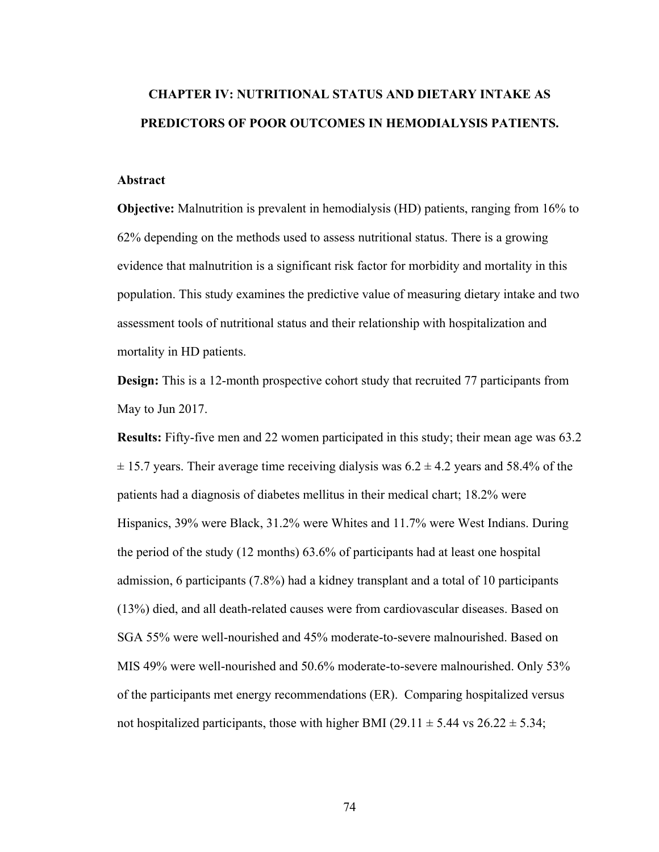# **CHAPTER IV: NUTRITIONAL STATUS AND DIETARY INTAKE AS PREDICTORS OF POOR OUTCOMES IN HEMODIALYSIS PATIENTS.**

## **Abstract**

**Objective:** Malnutrition is prevalent in hemodialysis (HD) patients, ranging from 16% to 62% depending on the methods used to assess nutritional status. There is a growing evidence that malnutrition is a significant risk factor for morbidity and mortality in this population. This study examines the predictive value of measuring dietary intake and two assessment tools of nutritional status and their relationship with hospitalization and mortality in HD patients.

**Design:** This is a 12-month prospective cohort study that recruited 77 participants from May to Jun 2017.

**Results:** Fifty-five men and 22 women participated in this study; their mean age was 63.2  $\pm$  15.7 years. Their average time receiving dialysis was 6.2  $\pm$  4.2 years and 58.4% of the patients had a diagnosis of diabetes mellitus in their medical chart; 18.2% were Hispanics, 39% were Black, 31.2% were Whites and 11.7% were West Indians. During the period of the study (12 months) 63.6% of participants had at least one hospital admission, 6 participants (7.8%) had a kidney transplant and a total of 10 participants (13%) died, and all death-related causes were from cardiovascular diseases. Based on SGA 55% were well-nourished and 45% moderate-to-severe malnourished. Based on MIS 49% were well-nourished and 50.6% moderate-to-severe malnourished. Only 53% of the participants met energy recommendations (ER). Comparing hospitalized versus not hospitalized participants, those with higher BMI (29.11  $\pm$  5.44 vs 26.22  $\pm$  5.34;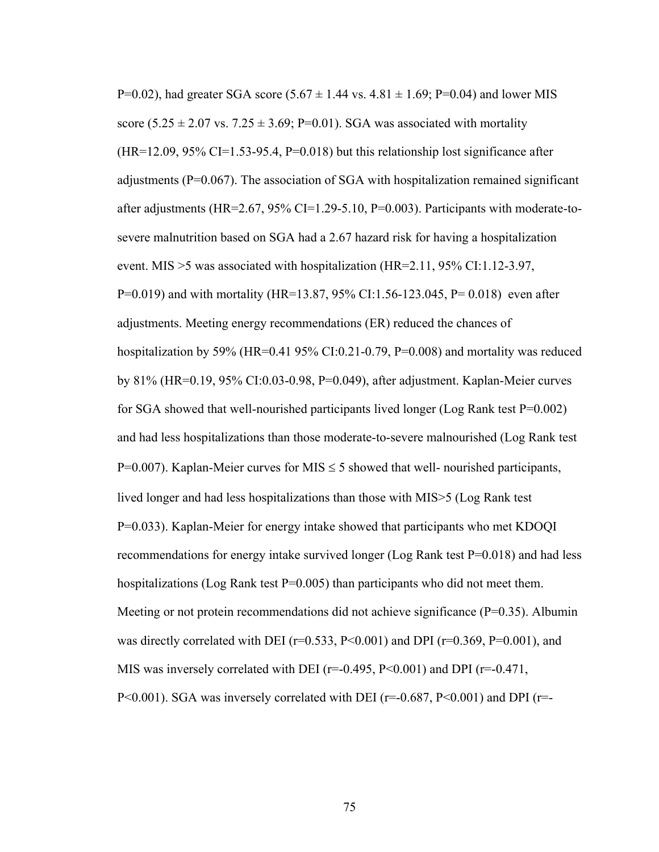P=0.02), had greater SGA score  $(5.67 \pm 1.44 \text{ vs. } 4.81 \pm 1.69; P=0.04)$  and lower MIS score (5.25  $\pm$  2.07 vs. 7.25  $\pm$  3.69; P=0.01). SGA was associated with mortality  $(HR=12.09, 95\% \text{ CI}=1.53-95.4, P=0.018)$  but this relationship lost significance after adjustments (P=0.067). The association of SGA with hospitalization remained significant after adjustments (HR=2.67, 95% CI=1.29-5.10, P=0.003). Participants with moderate-tosevere malnutrition based on SGA had a 2.67 hazard risk for having a hospitalization event. MIS >5 was associated with hospitalization (HR=2.11, 95% CI:1.12-3.97, P=0.019) and with mortality (HR=13.87, 95% CI:1.56-123.045, P= 0.018) even after adjustments. Meeting energy recommendations (ER) reduced the chances of hospitalization by 59% (HR=0.41 95% CI:0.21-0.79, P=0.008) and mortality was reduced by 81% (HR=0.19, 95% CI:0.03-0.98, P=0.049), after adjustment. Kaplan-Meier curves for SGA showed that well-nourished participants lived longer (Log Rank test P=0.002) and had less hospitalizations than those moderate-to-severe malnourished (Log Rank test P=0.007). Kaplan-Meier curves for MIS  $\leq$  5 showed that well- nourished participants, lived longer and had less hospitalizations than those with MIS>5 (Log Rank test P=0.033). Kaplan-Meier for energy intake showed that participants who met KDOQI recommendations for energy intake survived longer (Log Rank test P=0.018) and had less hospitalizations (Log Rank test  $P=0.005$ ) than participants who did not meet them. Meeting or not protein recommendations did not achieve significance  $(P=0.35)$ . Albumin was directly correlated with DEI ( $r=0.533$ ,  $P<0.001$ ) and DPI ( $r=0.369$ ,  $P=0.001$ ), and MIS was inversely correlated with DEI ( $r=-0.495$ ,  $P<0.001$ ) and DPI ( $r=-0.471$ , P<0.001). SGA was inversely correlated with DEI ( $r=-0.687$ , P<0.001) and DPI ( $r=-$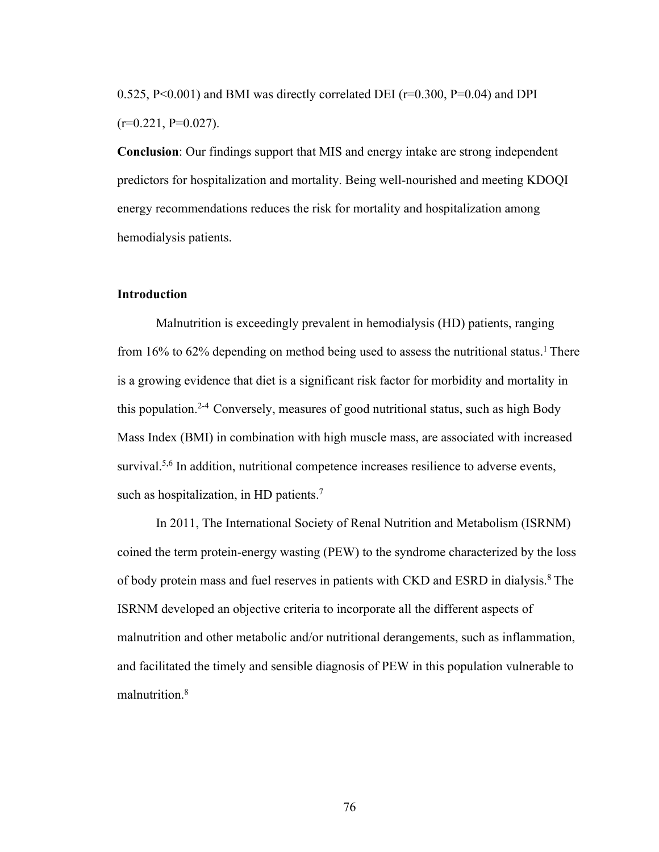0.525, P<0.001) and BMI was directly correlated DEI ( $r=0.300$ , P=0.04) and DPI  $(r=0.221, P=0.027)$ .

**Conclusion**: Our findings support that MIS and energy intake are strong independent predictors for hospitalization and mortality. Being well-nourished and meeting KDOQI energy recommendations reduces the risk for mortality and hospitalization among hemodialysis patients.

#### **Introduction**

Malnutrition is exceedingly prevalent in hemodialysis (HD) patients, ranging from 16% to 62% depending on method being used to assess the nutritional status.<sup>1</sup> There is a growing evidence that diet is a significant risk factor for morbidity and mortality in this population.2-4 Conversely, measures of good nutritional status, such as high Body Mass Index (BMI) in combination with high muscle mass, are associated with increased survival.<sup>5,6</sup> In addition, nutritional competence increases resilience to adverse events, such as hospitalization, in HD patients.<sup>7</sup>

In 2011, The International Society of Renal Nutrition and Metabolism (ISRNM) coined the term protein-energy wasting (PEW) to the syndrome characterized by the loss of body protein mass and fuel reserves in patients with CKD and ESRD in dialysis.8 The ISRNM developed an objective criteria to incorporate all the different aspects of malnutrition and other metabolic and/or nutritional derangements, such as inflammation, and facilitated the timely and sensible diagnosis of PEW in this population vulnerable to malnutrition.8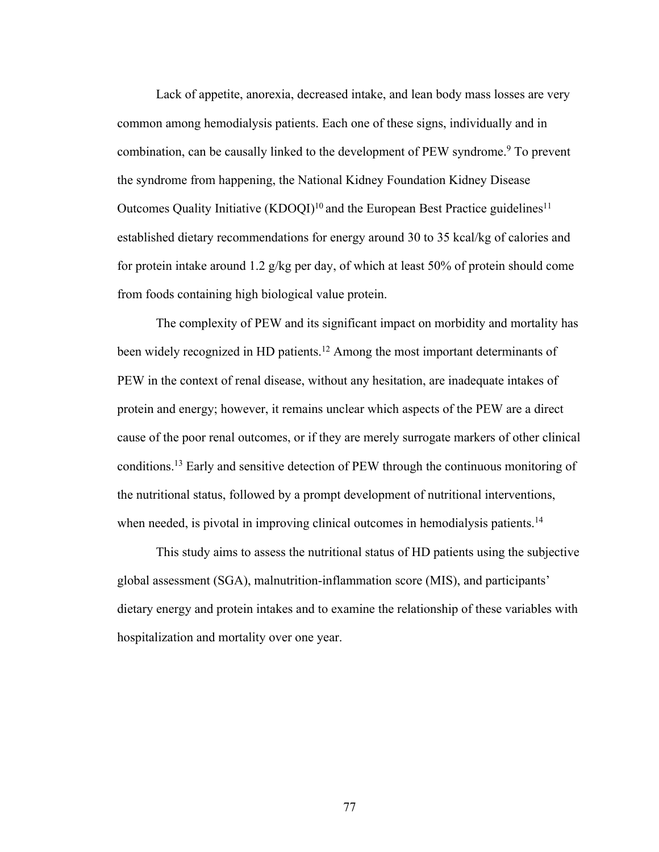Lack of appetite, anorexia, decreased intake, and lean body mass losses are very common among hemodialysis patients. Each one of these signs, individually and in combination, can be causally linked to the development of PEW syndrome.<sup>9</sup> To prevent the syndrome from happening, the National Kidney Foundation Kidney Disease Outcomes Quality Initiative  $(KDOQI)^{10}$  and the European Best Practice guidelines<sup>11</sup> established dietary recommendations for energy around 30 to 35 kcal/kg of calories and for protein intake around 1.2 g/kg per day, of which at least 50% of protein should come from foods containing high biological value protein.

The complexity of PEW and its significant impact on morbidity and mortality has been widely recognized in HD patients.<sup>12</sup> Among the most important determinants of PEW in the context of renal disease, without any hesitation, are inadequate intakes of protein and energy; however, it remains unclear which aspects of the PEW are a direct cause of the poor renal outcomes, or if they are merely surrogate markers of other clinical conditions.13 Early and sensitive detection of PEW through the continuous monitoring of the nutritional status, followed by a prompt development of nutritional interventions, when needed, is pivotal in improving clinical outcomes in hemodialysis patients.<sup>14</sup>

This study aims to assess the nutritional status of HD patients using the subjective global assessment (SGA), malnutrition-inflammation score (MIS), and participants' dietary energy and protein intakes and to examine the relationship of these variables with hospitalization and mortality over one year.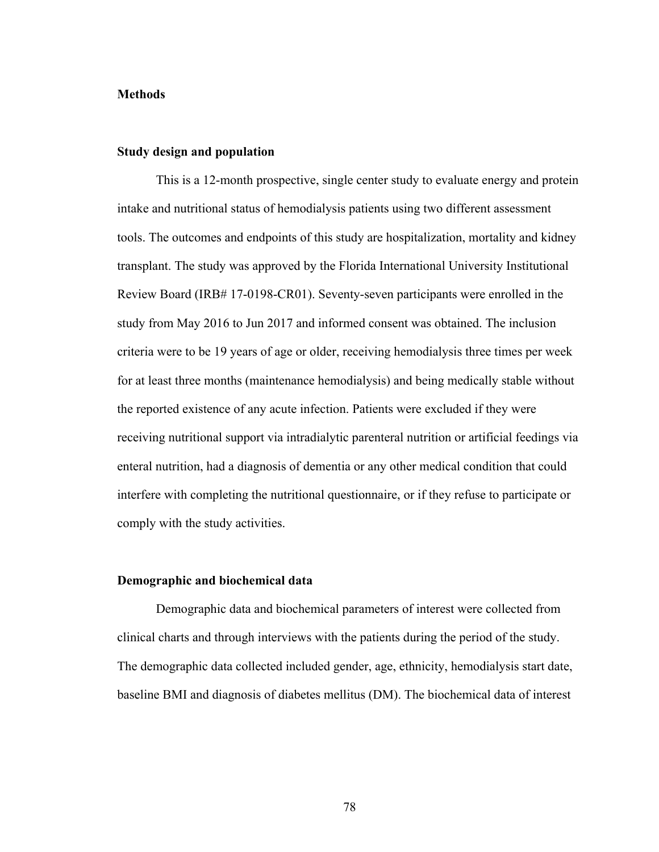#### **Methods**

#### **Study design and population**

This is a 12-month prospective, single center study to evaluate energy and protein intake and nutritional status of hemodialysis patients using two different assessment tools. The outcomes and endpoints of this study are hospitalization, mortality and kidney transplant. The study was approved by the Florida International University Institutional Review Board (IRB# 17-0198-CR01). Seventy-seven participants were enrolled in the study from May 2016 to Jun 2017 and informed consent was obtained. The inclusion criteria were to be 19 years of age or older, receiving hemodialysis three times per week for at least three months (maintenance hemodialysis) and being medically stable without the reported existence of any acute infection. Patients were excluded if they were receiving nutritional support via intradialytic parenteral nutrition or artificial feedings via enteral nutrition, had a diagnosis of dementia or any other medical condition that could interfere with completing the nutritional questionnaire, or if they refuse to participate or comply with the study activities.

## **Demographic and biochemical data**

Demographic data and biochemical parameters of interest were collected from clinical charts and through interviews with the patients during the period of the study. The demographic data collected included gender, age, ethnicity, hemodialysis start date, baseline BMI and diagnosis of diabetes mellitus (DM). The biochemical data of interest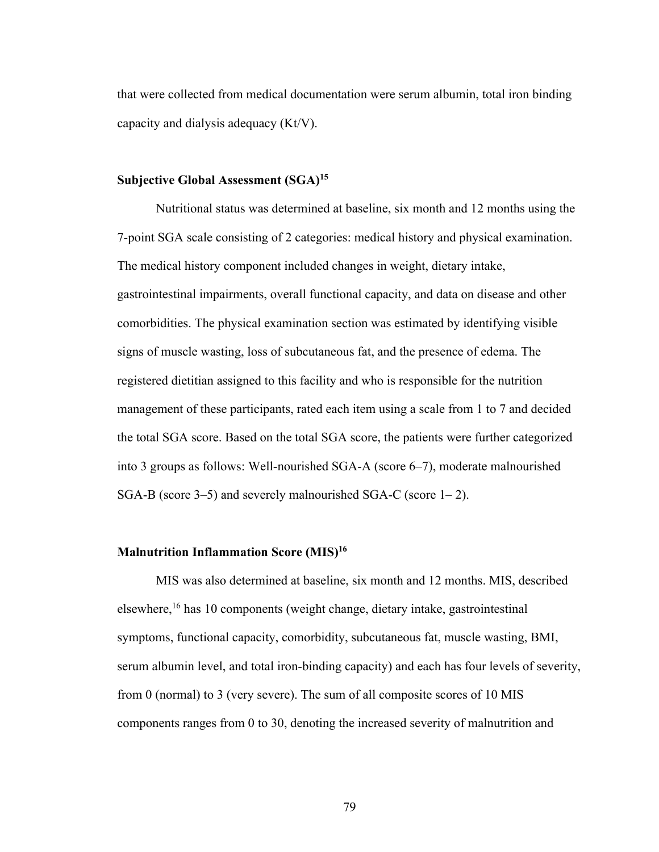that were collected from medical documentation were serum albumin, total iron binding capacity and dialysis adequacy (Kt/V).

### **Subjective Global Assessment (SGA)15**

Nutritional status was determined at baseline, six month and 12 months using the 7-point SGA scale consisting of 2 categories: medical history and physical examination. The medical history component included changes in weight, dietary intake, gastrointestinal impairments, overall functional capacity, and data on disease and other comorbidities. The physical examination section was estimated by identifying visible signs of muscle wasting, loss of subcutaneous fat, and the presence of edema. The registered dietitian assigned to this facility and who is responsible for the nutrition management of these participants, rated each item using a scale from 1 to 7 and decided the total SGA score. Based on the total SGA score, the patients were further categorized into 3 groups as follows: Well-nourished SGA-A (score 6–7), moderate malnourished SGA-B (score 3–5) and severely malnourished SGA-C (score 1– 2).

## **Malnutrition Inflammation Score (MIS)16**

MIS was also determined at baseline, six month and 12 months. MIS, described elsewhere,16 has 10 components (weight change, dietary intake, gastrointestinal symptoms, functional capacity, comorbidity, subcutaneous fat, muscle wasting, BMI, serum albumin level, and total iron-binding capacity) and each has four levels of severity, from 0 (normal) to 3 (very severe). The sum of all composite scores of 10 MIS components ranges from 0 to 30, denoting the increased severity of malnutrition and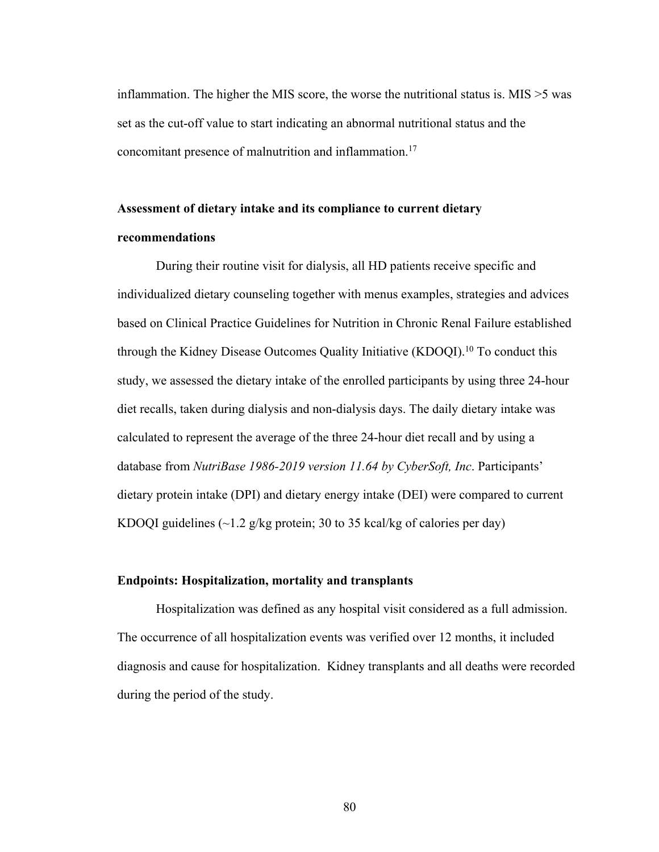inflammation. The higher the MIS score, the worse the nutritional status is. MIS >5 was set as the cut-off value to start indicating an abnormal nutritional status and the concomitant presence of malnutrition and inflammation.17

# **Assessment of dietary intake and its compliance to current dietary recommendations**

During their routine visit for dialysis, all HD patients receive specific and individualized dietary counseling together with menus examples, strategies and advices based on Clinical Practice Guidelines for Nutrition in Chronic Renal Failure established through the Kidney Disease Outcomes Quality Initiative (KDOQI).<sup>10</sup> To conduct this study, we assessed the dietary intake of the enrolled participants by using three 24-hour diet recalls, taken during dialysis and non-dialysis days. The daily dietary intake was calculated to represent the average of the three 24-hour diet recall and by using a database from *NutriBase 1986-2019 version 11.64 by CyberSoft, Inc*. Participants' dietary protein intake (DPI) and dietary energy intake (DEI) were compared to current KDOQI guidelines  $(\sim 1.2 \text{ g/kg}$  protein; 30 to 35 kcal/kg of calories per day)

## **Endpoints: Hospitalization, mortality and transplants**

Hospitalization was defined as any hospital visit considered as a full admission. The occurrence of all hospitalization events was verified over 12 months, it included diagnosis and cause for hospitalization. Kidney transplants and all deaths were recorded during the period of the study.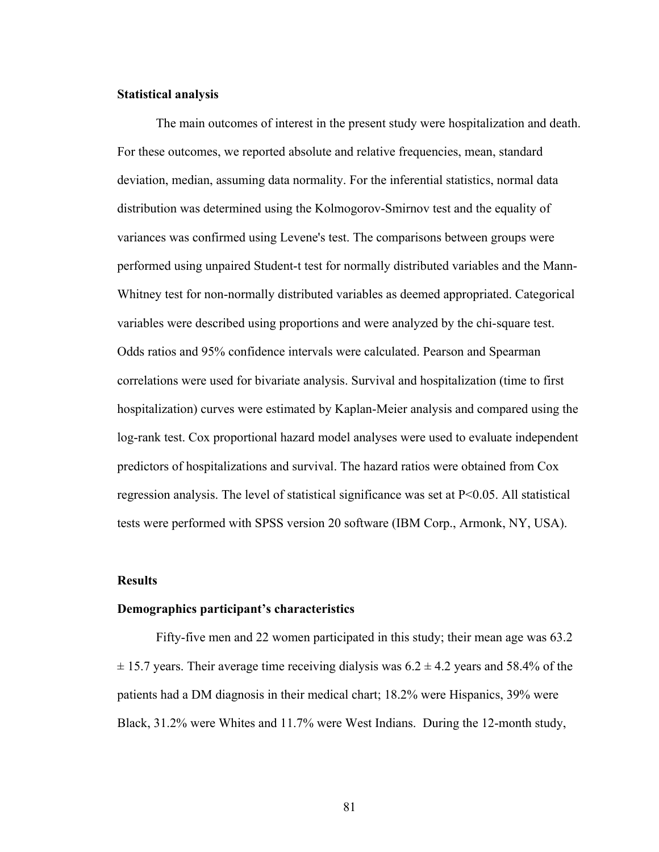#### **Statistical analysis**

The main outcomes of interest in the present study were hospitalization and death. For these outcomes, we reported absolute and relative frequencies, mean, standard deviation, median, assuming data normality. For the inferential statistics, normal data distribution was determined using the Kolmogorov-Smirnov test and the equality of variances was confirmed using Levene's test. The comparisons between groups were performed using unpaired Student-t test for normally distributed variables and the Mann-Whitney test for non-normally distributed variables as deemed appropriated. Categorical variables were described using proportions and were analyzed by the chi-square test. Odds ratios and 95% confidence intervals were calculated. Pearson and Spearman correlations were used for bivariate analysis. Survival and hospitalization (time to first hospitalization) curves were estimated by Kaplan-Meier analysis and compared using the log-rank test. Cox proportional hazard model analyses were used to evaluate independent predictors of hospitalizations and survival. The hazard ratios were obtained from Cox regression analysis. The level of statistical significance was set at P<0.05. All statistical tests were performed with SPSS version 20 software (IBM Corp., Armonk, NY, USA).

#### **Results**

#### **Demographics participant's characteristics**

Fifty-five men and 22 women participated in this study; their mean age was 63.2  $\pm$  15.7 years. Their average time receiving dialysis was 6.2  $\pm$  4.2 years and 58.4% of the patients had a DM diagnosis in their medical chart; 18.2% were Hispanics, 39% were Black, 31.2% were Whites and 11.7% were West Indians. During the 12-month study,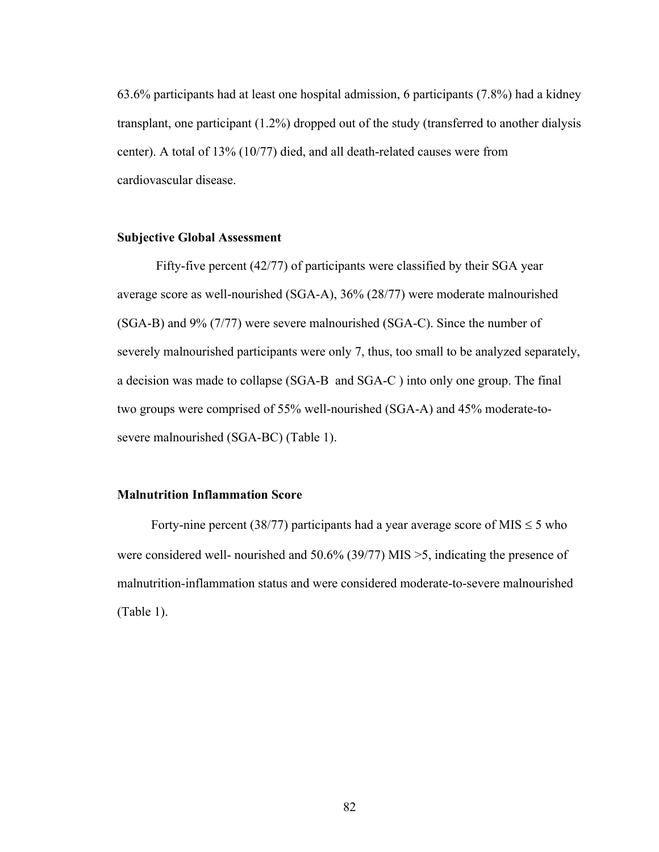63.6% participants had at least one hospital admission, 6 participants (7.8%) had a kidney transplant, one participant (1.2%) dropped out of the study (transferred to another dialysis center). A total of 13% (10/77) died, and all death-related causes were from cardiovascular disease.

#### **Subjective Global Assessment**

Fifty-five percent (42/77) of participants were classified by their SGA year average score as well-nourished (SGA-A), 36% (28/77) were moderate malnourished (SGA-B) and 9% (7/77) were severe malnourished (SGA-C). Since the number of severely malnourished participants were only 7, thus, too small to be analyzed separately, a decision was made to collapse (SGA-B and SGA-C ) into only one group. The final two groups were comprised of 55% well-nourished (SGA-A) and 45% moderate-tosevere malnourished (SGA-BC) (Table 1).

### **Malnutrition Inflammation Score**

Forty-nine percent (38/77) participants had a year average score of MIS  $\leq$  5 who were considered well- nourished and 50.6% (39/77) MIS >5, indicating the presence of malnutrition-inflammation status and were considered moderate-to-severe malnourished (Table 1).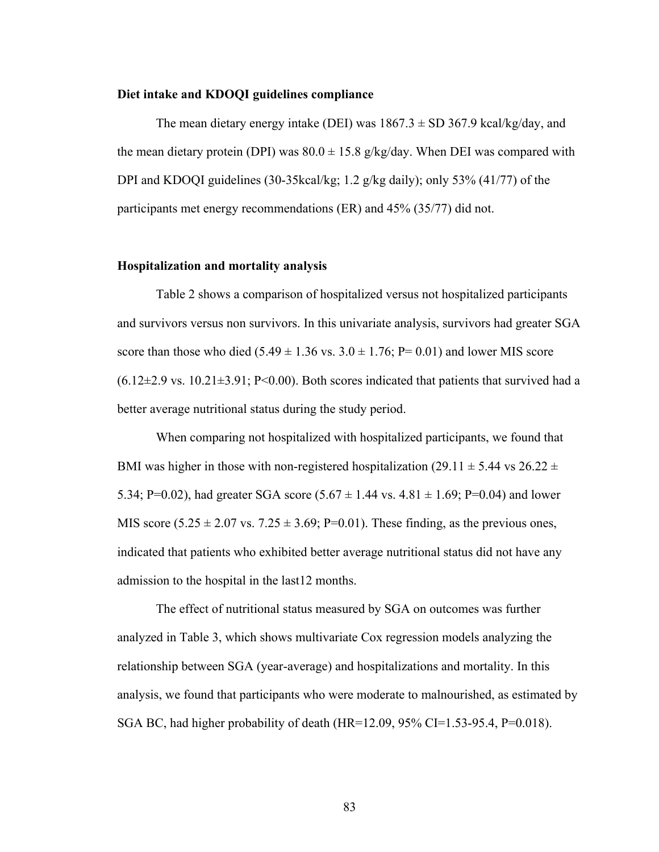#### **Diet intake and KDOQI guidelines compliance**

The mean dietary energy intake (DEI) was  $1867.3 \pm SD 367.9$  kcal/kg/day, and the mean dietary protein (DPI) was  $80.0 \pm 15.8$  g/kg/day. When DEI was compared with DPI and KDOQI guidelines (30-35kcal/kg; 1.2 g/kg daily); only 53% (41/77) of the participants met energy recommendations (ER) and 45% (35/77) did not.

#### **Hospitalization and mortality analysis**

Table 2 shows a comparison of hospitalized versus not hospitalized participants and survivors versus non survivors. In this univariate analysis, survivors had greater SGA score than those who died  $(5.49 \pm 1.36 \text{ vs. } 3.0 \pm 1.76; P= 0.01)$  and lower MIS score  $(6.12\pm2.9 \text{ vs. } 10.21\pm3.91; P<0.00)$ . Both scores indicated that patients that survived had a better average nutritional status during the study period.

When comparing not hospitalized with hospitalized participants, we found that BMI was higher in those with non-registered hospitalization (29.11  $\pm$  5.44 vs 26.22  $\pm$ 5.34; P=0.02), had greater SGA score  $(5.67 \pm 1.44 \text{ vs. } 4.81 \pm 1.69; P=0.04)$  and lower MIS score  $(5.25 \pm 2.07 \text{ vs. } 7.25 \pm 3.69; \text{ P=0.01})$ . These finding, as the previous ones, indicated that patients who exhibited better average nutritional status did not have any admission to the hospital in the last12 months.

The effect of nutritional status measured by SGA on outcomes was further analyzed in Table 3, which shows multivariate Cox regression models analyzing the relationship between SGA (year-average) and hospitalizations and mortality. In this analysis, we found that participants who were moderate to malnourished, as estimated by SGA BC, had higher probability of death (HR=12.09, 95% CI=1.53-95.4, P=0.018).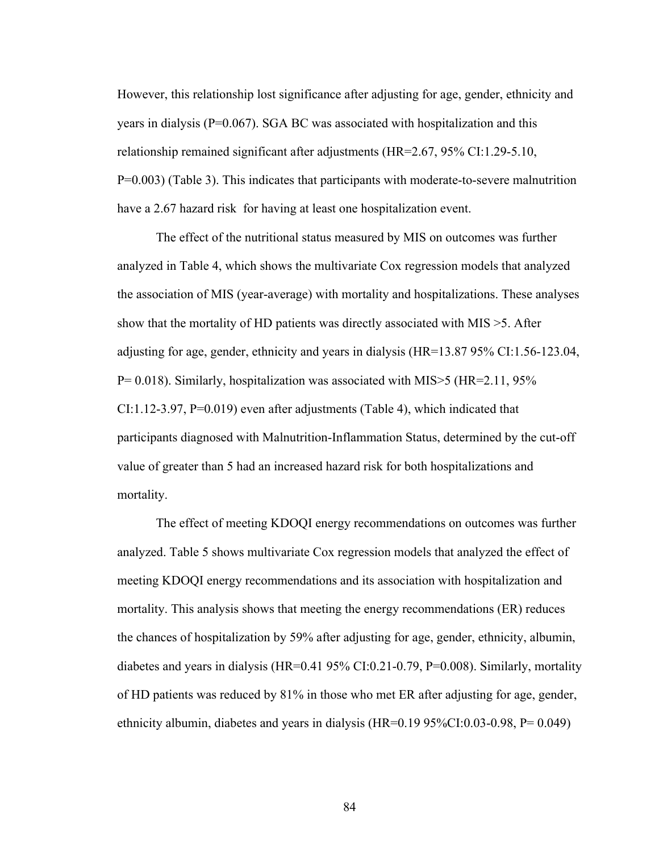However, this relationship lost significance after adjusting for age, gender, ethnicity and years in dialysis ( $P=0.067$ ). SGA BC was associated with hospitalization and this relationship remained significant after adjustments (HR=2.67, 95% CI:1.29-5.10, P=0.003) (Table 3). This indicates that participants with moderate-to-severe malnutrition have a 2.67 hazard risk for having at least one hospitalization event.

The effect of the nutritional status measured by MIS on outcomes was further analyzed in Table 4, which shows the multivariate Cox regression models that analyzed the association of MIS (year-average) with mortality and hospitalizations. These analyses show that the mortality of HD patients was directly associated with MIS >5. After adjusting for age, gender, ethnicity and years in dialysis (HR=13.87 95% CI:1.56-123.04,  $P= 0.018$ ). Similarly, hospitalization was associated with MIS $>$ 5 (HR=2.11, 95%) CI:1.12-3.97, P=0.019) even after adjustments (Table 4), which indicated that participants diagnosed with Malnutrition-Inflammation Status, determined by the cut-off value of greater than 5 had an increased hazard risk for both hospitalizations and mortality.

The effect of meeting KDOQI energy recommendations on outcomes was further analyzed. Table 5 shows multivariate Cox regression models that analyzed the effect of meeting KDOQI energy recommendations and its association with hospitalization and mortality. This analysis shows that meeting the energy recommendations (ER) reduces the chances of hospitalization by 59% after adjusting for age, gender, ethnicity, albumin, diabetes and years in dialysis (HR=0.41 95% CI:0.21-0.79, P=0.008). Similarly, mortality of HD patients was reduced by 81% in those who met ER after adjusting for age, gender, ethnicity albumin, diabetes and years in dialysis (HR=0.19 95%CI:0.03-0.98, P= 0.049)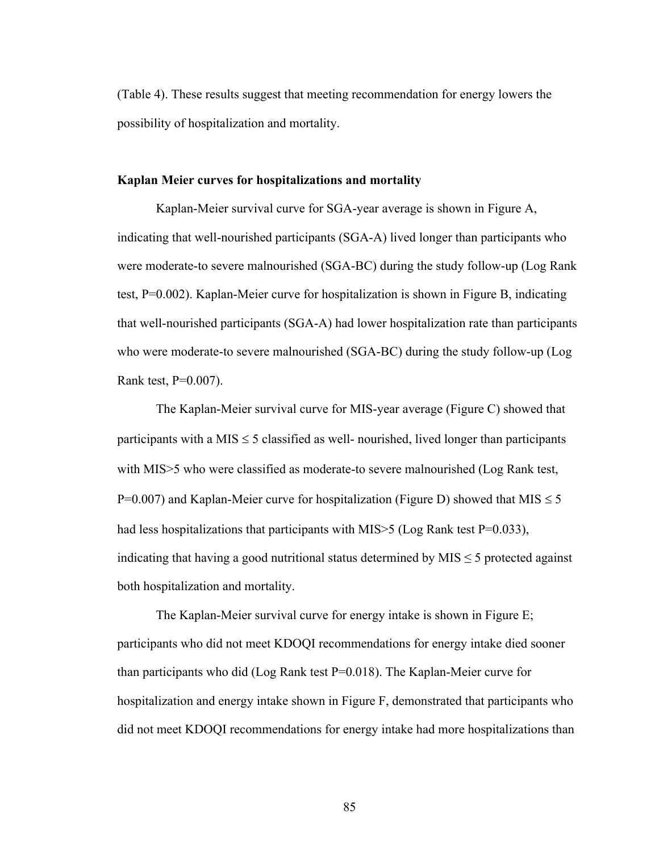(Table 4). These results suggest that meeting recommendation for energy lowers the possibility of hospitalization and mortality.

#### **Kaplan Meier curves for hospitalizations and mortality**

Kaplan-Meier survival curve for SGA-year average is shown in Figure A, indicating that well-nourished participants (SGA-A) lived longer than participants who were moderate-to severe malnourished (SGA-BC) during the study follow-up (Log Rank test, P=0.002). Kaplan-Meier curve for hospitalization is shown in Figure B, indicating that well-nourished participants (SGA-A) had lower hospitalization rate than participants who were moderate-to severe malnourished (SGA-BC) during the study follow-up (Log Rank test, P=0.007).

The Kaplan-Meier survival curve for MIS-year average (Figure C) showed that participants with a MIS  $\leq$  5 classified as well- nourished, lived longer than participants with MIS>5 who were classified as moderate-to severe malnourished (Log Rank test, P=0.007) and Kaplan-Meier curve for hospitalization (Figure D) showed that MIS  $\leq$  5 had less hospitalizations that participants with MIS $>$ 5 (Log Rank test P=0.033), indicating that having a good nutritional status determined by  $MIS \leq 5$  protected against both hospitalization and mortality.

The Kaplan-Meier survival curve for energy intake is shown in Figure E; participants who did not meet KDOQI recommendations for energy intake died sooner than participants who did (Log Rank test P=0.018). The Kaplan-Meier curve for hospitalization and energy intake shown in Figure F, demonstrated that participants who did not meet KDOQI recommendations for energy intake had more hospitalizations than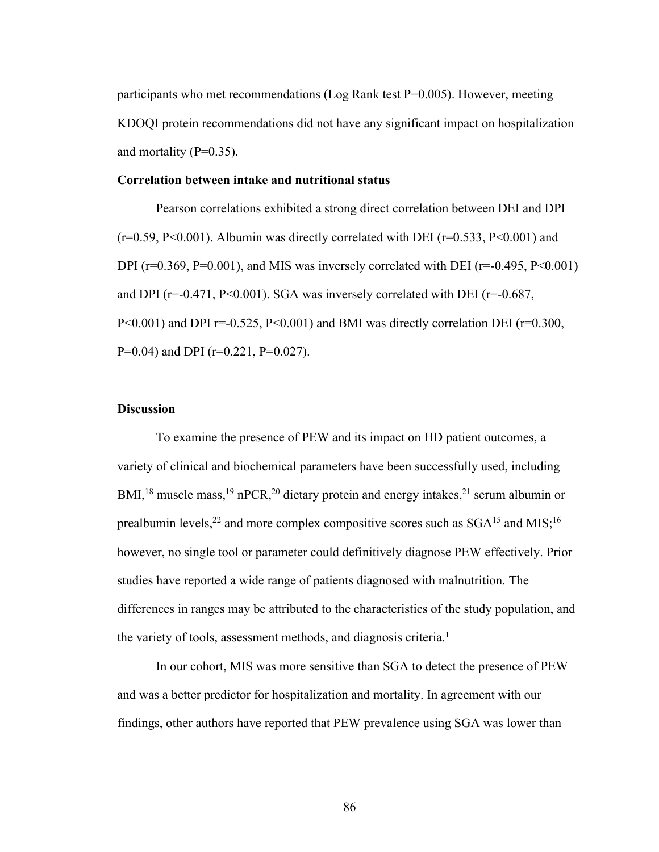participants who met recommendations (Log Rank test P=0.005). However, meeting KDOQI protein recommendations did not have any significant impact on hospitalization and mortality  $(P=0.35)$ .

#### **Correlation between intake and nutritional status**

Pearson correlations exhibited a strong direct correlation between DEI and DPI  $(r=0.59, P<0.001)$ . Albumin was directly correlated with DEI  $(r=0.533, P<0.001)$  and DPI ( $r=0.369$ ,  $P=0.001$ ), and MIS was inversely correlated with DEI ( $r=-0.495$ ,  $P<0.001$ ) and DPI ( $r=-0.471$ ,  $P<0.001$ ). SGA was inversely correlated with DEI ( $r=-0.687$ ,  $P<0.001$ ) and DPI r=-0.525, P $<0.001$ ) and BMI was directly correlation DEI (r=0.300, P=0.04) and DPI ( $r=0.221$ , P=0.027).

# **Discussion**

To examine the presence of PEW and its impact on HD patient outcomes, a variety of clinical and biochemical parameters have been successfully used, including BMI,<sup>18</sup> muscle mass,<sup>19</sup> nPCR,<sup>20</sup> dietary protein and energy intakes,<sup>21</sup> serum albumin or prealbumin levels,<sup>22</sup> and more complex compositive scores such as  $SGA<sup>15</sup>$  and MIS;<sup>16</sup> however, no single tool or parameter could definitively diagnose PEW effectively. Prior studies have reported a wide range of patients diagnosed with malnutrition. The differences in ranges may be attributed to the characteristics of the study population, and the variety of tools, assessment methods, and diagnosis criteria.<sup>1</sup>

In our cohort, MIS was more sensitive than SGA to detect the presence of PEW and was a better predictor for hospitalization and mortality. In agreement with our findings, other authors have reported that PEW prevalence using SGA was lower than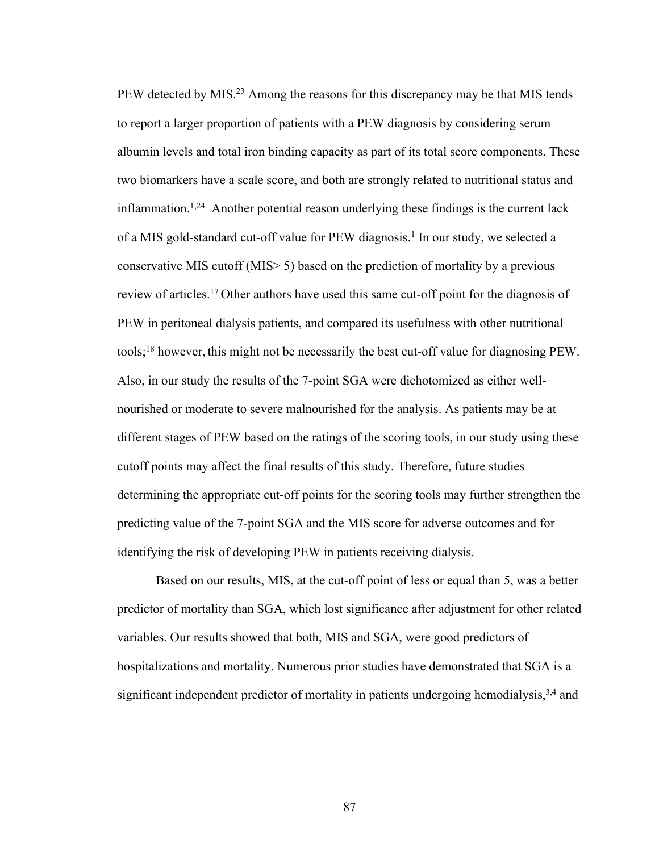PEW detected by MIS.<sup>23</sup> Among the reasons for this discrepancy may be that MIS tends to report a larger proportion of patients with a PEW diagnosis by considering serum albumin levels and total iron binding capacity as part of its total score components. These two biomarkers have a scale score, and both are strongly related to nutritional status and inflammation.<sup>1,24</sup> Another potential reason underlying these findings is the current lack of a MIS gold-standard cut-off value for PEW diagnosis.<sup>1</sup> In our study, we selected a conservative MIS cutoff (MIS> 5) based on the prediction of mortality by a previous review of articles.17 Other authors have used this same cut-off point for the diagnosis of PEW in peritoneal dialysis patients, and compared its usefulness with other nutritional tools;18 however, this might not be necessarily the best cut-off value for diagnosing PEW. Also, in our study the results of the 7-point SGA were dichotomized as either wellnourished or moderate to severe malnourished for the analysis. As patients may be at different stages of PEW based on the ratings of the scoring tools, in our study using these cutoff points may affect the final results of this study. Therefore, future studies determining the appropriate cut-off points for the scoring tools may further strengthen the predicting value of the 7-point SGA and the MIS score for adverse outcomes and for identifying the risk of developing PEW in patients receiving dialysis.

Based on our results, MIS, at the cut-off point of less or equal than 5, was a better predictor of mortality than SGA, which lost significance after adjustment for other related variables. Our results showed that both, MIS and SGA, were good predictors of hospitalizations and mortality. Numerous prior studies have demonstrated that SGA is a significant independent predictor of mortality in patients undergoing hemodialysis,<sup>3,4</sup> and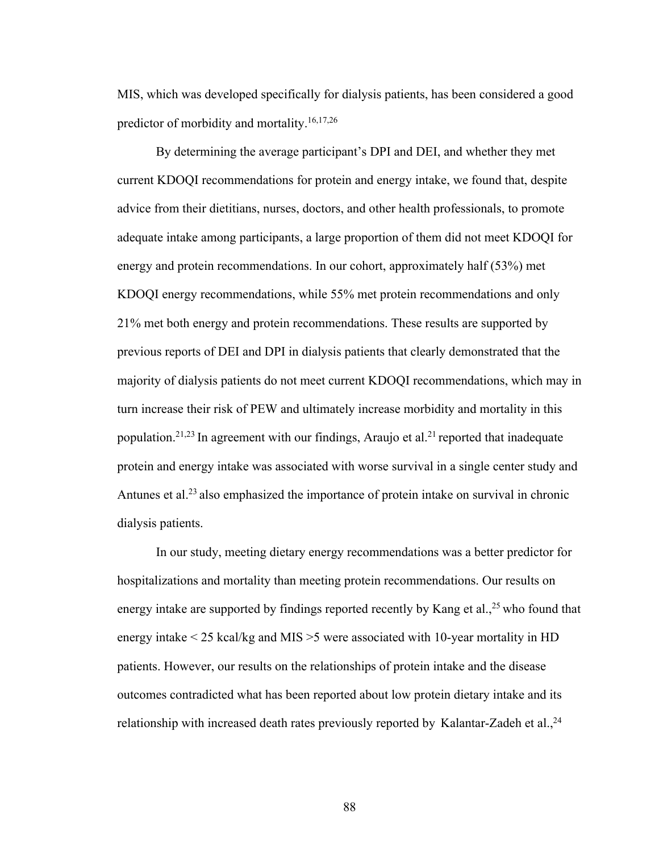MIS, which was developed specifically for dialysis patients, has been considered a good predictor of morbidity and mortality.16,17,26

By determining the average participant's DPI and DEI, and whether they met current KDOQI recommendations for protein and energy intake, we found that, despite advice from their dietitians, nurses, doctors, and other health professionals, to promote adequate intake among participants, a large proportion of them did not meet KDOQI for energy and protein recommendations. In our cohort, approximately half (53%) met KDOQI energy recommendations, while 55% met protein recommendations and only 21% met both energy and protein recommendations. These results are supported by previous reports of DEI and DPI in dialysis patients that clearly demonstrated that the majority of dialysis patients do not meet current KDOQI recommendations, which may in turn increase their risk of PEW and ultimately increase morbidity and mortality in this population.<sup>21,23</sup> In agreement with our findings, Araujo et al.<sup>21</sup> reported that inadequate protein and energy intake was associated with worse survival in a single center study and Antunes et al.<sup>23</sup> also emphasized the importance of protein intake on survival in chronic dialysis patients.

In our study, meeting dietary energy recommendations was a better predictor for hospitalizations and mortality than meeting protein recommendations. Our results on energy intake are supported by findings reported recently by Kang et al.,<sup>25</sup> who found that energy intake < 25 kcal/kg and MIS >5 were associated with 10-year mortality in HD patients. However, our results on the relationships of protein intake and the disease outcomes contradicted what has been reported about low protein dietary intake and its relationship with increased death rates previously reported by Kalantar-Zadeh et al., <sup>24</sup>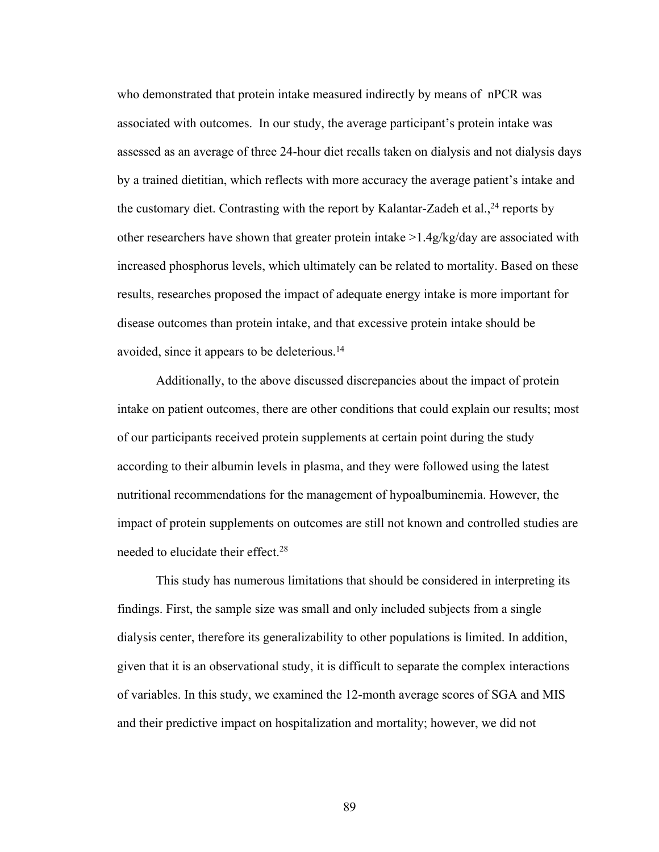who demonstrated that protein intake measured indirectly by means of nPCR was associated with outcomes. In our study, the average participant's protein intake was assessed as an average of three 24-hour diet recalls taken on dialysis and not dialysis days by a trained dietitian, which reflects with more accuracy the average patient's intake and the customary diet. Contrasting with the report by Kalantar-Zadeh et al.,  $^{24}$  reports by other researchers have shown that greater protein intake >1.4g/kg/day are associated with increased phosphorus levels, which ultimately can be related to mortality. Based on these results, researches proposed the impact of adequate energy intake is more important for disease outcomes than protein intake, and that excessive protein intake should be avoided, since it appears to be deleterious.14

Additionally, to the above discussed discrepancies about the impact of protein intake on patient outcomes, there are other conditions that could explain our results; most of our participants received protein supplements at certain point during the study according to their albumin levels in plasma, and they were followed using the latest nutritional recommendations for the management of hypoalbuminemia. However, the impact of protein supplements on outcomes are still not known and controlled studies are needed to elucidate their effect.28

This study has numerous limitations that should be considered in interpreting its findings. First, the sample size was small and only included subjects from a single dialysis center, therefore its generalizability to other populations is limited. In addition, given that it is an observational study, it is difficult to separate the complex interactions of variables. In this study, we examined the 12-month average scores of SGA and MIS and their predictive impact on hospitalization and mortality; however, we did not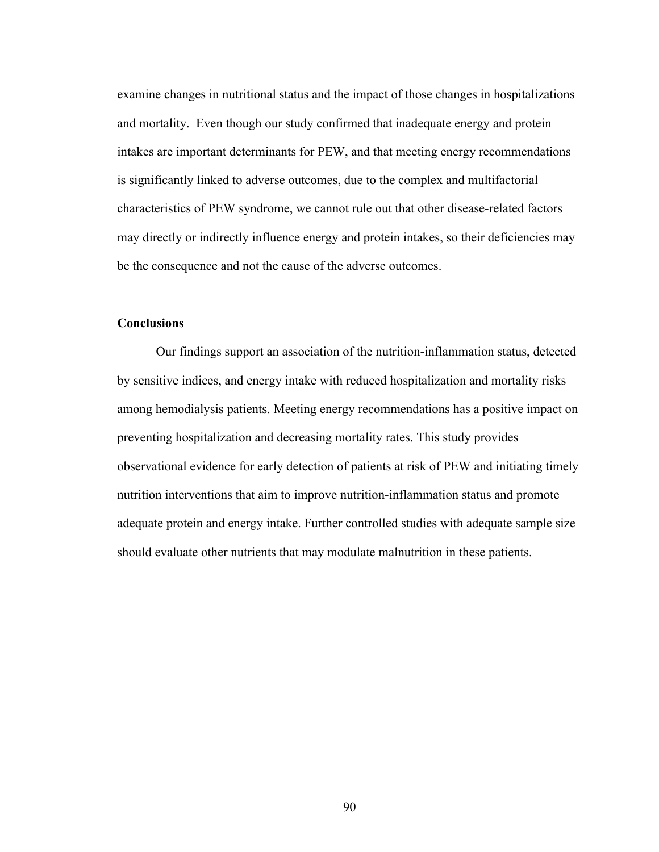examine changes in nutritional status and the impact of those changes in hospitalizations and mortality. Even though our study confirmed that inadequate energy and protein intakes are important determinants for PEW, and that meeting energy recommendations is significantly linked to adverse outcomes, due to the complex and multifactorial characteristics of PEW syndrome, we cannot rule out that other disease-related factors may directly or indirectly influence energy and protein intakes, so their deficiencies may be the consequence and not the cause of the adverse outcomes.

# **Conclusions**

Our findings support an association of the nutrition-inflammation status, detected by sensitive indices, and energy intake with reduced hospitalization and mortality risks among hemodialysis patients. Meeting energy recommendations has a positive impact on preventing hospitalization and decreasing mortality rates. This study provides observational evidence for early detection of patients at risk of PEW and initiating timely nutrition interventions that aim to improve nutrition-inflammation status and promote adequate protein and energy intake. Further controlled studies with adequate sample size should evaluate other nutrients that may modulate malnutrition in these patients.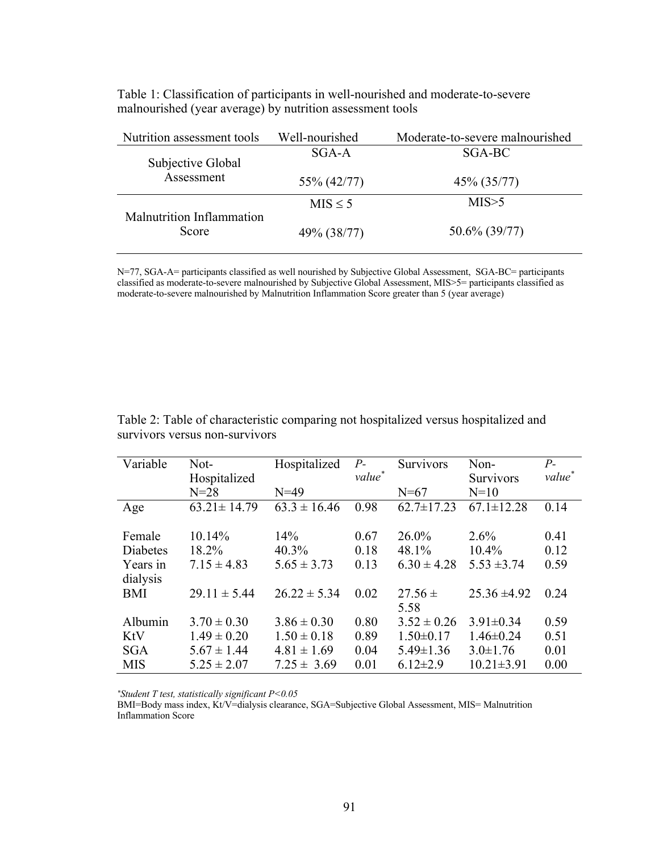| Nutrition assessment tools         | Well-nourished | Moderate-to-severe malnourished |
|------------------------------------|----------------|---------------------------------|
| Subjective Global                  | $SGA-A$        | SGA-BC                          |
| Assessment                         | 55% (42/77)    | 45% (35/77)                     |
|                                    | $MIS \leq 5$   | MIS > 5                         |
| Malnutrition Inflammation<br>Score | 49% (38/77)    | 50.6% (39/77)                   |

Table 1: Classification of participants in well-nourished and moderate-to-severe malnourished (year average) by nutrition assessment tools

N=77, SGA-A= participants classified as well nourished by Subjective Global Assessment, SGA-BC= participants classified as moderate-to-severe malnourished by Subjective Global Assessment, MIS>5= participants classified as moderate-to-severe malnourished by Malnutrition Inflammation Score greater than 5 (year average)

| Variable   | Not-              | Hospitalized     | $P-$               | <b>Survivors</b> | Non-             | $P_{-}$            |
|------------|-------------------|------------------|--------------------|------------------|------------------|--------------------|
|            | Hospitalized      |                  | value <sup>*</sup> |                  | Survivors        | value <sup>*</sup> |
|            | $N=28$            | $N=49$           |                    | $N=67$           | $N=10$           |                    |
| Age        | $63.21 \pm 14.79$ | $63.3 \pm 16.46$ | 0.98               | $62.7 \pm 17.23$ | $67.1 \pm 12.28$ | 0.14               |
|            |                   |                  |                    |                  |                  |                    |
| Female     | 10.14%            | 14%              | 0.67               | 26.0%            | $2.6\%$          | 0.41               |
| Diabetes   | 18.2%             | 40.3%            | 0.18               | 48.1%            | $10.4\%$         | 0.12               |
| Years in   | $7.15 \pm 4.83$   | $5.65 \pm 3.73$  | 0.13               | $6.30 \pm 4.28$  | $5.53 \pm 3.74$  | 0.59               |
| dialysis   |                   |                  |                    |                  |                  |                    |
| BMI        | $29.11 \pm 5.44$  | $26.22 \pm 5.34$ | 0.02               | $27.56 \pm$      | $25.36 \pm 4.92$ | 0.24               |
|            |                   |                  |                    | 5.58             |                  |                    |
| Albumin    | $3.70 \pm 0.30$   | $3.86 \pm 0.30$  | 0.80               | $3.52 \pm 0.26$  | $3.91 \pm 0.34$  | 0.59               |
| KtV        | $1.49 \pm 0.20$   | $1.50 \pm 0.18$  | 0.89               | $1.50 \pm 0.17$  | $1.46 \pm 0.24$  | 0.51               |
| <b>SGA</b> | $5.67 \pm 1.44$   | $4.81 \pm 1.69$  | 0.04               | $5.49 \pm 1.36$  | $3.0 \pm 1.76$   | 0.01               |
| <b>MIS</b> | $5.25 \pm 2.07$   | $7.25 \pm 3.69$  | 0.01               | $6.12 \pm 2.9$   | $10.21 \pm 3.91$ | 0.00               |

Table 2: Table of characteristic comparing not hospitalized versus hospitalized and survivors versus non-survivors

*\*Student T test, statistically significant P<0.05*

BMI=Body mass index, Kt/V=dialysis clearance, SGA=Subjective Global Assessment, MIS= Malnutrition Inflammation Score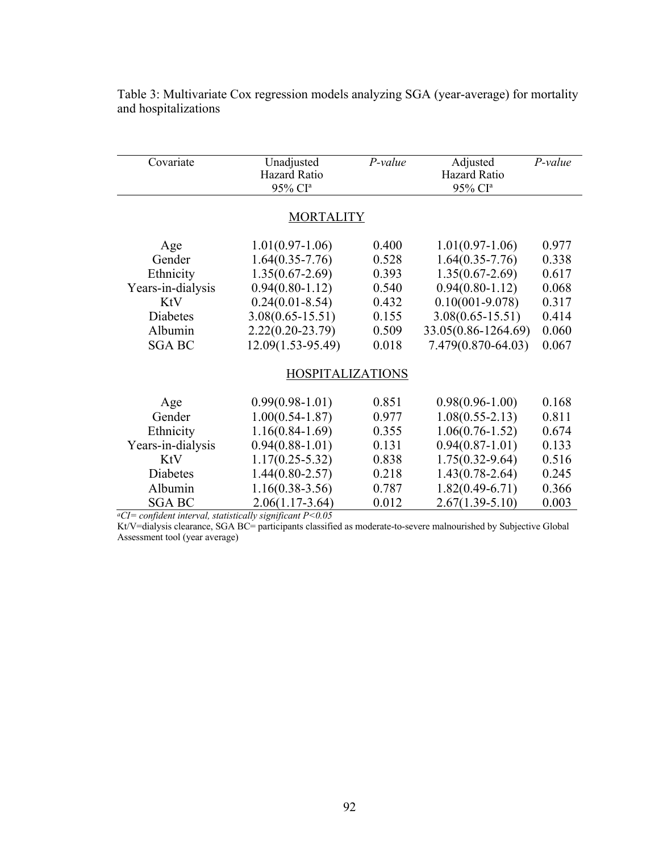| Covariate         | Unadjusted<br><b>Hazard Ratio</b><br>95% CI <sup>a</sup> | $P-value$ | Adjusted<br><b>Hazard Ratio</b><br>95% CI <sup>a</sup> | $P-value$ |
|-------------------|----------------------------------------------------------|-----------|--------------------------------------------------------|-----------|
|                   | <b>MORTALITY</b>                                         |           |                                                        |           |
| Age               | $1.01(0.97-1.06)$                                        | 0.400     | $1.01(0.97-1.06)$                                      | 0.977     |
| Gender            | $1.64(0.35 - 7.76)$                                      | 0.528     | $1.64(0.35 - 7.76)$                                    | 0.338     |
| Ethnicity         | $1.35(0.67 - 2.69)$                                      | 0.393     | $1.35(0.67 - 2.69)$                                    | 0.617     |
| Years-in-dialysis | $0.94(0.80-1.12)$                                        | 0.540     | $0.94(0.80-1.12)$                                      | 0.068     |
| KtV               | $0.24(0.01 - 8.54)$                                      | 0.432     | $0.10(001 - 9.078)$                                    | 0.317     |
| Diabetes          | $3.08(0.65 - 15.51)$                                     | 0.155     | $3.08(0.65 - 15.51)$                                   | 0.414     |
| Albumin           | $2.22(0.20-23.79)$                                       | 0.509     | 33.05(0.86-1264.69)                                    | 0.060     |
| <b>SGA BC</b>     | 12.09(1.53-95.49)                                        | 0.018     | 7.479(0.870-64.03)                                     | 0.067     |
|                   | <b>HOSPITALIZATIONS</b>                                  |           |                                                        |           |
| Age               | $0.99(0.98-1.01)$                                        | 0.851     | $0.98(0.96 - 1.00)$                                    | 0.168     |
| Gender            | $1.00(0.54 - 1.87)$                                      | 0.977     | $1.08(0.55 - 2.13)$                                    | 0.811     |
| Ethnicity         | $1.16(0.84-1.69)$                                        | 0.355     | $1.06(0.76 - 1.52)$                                    | 0.674     |
| Years-in-dialysis | $0.94(0.88-1.01)$                                        | 0.131     | $0.94(0.87-1.01)$                                      | 0.133     |
| KtV               | $1.17(0.25 - 5.32)$                                      | 0.838     | $1.75(0.32 - 9.64)$                                    | 0.516     |
| <b>Diabetes</b>   | $1.44(0.80 - 2.57)$                                      | 0.218     | $1.43(0.78 - 2.64)$                                    | 0.245     |
| Albumin           | $1.16(0.38-3.56)$                                        | 0.787     | $1.82(0.49-6.71)$                                      | 0.366     |
| <b>SGA BC</b>     | $2.06(1.17-3.64)$                                        | 0.012     | $2.67(1.39-5.10)$                                      | 0.003     |

Table 3: Multivariate Cox regression models analyzing SGA (year-average) for mortality and hospitalizations

*aCI= confident interval, statistically significant P<0.05*

Kt/V=dialysis clearance, SGA BC= participants classified as moderate-to-severe malnourished by Subjective Global Assessment tool (year average)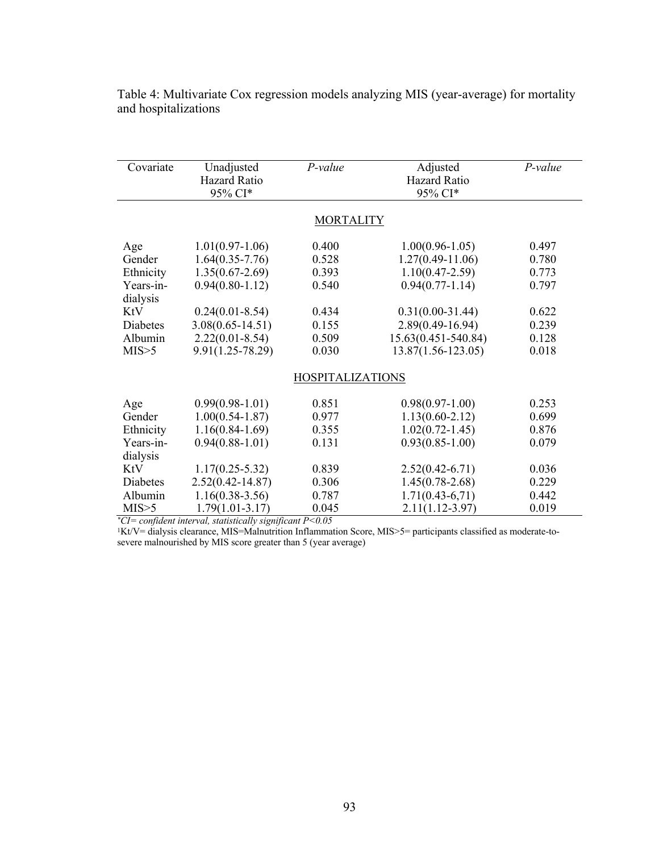| Covariate       | Unadjusted<br><b>Hazard Ratio</b><br>95% CI* | P-value                 | Adjusted<br><b>Hazard Ratio</b><br>95% CI* | $P$ -value |
|-----------------|----------------------------------------------|-------------------------|--------------------------------------------|------------|
|                 |                                              | <b>MORTALITY</b>        |                                            |            |
|                 | $1.01(0.97-1.06)$                            | 0.400                   | $1.00(0.96 - 1.05)$                        | 0.497      |
| Age<br>Gender   | $1.64(0.35 - 7.76)$                          | 0.528                   | $1.27(0.49 - 11.06)$                       | 0.780      |
| Ethnicity       | $1.35(0.67 - 2.69)$                          | 0.393                   | $1.10(0.47 - 2.59)$                        | 0.773      |
| Years-in-       | $0.94(0.80-1.12)$                            | 0.540                   | $0.94(0.77-1.14)$                          | 0.797      |
| dialysis        |                                              |                         |                                            |            |
| <b>KtV</b>      | $0.24(0.01-8.54)$                            | 0.434                   | $0.31(0.00-31.44)$                         | 0.622      |
| <b>Diabetes</b> | $3.08(0.65 - 14.51)$                         | 0.155                   | $2.89(0.49 - 16.94)$                       | 0.239      |
| Albumin         | $2.22(0.01 - 8.54)$                          | 0.509                   | 15.63(0.451-540.84)                        | 0.128      |
| MIS > 5         | $9.91(1.25 - 78.29)$                         | 0.030                   | 13.87(1.56-123.05)                         | 0.018      |
|                 |                                              |                         |                                            |            |
|                 |                                              | <b>HOSPITALIZATIONS</b> |                                            |            |
|                 |                                              |                         |                                            |            |
| Age             | $0.99(0.98-1.01)$                            | 0.851                   | $0.98(0.97-1.00)$                          | 0.253      |
| Gender          | $1.00(0.54 - 1.87)$                          | 0.977                   | $1.13(0.60 - 2.12)$                        | 0.699      |
| Ethnicity       | $1.16(0.84-1.69)$                            | 0.355                   | $1.02(0.72 - 1.45)$                        | 0.876      |
| Years-in-       | $0.94(0.88-1.01)$                            | 0.131                   | $0.93(0.85 - 1.00)$                        | 0.079      |
| dialysis        |                                              |                         |                                            |            |
| KtV             | $1.17(0.25 - 5.32)$                          | 0.839                   | $2.52(0.42 - 6.71)$                        | 0.036      |
| Diabetes        | $2.52(0.42 - 14.87)$                         | 0.306                   | $1.45(0.78 - 2.68)$                        | 0.229      |
| Albumin         | $1.16(0.38-3.56)$                            | 0.787                   | $1.71(0.43-6.71)$                          | 0.442      |
| MIS > 5         | $1.79(1.01 - 3.17)$                          | 0.045                   | $2.11(1.12 - 3.97)$                        | 0.019      |

Table 4: Multivariate Cox regression models analyzing MIS (year-average) for mortality and hospitalizations

*\*CI= confident interval, statistically significant P<0.05*

1Kt/V= dialysis clearance, MIS=Malnutrition Inflammation Score, MIS>5= participants classified as moderate-tosevere malnourished by MIS score greater than 5 (year average)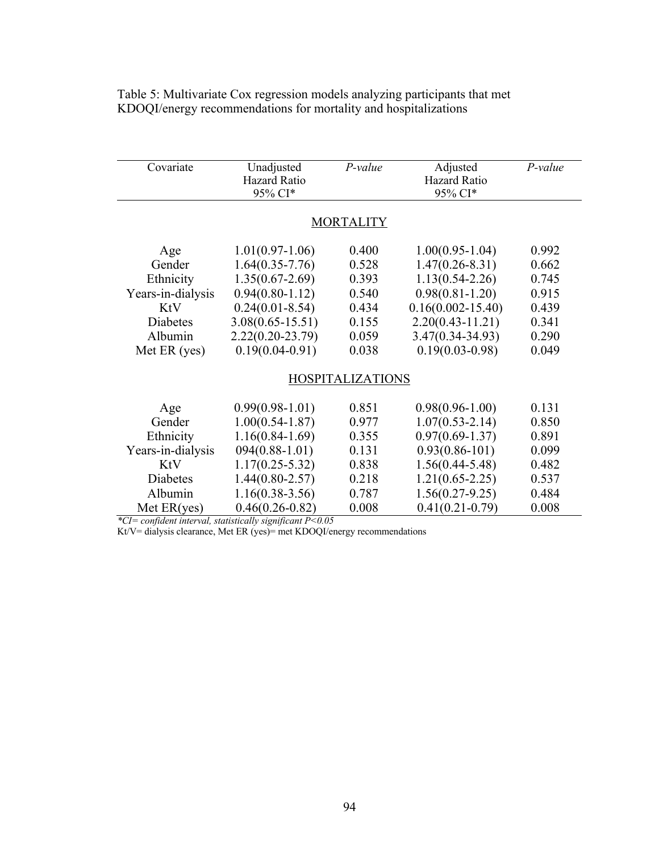| Covariate         | Unadjusted<br><b>Hazard Ratio</b> | $P-value$               | Adjusted<br>Hazard Ratio | $P-value$ |
|-------------------|-----------------------------------|-------------------------|--------------------------|-----------|
|                   | 95% CI*                           |                         | 95% CI*                  |           |
|                   |                                   |                         |                          |           |
|                   |                                   | <b>MORTALITY</b>        |                          |           |
| Age               | $1.01(0.97-1.06)$                 | 0.400                   | $1.00(0.95-1.04)$        | 0.992     |
| Gender            | $1.64(0.35 - 7.76)$               | 0.528                   | $1.47(0.26 - 8.31)$      | 0.662     |
| Ethnicity         | $1.35(0.67 - 2.69)$               | 0.393                   | $1.13(0.54 - 2.26)$      | 0.745     |
| Years-in-dialysis | $0.94(0.80-1.12)$                 | 0.540                   | $0.98(0.81 - 1.20)$      | 0.915     |
| KtV               | $0.24(0.01 - 8.54)$               | 0.434                   | $0.16(0.002 - 15.40)$    | 0.439     |
| <b>Diabetes</b>   | $3.08(0.65 - 15.51)$              | 0.155                   | $2.20(0.43 - 11.21)$     | 0.341     |
| Albumin           | $2.22(0.20-23.79)$                | 0.059                   | $3.47(0.34 - 34.93)$     | 0.290     |
| Met ER (yes)      | $0.19(0.04 - 0.91)$               | 0.038                   | $0.19(0.03 - 0.98)$      | 0.049     |
|                   |                                   |                         |                          |           |
|                   |                                   | <b>HOSPITALIZATIONS</b> |                          |           |
|                   |                                   |                         |                          |           |
| Age               | $0.99(0.98-1.01)$                 | 0.851                   | $0.98(0.96 - 1.00)$      | 0.131     |
| Gender            | $1.00(0.54 - 1.87)$               | 0.977                   | $1.07(0.53 - 2.14)$      | 0.850     |
| Ethnicity         | $1.16(0.84 - 1.69)$               | 0.355                   | $0.97(0.69 - 1.37)$      | 0.891     |
| Years-in-dialysis | $094(0.88-1.01)$                  | 0.131                   | $0.93(0.86 - 101)$       | 0.099     |
| <b>KtV</b>        | $1.17(0.25 - 5.32)$               | 0.838                   | $1.56(0.44 - 5.48)$      | 0.482     |
| <b>Diabetes</b>   | $1.44(0.80 - 2.57)$               | 0.218                   | $1.21(0.65 - 2.25)$      | 0.537     |
| Albumin           | $1.16(0.38-3.56)$                 | 0.787                   | $1.56(0.27-9.25)$        | 0.484     |
| Met ER(yes)       | $0.46(0.26 - 0.82)$               | 0.008                   | $0.41(0.21-0.79)$        | 0.008     |

Table 5: Multivariate Cox regression models analyzing participants that met KDOQI/energy recommendations for mortality and hospitalizations

*\*CI= confident interval, statistically significant P<0.05*

Kt/V= dialysis clearance, Met ER (yes)= met KDOQI/energy recommendations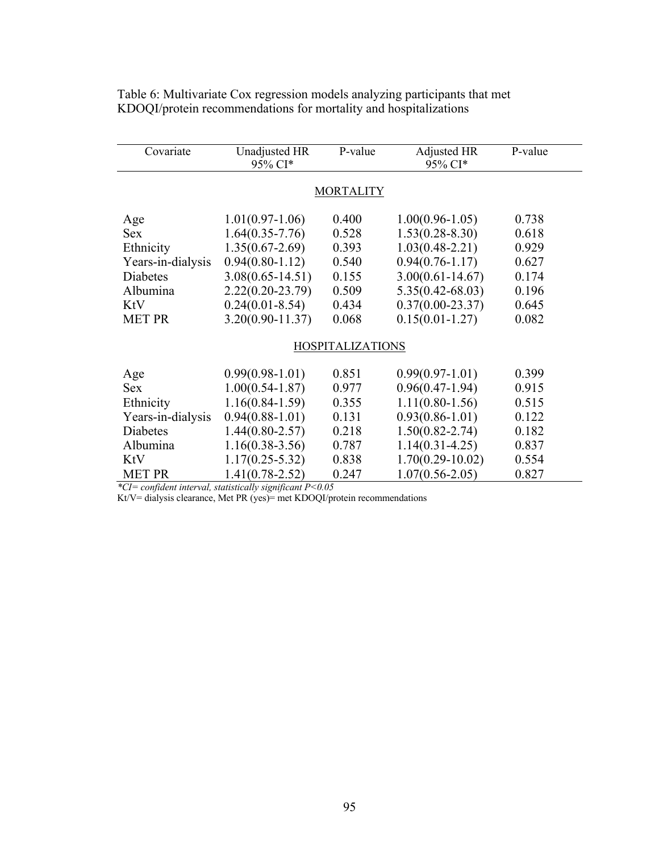| Covariate         | Unadjusted HR<br>95% CI* | P-value                 | Adjusted HR<br>95% CI* | P-value |  |  |
|-------------------|--------------------------|-------------------------|------------------------|---------|--|--|
| <b>MORTALITY</b>  |                          |                         |                        |         |  |  |
| Age               | $1.01(0.97-1.06)$        | 0.400                   | $1.00(0.96 - 1.05)$    | 0.738   |  |  |
| <b>Sex</b>        | $1.64(0.35 - 7.76)$      | 0.528                   | $1.53(0.28 - 8.30)$    | 0.618   |  |  |
| Ethnicity         | $1.35(0.67 - 2.69)$      | 0.393                   | $1.03(0.48 - 2.21)$    | 0.929   |  |  |
| Years-in-dialysis | $0.94(0.80-1.12)$        | 0.540                   | $0.94(0.76 - 1.17)$    | 0.627   |  |  |
| <b>Diabetes</b>   | $3.08(0.65 - 14.51)$     | 0.155                   | $3.00(0.61 - 14.67)$   | 0.174   |  |  |
| Albumina          | $2.22(0.20-23.79)$       | 0.509                   | $5.35(0.42 - 68.03)$   | 0.196   |  |  |
| KtV               | $0.24(0.01 - 8.54)$      | 0.434                   | $0.37(0.00-23.37)$     | 0.645   |  |  |
| <b>MET PR</b>     | $3.20(0.90 - 11.37)$     | 0.068                   | $0.15(0.01 - 1.27)$    | 0.082   |  |  |
|                   |                          | <b>HOSPITALIZATIONS</b> |                        |         |  |  |
| Age               | $0.99(0.98-1.01)$        | 0.851                   | $0.99(0.97-1.01)$      | 0.399   |  |  |
| Sex               | $1.00(0.54 - 1.87)$      | 0.977                   | $0.96(0.47-1.94)$      | 0.915   |  |  |
| Ethnicity         | $1.16(0.84 - 1.59)$      | 0.355                   | $1.11(0.80-1.56)$      | 0.515   |  |  |
| Years-in-dialysis | $0.94(0.88-1.01)$        | 0.131                   | $0.93(0.86 - 1.01)$    | 0.122   |  |  |
| <b>Diabetes</b>   | $1.44(0.80 - 2.57)$      | 0.218                   | $1.50(0.82 - 2.74)$    | 0.182   |  |  |
| Albumina          | $1.16(0.38-3.56)$        | 0.787                   | $1.14(0.31 - 4.25)$    | 0.837   |  |  |
| KtV               | $1.17(0.25 - 5.32)$      | 0.838                   | $1.70(0.29-10.02)$     | 0.554   |  |  |
| <b>MET PR</b>     | $1.41(0.78 - 2.52)$      | 0.247                   | $1.07(0.56 - 2.05)$    | 0.827   |  |  |

Table 6: Multivariate Cox regression models analyzing participants that met KDOQI/protein recommendations for mortality and hospitalizations

*\*CI= confident interval, statistically significant P<0.05*

Kt/V= dialysis clearance, Met PR (yes)= met KDOQI/protein recommendations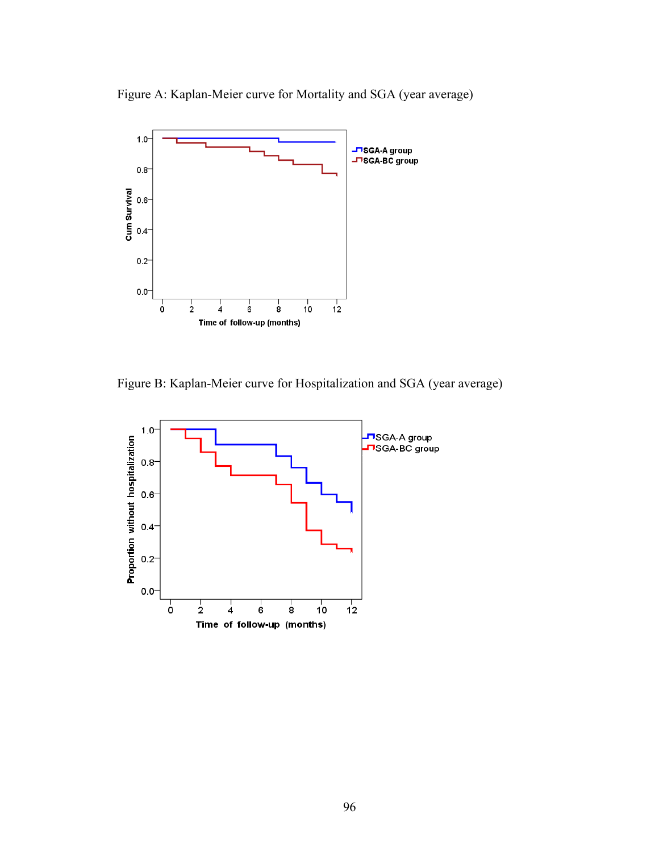Figure A: Kaplan-Meier curve for Mortality and SGA (year average)



Figure B: Kaplan-Meier curve for Hospitalization and SGA (year average)

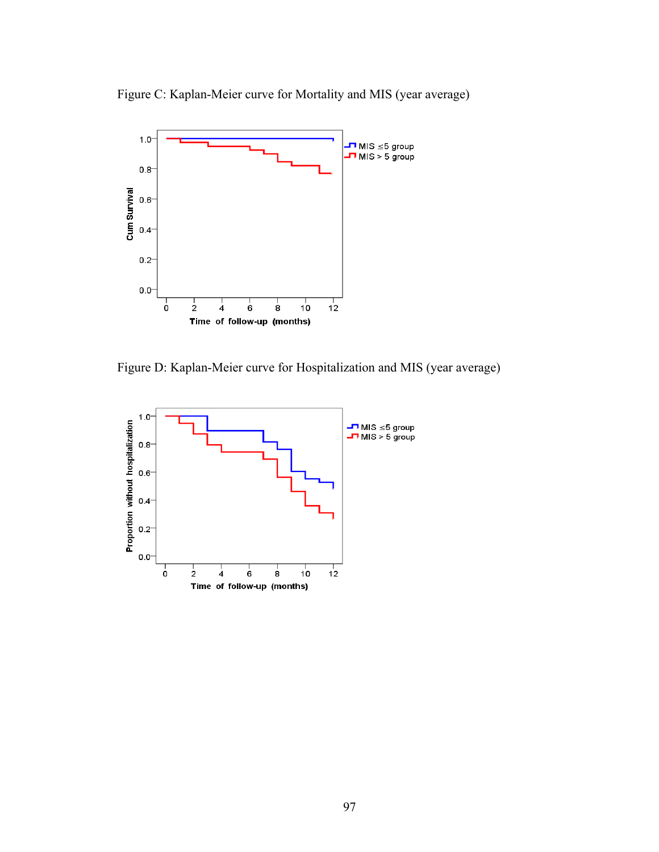Figure C: Kaplan-Meier curve for Mortality and MIS (year average)



Figure D: Kaplan-Meier curve for Hospitalization and MIS (year average)

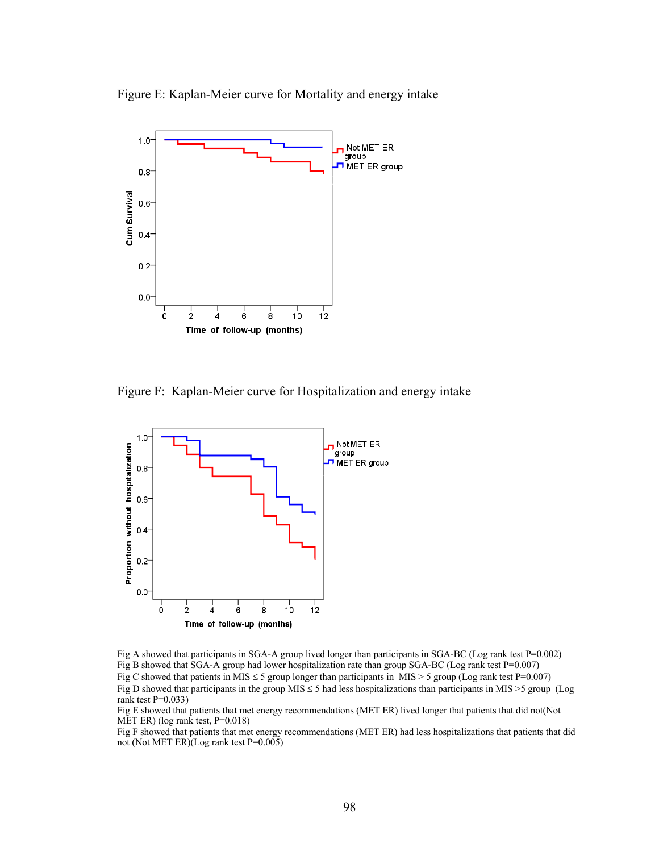Figure E: Kaplan-Meier curve for Mortality and energy intake



Figure F: Kaplan-Meier curve for Hospitalization and energy intake



Fig A showed that participants in SGA-A group lived longer than participants in SGA-BC (Log rank test P=0.002) Fig B showed that SGA-A group had lower hospitalization rate than group SGA-BC (Log rank test P=0.007) Fig C showed that patients in MIS  $\leq$  5 group longer than participants in MIS  $>$  5 group (Log rank test P=0.007) Fig D showed that participants in the group  $MIS \le 5$  had less hospitalizations than participants in MIS  $>5$  group (Log rank test  $P=0.033$ )

Fig E showed that patients that met energy recommendations (MET ER) lived longer that patients that did not(Not MET ER) (log rank test, P=0.018)

Fig F showed that patients that met energy recommendations (MET ER) had less hospitalizations that patients that did not (Not MET ER)(Log rank test P=0.005)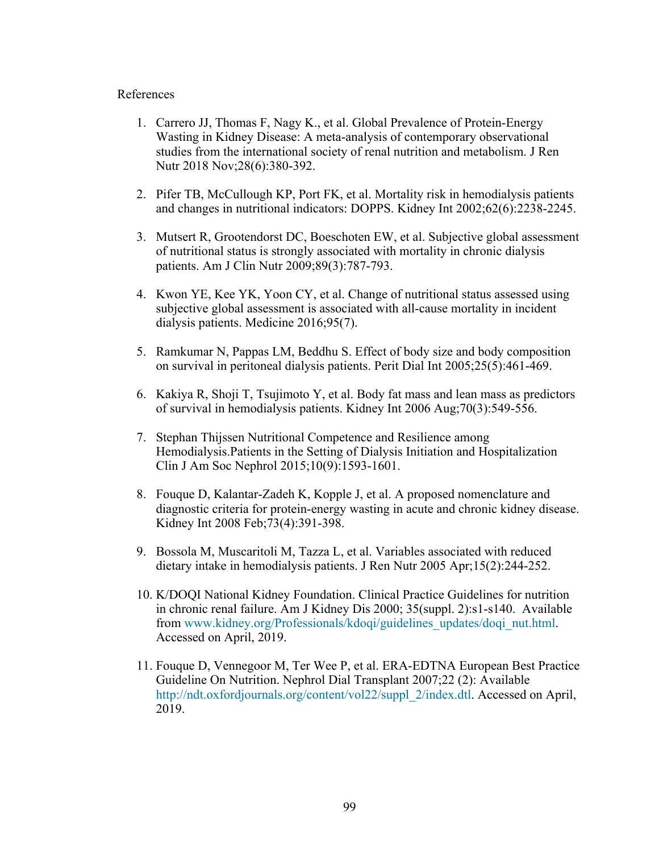# References

- 1. Carrero JJ, Thomas F, Nagy K., et al. Global Prevalence of Protein-Energy Wasting in Kidney Disease: A meta-analysis of contemporary observational studies from the international society of renal nutrition and metabolism. J Ren Nutr 2018 Nov;28(6):380-392.
- 2. Pifer TB, McCullough KP, Port FK, et al. Mortality risk in hemodialysis patients and changes in nutritional indicators: DOPPS. Kidney Int 2002;62(6):2238-2245.
- 3. Mutsert R, Grootendorst DC, Boeschoten EW, et al. Subjective global assessment of nutritional status is strongly associated with mortality in chronic dialysis patients. Am J Clin Nutr 2009;89(3):787-793.
- 4. Kwon YE, Kee YK, Yoon CY, et al. Change of nutritional status assessed using subjective global assessment is associated with all-cause mortality in incident dialysis patients. Medicine 2016;95(7).
- 5. Ramkumar N, Pappas LM, Beddhu S. Effect of body size and body composition on survival in peritoneal dialysis patients. Perit Dial Int 2005;25(5):461-469.
- 6. Kakiya R, Shoji T, Tsujimoto Y, et al. Body fat mass and lean mass as predictors of survival in hemodialysis patients. Kidney Int 2006 Aug;70(3):549-556.
- 7. Stephan Thijssen Nutritional Competence and Resilience among Hemodialysis.Patients in the Setting of Dialysis Initiation and Hospitalization Clin J Am Soc Nephrol 2015;10(9):1593-1601.
- 8. Fouque D, Kalantar-Zadeh K, Kopple J, et al. A proposed nomenclature and diagnostic criteria for protein-energy wasting in acute and chronic kidney disease. Kidney Int 2008 Feb;73(4):391-398.
- 9. Bossola M, Muscaritoli M, Tazza L, et al. Variables associated with reduced dietary intake in hemodialysis patients. J Ren Nutr 2005 Apr;15(2):244-252.
- 10. K/DOQI National Kidney Foundation. Clinical Practice Guidelines for nutrition in chronic renal failure. Am J Kidney Dis 2000; 35(suppl. 2):s1-s140. Available from www.kidney.org/Professionals/kdoqi/guidelines\_updates/doqi\_nut.html. Accessed on April, 2019.
- 11. Fouque D, Vennegoor M, Ter Wee P, et al. ERA-EDTNA European Best Practice Guideline On Nutrition. Nephrol Dial Transplant 2007;22 (2): Available http://ndt.oxfordjournals.org/content/vol22/suppl\_2/index.dtl. Accessed on April, 2019.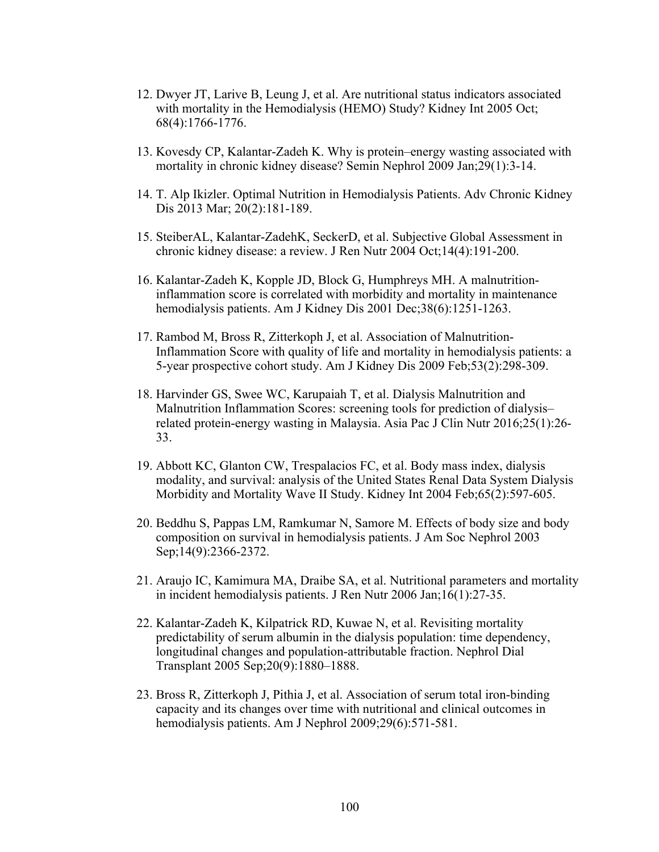- 12. Dwyer JT, Larive B, Leung J, et al. Are nutritional status indicators associated with mortality in the Hemodialysis (HEMO) Study? Kidney Int 2005 Oct; 68(4):1766-1776.
- 13. Kovesdy CP, Kalantar-Zadeh K. Why is protein–energy wasting associated with mortality in chronic kidney disease? Semin Nephrol 2009 Jan;29(1):3-14.
- 14. T. Alp Ikizler. Optimal Nutrition in Hemodialysis Patients. Adv Chronic Kidney Dis 2013 Mar; 20(2):181-189.
- 15. SteiberAL, Kalantar-ZadehK, SeckerD, et al. Subjective Global Assessment in chronic kidney disease: a review. J Ren Nutr 2004 Oct;14(4):191-200.
- 16. Kalantar-Zadeh K, Kopple JD, Block G, Humphreys MH. A malnutritioninflammation score is correlated with morbidity and mortality in maintenance hemodialysis patients. Am J Kidney Dis 2001 Dec;38(6):1251-1263.
- 17. Rambod M, Bross R, Zitterkoph J, et al. Association of Malnutrition-Inflammation Score with quality of life and mortality in hemodialysis patients: a 5-year prospective cohort study. Am J Kidney Dis 2009 Feb;53(2):298-309.
- 18. Harvinder GS, Swee WC, Karupaiah T, et al. Dialysis Malnutrition and Malnutrition Inflammation Scores: screening tools for prediction of dialysis– related protein-energy wasting in Malaysia. Asia Pac J Clin Nutr 2016;25(1):26- 33.
- 19. Abbott KC, Glanton CW, Trespalacios FC, et al. Body mass index, dialysis modality, and survival: analysis of the United States Renal Data System Dialysis Morbidity and Mortality Wave II Study. Kidney Int 2004 Feb;65(2):597-605.
- 20. Beddhu S, Pappas LM, Ramkumar N, Samore M. Effects of body size and body composition on survival in hemodialysis patients. J Am Soc Nephrol 2003 Sep;14(9):2366-2372.
- 21. Araujo IC, Kamimura MA, Draibe SA, et al. Nutritional parameters and mortality in incident hemodialysis patients. J Ren Nutr 2006 Jan;16(1):27-35.
- 22. Kalantar-Zadeh K, Kilpatrick RD, Kuwae N, et al. Revisiting mortality predictability of serum albumin in the dialysis population: time dependency, longitudinal changes and population-attributable fraction. Nephrol Dial Transplant 2005 Sep;20(9):1880–1888.
- 23. Bross R, Zitterkoph J, Pithia J, et al. Association of serum total iron-binding capacity and its changes over time with nutritional and clinical outcomes in hemodialysis patients. Am J Nephrol 2009;29(6):571-581.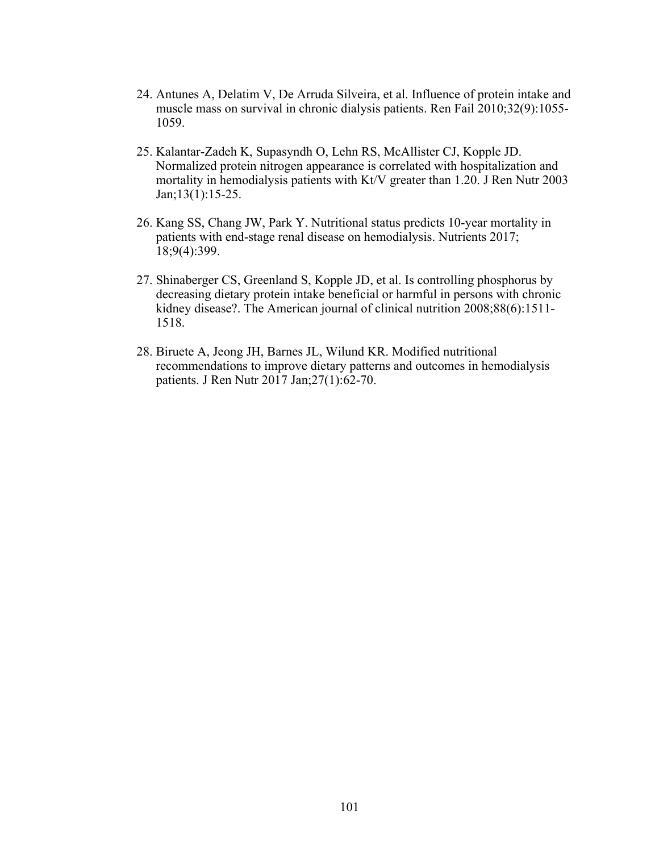- 24. Antunes A, Delatim V, De Arruda Silveira, et al. Influence of protein intake and muscle mass on survival in chronic dialysis patients. Ren Fail 2010;32(9):1055- 1059.
- 25. Kalantar-Zadeh K, Supasyndh O, Lehn RS, McAllister CJ, Kopple JD. Normalized protein nitrogen appearance is correlated with hospitalization and mortality in hemodialysis patients with Kt/V greater than 1.20. J Ren Nutr 2003 Jan;13(1):15-25.
- 26. Kang SS, Chang JW, Park Y. Nutritional status predicts 10-year mortality in patients with end-stage renal disease on hemodialysis. Nutrients 2017; 18;9(4):399.
- 27. Shinaberger CS, Greenland S, Kopple JD, et al. Is controlling phosphorus by decreasing dietary protein intake beneficial or harmful in persons with chronic kidney disease?. The American journal of clinical nutrition 2008;88(6):1511- 1518.
- 28. Biruete A, Jeong JH, Barnes JL, Wilund KR. Modified nutritional recommendations to improve dietary patterns and outcomes in hemodialysis patients. J Ren Nutr 2017 Jan;27(1):62-70.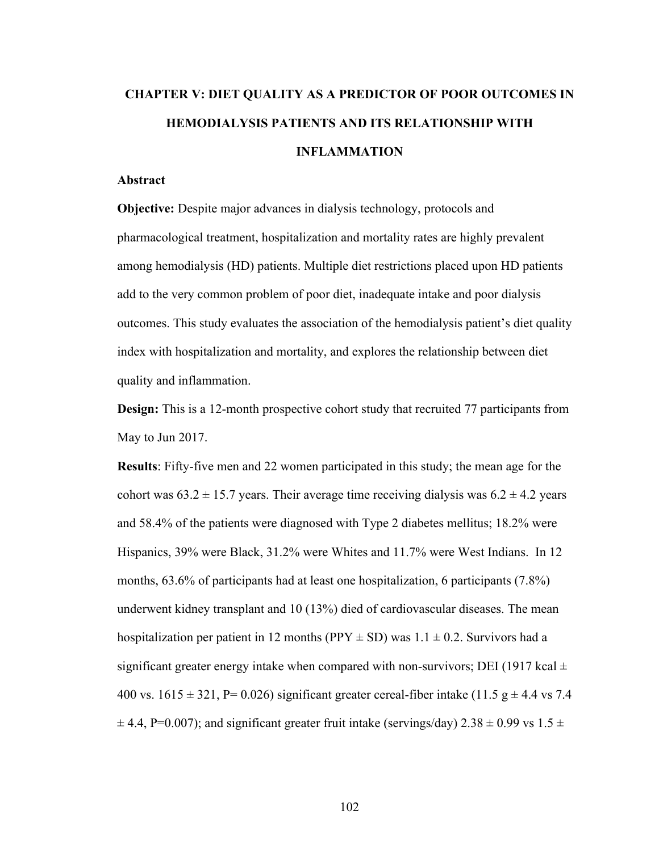# **CHAPTER V: DIET QUALITY AS A PREDICTOR OF POOR OUTCOMES IN HEMODIALYSIS PATIENTS AND ITS RELATIONSHIP WITH INFLAMMATION**

# **Abstract**

**Objective:** Despite major advances in dialysis technology, protocols and pharmacological treatment, hospitalization and mortality rates are highly prevalent among hemodialysis (HD) patients. Multiple diet restrictions placed upon HD patients add to the very common problem of poor diet, inadequate intake and poor dialysis outcomes. This study evaluates the association of the hemodialysis patient's diet quality index with hospitalization and mortality, and explores the relationship between diet quality and inflammation.

**Design:** This is a 12-month prospective cohort study that recruited 77 participants from May to Jun 2017.

**Results**: Fifty-five men and 22 women participated in this study; the mean age for the cohort was  $63.2 \pm 15.7$  years. Their average time receiving dialysis was  $6.2 \pm 4.2$  years and 58.4% of the patients were diagnosed with Type 2 diabetes mellitus; 18.2% were Hispanics, 39% were Black, 31.2% were Whites and 11.7% were West Indians. In 12 months, 63.6% of participants had at least one hospitalization, 6 participants (7.8%) underwent kidney transplant and 10 (13%) died of cardiovascular diseases. The mean hospitalization per patient in 12 months (PPY  $\pm$  SD) was 1.1  $\pm$  0.2. Survivors had a significant greater energy intake when compared with non-survivors; DEI (1917 kcal  $\pm$ 400 vs.  $1615 \pm 321$ , P= 0.026) significant greater cereal-fiber intake (11.5 g  $\pm$  4.4 vs 7.4  $\pm$  4.4, P=0.007); and significant greater fruit intake (servings/day) 2.38  $\pm$  0.99 vs 1.5  $\pm$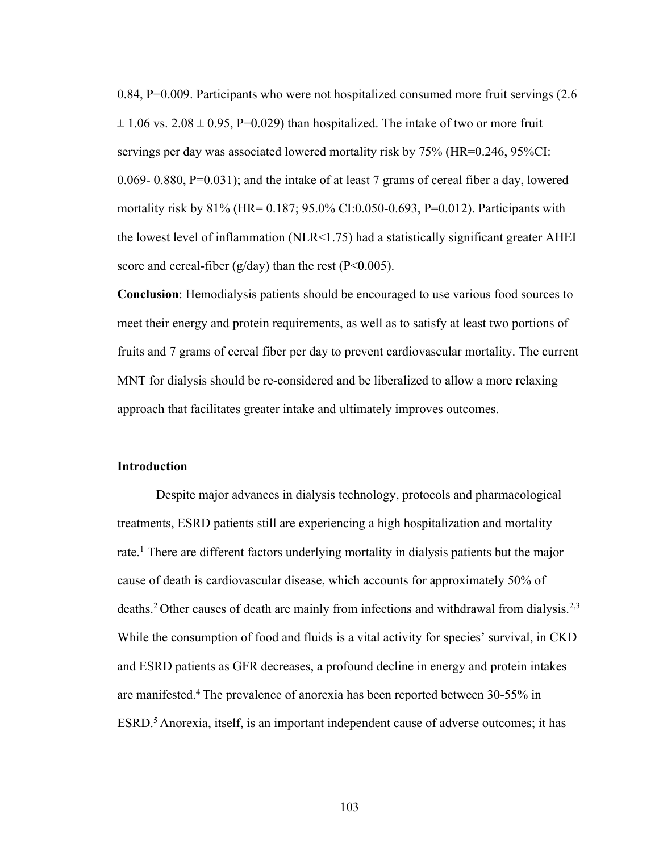0.84, P=0.009. Participants who were not hospitalized consumed more fruit servings (2.6  $\pm$  1.06 vs. 2.08  $\pm$  0.95, P=0.029) than hospitalized. The intake of two or more fruit servings per day was associated lowered mortality risk by 75% (HR=0.246, 95%CI: 0.069- 0.880, P=0.031); and the intake of at least 7 grams of cereal fiber a day, lowered mortality risk by 81% (HR= 0.187; 95.0% CI:0.050-0.693, P=0.012). Participants with the lowest level of inflammation (NLR<1.75) had a statistically significant greater AHEI score and cereal-fiber ( $g/day$ ) than the rest ( $P<0.005$ ).

**Conclusion**: Hemodialysis patients should be encouraged to use various food sources to meet their energy and protein requirements, as well as to satisfy at least two portions of fruits and 7 grams of cereal fiber per day to prevent cardiovascular mortality. The current MNT for dialysis should be re-considered and be liberalized to allow a more relaxing approach that facilitates greater intake and ultimately improves outcomes.

#### **Introduction**

Despite major advances in dialysis technology, protocols and pharmacological treatments, ESRD patients still are experiencing a high hospitalization and mortality rate.<sup>1</sup> There are different factors underlying mortality in dialysis patients but the major cause of death is cardiovascular disease, which accounts for approximately 50% of deaths.<sup>2</sup> Other causes of death are mainly from infections and withdrawal from dialysis.<sup>2,3</sup> While the consumption of food and fluids is a vital activity for species' survival, in CKD and ESRD patients as GFR decreases, a profound decline in energy and protein intakes are manifested.4 The prevalence of anorexia has been reported between 30-55% in ESRD.<sup>5</sup> Anorexia, itself, is an important independent cause of adverse outcomes; it has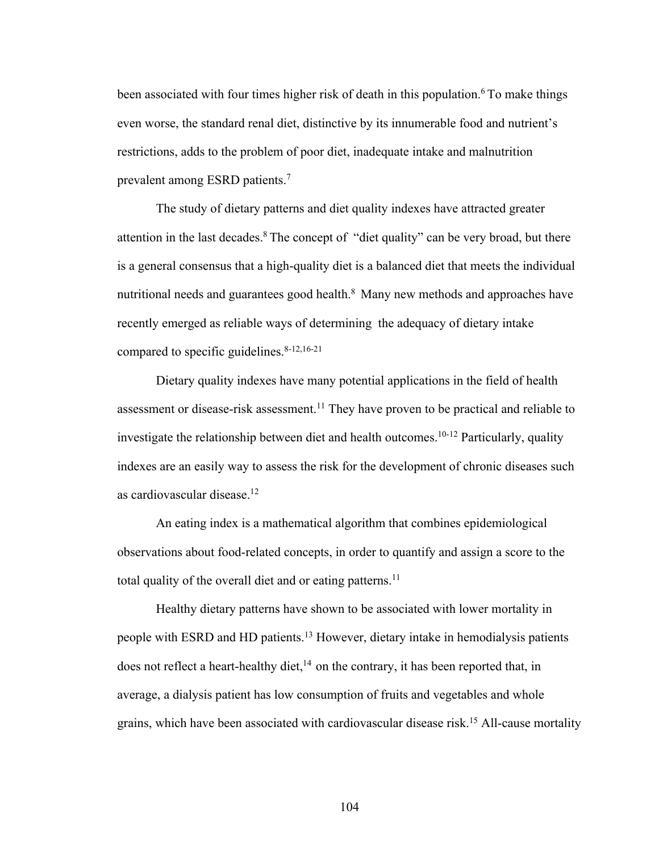been associated with four times higher risk of death in this population.<sup>6</sup> To make things even worse, the standard renal diet, distinctive by its innumerable food and nutrient's restrictions, adds to the problem of poor diet, inadequate intake and malnutrition prevalent among ESRD patients.7

The study of dietary patterns and diet quality indexes have attracted greater attention in the last decades. $8$  The concept of "diet quality" can be very broad, but there is a general consensus that a high-quality diet is a balanced diet that meets the individual nutritional needs and guarantees good health.<sup>8</sup> Many new methods and approaches have recently emerged as reliable ways of determining the adequacy of dietary intake compared to specific guidelines. $8-12,16-21$ 

Dietary quality indexes have many potential applications in the field of health assessment or disease-risk assessment.<sup>11</sup> They have proven to be practical and reliable to investigate the relationship between diet and health outcomes.10-12 Particularly, quality indexes are an easily way to assess the risk for the development of chronic diseases such as cardiovascular disease.12

An eating index is a mathematical algorithm that combines epidemiological observations about food-related concepts, in order to quantify and assign a score to the total quality of the overall diet and or eating patterns.<sup>11</sup>

Healthy dietary patterns have shown to be associated with lower mortality in people with ESRD and HD patients.13 However, dietary intake in hemodialysis patients does not reflect a heart-healthy diet, $^{14}$  on the contrary, it has been reported that, in average, a dialysis patient has low consumption of fruits and vegetables and whole grains, which have been associated with cardiovascular disease risk.15 All-cause mortality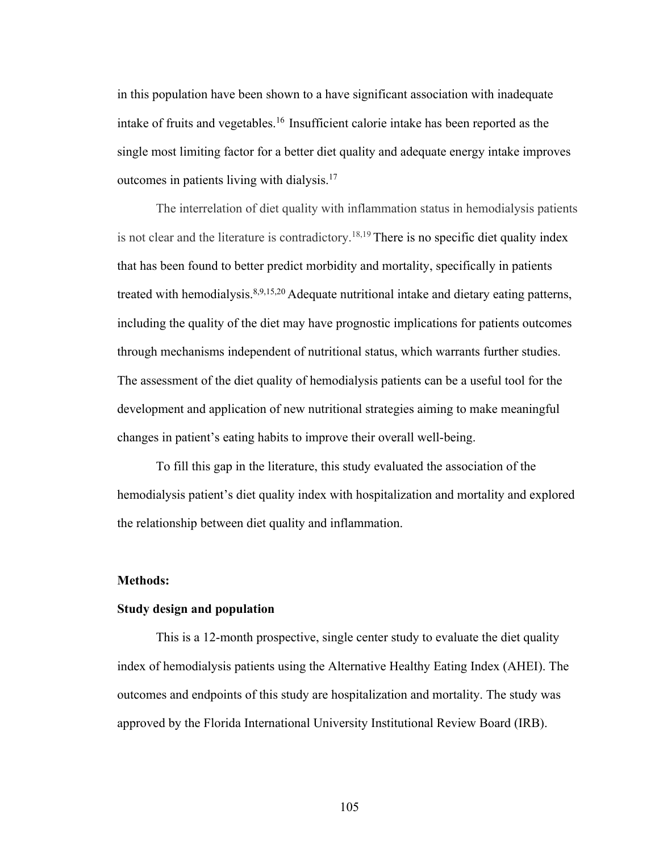in this population have been shown to a have significant association with inadequate intake of fruits and vegetables.16 Insufficient calorie intake has been reported as the single most limiting factor for a better diet quality and adequate energy intake improves outcomes in patients living with dialysis.17

The interrelation of diet quality with inflammation status in hemodialysis patients is not clear and the literature is contradictory.<sup>18,19</sup> There is no specific diet quality index that has been found to better predict morbidity and mortality, specifically in patients treated with hemodialysis.<sup>8,9,15,20</sup> Adequate nutritional intake and dietary eating patterns, including the quality of the diet may have prognostic implications for patients outcomes through mechanisms independent of nutritional status, which warrants further studies. The assessment of the diet quality of hemodialysis patients can be a useful tool for the development and application of new nutritional strategies aiming to make meaningful changes in patient's eating habits to improve their overall well-being.

To fill this gap in the literature, this study evaluated the association of the hemodialysis patient's diet quality index with hospitalization and mortality and explored the relationship between diet quality and inflammation.

#### **Methods:**

# **Study design and population**

This is a 12-month prospective, single center study to evaluate the diet quality index of hemodialysis patients using the Alternative Healthy Eating Index (AHEI). The outcomes and endpoints of this study are hospitalization and mortality. The study was approved by the Florida International University Institutional Review Board (IRB).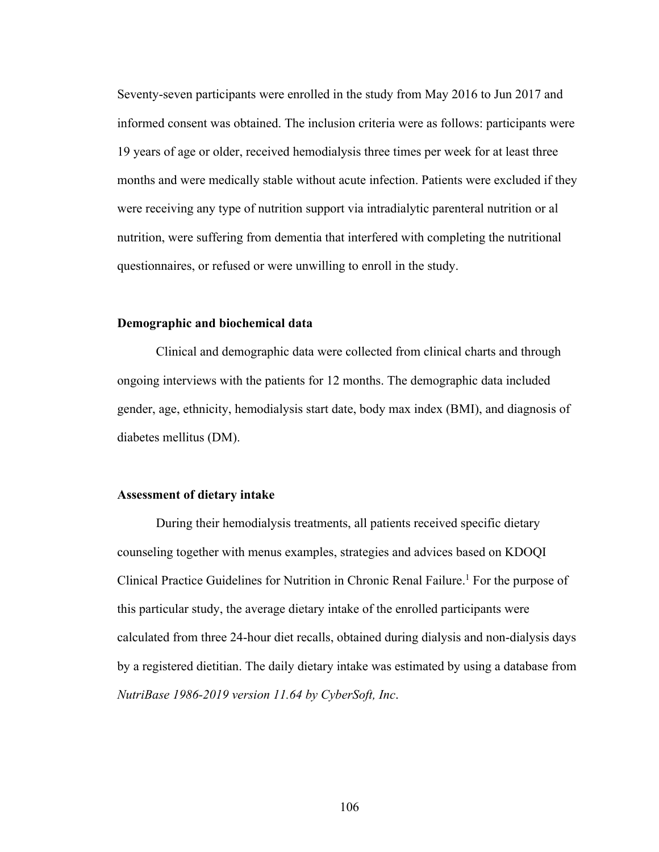Seventy-seven participants were enrolled in the study from May 2016 to Jun 2017 and informed consent was obtained. The inclusion criteria were as follows: participants were 19 years of age or older, received hemodialysis three times per week for at least three months and were medically stable without acute infection. Patients were excluded if they were receiving any type of nutrition support via intradialytic parenteral nutrition or al nutrition, were suffering from dementia that interfered with completing the nutritional questionnaires, or refused or were unwilling to enroll in the study.

#### **Demographic and biochemical data**

Clinical and demographic data were collected from clinical charts and through ongoing interviews with the patients for 12 months. The demographic data included gender, age, ethnicity, hemodialysis start date, body max index (BMI), and diagnosis of diabetes mellitus (DM).

#### **Assessment of dietary intake**

During their hemodialysis treatments, all patients received specific dietary counseling together with menus examples, strategies and advices based on KDOQI Clinical Practice Guidelines for Nutrition in Chronic Renal Failure.<sup>1</sup> For the purpose of this particular study, the average dietary intake of the enrolled participants were calculated from three 24-hour diet recalls, obtained during dialysis and non-dialysis days by a registered dietitian. The daily dietary intake was estimated by using a database from *NutriBase 1986-2019 version 11.64 by CyberSoft, Inc*.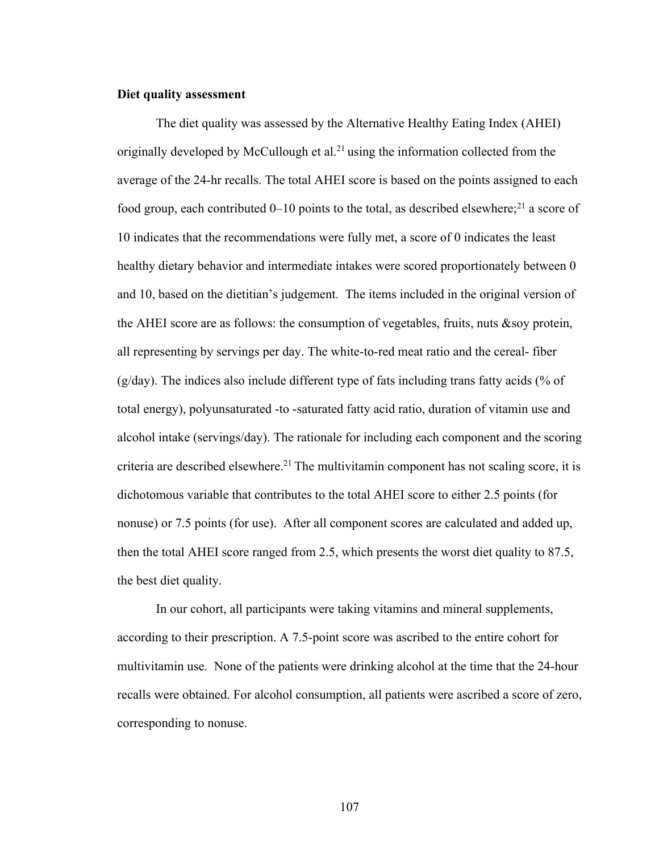# **Diet quality assessment**

The diet quality was assessed by the Alternative Healthy Eating Index (AHEI) originally developed by McCullough et al.<sup>21</sup> using the information collected from the average of the 24-hr recalls. The total AHEI score is based on the points assigned to each food group, each contributed  $0-10$  points to the total, as described elsewhere;<sup>21</sup> a score of 10 indicates that the recommendations were fully met, a score of 0 indicates the least healthy dietary behavior and intermediate intakes were scored proportionately between 0 and 10, based on the dietitian's judgement. The items included in the original version of the AHEI score are as follows: the consumption of vegetables, fruits, nuts &soy protein, all representing by servings per day. The white-to-red meat ratio and the cereal- fiber  $(g/day)$ . The indices also include different type of fats including trans fatty acids (% of total energy), polyunsaturated -to -saturated fatty acid ratio, duration of vitamin use and alcohol intake (servings/day). The rationale for including each component and the scoring criteria are described elsewhere.<sup>21</sup> The multivitamin component has not scaling score, it is dichotomous variable that contributes to the total AHEI score to either 2.5 points (for nonuse) or 7.5 points (for use). After all component scores are calculated and added up, then the total AHEI score ranged from 2.5, which presents the worst diet quality to 87.5, the best diet quality.

In our cohort, all participants were taking vitamins and mineral supplements, according to their prescription. A 7.5-point score was ascribed to the entire cohort for multivitamin use. None of the patients were drinking alcohol at the time that the 24-hour recalls were obtained. For alcohol consumption, all patients were ascribed a score of zero, corresponding to nonuse.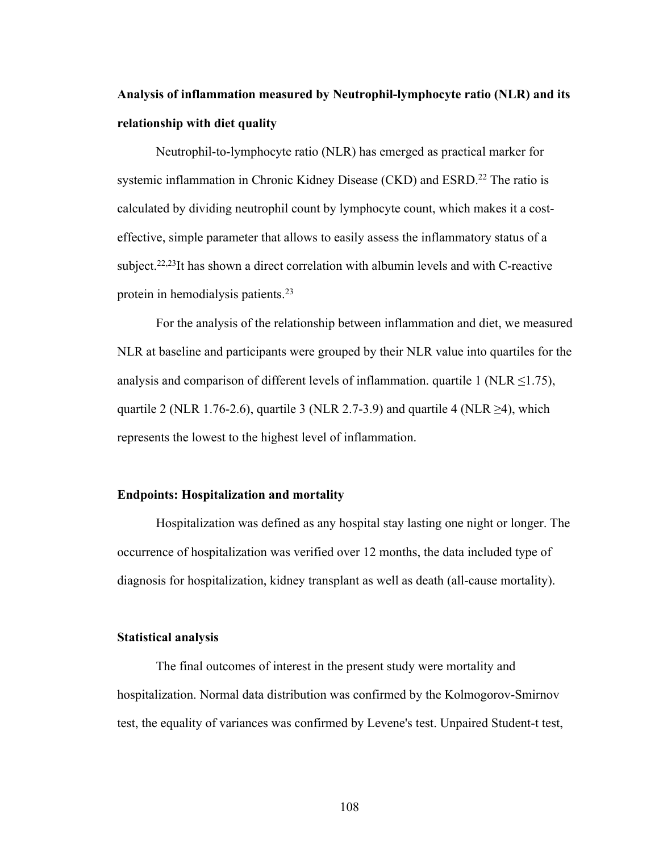# **Analysis of inflammation measured by Neutrophil-lymphocyte ratio (NLR) and its relationship with diet quality**

Neutrophil-to-lymphocyte ratio (NLR) has emerged as practical marker for systemic inflammation in Chronic Kidney Disease (CKD) and ESRD.<sup>22</sup> The ratio is calculated by dividing neutrophil count by lymphocyte count, which makes it a costeffective, simple parameter that allows to easily assess the inflammatory status of a subject.<sup>22,23</sup>It has shown a direct correlation with albumin levels and with C-reactive protein in hemodialysis patients.23

For the analysis of the relationship between inflammation and diet, we measured NLR at baseline and participants were grouped by their NLR value into quartiles for the analysis and comparison of different levels of inflammation. quartile 1 (NLR  $\leq$ 1.75), quartile 2 (NLR 1.76-2.6), quartile 3 (NLR 2.7-3.9) and quartile 4 (NLR  $\geq$ 4), which represents the lowest to the highest level of inflammation.

#### **Endpoints: Hospitalization and mortality**

Hospitalization was defined as any hospital stay lasting one night or longer. The occurrence of hospitalization was verified over 12 months, the data included type of diagnosis for hospitalization, kidney transplant as well as death (all-cause mortality).

# **Statistical analysis**

The final outcomes of interest in the present study were mortality and hospitalization. Normal data distribution was confirmed by the Kolmogorov-Smirnov test, the equality of variances was confirmed by Levene's test. Unpaired Student-t test,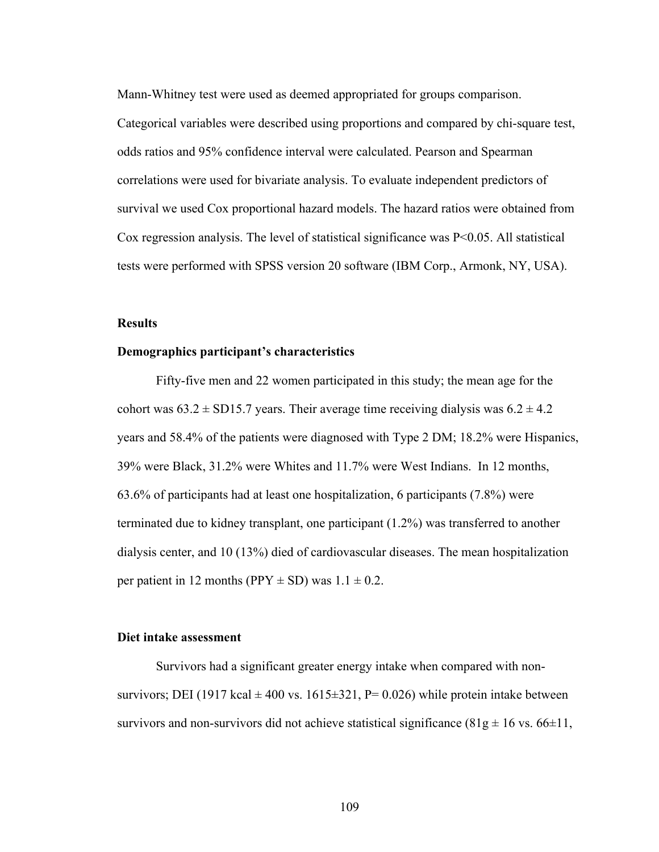Mann-Whitney test were used as deemed appropriated for groups comparison.

Categorical variables were described using proportions and compared by chi-square test, odds ratios and 95% confidence interval were calculated. Pearson and Spearman correlations were used for bivariate analysis. To evaluate independent predictors of survival we used Cox proportional hazard models. The hazard ratios were obtained from Cox regression analysis. The level of statistical significance was P<0.05. All statistical tests were performed with SPSS version 20 software (IBM Corp., Armonk, NY, USA).

#### **Results**

#### **Demographics participant's characteristics**

Fifty-five men and 22 women participated in this study; the mean age for the cohort was  $63.2 \pm SD15.7$  years. Their average time receiving dialysis was  $6.2 \pm 4.2$ years and 58.4% of the patients were diagnosed with Type 2 DM; 18.2% were Hispanics, 39% were Black, 31.2% were Whites and 11.7% were West Indians. In 12 months, 63.6% of participants had at least one hospitalization, 6 participants (7.8%) were terminated due to kidney transplant, one participant (1.2%) was transferred to another dialysis center, and 10 (13%) died of cardiovascular diseases. The mean hospitalization per patient in 12 months (PPY  $\pm$  SD) was 1.1  $\pm$  0.2.

# **Diet intake assessment**

Survivors had a significant greater energy intake when compared with nonsurvivors; DEI (1917 kcal  $\pm$  400 vs. 1615 $\pm$ 321, P= 0.026) while protein intake between survivors and non-survivors did not achieve statistical significance  $(81g \pm 16 \text{ vs. } 66 \pm 11,$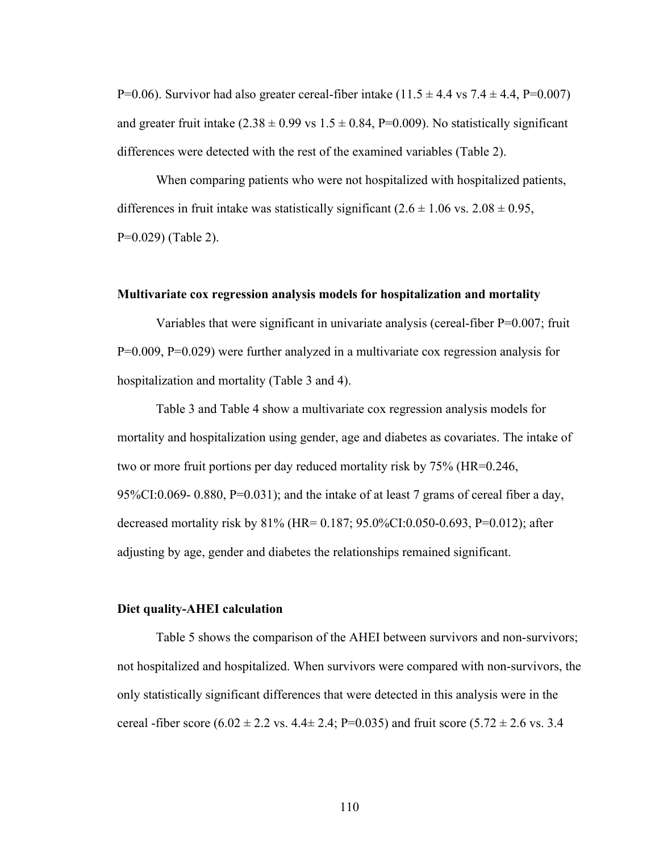P=0.06). Survivor had also greater cereal-fiber intake  $(11.5 \pm 4.4 \text{ vs } 7.4 \pm 4.4, P=0.007)$ and greater fruit intake  $(2.38 \pm 0.99 \text{ vs } 1.5 \pm 0.84, P=0.009)$ . No statistically significant differences were detected with the rest of the examined variables (Table 2).

When comparing patients who were not hospitalized with hospitalized patients, differences in fruit intake was statistically significant  $(2.6 \pm 1.06 \text{ vs. } 2.08 \pm 0.95,$ P=0.029) (Table 2).

#### **Multivariate cox regression analysis models for hospitalization and mortality**

Variables that were significant in univariate analysis (cereal-fiber P=0.007; fruit P=0.009, P=0.029) were further analyzed in a multivariate cox regression analysis for hospitalization and mortality (Table 3 and 4).

Table 3 and Table 4 show a multivariate cox regression analysis models for mortality and hospitalization using gender, age and diabetes as covariates. The intake of two or more fruit portions per day reduced mortality risk by 75% (HR=0.246, 95%CI:0.069- 0.880, P=0.031); and the intake of at least 7 grams of cereal fiber a day, decreased mortality risk by 81% (HR= 0.187; 95.0%CI:0.050-0.693, P=0.012); after adjusting by age, gender and diabetes the relationships remained significant.

### **Diet quality-AHEI calculation**

Table 5 shows the comparison of the AHEI between survivors and non-survivors; not hospitalized and hospitalized. When survivors were compared with non-survivors, the only statistically significant differences that were detected in this analysis were in the cereal -fiber score  $(6.02 \pm 2.2 \text{ vs. } 4.4 \pm 2.4; P=0.035)$  and fruit score  $(5.72 \pm 2.6 \text{ vs. } 3.4)$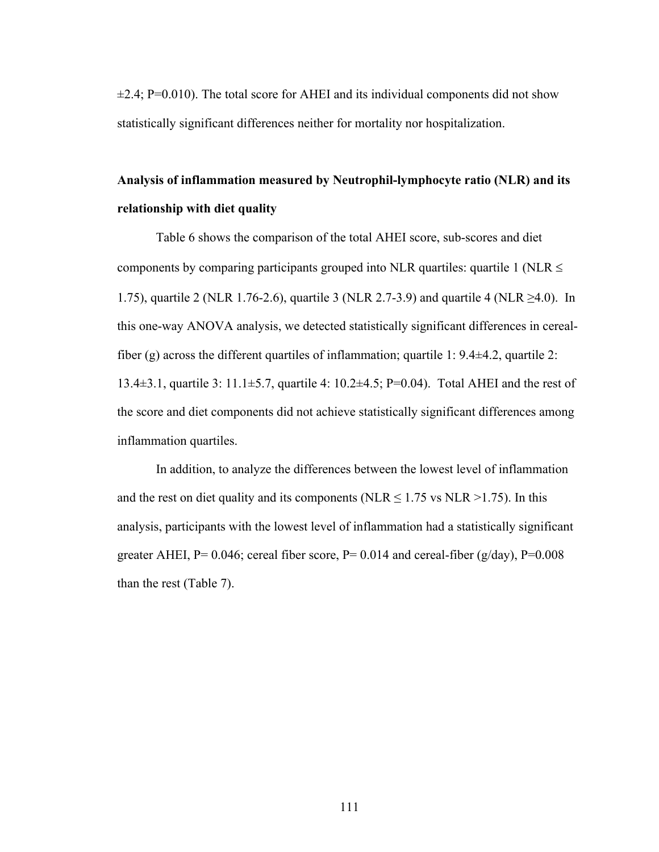$\pm$ 2.4; P=0.010). The total score for AHEI and its individual components did not show statistically significant differences neither for mortality nor hospitalization.

# **Analysis of inflammation measured by Neutrophil-lymphocyte ratio (NLR) and its relationship with diet quality**

Table 6 shows the comparison of the total AHEI score, sub-scores and diet components by comparing participants grouped into NLR quartiles: quartile 1 (NLR  $\leq$ 1.75), quartile 2 (NLR 1.76-2.6), quartile 3 (NLR 2.7-3.9) and quartile 4 (NLR  $\geq$ 4.0). In this one-way ANOVA analysis, we detected statistically significant differences in cerealfiber (g) across the different quartiles of inflammation; quartile 1: 9.4±4.2, quartile 2: 13.4±3.1, quartile 3: 11.1±5.7, quartile 4: 10.2±4.5; P=0.04). Total AHEI and the rest of the score and diet components did not achieve statistically significant differences among inflammation quartiles.

In addition, to analyze the differences between the lowest level of inflammation and the rest on diet quality and its components (NLR  $\leq$  1.75 vs NLR >1.75). In this analysis, participants with the lowest level of inflammation had a statistically significant greater AHEI,  $P= 0.046$ ; cereal fiber score,  $P= 0.014$  and cereal-fiber (g/day),  $P=0.008$ than the rest (Table 7).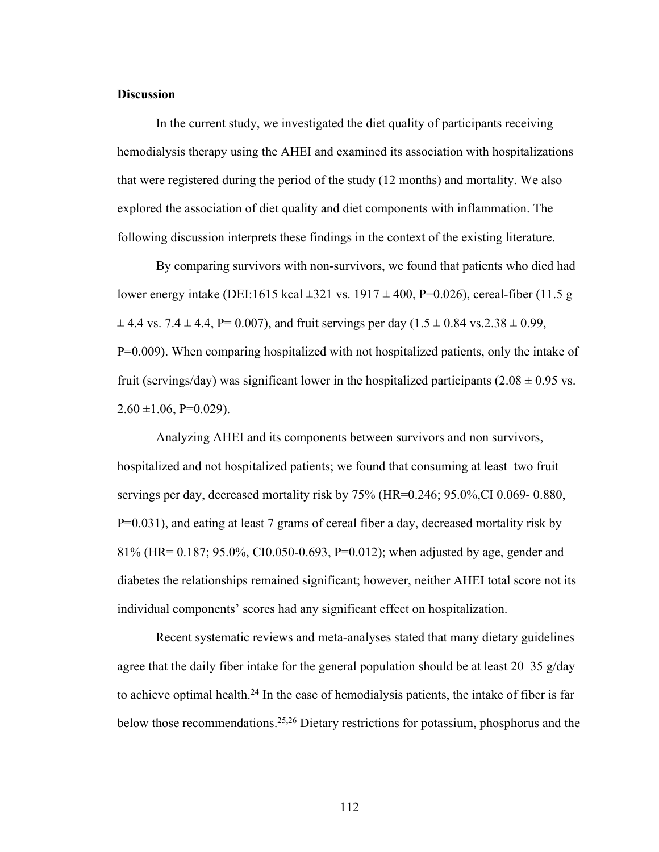# **Discussion**

In the current study, we investigated the diet quality of participants receiving hemodialysis therapy using the AHEI and examined its association with hospitalizations that were registered during the period of the study (12 months) and mortality. We also explored the association of diet quality and diet components with inflammation. The following discussion interprets these findings in the context of the existing literature.

By comparing survivors with non-survivors, we found that patients who died had lower energy intake (DEI:1615 kcal  $\pm 321$  vs. 1917  $\pm 400$ , P=0.026), cereal-fiber (11.5 g  $\pm$  4.4 vs. 7.4  $\pm$  4.4, P= 0.007), and fruit servings per day (1.5  $\pm$  0.84 vs.2.38  $\pm$  0.99, P=0.009). When comparing hospitalized with not hospitalized patients, only the intake of fruit (servings/day) was significant lower in the hospitalized participants (2.08  $\pm$  0.95 vs.  $2.60 \pm 1.06$ , P=0.029).

Analyzing AHEI and its components between survivors and non survivors, hospitalized and not hospitalized patients; we found that consuming at least two fruit servings per day, decreased mortality risk by 75% (HR=0.246; 95.0%,CI 0.069- 0.880, P=0.031), and eating at least 7 grams of cereal fiber a day, decreased mortality risk by 81% (HR= 0.187; 95.0%, CI0.050-0.693, P=0.012); when adjusted by age, gender and diabetes the relationships remained significant; however, neither AHEI total score not its individual components' scores had any significant effect on hospitalization.

Recent systematic reviews and meta-analyses stated that many dietary guidelines agree that the daily fiber intake for the general population should be at least 20–35 g/day to achieve optimal health.<sup>24</sup> In the case of hemodialysis patients, the intake of fiber is far below those recommendations.25,26 Dietary restrictions for potassium, phosphorus and the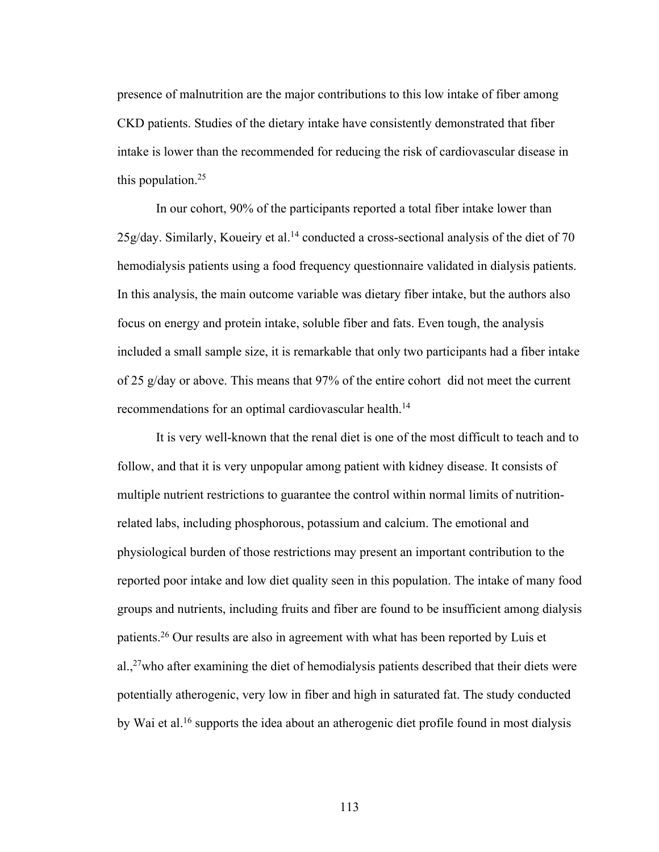presence of malnutrition are the major contributions to this low intake of fiber among CKD patients. Studies of the dietary intake have consistently demonstrated that fiber intake is lower than the recommended for reducing the risk of cardiovascular disease in this population.25

In our cohort, 90% of the participants reported a total fiber intake lower than 25g/day. Similarly, Koueiry et al.<sup>14</sup> conducted a cross-sectional analysis of the diet of 70 hemodialysis patients using a food frequency questionnaire validated in dialysis patients. In this analysis, the main outcome variable was dietary fiber intake, but the authors also focus on energy and protein intake, soluble fiber and fats. Even tough, the analysis included a small sample size, it is remarkable that only two participants had a fiber intake of 25 g/day or above. This means that 97% of the entire cohort did not meet the current recommendations for an optimal cardiovascular health.<sup>14</sup>

It is very well-known that the renal diet is one of the most difficult to teach and to follow, and that it is very unpopular among patient with kidney disease. It consists of multiple nutrient restrictions to guarantee the control within normal limits of nutritionrelated labs, including phosphorous, potassium and calcium. The emotional and physiological burden of those restrictions may present an important contribution to the reported poor intake and low diet quality seen in this population. The intake of many food groups and nutrients, including fruits and fiber are found to be insufficient among dialysis patients.26 Our results are also in agreement with what has been reported by Luis et al., $27$  who after examining the diet of hemodialysis patients described that their diets were potentially atherogenic, very low in fiber and high in saturated fat. The study conducted by Wai et al.16 supports the idea about an atherogenic diet profile found in most dialysis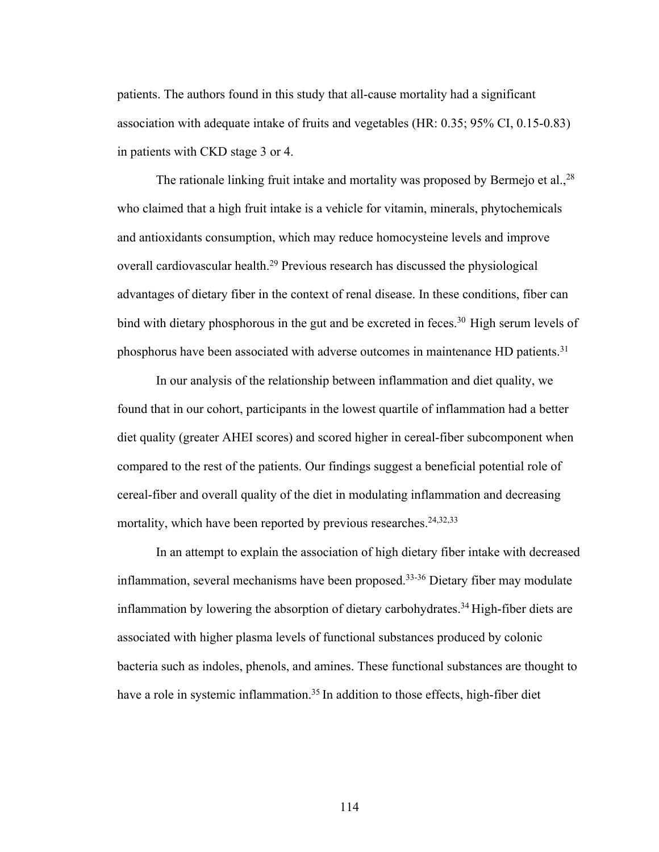patients. The authors found in this study that all-cause mortality had a significant association with adequate intake of fruits and vegetables (HR: 0.35; 95% CI, 0.15-0.83) in patients with CKD stage 3 or 4.

The rationale linking fruit intake and mortality was proposed by Bermejo et al.,<sup>28</sup> who claimed that a high fruit intake is a vehicle for vitamin, minerals, phytochemicals and antioxidants consumption, which may reduce homocysteine levels and improve overall cardiovascular health.<sup>29</sup> Previous research has discussed the physiological advantages of dietary fiber in the context of renal disease. In these conditions, fiber can bind with dietary phosphorous in the gut and be excreted in feces.<sup>30</sup> High serum levels of phosphorus have been associated with adverse outcomes in maintenance HD patients.<sup>31</sup>

In our analysis of the relationship between inflammation and diet quality, we found that in our cohort, participants in the lowest quartile of inflammation had a better diet quality (greater AHEI scores) and scored higher in cereal-fiber subcomponent when compared to the rest of the patients. Our findings suggest a beneficial potential role of cereal-fiber and overall quality of the diet in modulating inflammation and decreasing mortality, which have been reported by previous researches.<sup>24,32,33</sup>

In an attempt to explain the association of high dietary fiber intake with decreased inflammation, several mechanisms have been proposed.33-36 Dietary fiber may modulate inflammation by lowering the absorption of dietary carbohydrates.<sup>34</sup> High-fiber diets are associated with higher plasma levels of functional substances produced by colonic bacteria such as indoles, phenols, and amines. These functional substances are thought to have a role in systemic inflammation.<sup>35</sup> In addition to those effects, high-fiber diet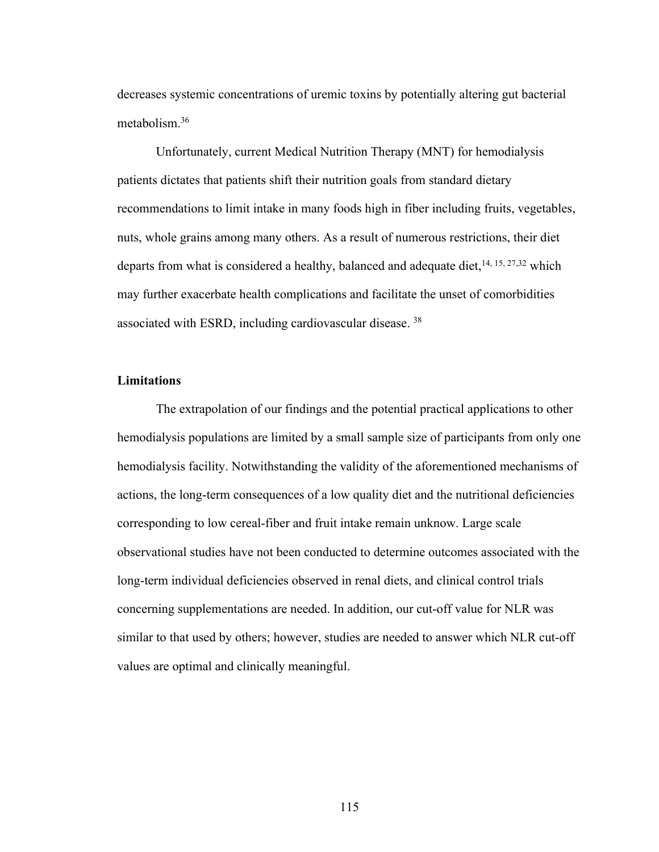decreases systemic concentrations of uremic toxins by potentially altering gut bacterial metabolism.36

Unfortunately, current Medical Nutrition Therapy (MNT) for hemodialysis patients dictates that patients shift their nutrition goals from standard dietary recommendations to limit intake in many foods high in fiber including fruits, vegetables, nuts, whole grains among many others. As a result of numerous restrictions, their diet departs from what is considered a healthy, balanced and adequate diet,  $14, 15, 27, 32$  which may further exacerbate health complications and facilitate the unset of comorbidities associated with ESRD, including cardiovascular disease. 38

# **Limitations**

The extrapolation of our findings and the potential practical applications to other hemodialysis populations are limited by a small sample size of participants from only one hemodialysis facility. Notwithstanding the validity of the aforementioned mechanisms of actions, the long-term consequences of a low quality diet and the nutritional deficiencies corresponding to low cereal-fiber and fruit intake remain unknow. Large scale observational studies have not been conducted to determine outcomes associated with the long-term individual deficiencies observed in renal diets, and clinical control trials concerning supplementations are needed. In addition, our cut-off value for NLR was similar to that used by others; however, studies are needed to answer which NLR cut-off values are optimal and clinically meaningful.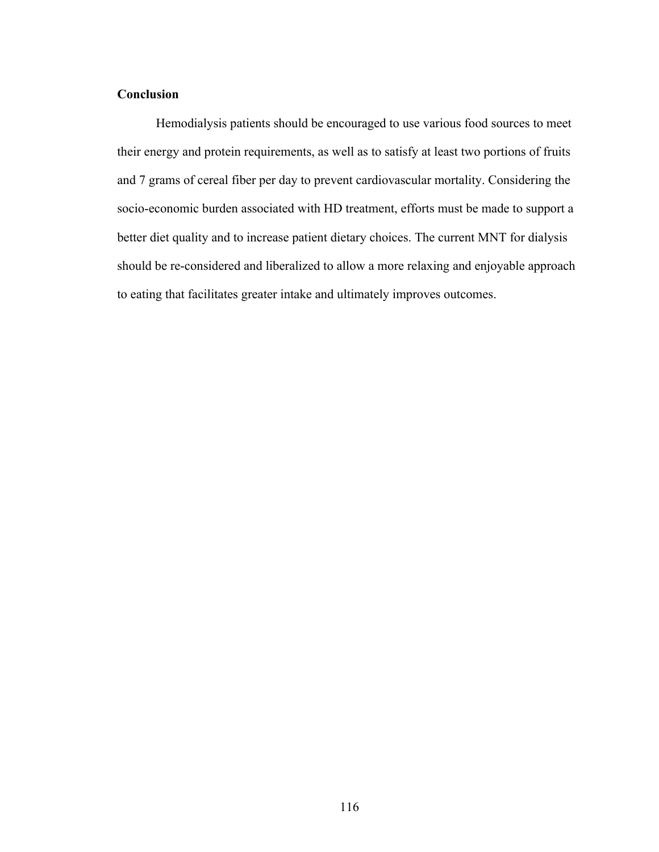# **Conclusion**

Hemodialysis patients should be encouraged to use various food sources to meet their energy and protein requirements, as well as to satisfy at least two portions of fruits and 7 grams of cereal fiber per day to prevent cardiovascular mortality. Considering the socio-economic burden associated with HD treatment, efforts must be made to support a better diet quality and to increase patient dietary choices. The current MNT for dialysis should be re-considered and liberalized to allow a more relaxing and enjoyable approach to eating that facilitates greater intake and ultimately improves outcomes.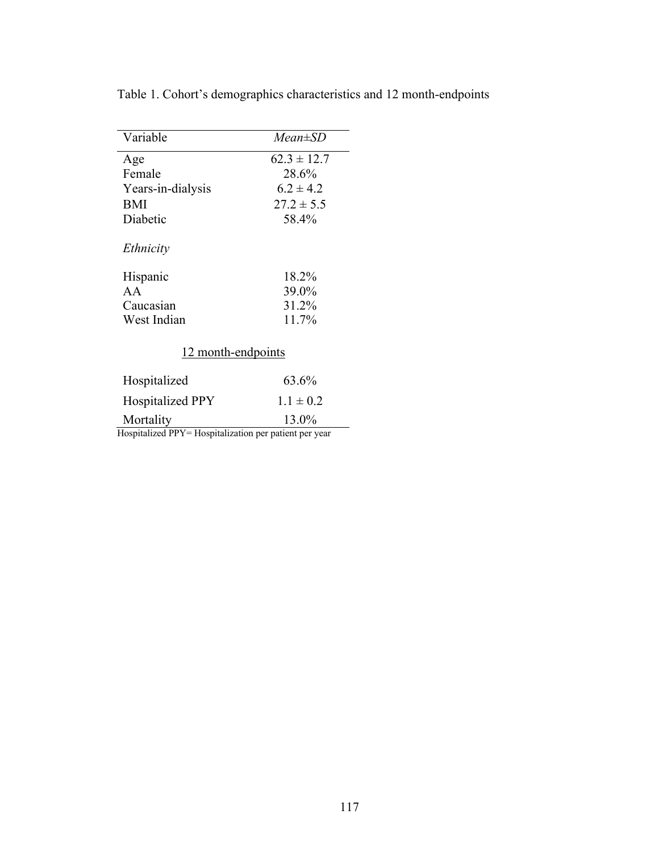| Variable                                               | $Mean \pm SD$   |  |  |  |
|--------------------------------------------------------|-----------------|--|--|--|
| Age                                                    | $62.3 \pm 12.7$ |  |  |  |
| Female                                                 | 28.6%           |  |  |  |
| Years-in-dialysis                                      | $6.2 \pm 4.2$   |  |  |  |
| <b>BMI</b>                                             | $27.2 \pm 5.5$  |  |  |  |
| Diabetic                                               | 58.4%           |  |  |  |
| Ethnicity                                              |                 |  |  |  |
| Hispanic                                               | 18.2%           |  |  |  |
| AA                                                     | 39.0%           |  |  |  |
| Caucasian                                              | 31.2%           |  |  |  |
| West Indian                                            | 11.7%           |  |  |  |
| 12 month-endpoints                                     |                 |  |  |  |
| Hospitalized                                           | 63.6%           |  |  |  |
| <b>Hospitalized PPY</b>                                | $1.1 \pm 0.2$   |  |  |  |
| Mortality                                              | 13.0%           |  |  |  |
| Hospitalized PPY= Hospitalization per patient per year |                 |  |  |  |

Table 1. Cohort's demographics characteristics and 12 month-endpoints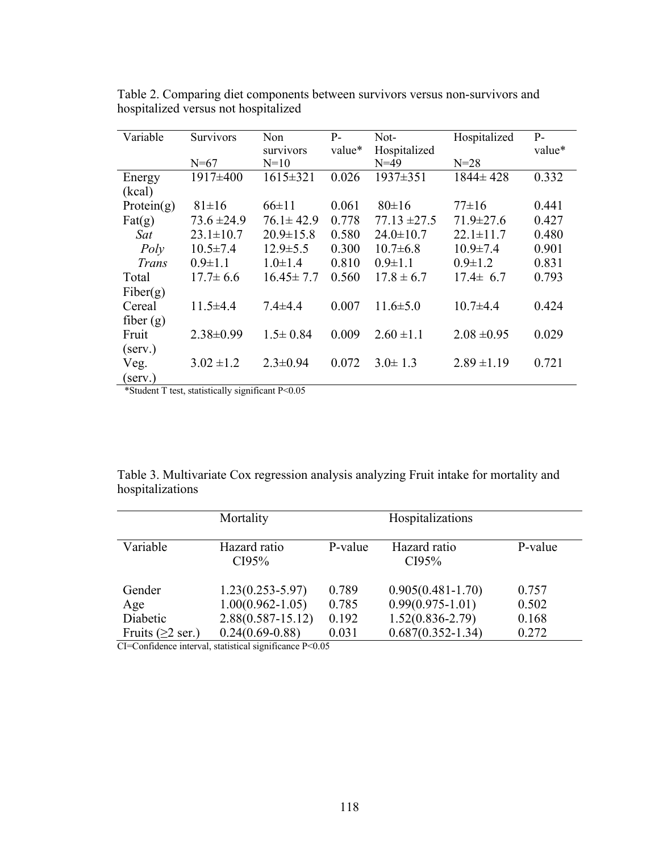| Variable         | Survivors       | Non             | $P-$   | Not-             | Hospitalized    | $P-$   |
|------------------|-----------------|-----------------|--------|------------------|-----------------|--------|
|                  |                 | survivors       | value* | Hospitalized     |                 | value* |
|                  | $N=67$          | $N=10$          |        | $N = 49$         | $N = 28$        |        |
| Energy           | 1917±400        | $1615 \pm 321$  | 0.026  | 1937±351         | $1844 \pm 428$  | 0.332  |
| (kcal)           |                 |                 |        |                  |                 |        |
| Protein $(g)$    | $81 \pm 16$     | $66 \pm 11$     | 0.061  | $80 \pm 16$      | $77\pm16$       | 0.441  |
| $\text{Fat}(g)$  | $73.6 \pm 24.9$ | $76.1 \pm 42.9$ | 0.778  | $77.13 \pm 27.5$ | $71.9 \pm 27.6$ | 0.427  |
| Sat              | $23.1 \pm 10.7$ | $20.9 \pm 15.8$ | 0.580  | $24.0 \pm 10.7$  | $22.1 \pm 11.7$ | 0.480  |
| Poly             | $10.5 \pm 7.4$  | $12.9 \pm 5.5$  | 0.300  | $10.7 \pm 6.8$   | $10.9 \pm 7.4$  | 0.901  |
| Trans            | $0.9 \pm 1.1$   | $1.0 \pm 1.4$   | 0.810  | $0.9 \pm 1.1$    | $0.9 \pm 1.2$   | 0.831  |
| Total            | $17.7 \pm 6.6$  | $16.45 \pm 7.7$ | 0.560  | $17.8 \pm 6.7$   | $17.4 \pm 6.7$  | 0.793  |
| Fiber(g)         |                 |                 |        |                  |                 |        |
| Cereal           | $11.5 \pm 4.4$  | $7.4 + 4.4$     | 0.007  | $11.6 \pm 5.0$   | $10.7 + 4.4$    | 0.424  |
| fiber $(g)$      |                 |                 |        |                  |                 |        |
| Fruit            | $2.38 \pm 0.99$ | $1.5 \pm 0.84$  | 0.009  | $2.60 \pm 1.1$   | $2.08 \pm 0.95$ | 0.029  |
| $(\text{serv.})$ |                 |                 |        |                  |                 |        |
| Veg.             | $3.02 \pm 1.2$  | $2.3 \pm 0.94$  | 0.072  | $3.0 \pm 1.3$    | $2.89 \pm 1.19$ | 0.721  |
| (serv.)          |                 |                 |        |                  |                 |        |

Table 2. Comparing diet components between survivors versus non-survivors and hospitalized versus not hospitalized

\*Student T test, statistically significant P<0.05

Table 3. Multivariate Cox regression analysis analyzing Fruit intake for mortality and hospitalizations

|                                | Mortality             |         | Hospitalizations      |         |
|--------------------------------|-----------------------|---------|-----------------------|---------|
| Variable                       | Hazard ratio<br>CI95% | P-value | Hazard ratio<br>CI95% | P-value |
| Gender                         | $1.23(0.253 - 5.97)$  | 0.789   | $0.905(0.481 - 1.70)$ | 0.757   |
| Age                            | $1.00(0.962 - 1.05)$  | 0.785   | $0.99(0.975 - 1.01)$  | 0.502   |
| Diabetic                       | $2.88(0.587 - 15.12)$ | 0.192   | $1.52(0.836 - 2.79)$  | 0.168   |
| Fruits $(\geq 2 \text{ ser.})$ | $0.24(0.69-0.88)$     | 0.031   | $0.687(0.352 - 1.34)$ | 0.272   |

CI=Confidence interval, statistical significance P<0.05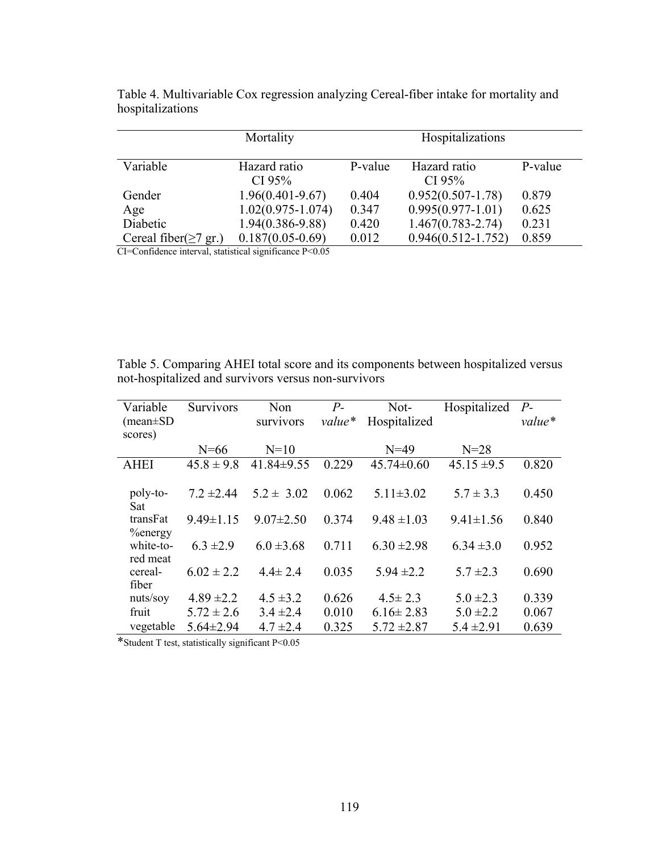|                             | Mortality                 |         | Hospitalizations       |         |
|-----------------------------|---------------------------|---------|------------------------|---------|
| Variable                    | Hazard ratio<br>CI $95\%$ | P-value | Hazard ratio<br>CI 95% | P-value |
| Gender                      | $1.96(0.401 - 9.67)$      | 0.404   | $0.952(0.507 - 1.78)$  | 0.879   |
| Age                         | $1.02(0.975 - 1.074)$     | 0.347   | $0.995(0.977-1.01)$    | 0.625   |
| Diabetic                    | $1.94(0.386 - 9.88)$      | 0.420   | $1.467(0.783 - 2.74)$  | 0.231   |
| Cereal fiber( $\geq$ 7 gr.) | $0.187(0.05-0.69)$        | 0.012   | $0.946(0.512 - 1.752)$ | 0.859   |

Table 4. Multivariable Cox regression analyzing Cereal-fiber intake for mortality and hospitalizations

CI=Confidence interval, statistical significance P<0.05

Table 5. Comparing AHEI total score and its components between hospitalized versus not-hospitalized and survivors versus non-survivors

| Variable        | Survivors       | Non              | $P-$   | Not-             | Hospitalized    | $P_{\text{-}}$ |
|-----------------|-----------------|------------------|--------|------------------|-----------------|----------------|
| $(mean \pm SD)$ |                 | survivors        | value* | Hospitalized     |                 | $value*$       |
| scores)         |                 |                  |        |                  |                 |                |
|                 | $N=66$          | $N=10$           |        | $N=49$           | $N = 28$        |                |
| <b>AHEI</b>     | $45.8 \pm 9.8$  | $41.84 \pm 9.55$ | 0.229  | $45.74 \pm 0.60$ | $45.15 \pm 9.5$ | 0.820          |
|                 |                 |                  |        |                  |                 |                |
| poly-to-        | $7.2 \pm 2.44$  | $5.2 \pm 3.02$   | 0.062  | $5.11 \pm 3.02$  | $5.7 \pm 3.3$   | 0.450          |
| Sat             |                 |                  |        |                  |                 |                |
| transFat        | $9.49 \pm 1.15$ | $9.07 \pm 2.50$  | 0.374  | $9.48 \pm 1.03$  | $9.41 \pm 1.56$ | 0.840          |
| $%$ energy      |                 |                  |        |                  |                 |                |
| white-to-       | $6.3 \pm 2.9$   | $6.0 \pm 3.68$   | 0.711  | $6.30 \pm 2.98$  | $6.34 \pm 3.0$  | 0.952          |
| red meat        |                 |                  |        |                  |                 |                |
| cereal-         | $6.02 \pm 2.2$  | $4.4 \pm 2.4$    | 0.035  | $5.94 \pm 2.2$   | $5.7 \pm 2.3$   | 0.690          |
| fiber           |                 |                  |        |                  |                 |                |
| nuts/soy        | $4.89 \pm 2.2$  | $4.5 \pm 3.2$    | 0.626  | $4.5 \pm 2.3$    | $5.0 \pm 2.3$   | 0.339          |
| fruit           | $5.72 \pm 2.6$  | $3.4 \pm 2.4$    | 0.010  | $6.16 \pm 2.83$  | $5.0 \pm 2.2$   | 0.067          |
| vegetable       | $5.64 \pm 2.94$ | $4.7 \pm 2.4$    | 0.325  | $5.72 \pm 2.87$  | $5.4 \pm 2.91$  | 0.639          |

\*Student T test, statistically significant P<0.05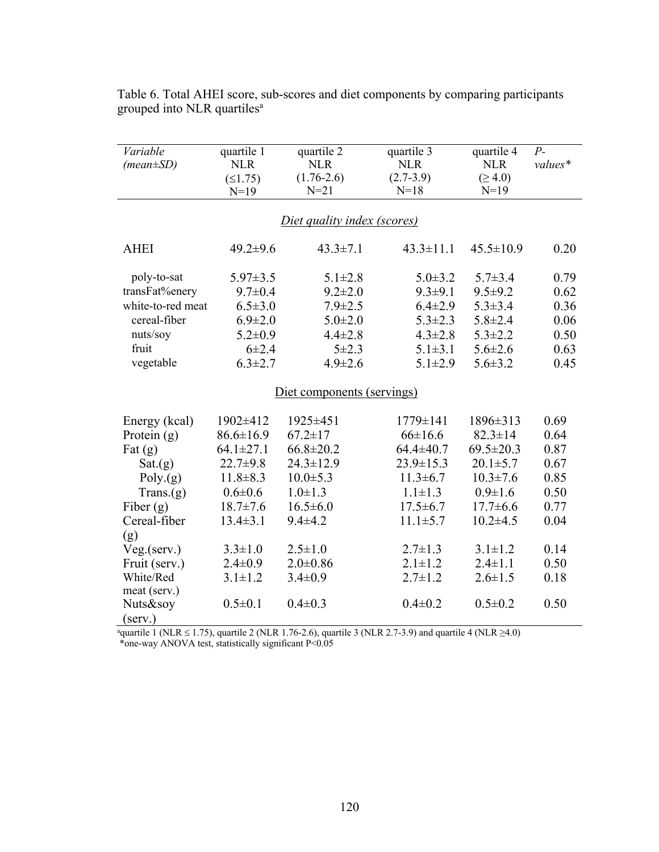| Variable          | quartile 1      | quartile 2                  | quartile 3            | quartile 4              | $P-$    |
|-------------------|-----------------|-----------------------------|-----------------------|-------------------------|---------|
| $(mean \pm SD)$   | <b>NLR</b>      | <b>NLR</b>                  | <b>NLR</b>            | <b>NLR</b>              | values* |
|                   | (≤1.75)         | $(1.76 - 2.6)$<br>$N = 21$  | $(2.7-3.9)$<br>$N=18$ | $( \geq 4.0)$<br>$N=19$ |         |
|                   | $N=19$          |                             |                       |                         |         |
|                   |                 | Diet quality index (scores) |                       |                         |         |
| <b>AHEI</b>       | $49.2 \pm 9.6$  | $43.3 \pm 7.1$              | $43.3 \pm 11.1$       | $45.5 \pm 10.9$         | 0.20    |
| poly-to-sat       | $5.97 \pm 3.5$  | $5.1 \pm 2.8$               | $5.0 \pm 3.2$         | $5.7 \pm 3.4$           | 0.79    |
| transFat%enery    | $9.7 \pm 0.4$   | $9.2 \pm 2.0$               | $9.3 \pm 9.1$         | $9.5 + 9.2$             | 0.62    |
| white-to-red meat | $6.5 \pm 3.0$   | $7.9 \pm 2.5$               | $6.4 \pm 2.9$         | $5.3 \pm 3.4$           | 0.36    |
| cereal-fiber      | $6.9 \pm 2.0$   | $5.0 \pm 2.0$               | $5.3 \pm 2.3$         | $5.8 \pm 2.4$           | 0.06    |
| nuts/soy          | $5.2 \pm 0.9$   | $4.4 \pm 2.8$               | $4.3 \pm 2.8$         | $5.3 \pm 2.2$           | 0.50    |
| fruit             | $6 + 2.4$       | $5 + 2.3$                   | $5.1 \pm 3.1$         | $5.6 \pm 2.6$           | 0.63    |
| vegetable         | $6.3 \pm 2.7$   | $4.9 \pm 2.6$               | $5.1 \pm 2.9$         | $5.6 \pm 3.2$           | 0.45    |
|                   |                 | Diet components (servings)  |                       |                         |         |
| Energy (kcal)     | 1902±412        | 1925±451                    | 1779±141              | 1896±313                | 0.69    |
| Protein $(g)$     | $86.6 \pm 16.9$ | $67.2 \pm 17$               | $66 \pm 16.6$         | $82.3 \pm 14$           | 0.64    |
| Fat $(g)$         | $64.1 \pm 27.1$ | $66.8 \pm 20.2$             | $64.4 \pm 40.7$       | $69.5 \pm 20.3$         | 0.87    |
| Sat.(g)           | $22.7 \pm 9.8$  | $24.3 \pm 12.9$             | $23.9 \pm 15.3$       | $20.1 \pm 5.7$          | 0.67    |
| Poly(g)           | $11.8 \pm 8.3$  | $10.0 \pm 5.3$              | $11.3 \pm 6.7$        | $10.3 \pm 7.6$          | 0.85    |
| Trans(g)          | $0.6 \pm 0.6$   | $1.0 \pm 1.3$               | $1.1 \pm 1.3$         | $0.9 \pm 1.6$           | 0.50    |
| Fiber $(g)$       | $18.7 \pm 7.6$  | $16.5 \pm 6.0$              | $17.5 \pm 6.7$        | $17.7 \pm 6.6$          | 0.77    |
| Cereal-fiber      | $13.4 \pm 3.1$  | $9.4 \pm 4.2$               | $11.1 \pm 5.7$        | $10.2{\pm}4.5$          | 0.04    |
| (g)               |                 |                             |                       |                         |         |
| Veg.(serv.)       | $3.3 \pm 1.0$   | $2.5 \pm 1.0$               | $2.7 \pm 1.3$         | $3.1 \pm 1.2$           | 0.14    |
| Fruit (serv.)     | $2.4 \pm 0.9$   | $2.0 \pm 0.86$              | $2.1 \pm 1.2$         | $2.4 \pm 1.1$           | 0.50    |
| White/Red         | $3.1 \pm 1.2$   | $3.4 \pm 0.9$               | $2.7 \pm 1.2$         | $2.6 \pm 1.5$           | 0.18    |
| meat (serv.)      |                 |                             |                       |                         |         |
| Nuts&soy          | $0.5 \pm 0.1$   | $0.4 \pm 0.3$               | $0.4 \pm 0.2$         | $0.5 \pm 0.2$           | 0.50    |
| (serv.)           |                 |                             |                       |                         |         |

Table 6. Total AHEI score, sub-scores and diet components by comparing participants grouped into NLR quartiles<sup>a</sup>

aquartile 1 (NLR ≤ 1.75), quartile 2 (NLR 1.76-2.6), quartile 3 (NLR 2.7-3.9) and quartile 4 (NLR ≥4.0)

\*one-way ANOVA test, statistically significant P<0.05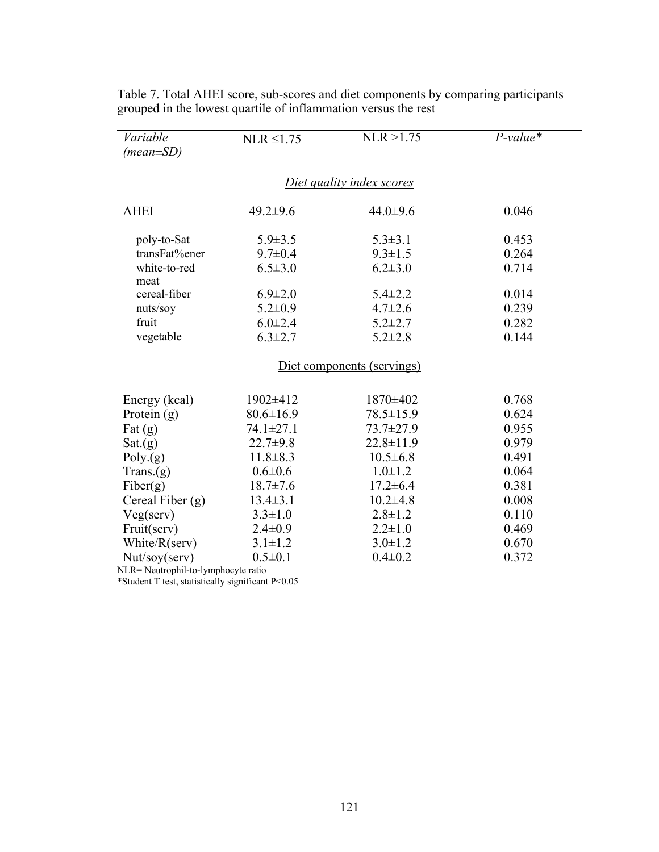| Variable<br>$(\text{mean} \pm SD)$ | $NLR \leq 1.75$ | NLR > 1.75      | $P-value*$ |  |  |  |
|------------------------------------|-----------------|-----------------|------------|--|--|--|
| Diet quality index scores          |                 |                 |            |  |  |  |
| <b>AHEI</b>                        | $49.2 \pm 9.6$  | 44.0 $\pm$ 9.6  | 0.046      |  |  |  |
| poly-to-Sat                        | $5.9 \pm 3.5$   | $5.3 \pm 3.1$   | 0.453      |  |  |  |
| transFat%ener                      | $9.7 \pm 0.4$   | $9.3 \pm 1.5$   | 0.264      |  |  |  |
| white-to-red                       | $6.5 \pm 3.0$   | $6.2 \pm 3.0$   | 0.714      |  |  |  |
| meat                               |                 |                 |            |  |  |  |
| cereal-fiber                       | $6.9 \pm 2.0$   | $5.4 \pm 2.2$   | 0.014      |  |  |  |
| nuts/soy                           | $5.2 \pm 0.9$   | $4.7 \pm 2.6$   | 0.239      |  |  |  |
| fruit                              | $6.0 \pm 2.4$   | $5.2 \pm 2.7$   | 0.282      |  |  |  |
| vegetable                          | $6.3 \pm 2.7$   | $5.2 \pm 2.8$   | 0.144      |  |  |  |
| Diet components (servings)         |                 |                 |            |  |  |  |
| Energy (kcal)                      | 1902±412        | 1870±402        | 0.768      |  |  |  |
| Protein $(g)$                      | $80.6 \pm 16.9$ | $78.5 \pm 15.9$ | 0.624      |  |  |  |
| Fat $(g)$                          | 74.1±27.1       | $73.7 \pm 27.9$ | 0.955      |  |  |  |
| Sat(g)                             | $22.7 + 9.8$    | $22.8 \pm 11.9$ | 0.979      |  |  |  |
| Poly(g)                            | $11.8 \pm 8.3$  | $10.5 \pm 6.8$  | 0.491      |  |  |  |
| Trans(g)                           | $0.6 \pm 0.6$   | $1.0 \pm 1.2$   | 0.064      |  |  |  |
| Fiber(g)                           | $18.7 \pm 7.6$  | $17.2 \pm 6.4$  | 0.381      |  |  |  |
| Cereal Fiber $(g)$                 | $13.4 \pm 3.1$  | $10.2{\pm}4.8$  | 0.008      |  |  |  |
| Veg(serv)                          | $3.3 \pm 1.0$   | $2.8 \pm 1.2$   | 0.110      |  |  |  |
| Fruit(serv)                        | $2.4 \pm 0.9$   | $2.2 \pm 1.0$   | 0.469      |  |  |  |
| White/R(serv)                      | $3.1 \pm 1.2$   | $3.0 \pm 1.2$   | 0.670      |  |  |  |
| Nut/soy(serv)                      | $0.5 \pm 0.1$   | $0.4 \pm 0.2$   | 0.372      |  |  |  |

Table 7. Total AHEI score, sub-scores and diet components by comparing participants grouped in the lowest quartile of inflammation versus the rest

NLR= Neutrophil-to-lymphocyte ratio

\*Student T test, statistically significant P<0.05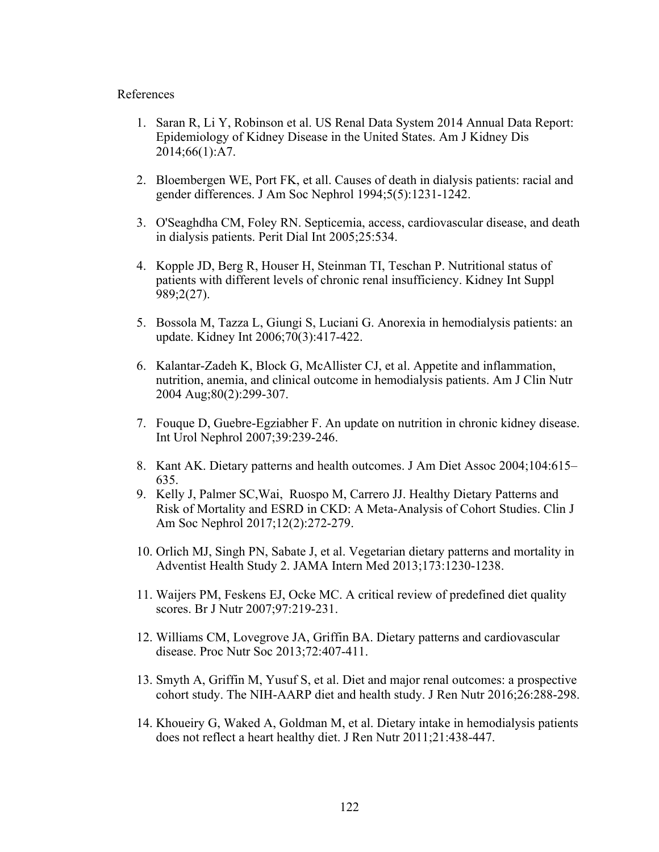#### References

- 1. Saran R, Li Y, Robinson et al. US Renal Data System 2014 Annual Data Report: Epidemiology of Kidney Disease in the United States. Am J Kidney Dis 2014;66(1):A7.
- 2. Bloembergen WE, Port FK, et all. Causes of death in dialysis patients: racial and gender differences. J Am Soc Nephrol 1994;5(5):1231-1242.
- 3. O'Seaghdha CM, Foley RN. Septicemia, access, cardiovascular disease, and death in dialysis patients. Perit Dial Int 2005;25:534.
- 4. Kopple JD, Berg R, Houser H, Steinman TI, Teschan P. Nutritional status of patients with different levels of chronic renal insufficiency. Kidney Int Suppl 989;2(27).
- 5. Bossola M, Tazza L, Giungi S, Luciani G. Anorexia in hemodialysis patients: an update. Kidney Int 2006;70(3):417-422.
- 6. Kalantar-Zadeh K, Block G, McAllister CJ, et al. Appetite and inflammation, nutrition, anemia, and clinical outcome in hemodialysis patients. Am J Clin Nutr 2004 Aug;80(2):299-307.
- 7. Fouque D, Guebre-Egziabher F. An update on nutrition in chronic kidney disease. Int Urol Nephrol 2007;39:239-246.
- 8. Kant AK. Dietary patterns and health outcomes. J Am Diet Assoc 2004;104:615– 635.
- 9. Kelly J, Palmer SC,Wai, Ruospo M, Carrero JJ. Healthy Dietary Patterns and Risk of Mortality and ESRD in CKD: A Meta-Analysis of Cohort Studies. Clin J Am Soc Nephrol 2017;12(2):272-279.
- 10. Orlich MJ, Singh PN, Sabate J, et al. Vegetarian dietary patterns and mortality in Adventist Health Study 2. JAMA Intern Med 2013;173:1230-1238.
- 11. Waijers PM, Feskens EJ, Ocke MC. A critical review of predefined diet quality scores. Br J Nutr 2007;97:219-231.
- 12. Williams CM, Lovegrove JA, Griffin BA. Dietary patterns and cardiovascular disease. Proc Nutr Soc 2013;72:407-411.
- 13. Smyth A, Griffin M, Yusuf S, et al. Diet and major renal outcomes: a prospective cohort study. The NIH-AARP diet and health study. J Ren Nutr 2016;26:288-298.
- 14. Khoueiry G, Waked A, Goldman M, et al. Dietary intake in hemodialysis patients does not reflect a heart healthy diet. J Ren Nutr 2011;21:438-447.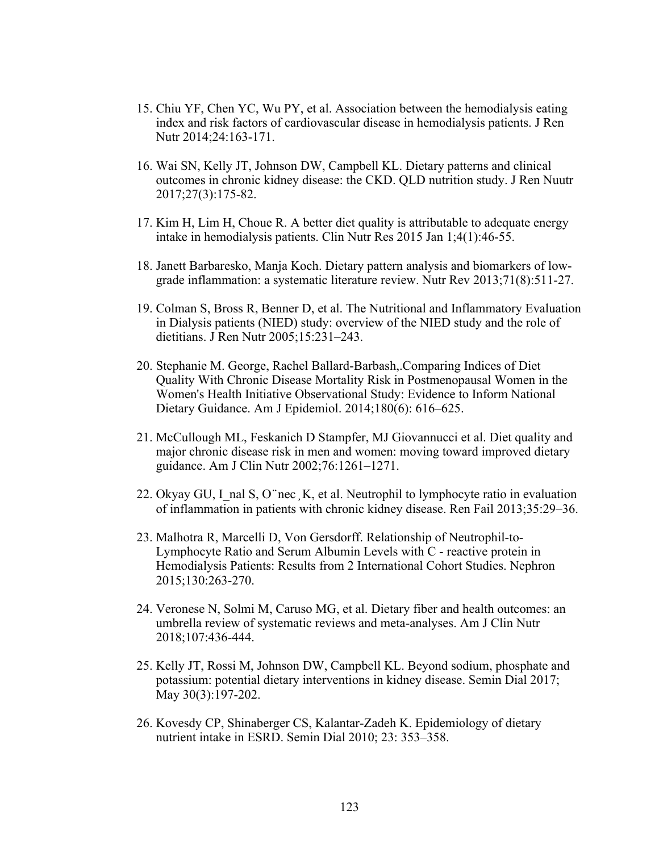- 15. Chiu YF, Chen YC, Wu PY, et al. Association between the hemodialysis eating index and risk factors of cardiovascular disease in hemodialysis patients. J Ren Nutr 2014;24:163-171.
- 16. Wai SN, Kelly JT, Johnson DW, Campbell KL. Dietary patterns and clinical outcomes in chronic kidney disease: the CKD. QLD nutrition study. J Ren Nuutr 2017;27(3):175-82.
- 17. Kim H, Lim H, Choue R. A better diet quality is attributable to adequate energy intake in hemodialysis patients. Clin Nutr Res 2015 Jan 1;4(1):46-55.
- 18. Janett Barbaresko, Manja Koch. Dietary pattern analysis and biomarkers of lowgrade inflammation: a systematic literature review. Nutr Rev 2013;71(8):511-27.
- 19. Colman S, Bross R, Benner D, et al. The Nutritional and Inflammatory Evaluation in Dialysis patients (NIED) study: overview of the NIED study and the role of dietitians. J Ren Nutr 2005;15:231–243.
- 20. Stephanie M. George, Rachel Ballard-Barbash,.Comparing Indices of Diet Quality With Chronic Disease Mortality Risk in Postmenopausal Women in the Women's Health Initiative Observational Study: Evidence to Inform National Dietary Guidance. Am J Epidemiol. 2014;180(6): 616–625.
- 21. McCullough ML, Feskanich D Stampfer, MJ Giovannucci et al. Diet quality and major chronic disease risk in men and women: moving toward improved dietary guidance. Am J Clin Nutr 2002;76:1261–1271.
- 22. Okyay GU, I\_nal S, O  $\degree$ nec [K, et al. Neutrophil to lymphocyte ratio in evaluation of inflammation in patients with chronic kidney disease. Ren Fail 2013;35:29–36.
- 23. Malhotra R, Marcelli D, Von Gersdorff. Relationship of Neutrophil-to-Lymphocyte Ratio and Serum Albumin Levels with C - reactive protein in Hemodialysis Patients: Results from 2 International Cohort Studies. Nephron 2015;130:263-270.
- 24. Veronese N, Solmi M, Caruso MG, et al. Dietary fiber and health outcomes: an umbrella review of systematic reviews and meta-analyses. Am J Clin Nutr 2018;107:436-444.
- 25. Kelly JT, Rossi M, Johnson DW, Campbell KL. Beyond sodium, phosphate and potassium: potential dietary interventions in kidney disease. Semin Dial 2017; May 30(3):197-202.
- 26. Kovesdy CP, Shinaberger CS, Kalantar-Zadeh K. Epidemiology of dietary nutrient intake in ESRD. Semin Dial 2010; 23: 353–358.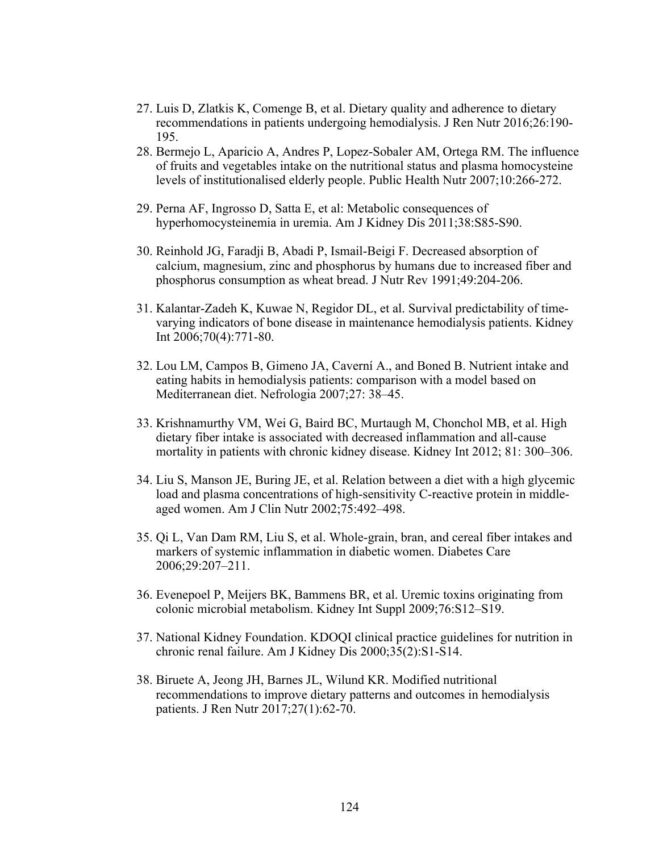- 27. Luis D, Zlatkis K, Comenge B, et al. Dietary quality and adherence to dietary recommendations in patients undergoing hemodialysis. J Ren Nutr 2016;26:190- 195.
- 28. Bermejo L, Aparicio A, Andres P, Lopez-Sobaler AM, Ortega RM. The influence of fruits and vegetables intake on the nutritional status and plasma homocysteine levels of institutionalised elderly people. Public Health Nutr 2007;10:266-272.
- 29. Perna AF, Ingrosso D, Satta E, et al: Metabolic consequences of hyperhomocysteinemia in uremia. Am J Kidney Dis 2011;38:S85-S90.
- 30. Reinhold JG, Faradji B, Abadi P, Ismail-Beigi F. Decreased absorption of calcium, magnesium, zinc and phosphorus by humans due to increased fiber and phosphorus consumption as wheat bread. J Nutr Rev 1991;49:204-206.
- 31. Kalantar-Zadeh K, Kuwae N, Regidor DL, et al. Survival predictability of timevarying indicators of bone disease in maintenance hemodialysis patients. Kidney Int 2006;70(4):771-80.
- 32. Lou LM, Campos B, Gimeno JA, Caverní A., and Boned B. Nutrient intake and eating habits in hemodialysis patients: comparison with a model based on Mediterranean diet. Nefrologia 2007;27: 38–45.
- 33. Krishnamurthy VM, Wei G, Baird BC, Murtaugh M, Chonchol MB, et al. High dietary fiber intake is associated with decreased inflammation and all-cause mortality in patients with chronic kidney disease. Kidney Int 2012; 81: 300–306.
- 34. Liu S, Manson JE, Buring JE, et al. Relation between a diet with a high glycemic load and plasma concentrations of high-sensitivity C-reactive protein in middleaged women. Am J Clin Nutr 2002;75:492–498.
- 35. Qi L, Van Dam RM, Liu S, et al. Whole-grain, bran, and cereal fiber intakes and markers of systemic inflammation in diabetic women. Diabetes Care 2006;29:207–211.
- 36. Evenepoel P, Meijers BK, Bammens BR, et al. Uremic toxins originating from colonic microbial metabolism. Kidney Int Suppl 2009;76:S12–S19.
- 37. National Kidney Foundation. KDOQI clinical practice guidelines for nutrition in chronic renal failure. Am J Kidney Dis 2000;35(2):S1-S14.
- 38. Biruete A, Jeong JH, Barnes JL, Wilund KR. Modified nutritional recommendations to improve dietary patterns and outcomes in hemodialysis patients. J Ren Nutr 2017;27(1):62-70.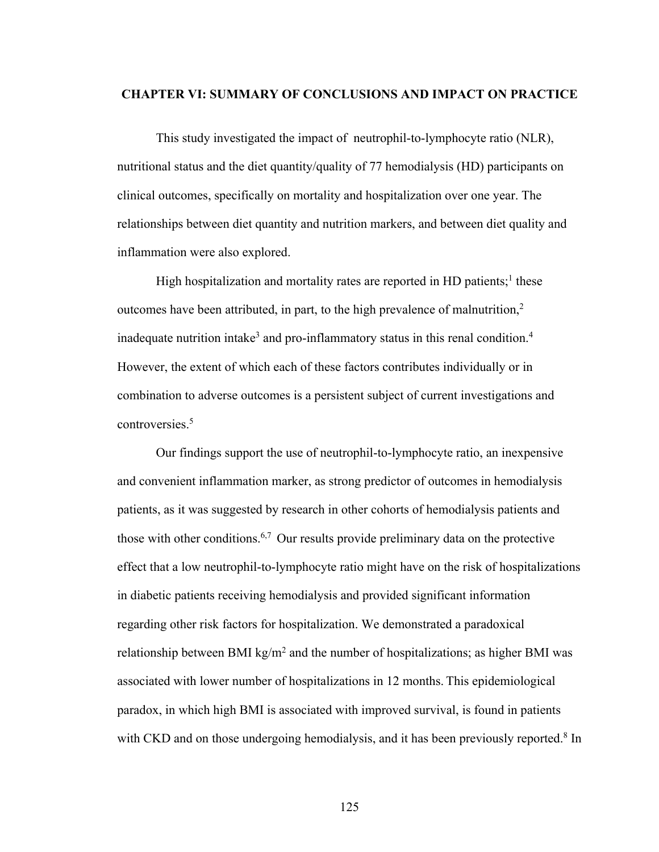#### **CHAPTER VI: SUMMARY OF CONCLUSIONS AND IMPACT ON PRACTICE**

This study investigated the impact of neutrophil-to-lymphocyte ratio (NLR), nutritional status and the diet quantity/quality of 77 hemodialysis (HD) participants on clinical outcomes, specifically on mortality and hospitalization over one year. The relationships between diet quantity and nutrition markers, and between diet quality and inflammation were also explored.

High hospitalization and mortality rates are reported in HD patients;<sup>1</sup> these outcomes have been attributed, in part, to the high prevalence of malnutrition, $2$ inadequate nutrition intake<sup>3</sup> and pro-inflammatory status in this renal condition.<sup>4</sup> However, the extent of which each of these factors contributes individually or in combination to adverse outcomes is a persistent subject of current investigations and controversies.5

Our findings support the use of neutrophil-to-lymphocyte ratio, an inexpensive and convenient inflammation marker, as strong predictor of outcomes in hemodialysis patients, as it was suggested by research in other cohorts of hemodialysis patients and those with other conditions.<sup>6,7</sup> Our results provide preliminary data on the protective effect that a low neutrophil-to-lymphocyte ratio might have on the risk of hospitalizations in diabetic patients receiving hemodialysis and provided significant information regarding other risk factors for hospitalization. We demonstrated a paradoxical relationship between BMI kg/m<sup>2</sup> and the number of hospitalizations; as higher BMI was associated with lower number of hospitalizations in 12 months. This epidemiological paradox, in which high BMI is associated with improved survival, is found in patients with CKD and on those undergoing hemodialysis, and it has been previously reported.<sup>8</sup> In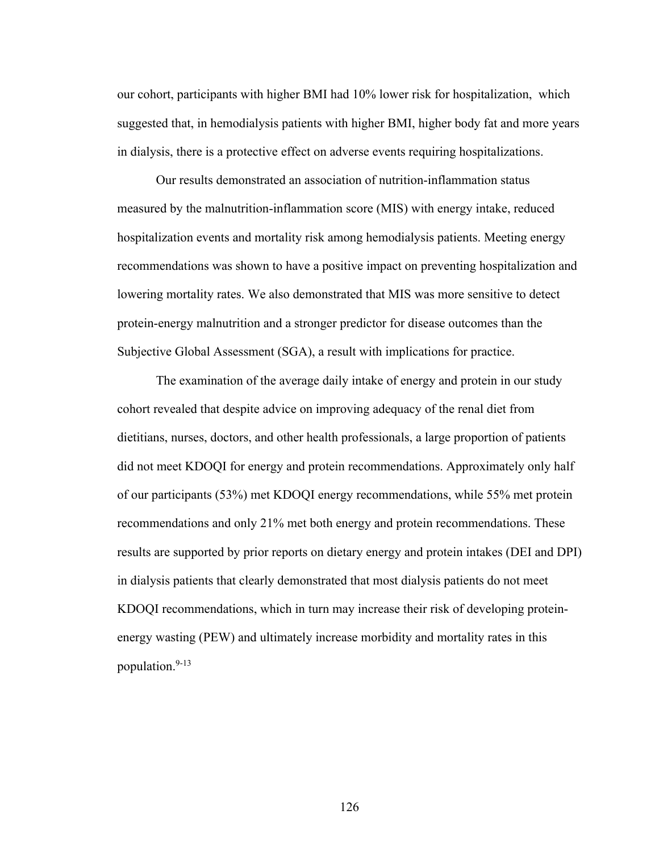our cohort, participants with higher BMI had 10% lower risk for hospitalization, which suggested that, in hemodialysis patients with higher BMI, higher body fat and more years in dialysis, there is a protective effect on adverse events requiring hospitalizations.

Our results demonstrated an association of nutrition-inflammation status measured by the malnutrition-inflammation score (MIS) with energy intake, reduced hospitalization events and mortality risk among hemodialysis patients. Meeting energy recommendations was shown to have a positive impact on preventing hospitalization and lowering mortality rates. We also demonstrated that MIS was more sensitive to detect protein-energy malnutrition and a stronger predictor for disease outcomes than the Subjective Global Assessment (SGA), a result with implications for practice.

The examination of the average daily intake of energy and protein in our study cohort revealed that despite advice on improving adequacy of the renal diet from dietitians, nurses, doctors, and other health professionals, a large proportion of patients did not meet KDOQI for energy and protein recommendations. Approximately only half of our participants (53%) met KDOQI energy recommendations, while 55% met protein recommendations and only 21% met both energy and protein recommendations. These results are supported by prior reports on dietary energy and protein intakes (DEI and DPI) in dialysis patients that clearly demonstrated that most dialysis patients do not meet KDOQI recommendations, which in turn may increase their risk of developing proteinenergy wasting (PEW) and ultimately increase morbidity and mortality rates in this population. 9-13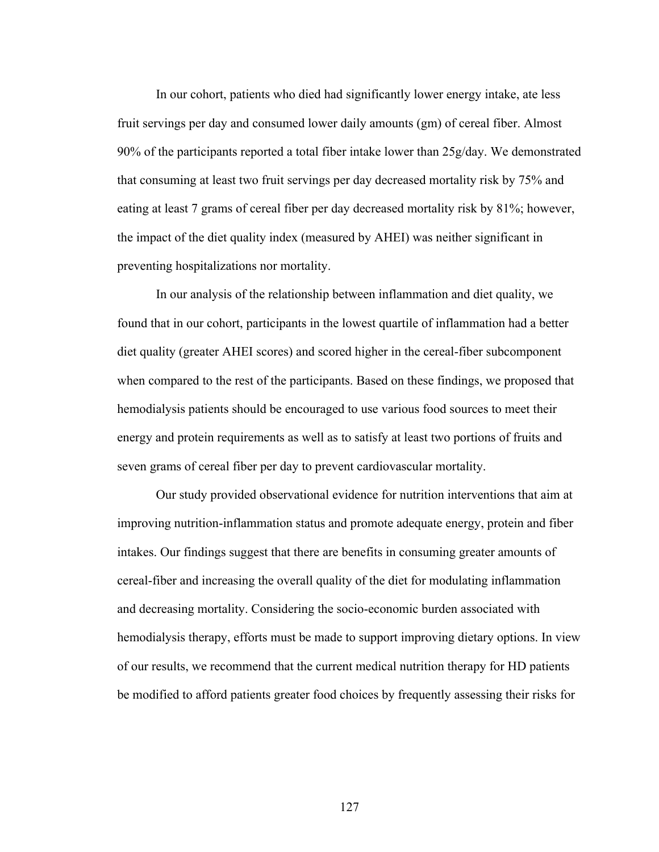In our cohort, patients who died had significantly lower energy intake, ate less fruit servings per day and consumed lower daily amounts (gm) of cereal fiber. Almost 90% of the participants reported a total fiber intake lower than 25g/day. We demonstrated that consuming at least two fruit servings per day decreased mortality risk by 75% and eating at least 7 grams of cereal fiber per day decreased mortality risk by 81%; however, the impact of the diet quality index (measured by AHEI) was neither significant in preventing hospitalizations nor mortality.

In our analysis of the relationship between inflammation and diet quality, we found that in our cohort, participants in the lowest quartile of inflammation had a better diet quality (greater AHEI scores) and scored higher in the cereal-fiber subcomponent when compared to the rest of the participants. Based on these findings, we proposed that hemodialysis patients should be encouraged to use various food sources to meet their energy and protein requirements as well as to satisfy at least two portions of fruits and seven grams of cereal fiber per day to prevent cardiovascular mortality.

Our study provided observational evidence for nutrition interventions that aim at improving nutrition-inflammation status and promote adequate energy, protein and fiber intakes. Our findings suggest that there are benefits in consuming greater amounts of cereal-fiber and increasing the overall quality of the diet for modulating inflammation and decreasing mortality. Considering the socio-economic burden associated with hemodialysis therapy, efforts must be made to support improving dietary options. In view of our results, we recommend that the current medical nutrition therapy for HD patients be modified to afford patients greater food choices by frequently assessing their risks for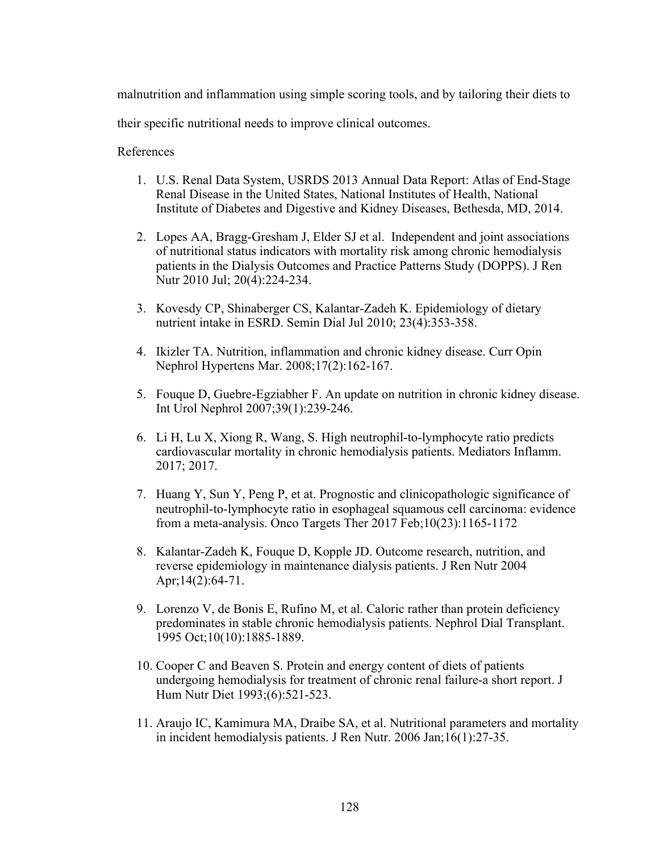malnutrition and inflammation using simple scoring tools, and by tailoring their diets to

their specific nutritional needs to improve clinical outcomes.

References

- 1. U.S. Renal Data System, USRDS 2013 Annual Data Report: Atlas of End-Stage Renal Disease in the United States, National Institutes of Health, National Institute of Diabetes and Digestive and Kidney Diseases, Bethesda, MD, 2014.
- 2. Lopes AA, Bragg-Gresham J, Elder SJ et al. Independent and joint associations of nutritional status indicators with mortality risk among chronic hemodialysis patients in the Dialysis Outcomes and Practice Patterns Study (DOPPS). J Ren Nutr 2010 Jul; 20(4):224-234.
- 3. Kovesdy CP, Shinaberger CS, Kalantar-Zadeh K. Epidemiology of dietary nutrient intake in ESRD. Semin Dial Jul 2010; 23(4):353-358.
- 4. Ikizler TA. Nutrition, inflammation and chronic kidney disease. Curr Opin Nephrol Hypertens Mar. 2008;17(2):162-167.
- 5. Fouque D, Guebre-Egziabher F. An update on nutrition in chronic kidney disease. Int Urol Nephrol 2007;39(1):239-246.
- 6. Li H, Lu X, Xiong R, Wang, S. High neutrophil-to-lymphocyte ratio predicts cardiovascular mortality in chronic hemodialysis patients. Mediators Inflamm. 2017; 2017.
- 7. Huang Y, Sun Y, Peng P, et at. Prognostic and clinicopathologic significance of neutrophil-to-lymphocyte ratio in esophageal squamous cell carcinoma: evidence from a meta-analysis. Onco Targets Ther 2017 Feb;10(23):1165-1172
- 8. Kalantar-Zadeh K, Fouque D, Kopple JD. Outcome research, nutrition, and reverse epidemiology in maintenance dialysis patients. J Ren Nutr 2004 Apr;14(2):64-71.
- 9. Lorenzo V, de Bonis E, Rufino M, et al. Caloric rather than protein deficiency predominates in stable chronic hemodialysis patients. Nephrol Dial Transplant. 1995 Oct;10(10):1885-1889.
- 10. Cooper C and Beaven S. Protein and energy content of diets of patients undergoing hemodialysis for treatment of chronic renal failure-a short report. J Hum Nutr Diet 1993;(6):521-523.
- 11. Araujo IC, Kamimura MA, Draibe SA, et al. Nutritional parameters and mortality in incident hemodialysis patients. J Ren Nutr. 2006 Jan;16(1):27-35.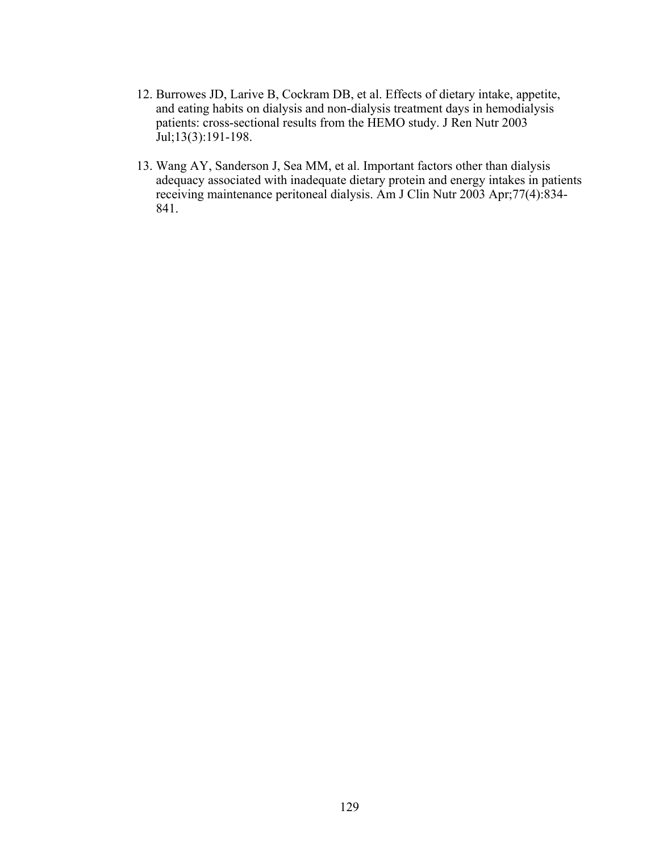- 12. Burrowes JD, Larive B, Cockram DB, et al. Effects of dietary intake, appetite, and eating habits on dialysis and non-dialysis treatment days in hemodialysis patients: cross-sectional results from the HEMO study. J Ren Nutr 2003 Jul;13(3):191-198.
- 13. Wang AY, Sanderson J, Sea MM, et al. Important factors other than dialysis adequacy associated with inadequate dietary protein and energy intakes in patients receiving maintenance peritoneal dialysis. Am J Clin Nutr 2003 Apr;77(4):834- 841.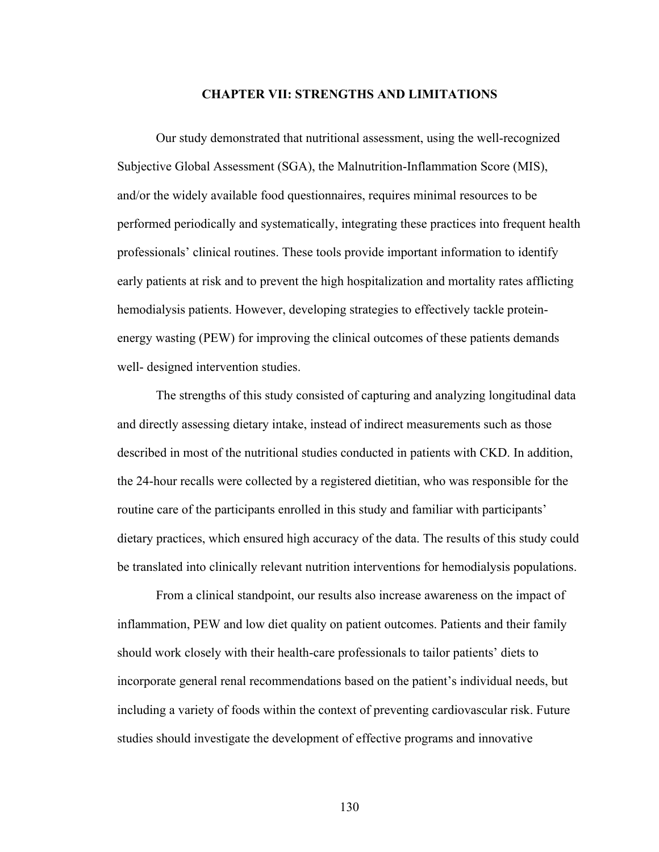#### **CHAPTER VII: STRENGTHS AND LIMITATIONS**

Our study demonstrated that nutritional assessment, using the well-recognized Subjective Global Assessment (SGA), the Malnutrition-Inflammation Score (MIS), and/or the widely available food questionnaires, requires minimal resources to be performed periodically and systematically, integrating these practices into frequent health professionals' clinical routines. These tools provide important information to identify early patients at risk and to prevent the high hospitalization and mortality rates afflicting hemodialysis patients. However, developing strategies to effectively tackle proteinenergy wasting (PEW) for improving the clinical outcomes of these patients demands well- designed intervention studies.

The strengths of this study consisted of capturing and analyzing longitudinal data and directly assessing dietary intake, instead of indirect measurements such as those described in most of the nutritional studies conducted in patients with CKD. In addition, the 24-hour recalls were collected by a registered dietitian, who was responsible for the routine care of the participants enrolled in this study and familiar with participants' dietary practices, which ensured high accuracy of the data. The results of this study could be translated into clinically relevant nutrition interventions for hemodialysis populations.

From a clinical standpoint, our results also increase awareness on the impact of inflammation, PEW and low diet quality on patient outcomes. Patients and their family should work closely with their health-care professionals to tailor patients' diets to incorporate general renal recommendations based on the patient's individual needs, but including a variety of foods within the context of preventing cardiovascular risk. Future studies should investigate the development of effective programs and innovative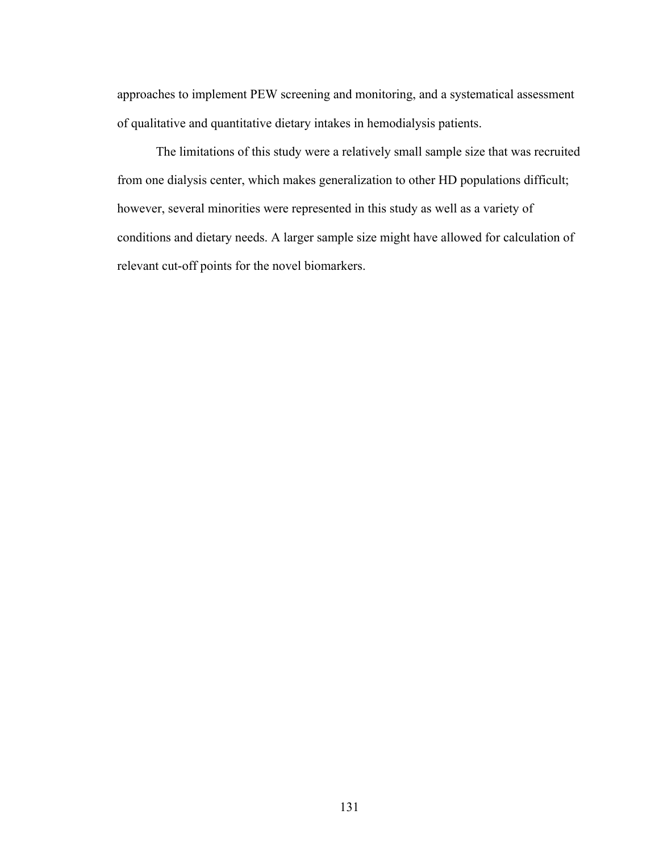approaches to implement PEW screening and monitoring, and a systematical assessment of qualitative and quantitative dietary intakes in hemodialysis patients.

The limitations of this study were a relatively small sample size that was recruited from one dialysis center, which makes generalization to other HD populations difficult; however, several minorities were represented in this study as well as a variety of conditions and dietary needs. A larger sample size might have allowed for calculation of relevant cut-off points for the novel biomarkers.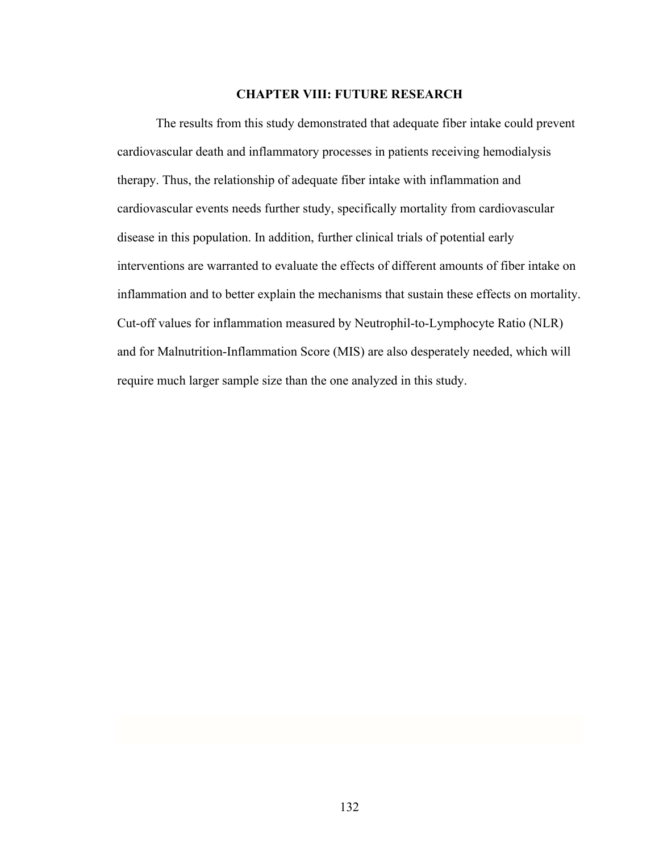### **CHAPTER VIII: FUTURE RESEARCH**

The results from this study demonstrated that adequate fiber intake could prevent cardiovascular death and inflammatory processes in patients receiving hemodialysis therapy. Thus, the relationship of adequate fiber intake with inflammation and cardiovascular events needs further study, specifically mortality from cardiovascular disease in this population. In addition, further clinical trials of potential early interventions are warranted to evaluate the effects of different amounts of fiber intake on inflammation and to better explain the mechanisms that sustain these effects on mortality. Cut-off values for inflammation measured by Neutrophil-to-Lymphocyte Ratio (NLR) and for Malnutrition-Inflammation Score (MIS) are also desperately needed, which will require much larger sample size than the one analyzed in this study.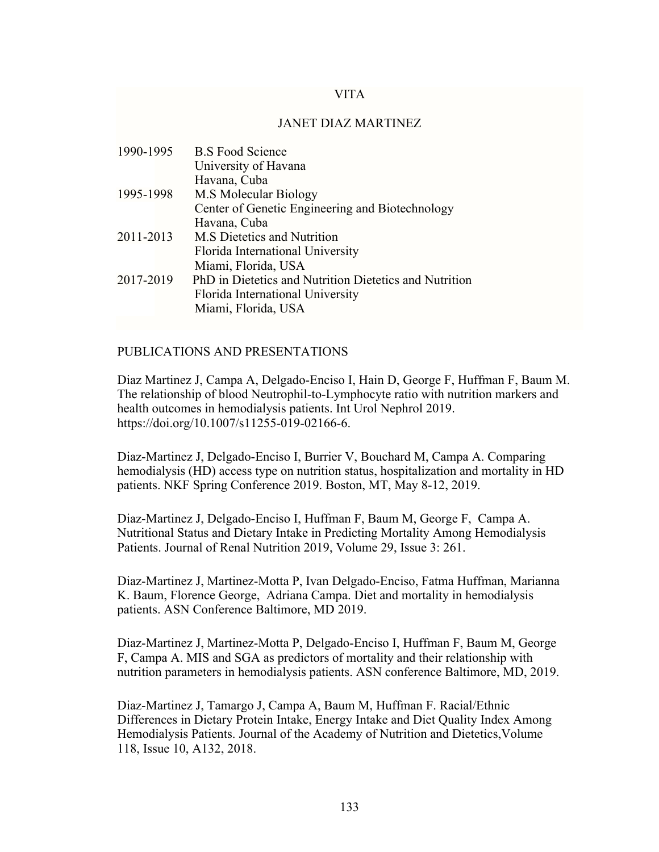## VITA

## JANET DIAZ MARTINEZ

| 1990-1995 | <b>B.S</b> Food Science                                |
|-----------|--------------------------------------------------------|
|           | University of Havana                                   |
|           | Havana, Cuba                                           |
| 1995-1998 | M.S Molecular Biology                                  |
|           | Center of Genetic Engineering and Biotechnology        |
|           | Havana, Cuba                                           |
| 2011-2013 | M.S Dietetics and Nutrition                            |
|           | Florida International University                       |
|           | Miami, Florida, USA                                    |
| 2017-2019 | PhD in Dietetics and Nutrition Dietetics and Nutrition |
|           | Florida International University                       |
|           | Miami, Florida, USA                                    |

## PUBLICATIONS AND PRESENTATIONS

Diaz Martinez J, Campa A, Delgado-Enciso I, Hain D, George F, Huffman F, Baum M. The relationship of blood Neutrophil-to-Lymphocyte ratio with nutrition markers and health outcomes in hemodialysis patients. Int Urol Nephrol 2019. https://doi.org/10.1007/s11255-019-02166-6.

Diaz-Martinez J, Delgado-Enciso I, Burrier V, Bouchard M, Campa A. Comparing hemodialysis (HD) access type on nutrition status, hospitalization and mortality in HD patients. NKF Spring Conference 2019. Boston, MT, May 8-12, 2019.

Diaz-Martinez J, Delgado-Enciso I, Huffman F, Baum M, George F, Campa A. Nutritional Status and Dietary Intake in Predicting Mortality Among Hemodialysis Patients. Journal of Renal Nutrition 2019, Volume 29, Issue 3: 261.

Diaz-Martinez J, Martinez-Motta P, Ivan Delgado-Enciso, Fatma Huffman, Marianna K. Baum, Florence George, Adriana Campa. Diet and mortality in hemodialysis patients. ASN Conference Baltimore, MD 2019.

Diaz-Martinez J, Martinez-Motta P, Delgado-Enciso I, Huffman F, Baum M, George F, Campa A. MIS and SGA as predictors of mortality and their relationship with nutrition parameters in hemodialysis patients. ASN conference Baltimore, MD, 2019.

Diaz-Martinez J, Tamargo J, Campa A, Baum M, Huffman F. Racial/Ethnic Differences in Dietary Protein Intake, Energy Intake and Diet Quality Index Among Hemodialysis Patients. Journal of the Academy of Nutrition and Dietetics,Volume 118, Issue 10, A132, 2018.